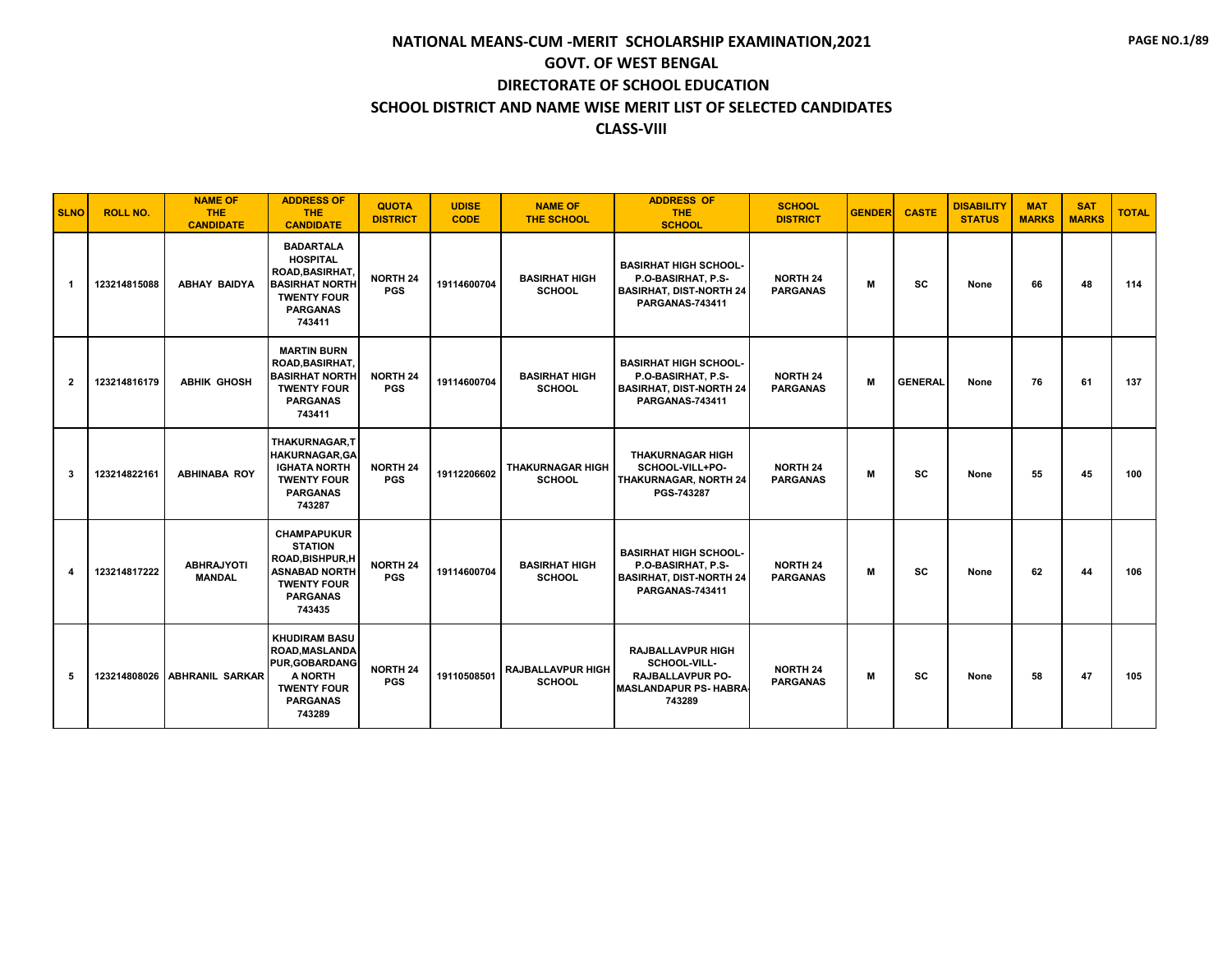| <b>SLNO</b>    | <b>ROLL NO.</b> | <b>NAME OF</b><br>THE.<br><b>CANDIDATE</b> | <b>ADDRESS OF</b><br><b>THE</b><br><b>CANDIDATE</b>                                                                                        | <b>QUOTA</b><br><b>DISTRICT</b> | <b>UDISE</b><br><b>CODE</b> | <b>NAME OF</b><br><b>THE SCHOOL</b>       | <b>ADDRESS OF</b><br><b>THE</b><br><b>SCHOOL</b>                                                               | <b>SCHOOL</b><br><b>DISTRICT</b>   | <b>GENDER</b> | <b>CASTE</b>   | <b>DISABILITY</b><br><b>STATUS</b> | <b>MAT</b><br><b>MARKS</b> | <b>SAT</b><br><b>MARKS</b> | <b>TOTAL</b> |
|----------------|-----------------|--------------------------------------------|--------------------------------------------------------------------------------------------------------------------------------------------|---------------------------------|-----------------------------|-------------------------------------------|----------------------------------------------------------------------------------------------------------------|------------------------------------|---------------|----------------|------------------------------------|----------------------------|----------------------------|--------------|
| $\mathbf 1$    | 123214815088    | <b>ABHAY BAIDYA</b>                        | <b>BADARTALA</b><br><b>HOSPITAL</b><br>ROAD, BASIRHAT,<br><b>BASIRHAT NORTH</b><br><b>TWENTY FOUR</b><br><b>PARGANAS</b><br>743411         | <b>NORTH 24</b><br><b>PGS</b>   | 19114600704                 | <b>BASIRHAT HIGH</b><br><b>SCHOOL</b>     | <b>BASIRHAT HIGH SCHOOL-</b><br>P.O-BASIRHAT, P.S-<br><b>BASIRHAT, DIST-NORTH 24</b><br><b>PARGANAS-743411</b> | <b>NORTH 24</b><br><b>PARGANAS</b> | M             | <b>SC</b>      | None                               | 66                         | 48                         | 114          |
| $\overline{2}$ | 123214816179    | <b>ABHIK GHOSH</b>                         | <b>MARTIN BURN</b><br>ROAD, BASIRHAT,<br><b>BASIRHAT NORTH</b><br><b>TWENTY FOUR</b><br><b>PARGANAS</b><br>743411                          | <b>NORTH 24</b><br><b>PGS</b>   | 19114600704                 | <b>BASIRHAT HIGH</b><br><b>SCHOOL</b>     | <b>BASIRHAT HIGH SCHOOL-</b><br>P.O-BASIRHAT, P.S-<br><b>BASIRHAT, DIST-NORTH 24</b><br><b>PARGANAS-743411</b> | <b>NORTH 24</b><br><b>PARGANAS</b> | M             | <b>GENERAL</b> | None                               | 76                         | 61                         | 137          |
| 3              | 123214822161    | <b>ABHINABA ROY</b>                        | <b>THAKURNAGAR.T</b><br><b>HAKURNAGAR.GA</b><br><b>IGHATA NORTH</b><br><b>TWENTY FOUR</b><br><b>PARGANAS</b><br>743287                     | <b>NORTH 24</b><br><b>PGS</b>   | 19112206602                 | <b>THAKURNAGAR HIGH</b><br><b>SCHOOL</b>  | <b>THAKURNAGAR HIGH</b><br>SCHOOL-VILL+PO-<br><b>THAKURNAGAR, NORTH 24</b><br>PGS-743287                       | <b>NORTH 24</b><br><b>PARGANAS</b> | м             | <b>SC</b>      | None                               | 55                         | 45                         | 100          |
|                | 123214817222    | <b>ABHRAJYOTI</b><br><b>MANDAL</b>         | <b>CHAMPAPUKUR</b><br><b>STATION</b><br><b>ROAD, BISHPUR, H</b><br><b>ASNABAD NORTH</b><br><b>TWENTY FOUR</b><br><b>PARGANAS</b><br>743435 | <b>NORTH 24</b><br><b>PGS</b>   | 19114600704                 | <b>BASIRHAT HIGH</b><br><b>SCHOOL</b>     | <b>BASIRHAT HIGH SCHOOL-</b><br>P.O-BASIRHAT, P.S-<br><b>BASIRHAT, DIST-NORTH 24</b><br><b>PARGANAS-743411</b> | <b>NORTH 24</b><br><b>PARGANAS</b> | M             | <b>SC</b>      | None                               | 62                         | 44                         | 106          |
| 5              |                 | 123214808026 ABHRANIL SARKAR               | <b>KHUDIRAM BASU</b><br><b>ROAD.MASLANDA</b><br><b>PUR, GOBARDANG</b><br>A NORTH<br><b>TWENTY FOUR</b><br><b>PARGANAS</b><br>743289        | <b>NORTH 24</b><br><b>PGS</b>   | 19110508501                 | <b>RAJBALLAVPUR HIGH</b><br><b>SCHOOL</b> | <b>RAJBALLAVPUR HIGH</b><br>SCHOOL-VILL-<br>RAJBALLAVPUR PO-<br><b>MASLANDAPUR PS- HABRA</b><br>743289         | <b>NORTH 24</b><br><b>PARGANAS</b> | M             | SC             | None                               | 58                         | 47                         | 105          |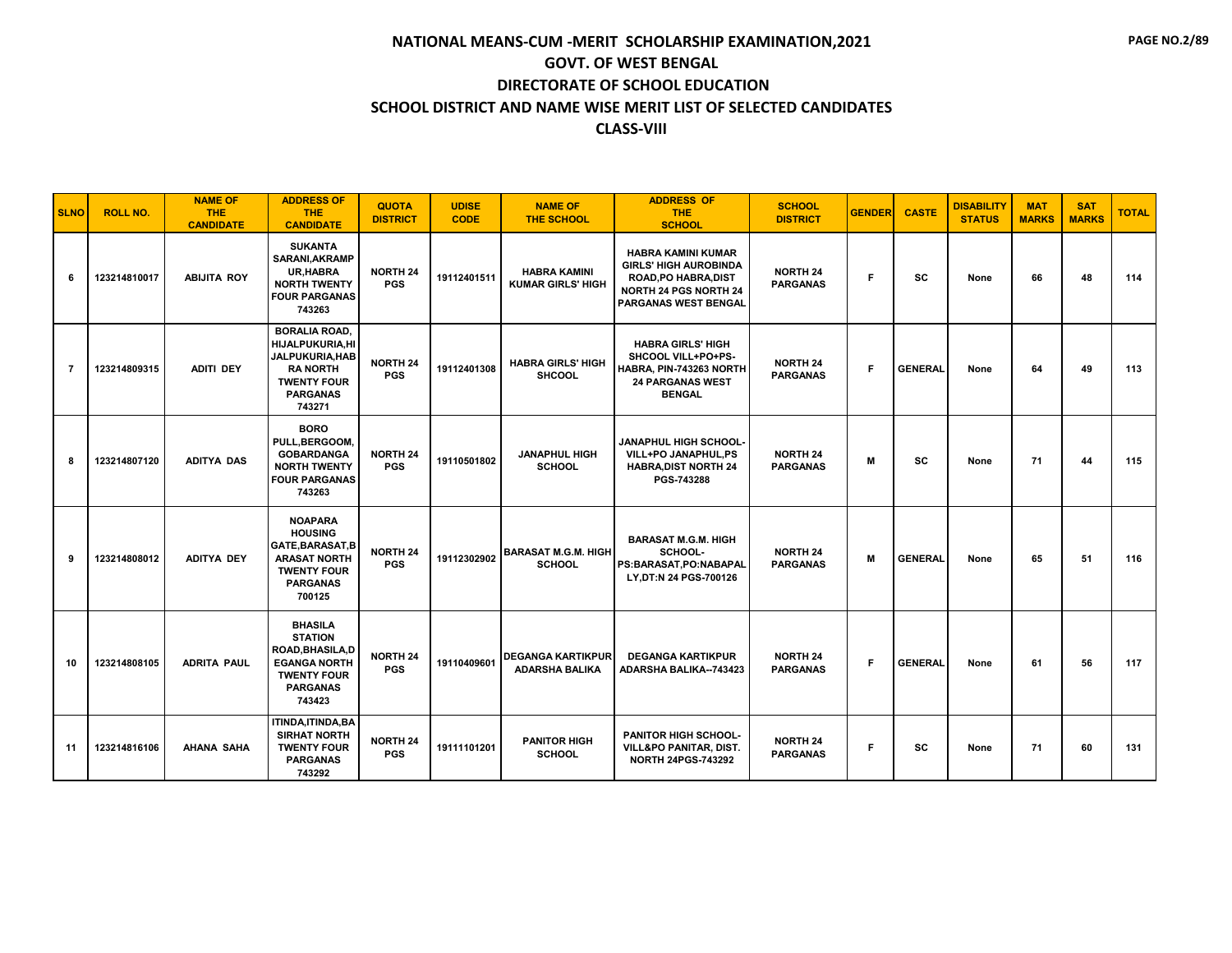| <b>SLNO</b> | <b>ROLL NO.</b> | <b>NAME OF</b><br><b>THE</b><br><b>CANDIDATE</b> | <b>ADDRESS OF</b><br><b>THE</b><br><b>CANDIDATE</b>                                                                                 | <b>QUOTA</b><br><b>DISTRICT</b> | <b>UDISE</b><br><b>CODE</b> | <b>NAME OF</b><br><b>THE SCHOOL</b>               | <b>ADDRESS OF</b><br><b>THE</b><br><b>SCHOOL</b>                                                                                                        | <b>SCHOOL</b><br><b>DISTRICT</b>   | <b>GENDER</b> | <b>CASTE</b>   | <b>DISABILITY</b><br><b>STATUS</b> | <b>MAT</b><br><b>MARKS</b> | <b>SAT</b><br><b>MARKS</b> | <b>TOTAL</b> |
|-------------|-----------------|--------------------------------------------------|-------------------------------------------------------------------------------------------------------------------------------------|---------------------------------|-----------------------------|---------------------------------------------------|---------------------------------------------------------------------------------------------------------------------------------------------------------|------------------------------------|---------------|----------------|------------------------------------|----------------------------|----------------------------|--------------|
| 6           | 123214810017    | <b>ABIJITA ROY</b>                               | <b>SUKANTA</b><br><b>SARANI, AKRAMP</b><br>UR, HABRA<br><b>NORTH TWENTY</b><br><b>FOUR PARGANAS</b><br>743263                       | <b>NORTH 24</b><br><b>PGS</b>   | 19112401511                 | <b>HABRA KAMINI</b><br><b>KUMAR GIRLS' HIGH</b>   | <b>HABRA KAMINI KUMAR</b><br><b>GIRLS' HIGH AUROBINDA</b><br><b>ROAD, PO HABRA, DIST</b><br><b>NORTH 24 PGS NORTH 24</b><br><b>PARGANAS WEST BENGAL</b> | <b>NORTH 24</b><br><b>PARGANAS</b> | F             | <b>SC</b>      | None                               | 66                         | 48                         | 114          |
| 7           | 123214809315    | <b>ADITI DEY</b>                                 | <b>BORALIA ROAD.</b><br>HIJALPUKURIA,HI<br>JALPUKURIA, HAB<br><b>RANORTH</b><br><b>TWENTY FOUR</b><br><b>PARGANAS</b><br>743271     | <b>NORTH 24</b><br><b>PGS</b>   | 19112401308                 | <b>HABRA GIRLS' HIGH</b><br><b>SHCOOL</b>         | <b>HABRA GIRLS' HIGH</b><br>SHCOOL VILL+PO+PS-<br>HABRA, PIN-743263 NORTH<br><b>24 PARGANAS WEST</b><br><b>BENGAL</b>                                   | <b>NORTH 24</b><br><b>PARGANAS</b> | F             | <b>GENERAL</b> | None                               | 64                         | 49                         | 113          |
| 8           | 123214807120    | <b>ADITYA DAS</b>                                | <b>BORO</b><br>PULL, BERGOOM,<br><b>GOBARDANGA</b><br><b>NORTH TWENTY</b><br><b>FOUR PARGANAS</b><br>743263                         | <b>NORTH 24</b><br><b>PGS</b>   | 19110501802                 | <b>JANAPHUL HIGH</b><br><b>SCHOOL</b>             | <b>JANAPHUL HIGH SCHOOL-</b><br>VILL+PO JANAPHUL,PS<br><b>HABRA, DIST NORTH 24</b><br>PGS-743288                                                        | <b>NORTH 24</b><br><b>PARGANAS</b> | M             | <b>SC</b>      | None                               | 71                         | 44                         | 115          |
| 9           | 123214808012    | <b>ADITYA DEY</b>                                | <b>NOAPARA</b><br><b>HOUSING</b><br>GATE, BARASAT, B<br><b>ARASAT NORTH</b><br><b>TWENTY FOUR</b><br><b>PARGANAS</b><br>700125      | <b>NORTH 24</b><br><b>PGS</b>   | 19112302902                 | <b>BARASAT M.G.M. HIGH</b><br><b>SCHOOL</b>       | <b>BARASAT M.G.M. HIGH</b><br>SCHOOL-<br>PS:BARASAT.PO:NABAPAL<br>LY, DT:N 24 PGS-700126                                                                | <b>NORTH 24</b><br><b>PARGANAS</b> | M             | <b>GENERAL</b> | None                               | 65                         | 51                         | 116          |
| 10          | 123214808105    | <b>ADRITA PAUL</b>                               | <b>BHASILA</b><br><b>STATION</b><br><b>ROAD.BHASILA.D</b><br><b>EGANGA NORTH</b><br><b>TWENTY FOUR</b><br><b>PARGANAS</b><br>743423 | <b>NORTH 24</b><br><b>PGS</b>   | 19110409601                 | <b>DEGANGA KARTIKPUR</b><br><b>ADARSHA BALIKA</b> | <b>DEGANGA KARTIKPUR</b><br><b>ADARSHA BALIKA--743423</b>                                                                                               | <b>NORTH 24</b><br><b>PARGANAS</b> | F             | <b>GENERAL</b> | None                               | 61                         | 56                         | 117          |
| 11          | 123214816106    | <b>AHANA SAHA</b>                                | ITINDA, ITINDA, BA<br><b>SIRHAT NORTH</b><br><b>TWENTY FOUR</b><br><b>PARGANAS</b><br>743292                                        | <b>NORTH 24</b><br><b>PGS</b>   | 19111101201                 | <b>PANITOR HIGH</b><br><b>SCHOOL</b>              | <b>PANITOR HIGH SCHOOL-</b><br><b>VILL&amp;PO PANITAR, DIST.</b><br><b>NORTH 24PGS-743292</b>                                                           | <b>NORTH 24</b><br><b>PARGANAS</b> | F             | <b>SC</b>      | None                               | 71                         | 60                         | 131          |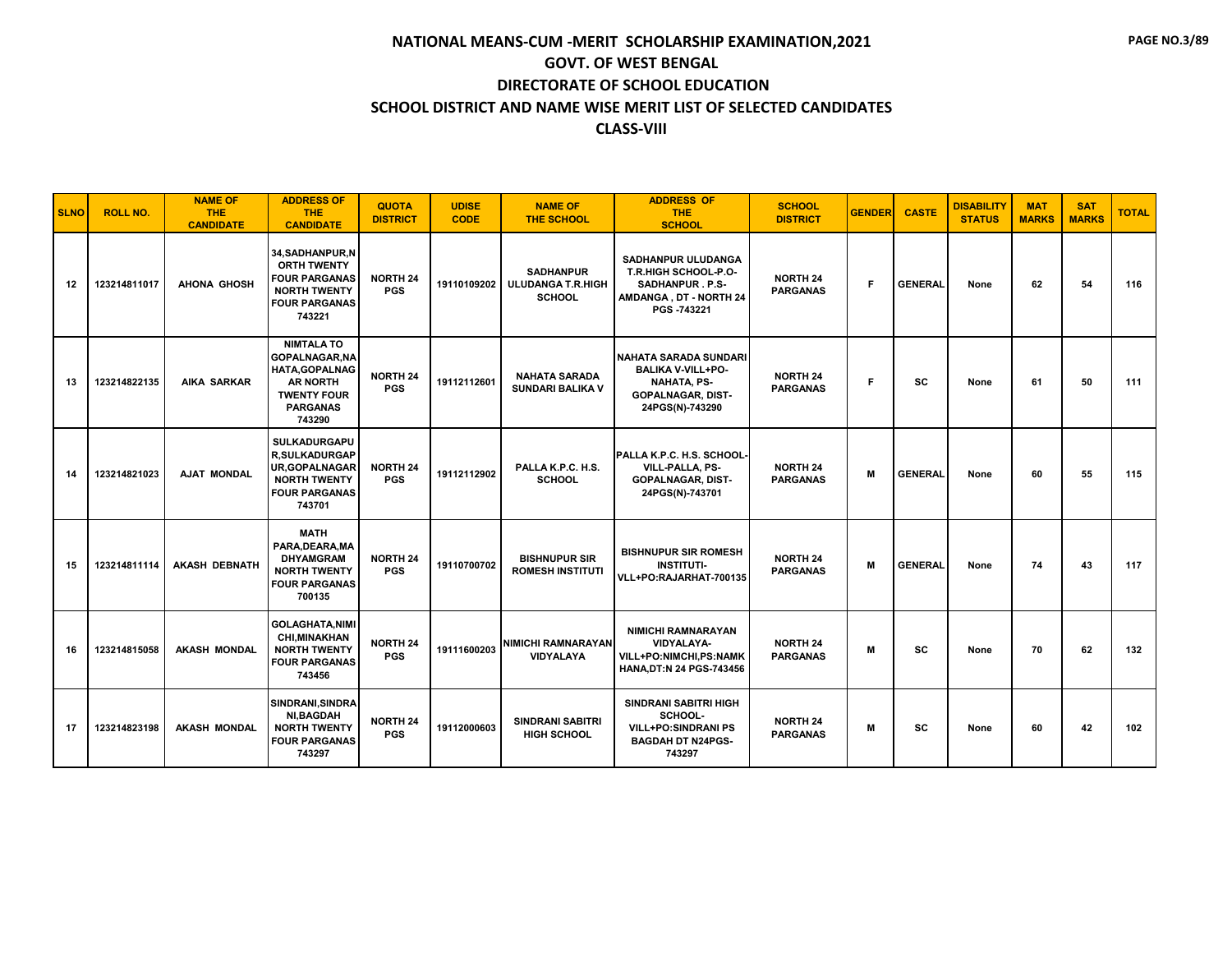| <b>SLNO</b> | <b>ROLL NO.</b> | <b>NAME OF</b><br><b>THE</b><br><b>CANDIDATE</b> | <b>ADDRESS OF</b><br><b>THE</b><br><b>CANDIDATE</b>                                                                                       | <b>QUOTA</b><br><b>DISTRICT</b> | <b>UDISE</b><br><b>CODE</b> | <b>NAME OF</b><br><b>THE SCHOOL</b>                           | <b>ADDRESS OF</b><br><b>THE</b><br><b>SCHOOL</b>                                                                       | <b>SCHOOL</b><br><b>DISTRICT</b>   | <b>GENDER</b> | <b>CASTE</b>   | <b>DISABILITY</b><br><b>STATUS</b> | <b>MAT</b><br><b>MARKS</b> | <b>SAT</b><br><b>MARKS</b> | <b>TOTAL</b> |
|-------------|-----------------|--------------------------------------------------|-------------------------------------------------------------------------------------------------------------------------------------------|---------------------------------|-----------------------------|---------------------------------------------------------------|------------------------------------------------------------------------------------------------------------------------|------------------------------------|---------------|----------------|------------------------------------|----------------------------|----------------------------|--------------|
| 12          | 123214811017    | <b>AHONA GHOSH</b>                               | 34, SADHANPUR, N<br><b>ORTH TWENTY</b><br><b>FOUR PARGANAS</b><br><b>NORTH TWENTY</b><br><b>FOUR PARGANAS</b><br>743221                   | <b>NORTH 24</b><br><b>PGS</b>   | 19110109202                 | <b>SADHANPUR</b><br><b>ULUDANGA T.R.HIGH</b><br><b>SCHOOL</b> | SADHANPUR ULUDANGA<br><b>T.R.HIGH SCHOOL-P.O-</b><br><b>SADHANPUR.P.S-</b><br>AMDANGA, DT - NORTH 24<br>PGS -743221    | <b>NORTH 24</b><br><b>PARGANAS</b> | F.            | <b>GENERAL</b> | None                               | 62                         | 54                         | 116          |
| 13          | 123214822135    | <b>AIKA SARKAR</b>                               | <b>NIMTALA TO</b><br><b>GOPALNAGAR, NA</b><br><b>HATA, GOPALNAG</b><br><b>AR NORTH</b><br><b>TWENTY FOUR</b><br><b>PARGANAS</b><br>743290 | <b>NORTH 24</b><br><b>PGS</b>   | 19112112601                 | <b>NAHATA SARADA</b><br><b>SUNDARI BALIKA V</b>               | NAHATA SARADA SUNDARI<br><b>BALIKA V-VILL+PO-</b><br><b>NAHATA, PS-</b><br><b>GOPALNAGAR, DIST-</b><br>24PGS(N)-743290 | <b>NORTH 24</b><br><b>PARGANAS</b> | F.            | <b>SC</b>      | None                               | 61                         | 50                         | 111          |
| 14          | 123214821023    | AJAT MONDAL                                      | <b>SULKADURGAPU</b><br><b>R,SULKADURGAP</b><br><b>UR, GOPALNAGAR</b><br><b>NORTH TWENTY</b><br><b>FOUR PARGANAS</b><br>743701             | NORTH 24<br><b>PGS</b>          | 19112112902                 | PALLA K.P.C. H.S.<br><b>SCHOOL</b>                            | PALLA K.P.C. H.S. SCHOOL-<br>VILL-PALLA, PS-<br><b>GOPALNAGAR, DIST-</b><br>24PGS(N)-743701                            | <b>NORTH 24</b><br><b>PARGANAS</b> | M             | <b>GENERAL</b> | None                               | 60                         | 55                         | 115          |
| 15          | 123214811114    | <b>AKASH DEBNATH</b>                             | <b>MATH</b><br>PARA, DEARA, MA<br><b>DHYAMGRAM</b><br><b>NORTH TWENTY</b><br><b>FOUR PARGANAS</b><br>700135                               | <b>NORTH 24</b><br><b>PGS</b>   | 19110700702                 | <b>BISHNUPUR SIR</b><br><b>ROMESH INSTITUTI</b>               | <b>BISHNUPUR SIR ROMESH</b><br><b>INSTITUTI-</b><br>VLL+PO:RAJARHAT-700135                                             | <b>NORTH 24</b><br><b>PARGANAS</b> | M             | <b>GENERAL</b> | None                               | 74                         | 43                         | 117          |
| 16          | 123214815058    | <b>AKASH MONDAL</b>                              | <b>GOLAGHATA.NIMI</b><br><b>CHI, MINAKHAN</b><br><b>NORTH TWENTY</b><br><b>FOUR PARGANAS</b><br>743456                                    | <b>NORTH 24</b><br><b>PGS</b>   | 19111600203                 | <b>NIMICHI RAMNARAYAN</b><br><b>VIDYALAYA</b>                 | <b>NIMICHI RAMNARAYAN</b><br><b>VIDYALAYA-</b><br><b>VILL+PO:NIMCHI.PS:NAMK</b><br>HANA, DT:N 24 PGS-743456            | <b>NORTH 24</b><br><b>PARGANAS</b> | M             | <b>SC</b>      | None                               | 70                         | 62                         | 132          |
| 17          | 123214823198    | <b>AKASH MONDAL</b>                              | SINDRANI, SINDRA<br><b>NI,BAGDAH</b><br><b>NORTH TWENTY</b><br><b>FOUR PARGANAS</b><br>743297                                             | <b>NORTH 24</b><br><b>PGS</b>   | 19112000603                 | <b>SINDRANI SABITRI</b><br><b>HIGH SCHOOL</b>                 | <b>SINDRANI SABITRI HIGH</b><br>SCHOOL-<br><b>VILL+PO:SINDRANI PS</b><br><b>BAGDAH DT N24PGS-</b><br>743297            | <b>NORTH 24</b><br><b>PARGANAS</b> | M             | <b>SC</b>      | None                               | 60                         | 42                         | 102          |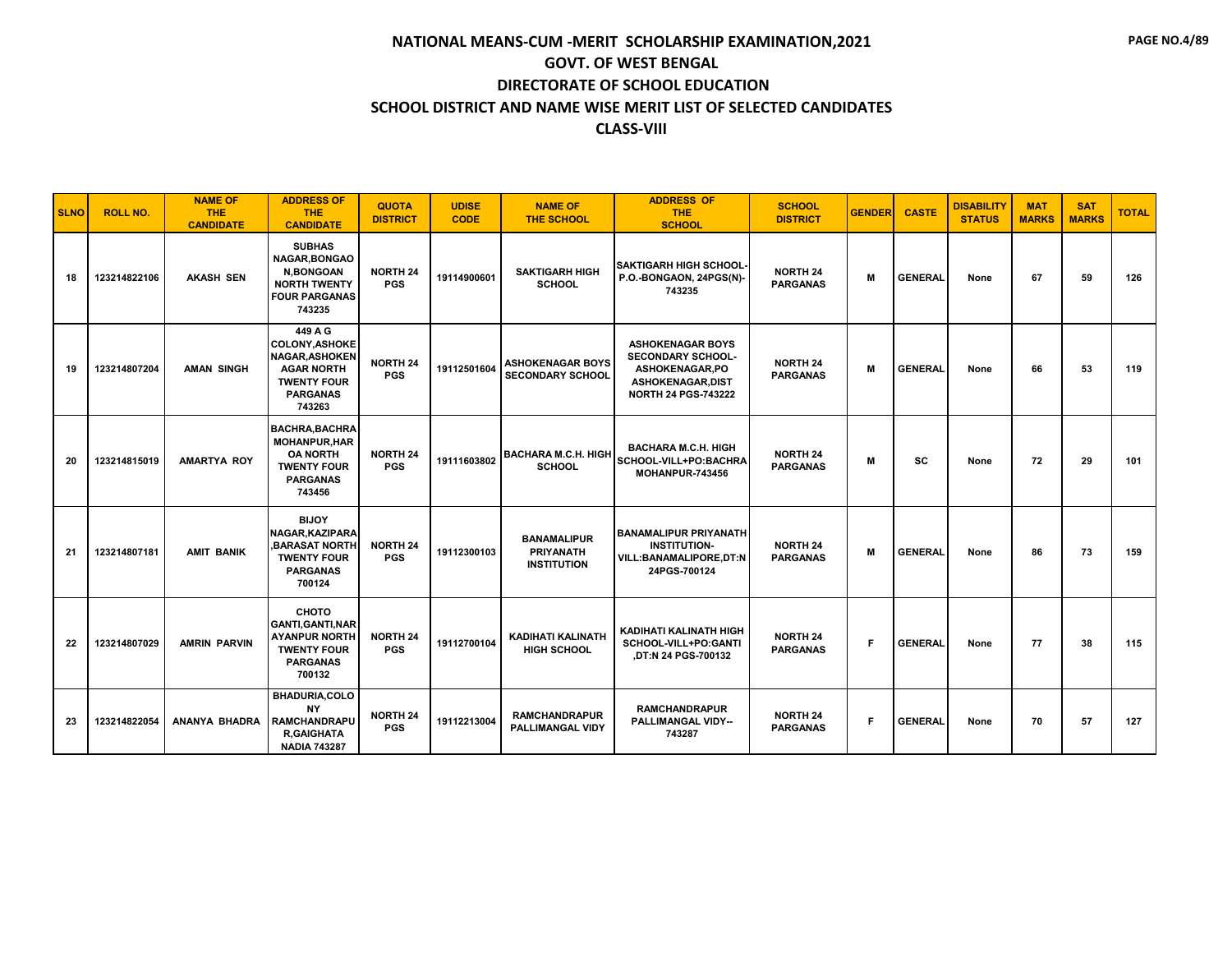| <b>SLNO</b> | <b>ROLL NO.</b> | <b>NAME OF</b><br><b>THE</b><br><b>CANDIDATE</b> | <b>ADDRESS OF</b><br><b>THE</b><br><b>CANDIDATE</b>                                                                               | <b>QUOTA</b><br><b>DISTRICT</b> | <b>UDISE</b><br><b>CODE</b> | <b>NAME OF</b><br><b>THE SCHOOL</b>                          | <b>ADDRESS OF</b><br><b>THE</b><br><b>SCHOOL</b>                                                                               | <b>SCHOOL</b><br><b>DISTRICT</b>   | <b>GENDER</b> | <b>CASTE</b>   | <b>DISABILITY</b><br><b>STATUS</b> | <b>MAT</b><br><b>MARKS</b> | <b>SAT</b><br><b>MARKS</b> | <b>TOTAL</b> |
|-------------|-----------------|--------------------------------------------------|-----------------------------------------------------------------------------------------------------------------------------------|---------------------------------|-----------------------------|--------------------------------------------------------------|--------------------------------------------------------------------------------------------------------------------------------|------------------------------------|---------------|----------------|------------------------------------|----------------------------|----------------------------|--------------|
| 18          | 123214822106    | <b>AKASH SEN</b>                                 | <b>SUBHAS</b><br><b>NAGAR.BONGAO</b><br><b>N.BONGOAN</b><br><b>NORTH TWENTY</b><br><b>FOUR PARGANAS</b><br>743235                 | <b>NORTH 24</b><br><b>PGS</b>   | 19114900601                 | <b>SAKTIGARH HIGH</b><br><b>SCHOOL</b>                       | <b>SAKTIGARH HIGH SCHOOL-</b><br>P.O.-BONGAON, 24PGS(N)-<br>743235                                                             | <b>NORTH 24</b><br><b>PARGANAS</b> | M             | <b>GENERAL</b> | None                               | 67                         | 59                         | 126          |
| 19          | 123214807204    | <b>AMAN SINGH</b>                                | 449 A G<br><b>COLONY, ASHOKE</b><br><b>NAGAR, ASHOKEN</b><br><b>AGAR NORTH</b><br><b>TWENTY FOUR</b><br><b>PARGANAS</b><br>743263 | <b>NORTH 24</b><br><b>PGS</b>   | 19112501604                 | <b>ASHOKENAGAR BOYS</b><br><b>SECONDARY SCHOOL</b>           | <b>ASHOKENAGAR BOYS</b><br><b>SECONDARY SCHOOL-</b><br>ASHOKENAGAR.PO<br><b>ASHOKENAGAR,DIST</b><br><b>NORTH 24 PGS-743222</b> | <b>NORTH 24</b><br><b>PARGANAS</b> | M             | <b>GENERAL</b> | None                               | 66                         | 53                         | 119          |
| 20          | 123214815019    | <b>AMARTYA ROY</b>                               | <b>BACHRA, BACHRA</b><br><b>MOHANPUR, HAR</b><br><b>OA NORTH</b><br><b>TWENTY FOUR</b><br><b>PARGANAS</b><br>743456               | <b>NORTH 24</b><br><b>PGS</b>   | 19111603802                 | <b>BACHARA M.C.H. HIGH</b><br><b>SCHOOL</b>                  | <b>BACHARA M.C.H. HIGH</b><br>SCHOOL-VILL+PO:BACHRA<br>MOHANPUR-743456                                                         | <b>NORTH 24</b><br><b>PARGANAS</b> | м             | <b>SC</b>      | None                               | 72                         | 29                         | 101          |
| 21          | 123214807181    | <b>AMIT BANIK</b>                                | <b>BIJOY</b><br><b>NAGAR, KAZIPARA</b><br><b>.BARASAT NORTH</b><br><b>TWENTY FOUR</b><br><b>PARGANAS</b><br>700124                | <b>NORTH 24</b><br><b>PGS</b>   | 19112300103                 | <b>BANAMALIPUR</b><br><b>PRIYANATH</b><br><b>INSTITUTION</b> | <b>BANAMALIPUR PRIYANATH</b><br><b>INSTITUTION-</b><br>VILL:BANAMALIPORE,DT:N<br>24PGS-700124                                  | <b>NORTH 24</b><br><b>PARGANAS</b> | M             | <b>GENERAL</b> | None                               | 86                         | 73                         | 159          |
| 22          | 123214807029    | <b>AMRIN PARVIN</b>                              | сното<br><b>GANTI, GANTI, NAR</b><br><b>AYANPUR NORTH</b><br><b>TWENTY FOUR</b><br><b>PARGANAS</b><br>700132                      | <b>NORTH 24</b><br><b>PGS</b>   | 19112700104                 | <b>KADIHATI KALINATH</b><br><b>HIGH SCHOOL</b>               | KADIHATI KALINATH HIGH<br>SCHOOL-VILL+PO:GANTI<br><b>DT:N 24 PGS-700132</b>                                                    | <b>NORTH 24</b><br><b>PARGANAS</b> | F             | <b>GENERAL</b> | None                               | 77                         | 38                         | 115          |
| 23          | 123214822054    | ANANYA BHADRA                                    | <b>BHADURIA,COLO</b><br><b>NY</b><br><b>RAMCHANDRAPU</b><br><b>R.GAIGHATA</b><br><b>NADIA 743287</b>                              | <b>NORTH 24</b><br><b>PGS</b>   | 19112213004                 | <b>RAMCHANDRAPUR</b><br><b>PALLIMANGAL VIDY</b>              | <b>RAMCHANDRAPUR</b><br><b>PALLIMANGAL VIDY--</b><br>743287                                                                    | <b>NORTH 24</b><br><b>PARGANAS</b> | F             | <b>GENERAL</b> | None                               | 70                         | 57                         | 127          |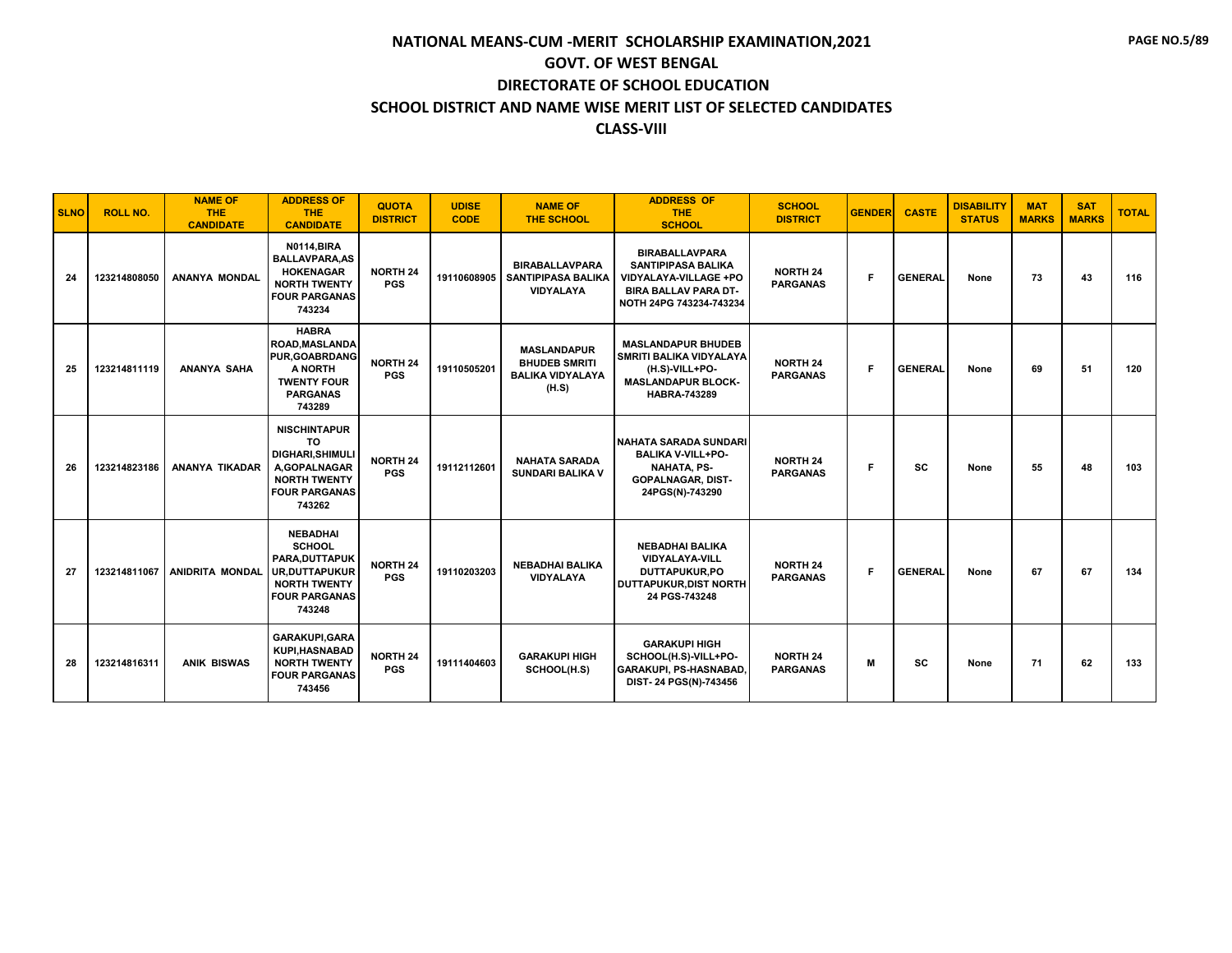| <b>SLNO</b> | <b>ROLL NO.</b> | <b>NAME OF</b><br><b>THE</b><br><b>CANDIDATE</b> | <b>ADDRESS OF</b><br><b>THE</b><br><b>CANDIDATE</b>                                                                                 | <b>QUOTA</b><br><b>DISTRICT</b> | <b>UDISE</b><br><b>CODE</b> | <b>NAME OF</b><br><b>THE SCHOOL</b>                                            | <b>ADDRESS OF</b><br><b>THE</b><br><b>SCHOOL</b>                                                                                      | <b>SCHOOL</b><br><b>DISTRICT</b>   | <b>GENDER</b> | <b>CASTE</b>   | <b>DISABILITY</b><br><b>STATUS</b> | <b>MAT</b><br><b>MARKS</b> | <b>SAT</b><br><b>MARKS</b> | <b>TOTAL</b> |
|-------------|-----------------|--------------------------------------------------|-------------------------------------------------------------------------------------------------------------------------------------|---------------------------------|-----------------------------|--------------------------------------------------------------------------------|---------------------------------------------------------------------------------------------------------------------------------------|------------------------------------|---------------|----------------|------------------------------------|----------------------------|----------------------------|--------------|
| 24          | 123214808050    | <b>ANANYA MONDAL</b>                             | <b>N0114, BIRA</b><br><b>BALLAVPARA.AS</b><br><b>HOKENAGAR</b><br><b>NORTH TWENTY</b><br><b>FOUR PARGANAS</b><br>743234             | <b>NORTH 24</b><br><b>PGS</b>   | 19110608905                 | <b>BIRABALLAVPARA</b><br><b>SANTIPIPASA BALIKA</b><br><b>VIDYALAYA</b>         | <b>BIRABALLAVPARA</b><br><b>SANTIPIPASA BALIKA</b><br>VIDYALAYA-VILLAGE +PO<br><b>BIRA BALLAV PARA DT-</b><br>NOTH 24PG 743234-743234 | <b>NORTH 24</b><br><b>PARGANAS</b> | F             | <b>GENERAL</b> | None                               | 73                         | 43                         | 116          |
| 25          | 123214811119    | ANANYA SAHA                                      | <b>HABRA</b><br>ROAD, MASLANDA<br><b>PUR, GOABRDANG</b><br>A NORTH<br><b>TWENTY FOUR</b><br><b>PARGANAS</b><br>743289               | <b>NORTH 24</b><br><b>PGS</b>   | 19110505201                 | <b>MASLANDAPUR</b><br><b>BHUDEB SMRITI</b><br><b>BALIKA VIDYALAYA</b><br>(H.S) | <b>MASLANDAPUR BHUDEB</b><br><b>SMRITI BALIKA VIDYALAYA</b><br>(H.S)-VILL+PO-<br><b>MASLANDAPUR BLOCK-</b><br><b>HABRA-743289</b>     | <b>NORTH 24</b><br><b>PARGANAS</b> | F             | <b>GENERAL</b> | None                               | 69                         | 51                         | 120          |
| 26          | 123214823186    | <b>ANANYA TIKADAR</b>                            | <b>NISCHINTAPUR</b><br><b>TO</b><br><b>DIGHARI.SHIMULI</b><br>A.GOPALNAGAR<br><b>NORTH TWENTY</b><br><b>FOUR PARGANAS</b><br>743262 | <b>NORTH 24</b><br><b>PGS</b>   | 19112112601                 | <b>NAHATA SARADA</b><br><b>SUNDARI BALIKA V</b>                                | NAHATA SARADA SUNDARI<br><b>BALIKA V-VILL+PO-</b><br><b>NAHATA, PS-</b><br><b>GOPALNAGAR, DIST-</b><br>24PGS(N)-743290                | <b>NORTH 24</b><br><b>PARGANAS</b> | F             | <b>SC</b>      | None                               | 55                         | 48                         | 103          |
| 27          |                 | 123214811067 ANIDRITA MONDAL                     | <b>NEBADHAI</b><br><b>SCHOOL</b><br>PARA, DUTTAPUK<br><b>UR.DUTTAPUKUR</b><br><b>NORTH TWENTY</b><br><b>FOUR PARGANAS</b><br>743248 | <b>NORTH 24</b><br><b>PGS</b>   | 19110203203                 | <b>NEBADHAI BALIKA</b><br><b>VIDYALAYA</b>                                     | <b>NEBADHAI BALIKA</b><br><b>VIDYALAYA-VILL</b><br>DUTTAPUKUR.PO<br><b>DUTTAPUKUR.DIST NORTH</b><br>24 PGS-743248                     | <b>NORTH 24</b><br><b>PARGANAS</b> | F             | <b>GENERAL</b> | None                               | 67                         | 67                         | 134          |
| 28          | 123214816311    | <b>ANIK BISWAS</b>                               | <b>GARAKUPI, GARA</b><br><b>KUPI, HASNABAD</b><br><b>NORTH TWENTY</b><br><b>FOUR PARGANAS</b><br>743456                             | <b>NORTH 24</b><br><b>PGS</b>   | 19111404603                 | <b>GARAKUPI HIGH</b><br>SCHOOL(H.S)                                            | <b>GARAKUPI HIGH</b><br>SCHOOL(H.S)-VILL+PO-<br><b>GARAKUPI, PS-HASNABAD</b><br>DIST-24 PGS(N)-743456                                 | <b>NORTH 24</b><br><b>PARGANAS</b> | M             | <b>SC</b>      | None                               | 71                         | 62                         | 133          |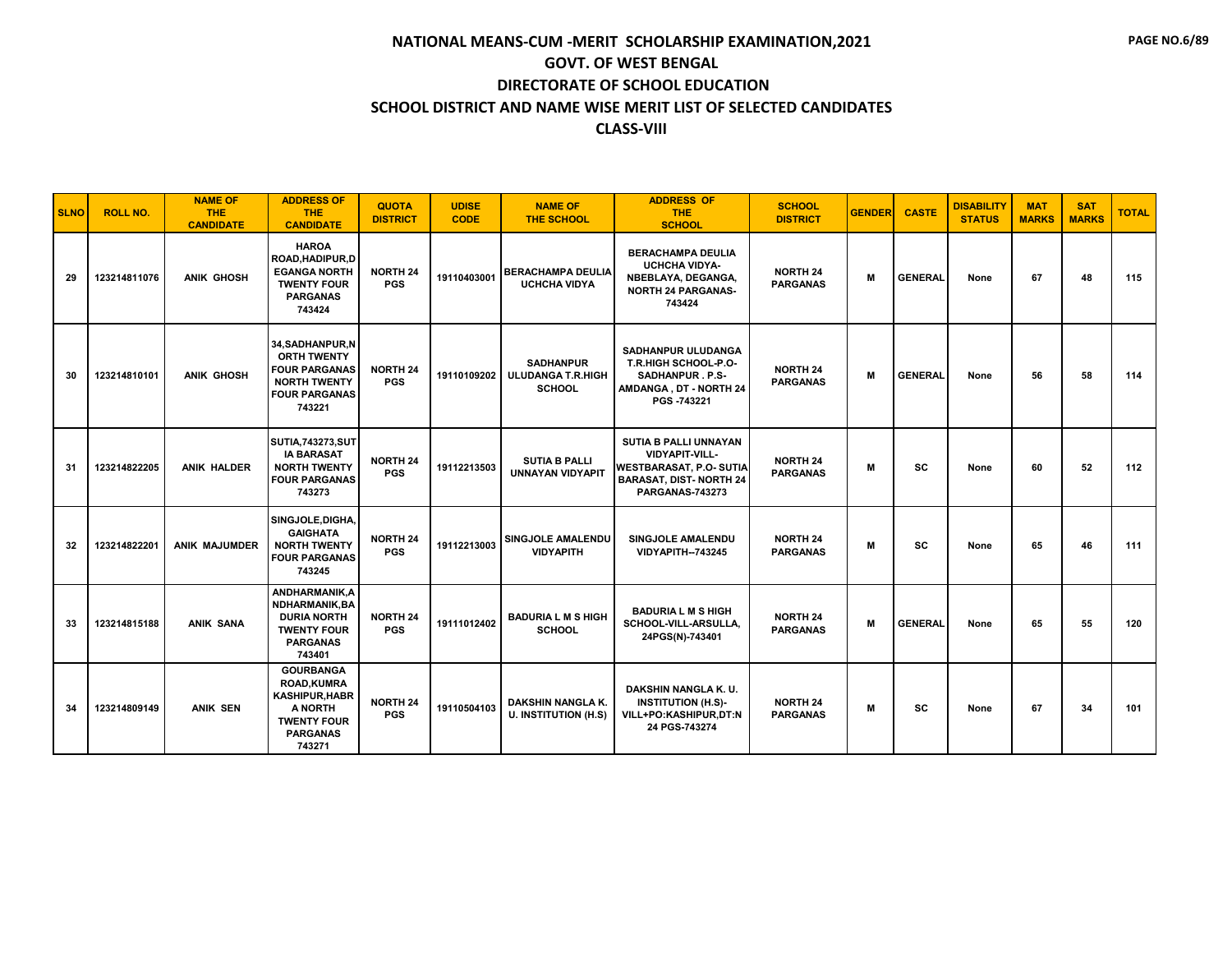| <b>SLNO</b> | <b>ROLL NO.</b> | <b>NAME OF</b><br><b>THE</b><br><b>CANDIDATE</b> | <b>ADDRESS OF</b><br><b>THE</b><br><b>CANDIDATE</b>                                                                          | <b>QUOTA</b><br><b>DISTRICT</b> | <b>UDISE</b><br><b>CODE</b> | <b>NAME OF</b><br><b>THE SCHOOL</b>                           | <b>ADDRESS OF</b><br><b>THE</b><br><b>SCHOOL</b>                                                                                            | <b>SCHOOL</b><br><b>DISTRICT</b>   | <b>GENDER</b> | <b>CASTE</b>   | <b>DISABILITY</b><br><b>STATUS</b> | <b>MAT</b><br><b>MARKS</b> | <b>SAT</b><br><b>MARKS</b> | <b>TOTAL</b> |
|-------------|-----------------|--------------------------------------------------|------------------------------------------------------------------------------------------------------------------------------|---------------------------------|-----------------------------|---------------------------------------------------------------|---------------------------------------------------------------------------------------------------------------------------------------------|------------------------------------|---------------|----------------|------------------------------------|----------------------------|----------------------------|--------------|
| 29          | 123214811076    | ANIK GHOSH                                       | <b>HAROA</b><br>ROAD, HADIPUR, D<br><b>EGANGA NORTH</b><br><b>TWENTY FOUR</b><br><b>PARGANAS</b><br>743424                   | <b>NORTH 24</b><br><b>PGS</b>   | 19110403001                 | <b>BERACHAMPA DEULIA</b><br><b>UCHCHA VIDYA</b>               | <b>BERACHAMPA DEULIA</b><br><b>UCHCHA VIDYA-</b><br>NBEBLAYA, DEGANGA,<br><b>NORTH 24 PARGANAS-</b><br>743424                               | <b>NORTH 24</b><br><b>PARGANAS</b> | M             | <b>GENERAL</b> | None                               | 67                         | 48                         | 115          |
| 30          | 123214810101    | <b>ANIK GHOSH</b>                                | 34, SADHANPUR, N<br><b>ORTH TWENTY</b><br><b>FOUR PARGANAS</b><br><b>NORTH TWENTY</b><br><b>FOUR PARGANAS</b><br>743221      | <b>NORTH 24</b><br><b>PGS</b>   | 19110109202                 | <b>SADHANPUR</b><br><b>ULUDANGA T.R.HIGH</b><br><b>SCHOOL</b> | <b>SADHANPUR ULUDANGA</b><br><b>T.R.HIGH SCHOOL-P.O-</b><br>SADHANPUR. P.S-<br>AMDANGA, DT - NORTH 24<br>PGS -743221                        | <b>NORTH 24</b><br><b>PARGANAS</b> | M             | <b>GENERAL</b> | None                               | 56                         | 58                         | 114          |
| -31         | 123214822205    | <b>ANIK HALDER</b>                               | <b>SUTIA, 743273, SUT</b><br><b>IA BARASAT</b><br><b>NORTH TWENTY</b><br><b>FOUR PARGANAS</b><br>743273                      | <b>NORTH 24</b><br><b>PGS</b>   | 19112213503                 | <b>SUTIA B PALLI</b><br><b>UNNAYAN VIDYAPIT</b>               | SUTIA B PALLI UNNAYAN<br><b>VIDYAPIT-VILL-</b><br><b>WESTBARASAT, P.O. SUTIA</b><br><b>BARASAT, DIST-NORTH 24</b><br><b>PARGANAS-743273</b> | <b>NORTH 24</b><br><b>PARGANAS</b> | м             | <b>SC</b>      | None                               | 60                         | 52                         | 112          |
| 32          | 123214822201    | ANIK MAJUMDER                                    | SINGJOLE, DIGHA,<br><b>GAIGHATA</b><br><b>NORTH TWENTY</b><br><b>FOUR PARGANAS</b><br>743245                                 | <b>NORTH 24</b><br><b>PGS</b>   | 19112213003                 | SINGJOLE AMALENDU<br><b>VIDYAPITH</b>                         | SINGJOLE AMALENDU<br><b>VIDYAPITH--743245</b>                                                                                               | <b>NORTH 24</b><br><b>PARGANAS</b> | M             | <b>SC</b>      | None                               | 65                         | 46                         | 111          |
| 33          | 123214815188    | <b>ANIK SANA</b>                                 | ANDHARMANIK, A<br>NDHARMANIK.BA<br><b>DURIA NORTH</b><br><b>TWENTY FOUR</b><br><b>PARGANAS</b><br>743401                     | <b>NORTH 24</b><br><b>PGS</b>   | 19111012402                 | <b>BADURIA L M S HIGH</b><br><b>SCHOOL</b>                    | <b>BADURIA L M S HIGH</b><br>SCHOOL-VILL-ARSULLA,<br>24PGS(N)-743401                                                                        | <b>NORTH 24</b><br><b>PARGANAS</b> | M             | <b>GENERAL</b> | None                               | 65                         | 55                         | 120          |
| 34          | 123214809149    | <b>ANIK SEN</b>                                  | <b>GOURBANGA</b><br><b>ROAD,KUMRA</b><br><b>KASHIPUR, HABR</b><br>A NORTH<br><b>TWENTY FOUR</b><br><b>PARGANAS</b><br>743271 | <b>NORTH 24</b><br><b>PGS</b>   | 19110504103                 | DAKSHIN NANGLA K.<br><b>U. INSTITUTION (H.S)</b>              | DAKSHIN NANGLA K.U.<br><b>INSTITUTION (H.S)-</b><br>VILL+PO:KASHIPUR,DT:N<br>24 PGS-743274                                                  | <b>NORTH 24</b><br><b>PARGANAS</b> | м             | <b>SC</b>      | None                               | 67                         | 34                         | 101          |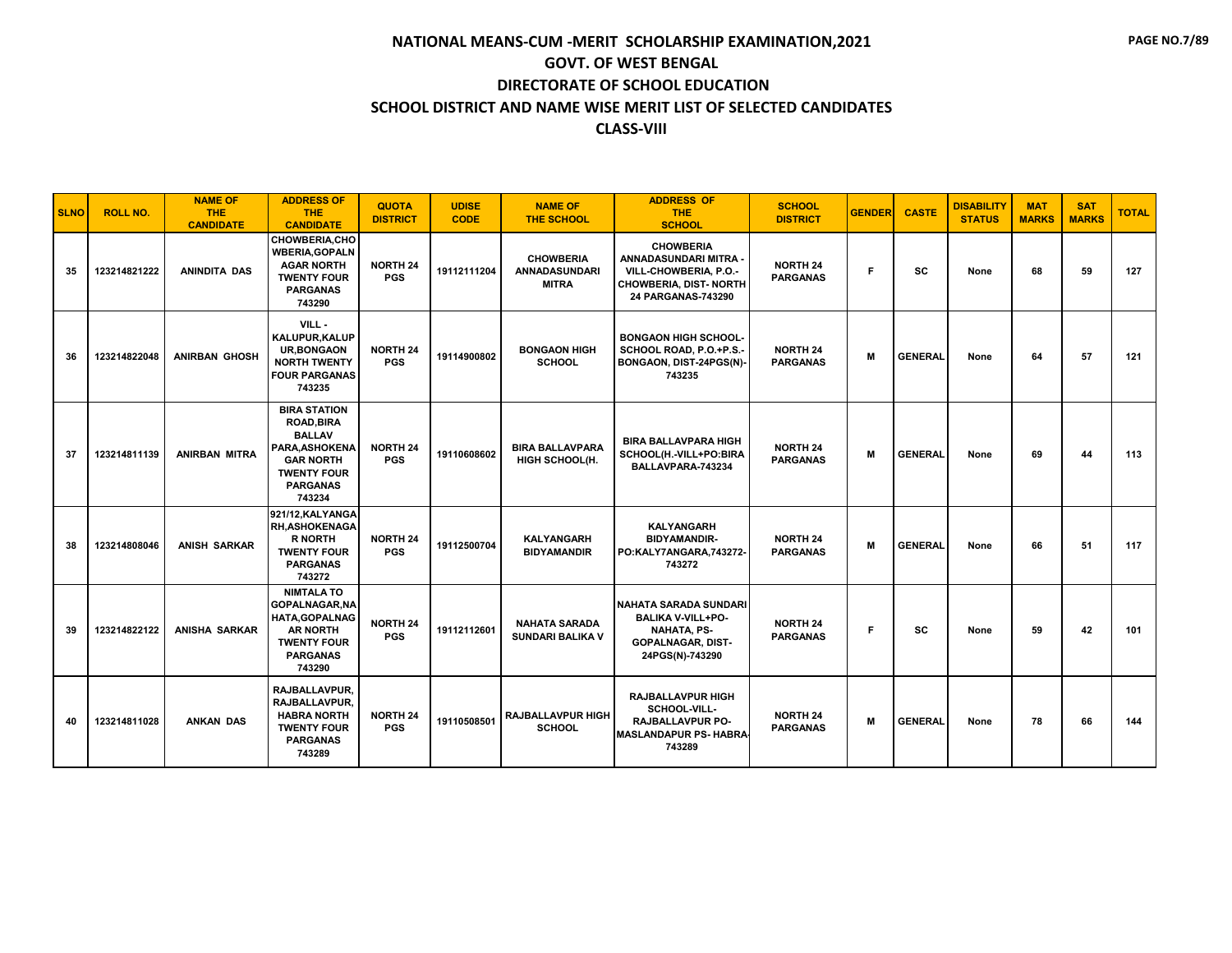| <b>SLNO</b> | <b>ROLL NO.</b> | <b>NAME OF</b><br>THE<br><b>CANDIDATE</b> | <b>ADDRESS OF</b><br><b>THE</b><br><b>CANDIDATE</b>                                                                                               | <b>QUOTA</b><br><b>DISTRICT</b> | <b>UDISE</b><br><b>CODE</b> | <b>NAME OF</b><br><b>THE SCHOOL</b>               | <b>ADDRESS OF</b><br><b>THE</b><br><b>SCHOOL</b>                                                                              | <b>SCHOOL</b><br><b>DISTRICT</b>   | <b>GENDER</b> | <b>CASTE</b>   | <b>DISABILITY</b><br><b>STATUS</b> | <b>MAT</b><br><b>MARKS</b> | <b>SAT</b><br><b>MARKS</b> | <b>TOTAL</b> |
|-------------|-----------------|-------------------------------------------|---------------------------------------------------------------------------------------------------------------------------------------------------|---------------------------------|-----------------------------|---------------------------------------------------|-------------------------------------------------------------------------------------------------------------------------------|------------------------------------|---------------|----------------|------------------------------------|----------------------------|----------------------------|--------------|
| 35          | 123214821222    | <b>ANINDITA DAS</b>                       | <b>CHOWBERIA.CHO</b><br><b>WBERIA.GOPALN</b><br><b>AGAR NORTH</b><br><b>TWENTY FOUR</b><br><b>PARGANAS</b><br>743290                              | <b>NORTH 24</b><br><b>PGS</b>   | 19112111204                 | <b>CHOWBERIA</b><br>ANNADASUNDARI<br><b>MITRA</b> | <b>CHOWBERIA</b><br>ANNADASUNDARI MITRA<br>VILL-CHOWBERIA, P.O.-<br><b>CHOWBERIA, DIST- NORTH</b><br>24 PARGANAS-743290       | <b>NORTH 24</b><br><b>PARGANAS</b> | F             | SC             | None                               | 68                         | 59                         | 127          |
| 36          | 123214822048    | <b>ANIRBAN GHOSH</b>                      | $VILL -$<br>KALUPUR, KALUP<br><b>UR, BONGAON</b><br><b>NORTH TWENTY</b><br><b>FOUR PARGANAS</b><br>743235                                         | <b>NORTH 24</b><br><b>PGS</b>   | 19114900802                 | <b>BONGAON HIGH</b><br><b>SCHOOL</b>              | <b>BONGAON HIGH SCHOOL-</b><br>SCHOOL ROAD, P.O.+P.S.-<br>BONGAON, DIST-24PGS(N)-<br>743235                                   | <b>NORTH 24</b><br><b>PARGANAS</b> | M             | <b>GENERAL</b> | None                               | 64                         | 57                         | 121          |
| 37          | 123214811139    | <b>ANIRBAN MITRA</b>                      | <b>BIRA STATION</b><br><b>ROAD, BIRA</b><br><b>BALLAV</b><br>PARA.ASHOKENA<br><b>GAR NORTH</b><br><b>TWENTY FOUR</b><br><b>PARGANAS</b><br>743234 | <b>NORTH 24</b><br><b>PGS</b>   | 19110608602                 | <b>BIRA BALLAVPARA</b><br>HIGH SCHOOL(H.          | <b>BIRA BALLAVPARA HIGH</b><br>SCHOOL(H.-VILL+PO:BIRA<br>BALLAVPARA-743234                                                    | <b>NORTH 24</b><br><b>PARGANAS</b> | M             | <b>GENERAL</b> | None                               | 69                         | 44                         | 113          |
| 38          | 123214808046    | <b>ANISH SARKAR</b>                       | 921/12, KALYANGA<br><b>RH.ASHOKENAGA</b><br><b>R NORTH</b><br><b>TWENTY FOUR</b><br><b>PARGANAS</b><br>743272                                     | <b>NORTH 24</b><br><b>PGS</b>   | 19112500704                 | <b>KALYANGARH</b><br><b>BIDYAMANDIR</b>           | <b>KALYANGARH</b><br><b>BIDYAMANDIR-</b><br>PO:KALY7ANGARA,743272-<br>743272                                                  | <b>NORTH 24</b><br><b>PARGANAS</b> | M             | <b>GENERAL</b> | None                               | 66                         | 51                         | 117          |
| 39          | 123214822122    | <b>ANISHA SARKAR</b>                      | <b>NIMTALA TO</b><br>GOPALNAGAR, NA<br><b>HATA, GOPALNAG</b><br><b>AR NORTH</b><br><b>TWENTY FOUR</b><br><b>PARGANAS</b><br>743290                | <b>NORTH 24</b><br><b>PGS</b>   | 19112112601                 | <b>NAHATA SARADA</b><br><b>SUNDARI BALIKA V</b>   | <b>NAHATA SARADA SUNDARI</b><br><b>BALIKA V-VILL+PO-</b><br><b>NAHATA, PS-</b><br><b>GOPALNAGAR, DIST-</b><br>24PGS(N)-743290 | <b>NORTH 24</b><br><b>PARGANAS</b> | F             | SC             | None                               | 59                         | 42                         | 101          |
| 40          | 123214811028    | <b>ANKAN DAS</b>                          | RAJBALLAVPUR,<br>RAJBALLAVPUR.<br><b>HABRA NORTH</b><br><b>TWENTY FOUR</b><br><b>PARGANAS</b><br>743289                                           | <b>NORTH 24</b><br><b>PGS</b>   | 19110508501                 | <b>RAJBALLAVPUR HIGH</b><br><b>SCHOOL</b>         | <b>RAJBALLAVPUR HIGH</b><br>SCHOOL-VILL-<br>RAJBALLAVPUR PO-<br><b>MASLANDAPUR PS- HABRA</b><br>743289                        | <b>NORTH 24</b><br><b>PARGANAS</b> | M             | <b>GENERAL</b> | None                               | 78                         | 66                         | 144          |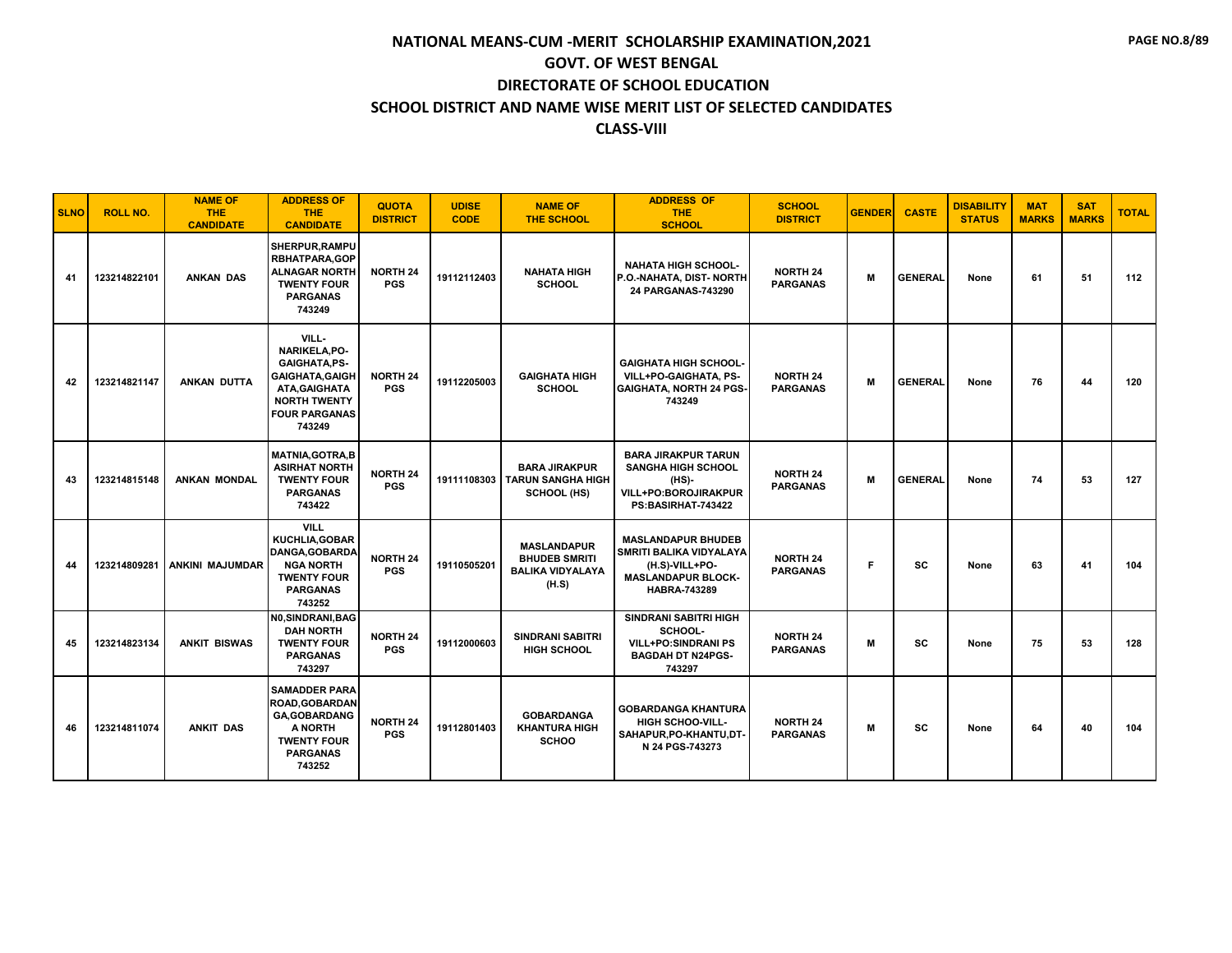| <b>SLNO</b> | <b>ROLL NO.</b> | <b>NAME OF</b><br><b>THE</b><br><b>CANDIDATE</b> | <b>ADDRESS OF</b><br><b>THE</b><br><b>CANDIDATE</b>                                                                                                | <b>QUOTA</b><br><b>DISTRICT</b> | <b>UDISE</b><br><b>CODE</b> | <b>NAME OF</b><br><b>THE SCHOOL</b>                                            | <b>ADDRESS OF</b><br><b>THE</b><br><b>SCHOOL</b>                                                                           | <b>SCHOOL</b><br><b>DISTRICT</b>   | <b>GENDER</b> | <b>CASTE</b>   | <b>DISABILITY</b><br><b>STATUS</b> | <b>MAT</b><br><b>MARKS</b> | <b>SAT</b><br><b>MARKS</b> | <b>TOTAL</b> |
|-------------|-----------------|--------------------------------------------------|----------------------------------------------------------------------------------------------------------------------------------------------------|---------------------------------|-----------------------------|--------------------------------------------------------------------------------|----------------------------------------------------------------------------------------------------------------------------|------------------------------------|---------------|----------------|------------------------------------|----------------------------|----------------------------|--------------|
| 41          | 123214822101    | <b>ANKAN DAS</b>                                 | SHERPUR, RAMPU<br><b>RBHATPARA,GOP</b><br><b>ALNAGAR NORTH</b><br><b>TWENTY FOUR</b><br><b>PARGANAS</b><br>743249                                  | <b>NORTH 24</b><br><b>PGS</b>   | 19112112403                 | <b>NAHATA HIGH</b><br><b>SCHOOL</b>                                            | <b>NAHATA HIGH SCHOOL-</b><br>P.O.-NAHATA, DIST- NORTH<br>24 PARGANAS-743290                                               | <b>NORTH 24</b><br><b>PARGANAS</b> | м             | <b>GENERAL</b> | None                               | 61                         | 51                         | 112          |
| 42          | 123214821147    | <b>ANKAN DUTTA</b>                               | VILL-<br>NARIKELA, PO-<br><b>GAIGHATA, PS-</b><br><b>GAIGHATA, GAIGH</b><br>ATA, GAIGHATA<br><b>NORTH TWENTY</b><br><b>FOUR PARGANAS</b><br>743249 | <b>NORTH 24</b><br><b>PGS</b>   | 19112205003                 | <b>GAIGHATA HIGH</b><br><b>SCHOOL</b>                                          | <b>GAIGHATA HIGH SCHOOL-</b><br>VILL+PO-GAIGHATA, PS-<br><b>GAIGHATA, NORTH 24 PGS-</b><br>743249                          | <b>NORTH 24</b><br><b>PARGANAS</b> | M             | <b>GENERAL</b> | None                               | 76                         | 44                         | 120          |
| 43          | 123214815148    | <b>ANKAN MONDAL</b>                              | <b>MATNIA, GOTRA, B</b><br><b>ASIRHAT NORTH</b><br><b>TWENTY FOUR</b><br><b>PARGANAS</b><br>743422                                                 | <b>NORTH 24</b><br><b>PGS</b>   |                             | <b>BARA JIRAKPUR</b><br>19111108303 TARUN SANGHA HIGH<br>SCHOOL (HS)           | <b>BARA JIRAKPUR TARUN</b><br><b>SANGHA HIGH SCHOOL</b><br>$(HS)$ -<br>VILL+PO:BOROJIRAKPUR<br>PS:BASIRHAT-743422          | <b>NORTH 24</b><br><b>PARGANAS</b> | M             | <b>GENERAL</b> | None                               | 74                         | 53                         | 127          |
| 44          | 123214809281    | <b>ANKINI MAJUMDAR</b>                           | <b>VILL</b><br>KUCHLIA, GOBAR<br>DANGA, GOBARDA<br><b>NGA NORTH</b><br><b>TWENTY FOUR</b><br><b>PARGANAS</b><br>743252                             | <b>NORTH 24</b><br><b>PGS</b>   | 19110505201                 | <b>MASLANDAPUR</b><br><b>BHUDEB SMRITI</b><br><b>BALIKA VIDYALAYA</b><br>(H.S) | <b>MASLANDAPUR BHUDEB</b><br>SMRITI BALIKA VIDYALAYA<br>(H.S)-VILL+PO-<br><b>MASLANDAPUR BLOCK-</b><br><b>HABRA-743289</b> | <b>NORTH 24</b><br><b>PARGANAS</b> | F             | <b>SC</b>      | None                               | 63                         | 41                         | 104          |
| 45          | 123214823134    | <b>ANKIT BISWAS</b>                              | NO.SINDRANI.BAG<br><b>DAH NORTH</b><br><b>TWENTY FOUR</b><br><b>PARGANAS</b><br>743297                                                             | <b>NORTH 24</b><br><b>PGS</b>   | 19112000603                 | <b>SINDRANI SABITRI</b><br><b>HIGH SCHOOL</b>                                  | <b>SINDRANI SABITRI HIGH</b><br>SCHOOL-<br><b>VILL+PO:SINDRANI PS</b><br><b>BAGDAH DT N24PGS-</b><br>743297                | <b>NORTH 24</b><br><b>PARGANAS</b> | м             | <b>SC</b>      | None                               | 75                         | 53                         | 128          |
| 46          | 123214811074    | <b>ANKIT DAS</b>                                 | <b>SAMADDER PARA</b><br><b>ROAD.GOBARDAN</b><br><b>GA, GOBARDANG</b><br>A NORTH<br><b>TWENTY FOUR</b><br><b>PARGANAS</b><br>743252                 | <b>NORTH 24</b><br><b>PGS</b>   | 19112801403                 | <b>GOBARDANGA</b><br><b>KHANTURA HIGH</b><br><b>SCHOO</b>                      | <b>GOBARDANGA KHANTURA</b><br><b>HIGH SCHOO-VILL-</b><br>SAHAPUR, PO-KHANTU, DT-<br>N 24 PGS-743273                        | <b>NORTH 24</b><br><b>PARGANAS</b> | м             | <b>SC</b>      | None                               | 64                         | 40                         | 104          |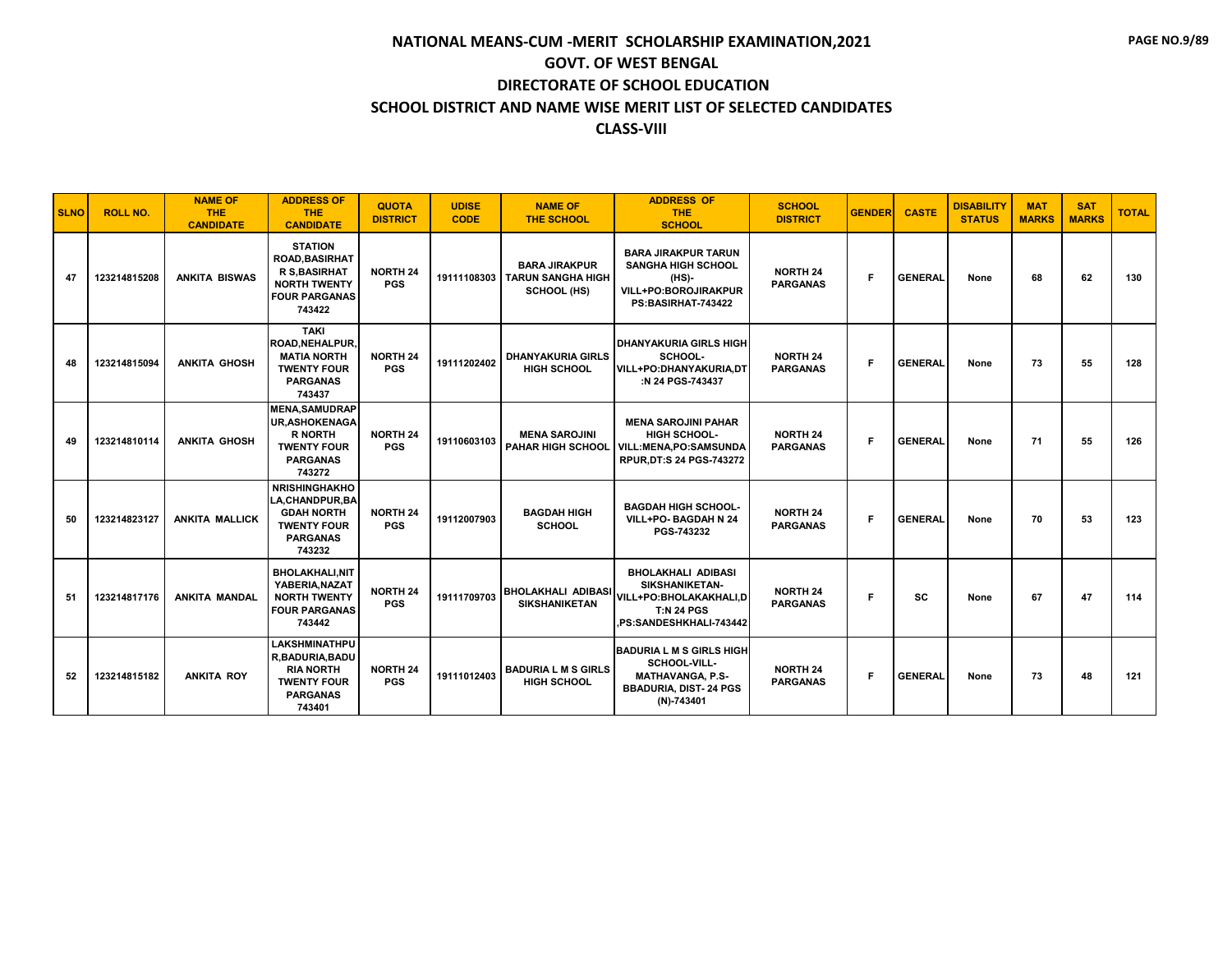| <b>SLNO</b> | <b>ROLL NO.</b> | <b>NAME OF</b><br><b>THE</b><br><b>CANDIDATE</b> | <b>ADDRESS OF</b><br><b>THE</b><br><b>CANDIDATE</b>                                                                     | <b>QUOTA</b><br><b>DISTRICT</b> | <b>UDISE</b><br><b>CODE</b> | <b>NAME OF</b><br><b>THE SCHOOL</b>                                         | <b>ADDRESS OF</b><br><b>THE</b><br><b>SCHOOL</b>                                                                           | <b>SCHOOL</b><br><b>DISTRICT</b>   | <b>GENDER</b> | <b>CASTE</b>   | <b>DISABILITY</b><br><b>STATUS</b> | <b>MAT</b><br><b>MARKS</b> | <b>SAT</b><br><b>MARKS</b> | <b>TOTAL</b> |
|-------------|-----------------|--------------------------------------------------|-------------------------------------------------------------------------------------------------------------------------|---------------------------------|-----------------------------|-----------------------------------------------------------------------------|----------------------------------------------------------------------------------------------------------------------------|------------------------------------|---------------|----------------|------------------------------------|----------------------------|----------------------------|--------------|
| 47          | 123214815208    | <b>ANKITA BISWAS</b>                             | <b>STATION</b><br><b>ROAD.BASIRHAT</b><br><b>R S, BASIRHAT</b><br><b>NORTH TWENTY</b><br><b>FOUR PARGANAS</b><br>743422 | <b>NORTH 24</b><br><b>PGS</b>   |                             | <b>BARA JIRAKPUR</b><br>19111108303 TARUN SANGHA HIGH<br><b>SCHOOL (HS)</b> | <b>BARA JIRAKPUR TARUN</b><br><b>SANGHA HIGH SCHOOL</b><br>(HS)-<br>VILL+PO:BOROJIRAKPUR<br>PS:BASIRHAT-743422             | <b>NORTH 24</b><br><b>PARGANAS</b> | F             | <b>GENERAL</b> | None                               | 68                         | 62                         | 130          |
| 48          | 123214815094    | <b>ANKITA GHOSH</b>                              | <b>TAKI</b><br><b>ROAD.NEHALPUR.</b><br><b>MATIA NORTH</b><br><b>TWENTY FOUR</b><br><b>PARGANAS</b><br>743437           | <b>NORTH 24</b><br><b>PGS</b>   | 19111202402                 | <b>DHANYAKURIA GIRLS</b><br><b>HIGH SCHOOL</b>                              | <b>DHANYAKURIA GIRLS HIGH</b><br>SCHOOL-<br>VILL+PO:DHANYAKURIA.DT<br>:N 24 PGS-743437                                     | <b>NORTH 24</b><br><b>PARGANAS</b> | F.            | <b>GENERAL</b> | None                               | 73                         | 55                         | 128          |
| 49          | 123214810114    | <b>ANKITA GHOSH</b>                              | <b>MENA.SAMUDRAP</b><br><b>UR, ASHOKENAGA</b><br><b>R NORTH</b><br><b>TWENTY FOUR</b><br><b>PARGANAS</b><br>743272      | <b>NORTH 24</b><br><b>PGS</b>   | 19110603103                 | <b>MENA SAROJINI</b><br><b>PAHAR HIGH SCHOOL</b>                            | <b>MENA SAROJINI PAHAR</b><br>HIGH SCHOOL-<br>VILL:MENA,PO:SAMSUNDA<br><b>RPUR, DT:S 24 PGS-743272</b>                     | <b>NORTH 24</b><br><b>PARGANAS</b> | F             | <b>GENERAL</b> | None                               | 71                         | 55                         | 126          |
| 50          | 123214823127    | <b>ANKITA MALLICK</b>                            | <b>NRISHINGHAKHO</b><br>LA, CHANDPUR, BA<br><b>GDAH NORTH</b><br><b>TWENTY FOUR</b><br><b>PARGANAS</b><br>743232        | <b>NORTH 24</b><br><b>PGS</b>   | 19112007903                 | <b>BAGDAH HIGH</b><br><b>SCHOOL</b>                                         | <b>BAGDAH HIGH SCHOOL-</b><br>VILL+PO- BAGDAH N 24<br>PGS-743232                                                           | <b>NORTH 24</b><br><b>PARGANAS</b> | F.            | <b>GENERAL</b> | None                               | 70                         | 53                         | 123          |
| 51          | 123214817176    | <b>ANKITA MANDAL</b>                             | <b>BHOLAKHALI.NIT</b><br>YABERIA, NAZAT<br><b>NORTH TWENTY</b><br><b>FOUR PARGANAS</b><br>743442                        | <b>NORTH 24</b><br><b>PGS</b>   | 19111709703                 | <b>BHOLAKHALI ADIBASI</b><br><b>SIKSHANIKETAN</b>                           | <b>BHOLAKHALI ADIBASI</b><br>SIKSHANIKETAN-<br>VILL+PO:BHOLAKAKHALI,D<br><b>T:N 24 PGS</b><br>,PS:SANDESHKHALI-743442      | <b>NORTH 24</b><br><b>PARGANAS</b> | Е             | SC             | None                               | 67                         | 47                         | 114          |
| 52          | 123214815182    | <b>ANKITA ROY</b>                                | <b>LAKSHMINATHPU</b><br>R, BADURIA, BADU<br><b>RIA NORTH</b><br><b>TWENTY FOUR</b><br><b>PARGANAS</b><br>743401         | <b>NORTH 24</b><br><b>PGS</b>   | 19111012403                 | <b>BADURIA L M S GIRLS</b><br><b>HIGH SCHOOL</b>                            | <b>BADURIA L M S GIRLS HIGH</b><br>SCHOOL-VILL-<br><b>MATHAVANGA, P.S-</b><br><b>BBADURIA, DIST-24 PGS</b><br>$(N)-743401$ | <b>NORTH 24</b><br><b>PARGANAS</b> | F.            | <b>GENERAL</b> | None                               | 73                         | 48                         | 121          |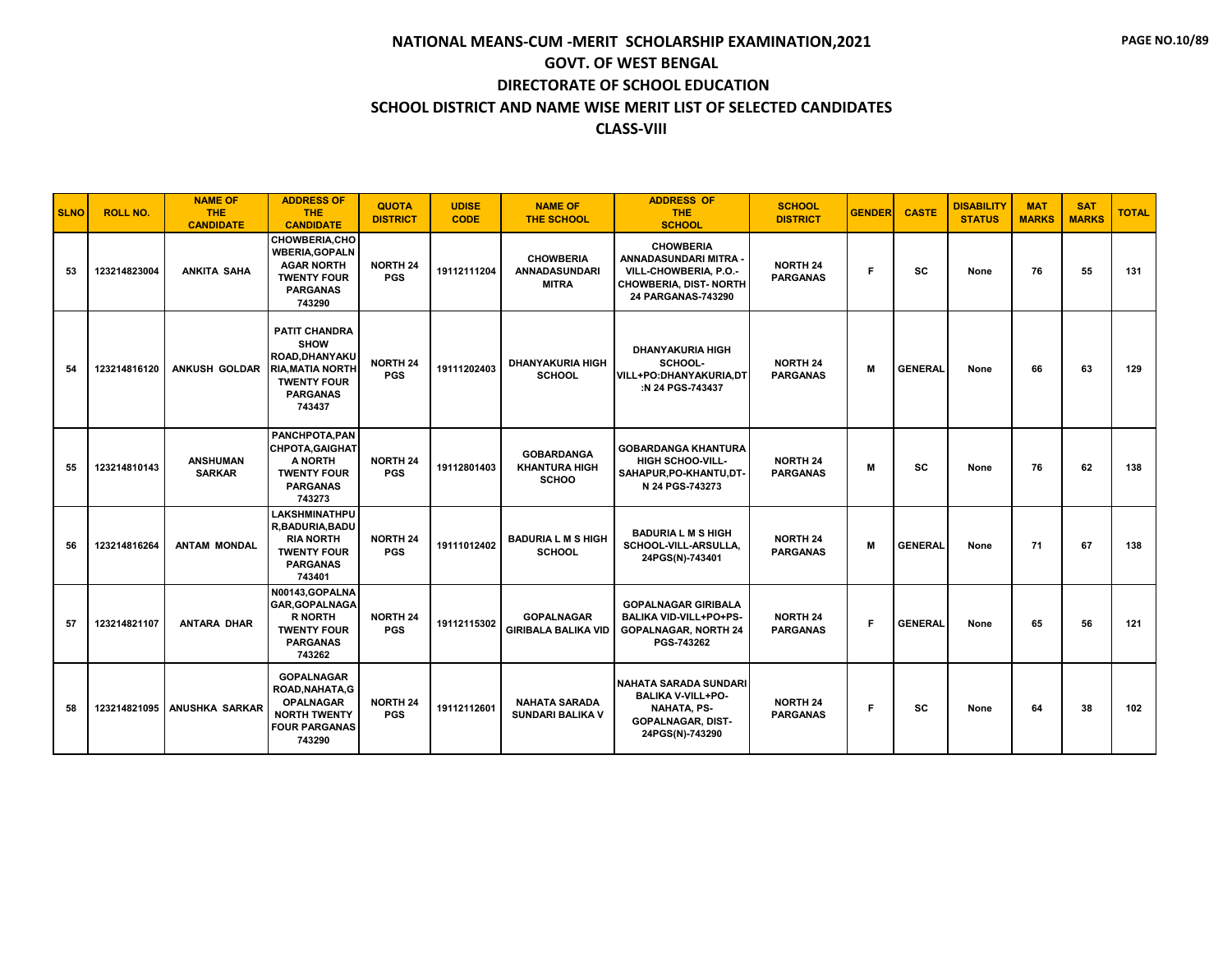| <b>SLNO</b> | <b>ROLL NO.</b> | <b>NAME OF</b><br><b>THE</b><br><b>CANDIDATE</b> | <b>ADDRESS OF</b><br><b>THE</b><br><b>CANDIDATE</b>                                                                               | <b>QUOTA</b><br><b>DISTRICT</b> | <b>UDISE</b><br><b>CODE</b> | <b>NAME OF</b><br><b>THE SCHOOL</b>                       | <b>ADDRESS OF</b><br><b>THE</b><br><b>SCHOOL</b>                                                                              | <b>SCHOOL</b><br><b>DISTRICT</b>   | <b>GENDER</b> | <b>CASTE</b>   | <b>DISABILITY</b><br><b>STATUS</b> | <b>MAT</b><br><b>MARKS</b> | <b>SAT</b><br><b>MARKS</b> | <b>TOTAL</b> |
|-------------|-----------------|--------------------------------------------------|-----------------------------------------------------------------------------------------------------------------------------------|---------------------------------|-----------------------------|-----------------------------------------------------------|-------------------------------------------------------------------------------------------------------------------------------|------------------------------------|---------------|----------------|------------------------------------|----------------------------|----------------------------|--------------|
| 53          | 123214823004    | <b>ANKITA SAHA</b>                               | <b>CHOWBERIA.CHO</b><br><b>WBERIA, GOPALN</b><br><b>AGAR NORTH</b><br><b>TWENTY FOUR</b><br><b>PARGANAS</b><br>743290             | <b>NORTH 24</b><br><b>PGS</b>   | 19112111204                 | <b>CHOWBERIA</b><br><b>ANNADASUNDARI</b><br><b>MITRA</b>  | <b>CHOWBERIA</b><br>ANNADASUNDARI MITRA -<br>VILL-CHOWBERIA, P.O.-<br><b>CHOWBERIA, DIST-NORTH</b><br>24 PARGANAS-743290      | <b>NORTH 24</b><br><b>PARGANAS</b> | F.            | <b>SC</b>      | None                               | 76                         | 55                         | 131          |
| 54          | 123214816120    | <b>ANKUSH GOLDAR</b>                             | <b>PATIT CHANDRA</b><br><b>SHOW</b><br>ROAD.DHANYAKU<br><b>RIA.MATIA NORTH</b><br><b>TWENTY FOUR</b><br><b>PARGANAS</b><br>743437 | <b>NORTH 24</b><br><b>PGS</b>   | 19111202403                 | <b>DHANYAKURIA HIGH</b><br><b>SCHOOL</b>                  | <b>DHANYAKURIA HIGH</b><br>SCHOOL-<br>VILL+PO:DHANYAKURIA.DT<br>:N 24 PGS-743437                                              | <b>NORTH 24</b><br><b>PARGANAS</b> | M             | <b>GENERAL</b> | None                               | 66                         | 63                         | 129          |
| 55          | 123214810143    | <b>ANSHUMAN</b><br><b>SARKAR</b>                 | PANCHPOTA, PAN<br><b>CHPOTA, GAIGHAT</b><br>A NORTH<br><b>TWENTY FOUR</b><br><b>PARGANAS</b><br>743273                            | NORTH 24<br><b>PGS</b>          | 19112801403                 | <b>GOBARDANGA</b><br><b>KHANTURA HIGH</b><br><b>SCHOO</b> | <b>GOBARDANGA KHANTURA</b><br><b>HIGH SCHOO-VILL-</b><br>SAHAPUR, PO-KHANTU, DT-<br>N 24 PGS-743273                           | <b>NORTH 24</b><br><b>PARGANAS</b> | M             | <b>SC</b>      | None                               | 76                         | 62                         | 138          |
| 56          | 123214816264    | <b>ANTAM MONDAL</b>                              | <b>LAKSHMINATHPU</b><br>R, BADURIA, BADU<br><b>RIA NORTH</b><br><b>TWENTY FOUR</b><br><b>PARGANAS</b><br>743401                   | <b>NORTH 24</b><br><b>PGS</b>   | 19111012402                 | <b>BADURIA L M S HIGH</b><br><b>SCHOOL</b>                | <b>BADURIA L M S HIGH</b><br>SCHOOL-VILL-ARSULLA,<br>24PGS(N)-743401                                                          | <b>NORTH 24</b><br><b>PARGANAS</b> | M             | <b>GENERAL</b> | None                               | 71                         | 67                         | 138          |
| 57          | 123214821107    | <b>ANTARA DHAR</b>                               | N00143, GOPALNA<br><b>GAR, GOPALNAGA</b><br><b>R NORTH</b><br><b>TWENTY FOUR</b><br><b>PARGANAS</b><br>743262                     | <b>NORTH 24</b><br><b>PGS</b>   | 19112115302                 | <b>GOPALNAGAR</b><br><b>GIRIBALA BALIKA VID</b>           | <b>GOPALNAGAR GIRIBALA</b><br>BALIKA VID-VILL+PO+PS-<br><b>GOPALNAGAR, NORTH 24</b><br>PGS-743262                             | <b>NORTH 24</b><br><b>PARGANAS</b> | F             | <b>GENERAL</b> | None                               | 65                         | 56                         | 121          |
| 58          |                 | 123214821095   ANUSHKA SARKAR                    | <b>GOPALNAGAR</b><br>ROAD, NAHATA, G<br><b>OPALNAGAR</b><br><b>NORTH TWENTY</b><br><b>FOUR PARGANAS</b><br>743290                 | <b>NORTH 24</b><br><b>PGS</b>   | 19112112601                 | <b>NAHATA SARADA</b><br>SUNDARI BALIKA V                  | <b>NAHATA SARADA SUNDARI</b><br><b>BALIKA V-VILL+PO-</b><br><b>NAHATA, PS-</b><br><b>GOPALNAGAR, DIST-</b><br>24PGS(N)-743290 | <b>NORTH 24</b><br><b>PARGANAS</b> | F             | <b>SC</b>      | None                               | 64                         | 38                         | 102          |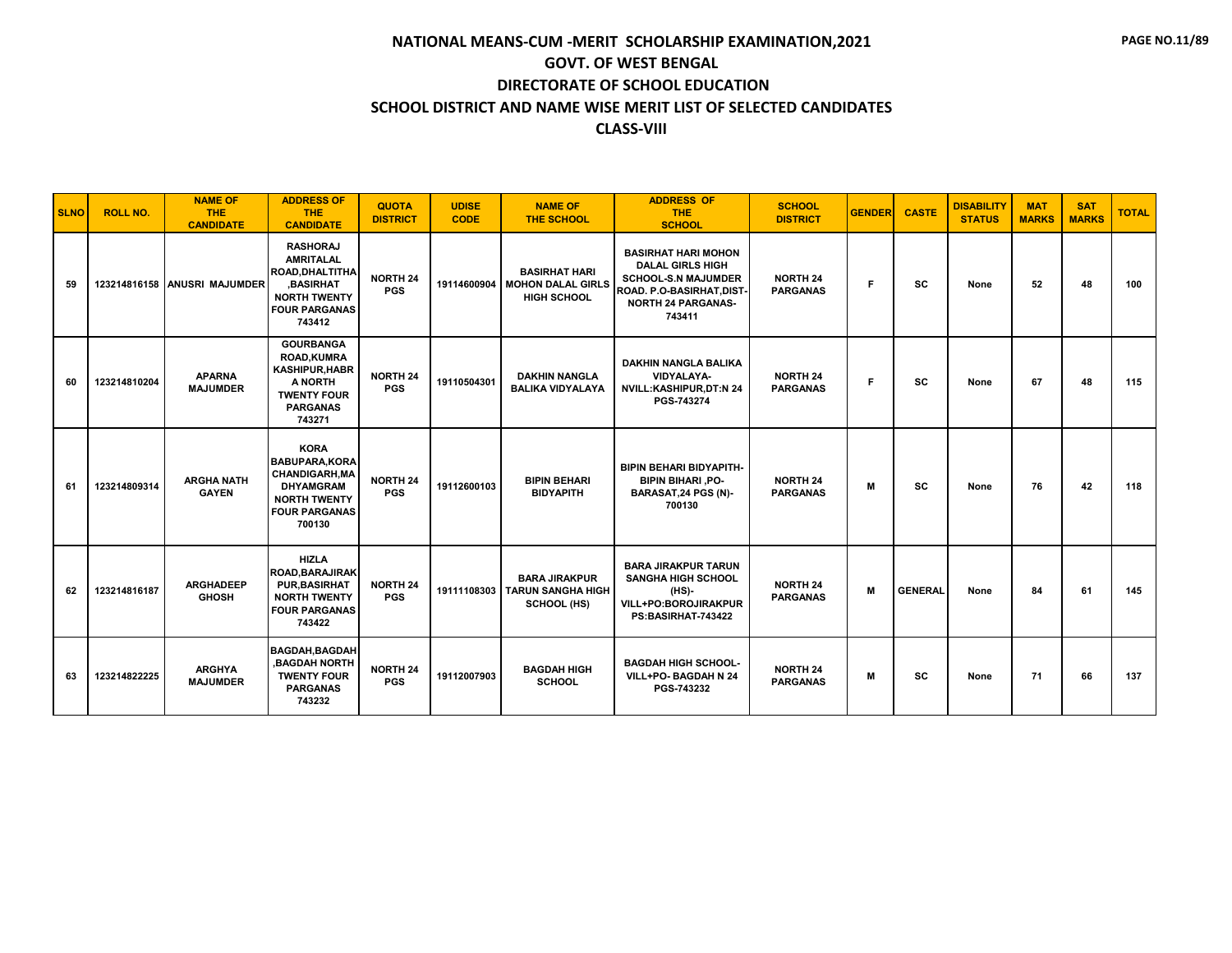| <b>SLNO</b> | <b>ROLL NO.</b> | <b>NAME OF</b><br><b>THE</b><br><b>CANDIDATE</b> | <b>ADDRESS OF</b><br><b>THE</b><br><b>CANDIDATE</b>                                                                                       | <b>QUOTA</b><br><b>DISTRICT</b> | <b>UDISE</b><br><b>CODE</b> | <b>NAME OF</b><br><b>THE SCHOOL</b>                             | <b>ADDRESS OF</b><br><b>THE</b><br><b>SCHOOL</b>                                                                                                       | <b>SCHOOL</b><br><b>DISTRICT</b>   | <b>GENDER</b> | <b>CASTE</b>   | <b>DISABILITY</b><br><b>STATUS</b> | <b>MAT</b><br><b>MARKS</b> | <b>SAT</b><br><b>MARKS</b> | <b>TOTAL</b> |
|-------------|-----------------|--------------------------------------------------|-------------------------------------------------------------------------------------------------------------------------------------------|---------------------------------|-----------------------------|-----------------------------------------------------------------|--------------------------------------------------------------------------------------------------------------------------------------------------------|------------------------------------|---------------|----------------|------------------------------------|----------------------------|----------------------------|--------------|
| 59          |                 | 123214816158 ANUSRI MAJUMDER                     | <b>RASHORAJ</b><br><b>AMRITALAL</b><br>ROAD, DHALTITHA<br><b>BASIRHAT</b><br><b>NORTH TWENTY</b><br><b>FOUR PARGANAS</b><br>743412        | <b>NORTH 24</b><br><b>PGS</b>   | 19114600904                 | <b>BASIRHAT HARI</b><br><b>MOHON DALAL GIRLS</b><br>HIGH SCHOOL | <b>BASIRHAT HARI MOHON</b><br><b>DALAL GIRLS HIGH</b><br><b>SCHOOL-S.N MAJUMDER</b><br>ROAD, P.O-BASIRHAT.DIST-<br><b>NORTH 24 PARGANAS-</b><br>743411 | <b>NORTH 24</b><br><b>PARGANAS</b> | Е             | <b>SC</b>      | None                               | 52                         | 48                         | 100          |
| 60          | 123214810204    | <b>APARNA</b><br><b>MAJUMDER</b>                 | <b>GOURBANGA</b><br><b>ROAD,KUMRA</b><br><b>KASHIPUR, HABR</b><br>A NORTH<br><b>TWENTY FOUR</b><br><b>PARGANAS</b><br>743271              | <b>NORTH 24</b><br><b>PGS</b>   | 19110504301                 | <b>DAKHIN NANGLA</b><br><b>BALIKA VIDYALAYA</b>                 | <b>DAKHIN NANGLA BALIKA</b><br>VIDYALAYA-<br><b>NVILL:KASHIPUR,DT:N 24</b><br>PGS-743274                                                               | <b>NORTH 24</b><br><b>PARGANAS</b> | F             | <b>SC</b>      | None                               | 67                         | 48                         | 115          |
| 61          | 123214809314    | <b>ARGHA NATH</b><br><b>GAYEN</b>                | <b>KORA</b><br><b>BABUPARA,KORA</b><br><b>CHANDIGARH, MA</b><br><b>DHYAMGRAM</b><br><b>NORTH TWENTY</b><br><b>FOUR PARGANAS</b><br>700130 | <b>NORTH 24</b><br><b>PGS</b>   | 19112600103                 | <b>BIPIN BEHARI</b><br><b>BIDYAPITH</b>                         | <b>BIPIN BEHARI BIDYAPITH-</b><br><b>BIPIN BIHARI, PO-</b><br>BARASAT, 24 PGS (N)-<br>700130                                                           | <b>NORTH 24</b><br><b>PARGANAS</b> | M             | SC             | None                               | 76                         | 42                         | 118          |
| 62          | 123214816187    | <b>ARGHADEEP</b><br><b>GHOSH</b>                 | <b>HIZLA</b><br><b>ROAD, BARAJIRAK</b><br><b>PUR.BASIRHAT</b><br><b>NORTH TWENTY</b><br><b>FOUR PARGANAS</b><br>743422                    | <b>NORTH 24</b><br><b>PGS</b>   | 19111108303                 | <b>BARA JIRAKPUR</b><br><b>TARUN SANGHA HIGH</b><br>SCHOOL (HS) | <b>BARA JIRAKPUR TARUN</b><br><b>SANGHA HIGH SCHOOL</b><br>(HS)-<br>VILL+PO:BOROJIRAKPUR<br>PS:BASIRHAT-743422                                         | <b>NORTH 24</b><br><b>PARGANAS</b> | M             | <b>GENERAL</b> | None                               | 84                         | 61                         | 145          |
| 63          | 123214822225    | <b>ARGHYA</b><br><b>MAJUMDER</b>                 | <b>BAGDAH.BAGDAH</b><br><b>.BAGDAH NORTH</b><br><b>TWENTY FOUR</b><br><b>PARGANAS</b><br>743232                                           | <b>NORTH 24</b><br><b>PGS</b>   | 19112007903                 | <b>BAGDAH HIGH</b><br><b>SCHOOL</b>                             | <b>BAGDAH HIGH SCHOOL-</b><br>VILL+PO- BAGDAH N 24<br>PGS-743232                                                                                       | <b>NORTH 24</b><br><b>PARGANAS</b> | M             | SC             | None                               | 71                         | 66                         | 137          |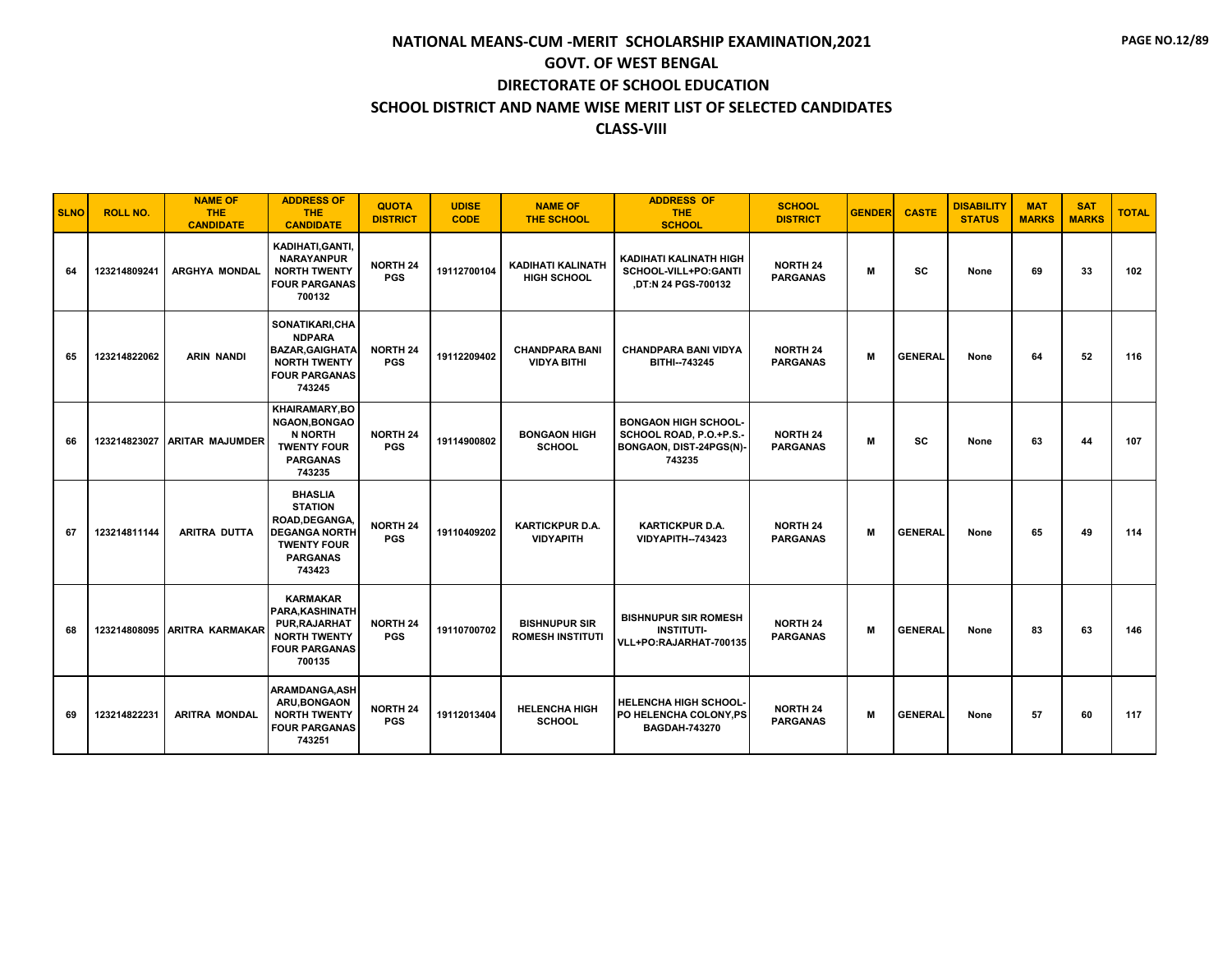| <b>SLNO</b> | <b>ROLL NO.</b> | <b>NAME OF</b><br><b>THE</b><br><b>CANDIDATE</b> | <b>ADDRESS OF</b><br><b>THE</b><br><b>CANDIDATE</b>                                                                           | <b>QUOTA</b><br><b>DISTRICT</b> | <b>UDISE</b><br><b>CODE</b> | <b>NAME OF</b><br><b>THE SCHOOL</b>             | <b>ADDRESS OF</b><br><b>THE</b><br><b>SCHOOL</b>                                            | <b>SCHOOL</b><br><b>DISTRICT</b>   | <b>GENDER</b> | <b>CASTE</b>   | <b>DISABILITY</b><br><b>STATUS</b> | <b>MAT</b><br><b>MARKS</b> | <b>SAT</b><br><b>MARKS</b> | <b>TOTAL</b> |
|-------------|-----------------|--------------------------------------------------|-------------------------------------------------------------------------------------------------------------------------------|---------------------------------|-----------------------------|-------------------------------------------------|---------------------------------------------------------------------------------------------|------------------------------------|---------------|----------------|------------------------------------|----------------------------|----------------------------|--------------|
| 64          | 123214809241    | <b>ARGHYA MONDAL</b>                             | KADIHATI, GANTI,<br><b>NARAYANPUR</b><br><b>NORTH TWENTY</b><br><b>FOUR PARGANAS</b><br>700132                                | <b>NORTH 24</b><br><b>PGS</b>   | 19112700104                 | <b>KADIHATI KALINATH</b><br><b>HIGH SCHOOL</b>  | KADIHATI KALINATH HIGH<br>SCHOOL-VILL+PO:GANTI<br>,DT:N 24 PGS-700132                       | <b>NORTH 24</b><br><b>PARGANAS</b> | м             | <b>SC</b>      | None                               | 69                         | 33                         | 102          |
| 65          | 123214822062    | <b>ARIN NANDI</b>                                | SONATIKARI,CHA<br><b>NDPARA</b><br><b>BAZAR, GAIGHATA</b><br><b>NORTH TWENTY</b><br><b>FOUR PARGANAS</b><br>743245            | <b>NORTH 24</b><br><b>PGS</b>   | 19112209402                 | <b>CHANDPARA BANI</b><br><b>VIDYA BITHI</b>     | <b>CHANDPARA BANI VIDYA</b><br>BITHI-743245                                                 | <b>NORTH 24</b><br><b>PARGANAS</b> | M             | <b>GENERAL</b> | None                               | 64                         | 52                         | 116          |
| 66          |                 | 123214823027 ARITAR MAJUMDER                     | KHAIRAMARY.BO<br><b>NGAON, BONGAO</b><br><b>N NORTH</b><br><b>TWENTY FOUR</b><br><b>PARGANAS</b><br>743235                    | <b>NORTH 24</b><br><b>PGS</b>   | 19114900802                 | <b>BONGAON HIGH</b><br><b>SCHOOL</b>            | <b>BONGAON HIGH SCHOOL-</b><br>SCHOOL ROAD, P.O.+P.S.-<br>BONGAON, DIST-24PGS(N)-<br>743235 | <b>NORTH 24</b><br><b>PARGANAS</b> | M             | SC             | None                               | 63                         | 44                         | 107          |
| 67          | 123214811144    | ARITRA DUTTA                                     | <b>BHASLIA</b><br><b>STATION</b><br>ROAD, DEGANGA,<br><b>DEGANGA NORTH</b><br><b>TWENTY FOUR</b><br><b>PARGANAS</b><br>743423 | <b>NORTH 24</b><br><b>PGS</b>   | 19110409202                 | <b>KARTICKPUR D.A.</b><br><b>VIDYAPITH</b>      | <b>KARTICKPUR D.A.</b><br><b>VIDYAPITH--743423</b>                                          | <b>NORTH 24</b><br><b>PARGANAS</b> | M             | <b>GENERAL</b> | None                               | 65                         | 49                         | 114          |
| 68          |                 | 123214808095 ARITRA KARMAKAR                     | <b>KARMAKAR</b><br><b>PARA, KASHINATH</b><br>PUR, RAJARHAT<br><b>NORTH TWENTY</b><br><b>FOUR PARGANAS</b><br>700135           | <b>NORTH 24</b><br><b>PGS</b>   | 19110700702                 | <b>BISHNUPUR SIR</b><br><b>ROMESH INSTITUTI</b> | <b>BISHNUPUR SIR ROMESH</b><br><b>INSTITUTI-</b><br>VLL+PO:RAJARHAT-700135                  | <b>NORTH 24</b><br><b>PARGANAS</b> | M             | <b>GENERAL</b> | None                               | 83                         | 63                         | 146          |
| 69          | 123214822231    | <b>ARITRA MONDAL</b>                             | <b>ARAMDANGA.ASH</b><br><b>ARU.BONGAON</b><br><b>NORTH TWENTY</b><br><b>FOUR PARGANAS</b><br>743251                           | <b>NORTH 24</b><br><b>PGS</b>   | 19112013404                 | <b>HELENCHA HIGH</b><br><b>SCHOOL</b>           | <b>HELENCHA HIGH SCHOOL-</b><br>PO HELENCHA COLONY, PS<br><b>BAGDAH-743270</b>              | <b>NORTH 24</b><br><b>PARGANAS</b> | M             | <b>GENERAL</b> | None                               | 57                         | 60                         | 117          |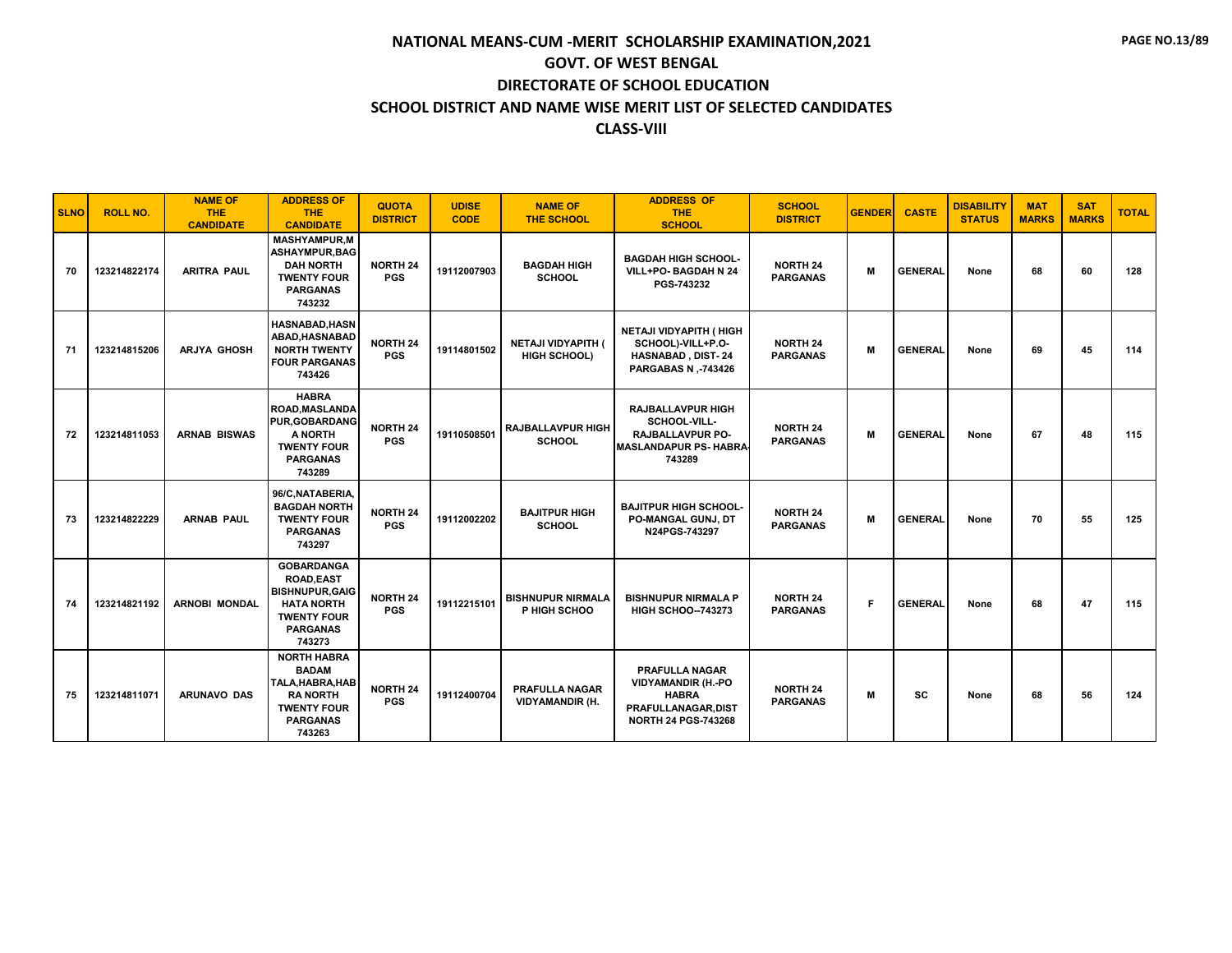| <b>SLNO</b> | <b>ROLL NO.</b> | <b>NAME OF</b><br><b>THE</b><br><b>CANDIDATE</b> | <b>ADDRESS OF</b><br><b>THE</b><br><b>CANDIDATE</b>                                                                                     | <b>QUOTA</b><br><b>DISTRICT</b> | <b>UDISE</b><br><b>CODE</b> | <b>NAME OF</b><br><b>THE SCHOOL</b>             | <b>ADDRESS OF</b><br><b>THE</b><br><b>SCHOOL</b>                                                                        | <b>SCHOOL</b><br><b>DISTRICT</b>   | <b>GENDER</b> | <b>CASTE</b>   | <b>DISABILITY</b><br><b>STATUS</b> | <b>MAT</b><br><b>MARKS</b> | <b>SAT</b><br><b>MARKS</b> | <b>TOTAL</b> |
|-------------|-----------------|--------------------------------------------------|-----------------------------------------------------------------------------------------------------------------------------------------|---------------------------------|-----------------------------|-------------------------------------------------|-------------------------------------------------------------------------------------------------------------------------|------------------------------------|---------------|----------------|------------------------------------|----------------------------|----------------------------|--------------|
| 70          | 123214822174    | <b>ARITRA PAUL</b>                               | <b>MASHYAMPUR.M</b><br><b>ASHAYMPUR, BAG</b><br><b>DAH NORTH</b><br><b>TWENTY FOUR</b><br><b>PARGANAS</b><br>743232                     | <b>NORTH 24</b><br><b>PGS</b>   | 19112007903                 | <b>BAGDAH HIGH</b><br><b>SCHOOL</b>             | <b>BAGDAH HIGH SCHOOL-</b><br>VILL+PO- BAGDAH N 24<br>PGS-743232                                                        | <b>NORTH 24</b><br><b>PARGANAS</b> | M             | <b>GENERAL</b> | None                               | 68                         | 60                         | 128          |
| 71          | 123214815206    | <b>ARJYA GHOSH</b>                               | <b>HASNABAD, HASN</b><br>ABAD, HASNABAD<br><b>NORTH TWENTY</b><br><b>FOUR PARGANAS</b><br>743426                                        | <b>NORTH 24</b><br><b>PGS</b>   | 19114801502                 | NETAJI VIDYAPITH (<br><b>HIGH SCHOOL)</b>       | NETAJI VIDYAPITH ( HIGH<br>SCHOOL)-VILL+P.O-<br><b>HASNABAD, DIST-24</b><br>PARGABAS N .- 743426                        | <b>NORTH 24</b><br><b>PARGANAS</b> | М             | <b>GENERAL</b> | None                               | 69                         | 45                         | 114          |
| 72          | 123214811053    | <b>ARNAB BISWAS</b>                              | <b>HABRA</b><br>ROAD, MASLANDA<br>PUR, GOBARDANG<br>A NORTH<br><b>TWENTY FOUR</b><br><b>PARGANAS</b><br>743289                          | <b>NORTH 24</b><br><b>PGS</b>   | 19110508501                 | <b>RAJBALLAVPUR HIGH</b><br><b>SCHOOL</b>       | <b>RAJBALLAVPUR HIGH</b><br>SCHOOL-VILL-<br><b>RAJBALLAVPUR PO-</b><br><b>MASLANDAPUR PS- HABRA</b><br>743289           | <b>NORTH 24</b><br><b>PARGANAS</b> | M             | <b>GENERAL</b> | None                               | 67                         | 48                         | 115          |
| 73          | 123214822229    | <b>ARNAB PAUL</b>                                | 96/C, NATABERIA,<br><b>BAGDAH NORTH</b><br><b>TWENTY FOUR</b><br><b>PARGANAS</b><br>743297                                              | <b>NORTH 24</b><br><b>PGS</b>   | 19112002202                 | <b>BAJITPUR HIGH</b><br><b>SCHOOL</b>           | <b>BAJITPUR HIGH SCHOOL-</b><br>PO-MANGAL GUNJ, DT<br>N24PGS-743297                                                     | <b>NORTH 24</b><br><b>PARGANAS</b> | M             | <b>GENERAL</b> | None                               | 70                         | 55                         | 125          |
| 74          | 123214821192    | <b>ARNOBI MONDAL</b>                             | <b>GOBARDANGA</b><br><b>ROAD,EAST</b><br><b>BISHNUPUR, GAIG</b><br><b>HATA NORTH</b><br><b>TWENTY FOUR</b><br><b>PARGANAS</b><br>743273 | <b>NORTH 24</b><br><b>PGS</b>   | 19112215101                 | <b>BISHNUPUR NIRMALA</b><br>P HIGH SCHOO        | <b>BISHNUPUR NIRMALA P</b><br><b>HIGH SCHOO--743273</b>                                                                 | <b>NORTH 24</b><br><b>PARGANAS</b> | F             | <b>GENERAL</b> | None                               | 68                         | 47                         | 115          |
| 75          | 123214811071    | <b>ARUNAVO DAS</b>                               | <b>NORTH HABRA</b><br><b>BADAM</b><br>TALA, HABRA, HAB<br><b>RANORTH</b><br><b>TWENTY FOUR</b><br><b>PARGANAS</b><br>743263             | <b>NORTH 24</b><br><b>PGS</b>   | 19112400704                 | <b>PRAFULLA NAGAR</b><br><b>VIDYAMANDIR (H.</b> | <b>PRAFULLA NAGAR</b><br><b>VIDYAMANDIR (H.-PO</b><br><b>HABRA</b><br>PRAFULLANAGAR, DIST<br><b>NORTH 24 PGS-743268</b> | <b>NORTH 24</b><br><b>PARGANAS</b> | М             | <b>SC</b>      | None                               | 68                         | 56                         | 124          |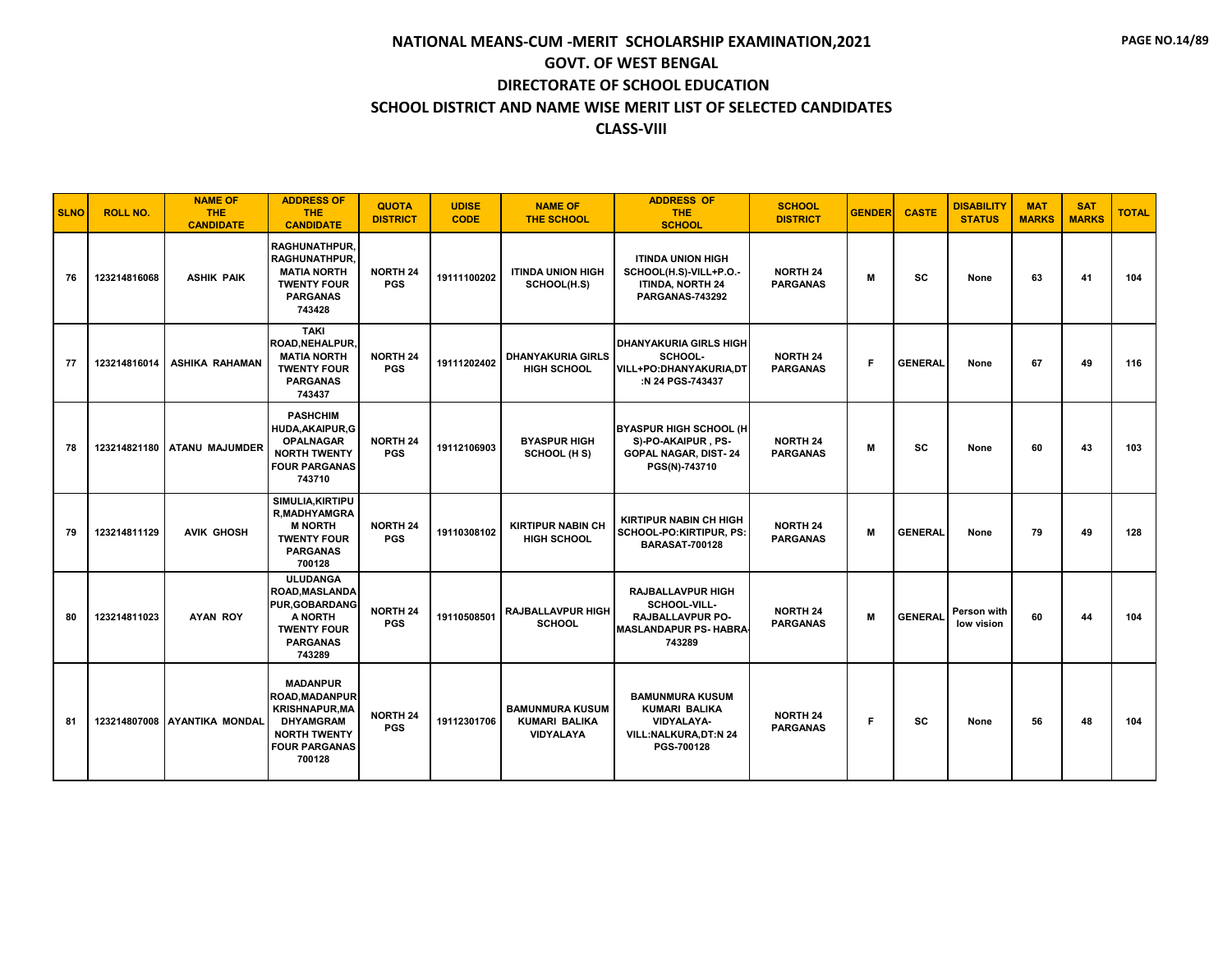| <b>SLNO</b> | <b>ROLL NO.</b> | <b>NAME OF</b><br><b>THE</b><br><b>CANDIDATE</b> | <b>ADDRESS OF</b><br><b>THE</b><br><b>CANDIDATE</b>                                                                                            | <b>QUOTA</b><br><b>DISTRICT</b> | <b>UDISE</b><br><b>CODE</b> | <b>NAME OF</b><br><b>THE SCHOOL</b>                         | <b>ADDRESS OF</b><br><b>THE</b><br><b>SCHOOL</b>                                                       | <b>SCHOOL</b><br><b>DISTRICT</b>   | <b>GENDER</b> | <b>CASTE</b>   | <b>DISABILITY</b><br><b>STATUS</b> | <b>MAT</b><br><b>MARKS</b> | <b>SAT</b><br><b>MARKS</b> | <b>TOTAL</b> |
|-------------|-----------------|--------------------------------------------------|------------------------------------------------------------------------------------------------------------------------------------------------|---------------------------------|-----------------------------|-------------------------------------------------------------|--------------------------------------------------------------------------------------------------------|------------------------------------|---------------|----------------|------------------------------------|----------------------------|----------------------------|--------------|
| 76          | 123214816068    | <b>ASHIK PAIK</b>                                | RAGHUNATHPUR,<br><b>RAGHUNATHPUR.</b><br><b>MATIA NORTH</b><br><b>TWENTY FOUR</b><br><b>PARGANAS</b><br>743428                                 | <b>NORTH 24</b><br><b>PGS</b>   | 19111100202                 | <b>ITINDA UNION HIGH</b><br>SCHOOL(H.S)                     | <b>ITINDA UNION HIGH</b><br>SCHOOL(H.S)-VILL+P.O.-<br><b>ITINDA, NORTH 24</b><br>PARGANAS-743292       | <b>NORTH 24</b><br><b>PARGANAS</b> | м             | SC             | None                               | 63                         | 41                         | 104          |
| 77          | 123214816014    | <b>ASHIKA RAHAMAN</b>                            | <b>TAKI</b><br><b>ROAD, NEHALPUR,</b><br><b>MATIA NORTH</b><br><b>TWENTY FOUR</b><br><b>PARGANAS</b><br>743437                                 | <b>NORTH 24</b><br><b>PGS</b>   | 19111202402                 | <b>DHANYAKURIA GIRLS</b><br><b>HIGH SCHOOL</b>              | <b>DHANYAKURIA GIRLS HIGH</b><br>SCHOOL-<br>VILL+PO:DHANYAKURIA,DT<br>:N 24 PGS-743437                 | <b>NORTH 24</b><br><b>PARGANAS</b> | F             | <b>GENERAL</b> | None                               | 67                         | 49                         | 116          |
| 78          |                 | 123214821180 ATANU MAJUMDER                      | <b>PASHCHIM</b><br>HUDA, AKAIPUR, G<br><b>OPALNAGAR</b><br><b>NORTH TWENTY</b><br><b>FOUR PARGANAS</b><br>743710                               | <b>NORTH 24</b><br><b>PGS</b>   | 19112106903                 | <b>BYASPUR HIGH</b><br>SCHOOL (H S)                         | <b>BYASPUR HIGH SCHOOL (H</b><br>S)-PO-AKAIPUR, PS-<br><b>GOPAL NAGAR, DIST-24</b><br>PGS(N)-743710    | <b>NORTH 24</b><br><b>PARGANAS</b> | M             | <b>SC</b>      | None                               | 60                         | 43                         | 103          |
| 79          | 123214811129    | <b>AVIK GHOSH</b>                                | SIMULIA.KIRTIPU<br><b>R,MADHYAMGRA</b><br><b>M NORTH</b><br><b>TWENTY FOUR</b><br><b>PARGANAS</b><br>700128                                    | <b>NORTH 24</b><br><b>PGS</b>   | 19110308102                 | <b>KIRTIPUR NABIN CH</b><br><b>HIGH SCHOOL</b>              | <b>KIRTIPUR NABIN CH HIGH</b><br>SCHOOL-PO:KIRTIPUR, PS:<br><b>BARASAT-700128</b>                      | <b>NORTH 24</b><br><b>PARGANAS</b> | M             | <b>GENERAL</b> | None                               | 79                         | 49                         | 128          |
| 80          | 123214811023    | <b>AYAN ROY</b>                                  | <b>ULUDANGA</b><br><b>ROAD, MASLANDA</b><br><b>PUR, GOBARDANG</b><br>A NORTH<br><b>TWENTY FOUR</b><br><b>PARGANAS</b><br>743289                | <b>NORTH 24</b><br><b>PGS</b>   | 19110508501                 | <b>RAJBALLAVPUR HIGH</b><br><b>SCHOOL</b>                   | <b>RAJBALLAVPUR HIGH</b><br>SCHOOL-VILL-<br>RAJBALLAVPUR PO-<br><b>MASLANDAPUR PS- HABRA</b><br>743289 | <b>NORTH 24</b><br><b>PARGANAS</b> | M             | <b>GENERAL</b> | Person with<br>low vision          | 60                         | 44                         | 104          |
| 81          |                 | 123214807008 AYANTIKA MONDAL                     | <b>MADANPUR</b><br><b>ROAD, MADANPUR</b><br><b>KRISHNAPUR, MA</b><br><b>DHYAMGRAM</b><br><b>NORTH TWENTY</b><br><b>FOUR PARGANAS</b><br>700128 | <b>NORTH 24</b><br><b>PGS</b>   | 19112301706                 | <b>BAMUNMURA KUSUM</b><br><b>KUMARI BALIKA</b><br>VIDYALAYA | <b>BAMUNMURA KUSUM</b><br><b>KUMARI BALIKA</b><br>VIDYALAYA-<br>VILL:NALKURA, DT:N 24<br>PGS-700128    | <b>NORTH 24</b><br><b>PARGANAS</b> | F             | <b>SC</b>      | None                               | 56                         | 48                         | 104          |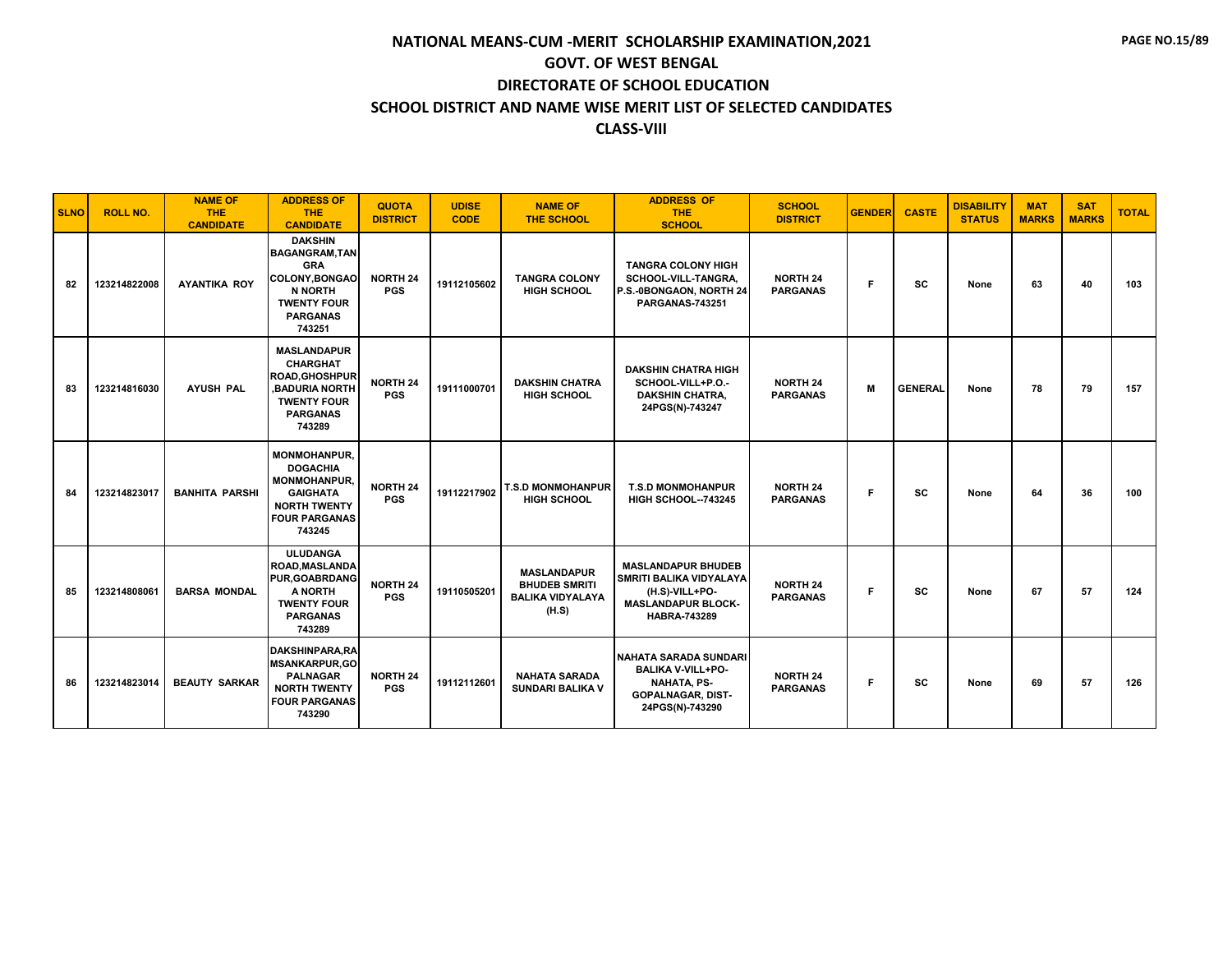| <b>SLNO</b> | <b>ROLL NO.</b> | <b>NAME OF</b><br><b>THE</b><br><b>CANDIDATE</b> | <b>ADDRESS OF</b><br><b>THE</b><br><b>CANDIDATE</b>                                                                                         | <b>QUOTA</b><br><b>DISTRICT</b> | <b>UDISE</b><br><b>CODE</b> | <b>NAME OF</b><br><b>THE SCHOOL</b>                                            | <b>ADDRESS OF</b><br><b>THE</b><br><b>SCHOOL</b>                                                                           | <b>SCHOOL</b><br><b>DISTRICT</b>   | <b>GENDER</b> | <b>CASTE</b>   | <b>DISABILITY</b><br><b>STATUS</b> | <b>MAT</b><br><b>MARKS</b> | <b>SAT</b><br><b>MARKS</b> | <b>TOTAL</b> |
|-------------|-----------------|--------------------------------------------------|---------------------------------------------------------------------------------------------------------------------------------------------|---------------------------------|-----------------------------|--------------------------------------------------------------------------------|----------------------------------------------------------------------------------------------------------------------------|------------------------------------|---------------|----------------|------------------------------------|----------------------------|----------------------------|--------------|
| 82          | 123214822008    | <b>AYANTIKA ROY</b>                              | <b>DAKSHIN</b><br><b>BAGANGRAM.TAN</b><br><b>GRA</b><br>COLONY, BONGAO<br><b>N NORTH</b><br><b>TWENTY FOUR</b><br><b>PARGANAS</b><br>743251 | <b>NORTH 24</b><br><b>PGS</b>   | 19112105602                 | <b>TANGRA COLONY</b><br><b>HIGH SCHOOL</b>                                     | <b>TANGRA COLONY HIGH</b><br>SCHOOL-VILL-TANGRA.<br>P.S.-0BONGAON, NORTH 24<br><b>PARGANAS-743251</b>                      | <b>NORTH 24</b><br><b>PARGANAS</b> | F.            | <b>SC</b>      | None                               | 63                         | 40                         | 103          |
| 83          | 123214816030    | <b>AYUSH PAL</b>                                 | <b>MASLANDAPUR</b><br><b>CHARGHAT</b><br><b>ROAD.GHOSHPUR</b><br><b>BADURIA NORTH</b><br><b>TWENTY FOUR</b><br><b>PARGANAS</b><br>743289    | <b>NORTH 24</b><br><b>PGS</b>   | 19111000701                 | <b>DAKSHIN CHATRA</b><br><b>HIGH SCHOOL</b>                                    | <b>DAKSHIN CHATRA HIGH</b><br>SCHOOL-VILL+P.O.-<br><b>DAKSHIN CHATRA.</b><br>24PGS(N)-743247                               | <b>NORTH 24</b><br><b>PARGANAS</b> | M             | <b>GENERAL</b> | None                               | 78                         | 79                         | 157          |
| 84          | 123214823017    | <b>BANHITA PARSHI</b>                            | <b>MONMOHANPUR.</b><br><b>DOGACHIA</b><br><b>MONMOHANPUR.</b><br><b>GAIGHATA</b><br><b>NORTH TWENTY</b><br><b>FOUR PARGANAS</b><br>743245   | <b>NORTH 24</b><br><b>PGS</b>   | 19112217902                 | T.S.D MONMOHANPUR<br><b>HIGH SCHOOL</b>                                        | <b>T.S.D MONMOHANPUR</b><br><b>HIGH SCHOOL--743245</b>                                                                     | <b>NORTH 24</b><br><b>PARGANAS</b> | F.            | <b>SC</b>      | None                               | 64                         | 36                         | 100          |
| 85          | 123214808061    | <b>BARSA MONDAL</b>                              | <b>ULUDANGA</b><br><b>ROAD, MASLANDA</b><br><b>PUR, GOABRDANG</b><br>A NORTH<br><b>TWENTY FOUR</b><br><b>PARGANAS</b><br>743289             | <b>NORTH 24</b><br><b>PGS</b>   | 19110505201                 | <b>MASLANDAPUR</b><br><b>BHUDEB SMRITI</b><br><b>BALIKA VIDYALAYA</b><br>(H.S) | <b>MASLANDAPUR BHUDEB</b><br>SMRITI BALIKA VIDYALAYA<br>(H.S)-VILL+PO-<br><b>MASLANDAPUR BLOCK-</b><br><b>HABRA-743289</b> | <b>NORTH 24</b><br><b>PARGANAS</b> | F.            | <b>SC</b>      | None                               | 67                         | 57                         | 124          |
| 86          | 123214823014    | <b>BEAUTY SARKAR</b>                             | DAKSHINPARA.RA<br><b>MSANKARPUR,GO</b><br><b>PALNAGAR</b><br><b>NORTH TWENTY</b><br><b>FOUR PARGANAS</b><br>743290                          | <b>NORTH 24</b><br><b>PGS</b>   | 19112112601                 | <b>NAHATA SARADA</b><br><b>SUNDARI BALIKA V</b>                                | NAHATA SARADA SUNDARI<br><b>BALIKA V-VILL+PO-</b><br><b>NAHATA, PS-</b><br><b>GOPALNAGAR, DIST-</b><br>24PGS(N)-743290     | <b>NORTH 24</b><br><b>PARGANAS</b> | F.            | <b>SC</b>      | None                               | 69                         | 57                         | 126          |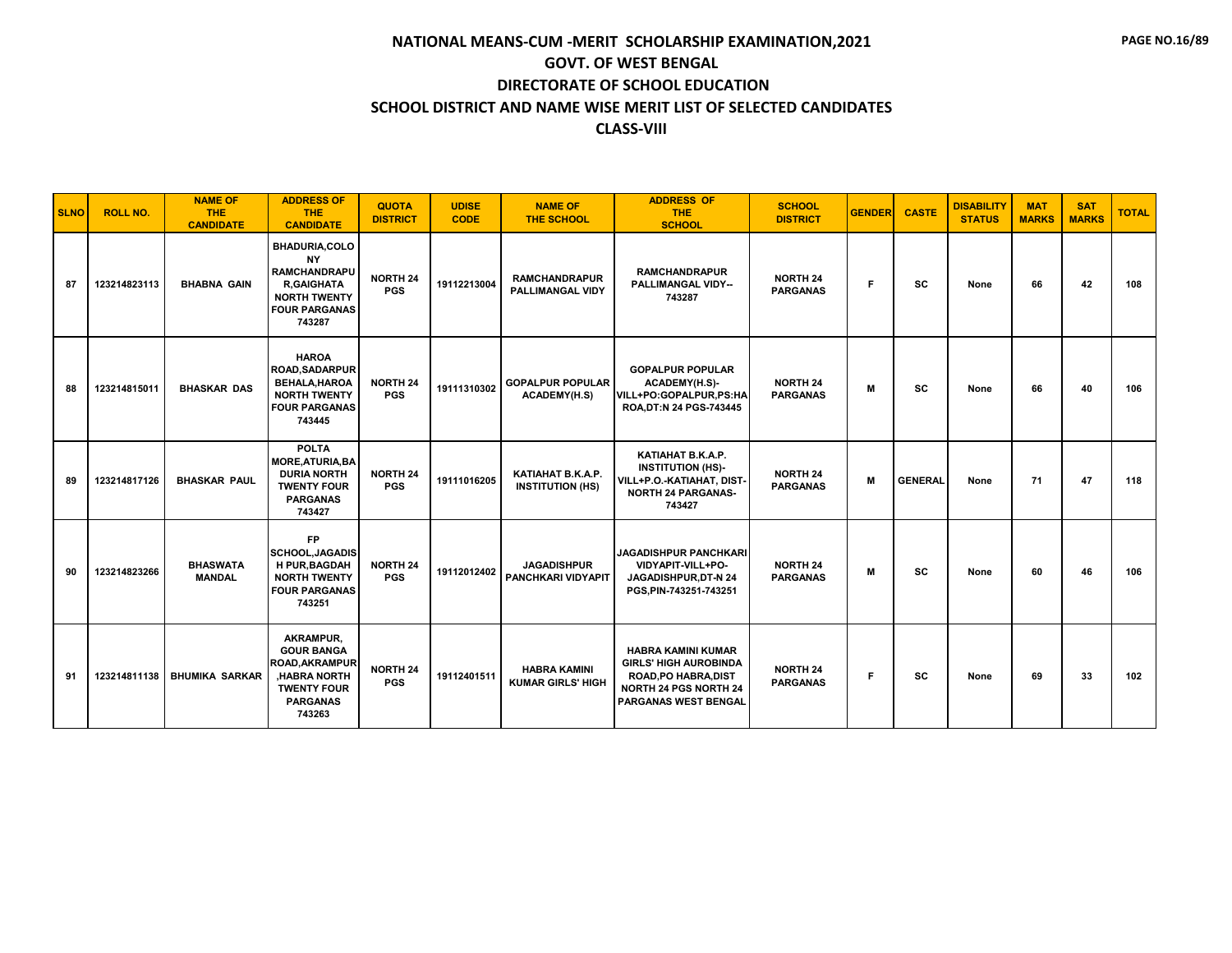| <b>SLNO</b> | <b>ROLL NO.</b> | <b>NAME OF</b><br><b>THE</b><br><b>CANDIDATE</b> | <b>ADDRESS OF</b><br><b>THE</b><br><b>CANDIDATE</b>                                                                                    | <b>QUOTA</b><br><b>DISTRICT</b> | <b>UDISE</b><br><b>CODE</b> | <b>NAME OF</b><br><b>THE SCHOOL</b>             | <b>ADDRESS OF</b><br><b>THE</b><br><b>SCHOOL</b>                                                                                                        | <b>SCHOOL</b><br><b>DISTRICT</b>   | <b>GENDER</b> | <b>CASTE</b>   | <b>DISABILITY</b><br><b>STATUS</b> | <b>MAT</b><br><b>MARKS</b> | <b>SAT</b><br><b>MARKS</b> | <b>TOTAL</b> |
|-------------|-----------------|--------------------------------------------------|----------------------------------------------------------------------------------------------------------------------------------------|---------------------------------|-----------------------------|-------------------------------------------------|---------------------------------------------------------------------------------------------------------------------------------------------------------|------------------------------------|---------------|----------------|------------------------------------|----------------------------|----------------------------|--------------|
| 87          | 123214823113    | <b>BHABNA GAIN</b>                               | <b>BHADURIA,COLO</b><br><b>NY</b><br><b>RAMCHANDRAPU</b><br><b>R.GAIGHATA</b><br><b>NORTH TWENTY</b><br><b>FOUR PARGANAS</b><br>743287 | <b>NORTH 24</b><br><b>PGS</b>   | 19112213004                 | <b>RAMCHANDRAPUR</b><br><b>PALLIMANGAL VIDY</b> | <b>RAMCHANDRAPUR</b><br><b>PALLIMANGAL VIDY--</b><br>743287                                                                                             | <b>NORTH 24</b><br><b>PARGANAS</b> | F.            | <b>SC</b>      | None                               | 66                         | 42                         | 108          |
| 88          | 123214815011    | <b>BHASKAR DAS</b>                               | <b>HAROA</b><br><b>ROAD, SADARPUR</b><br>BEHALA, HAROA<br><b>NORTH TWENTY</b><br><b>FOUR PARGANAS</b><br>743445                        | <b>NORTH 24</b><br><b>PGS</b>   | 19111310302                 | <b>GOPALPUR POPULAR</b><br><b>ACADEMY(H.S)</b>  | <b>GOPALPUR POPULAR</b><br>ACADEMY(H.S)-<br>VILL+PO:GOPALPUR,PS:HA<br>ROA, DT:N 24 PGS-743445                                                           | <b>NORTH 24</b><br><b>PARGANAS</b> | м             | <b>SC</b>      | None                               | 66                         | 40                         | 106          |
| 89          | 123214817126    | <b>BHASKAR PAUL</b>                              | <b>POLTA</b><br><b>MORE, ATURIA, BA</b><br><b>DURIA NORTH</b><br><b>TWENTY FOUR</b><br><b>PARGANAS</b><br>743427                       | <b>NORTH 24</b><br><b>PGS</b>   | 19111016205                 | KATIAHAT B.K.A.P.<br><b>INSTITUTION (HS)</b>    | KATIAHAT B.K.A.P.<br><b>INSTITUTION (HS)-</b><br>VILL+P.O.-KATIAHAT, DIST-<br><b>NORTH 24 PARGANAS-</b><br>743427                                       | <b>NORTH 24</b><br><b>PARGANAS</b> | M             | <b>GENERAL</b> | None                               | 71                         | 47                         | 118          |
| 90          | 123214823266    | <b>BHASWATA</b><br><b>MANDAL</b>                 | <b>FP</b><br><b>SCHOOL.JAGADIS</b><br><b>H PUR.BAGDAH</b><br><b>NORTH TWENTY</b><br><b>FOUR PARGANAS</b><br>743251                     | <b>NORTH 24</b><br><b>PGS</b>   | 19112012402                 | <b>JAGADISHPUR</b><br>PANCHKARI VIDYAPIT        | <b>JAGADISHPUR PANCHKARI</b><br>VIDYAPIT-VILL+PO-<br>JAGADISHPUR, DT-N 24<br>PGS, PIN-743251-743251                                                     | <b>NORTH 24</b><br><b>PARGANAS</b> | М             | <b>SC</b>      | None                               | 60                         | 46                         | 106          |
| 91          | 123214811138    | <b>BHUMIKA SARKAR</b>                            | AKRAMPUR,<br><b>GOUR BANGA</b><br><b>ROAD, AKRAMPUR</b><br><b>HABRA NORTH</b><br><b>TWENTY FOUR</b><br><b>PARGANAS</b><br>743263       | <b>NORTH 24</b><br><b>PGS</b>   | 19112401511                 | <b>HABRA KAMINI</b><br><b>KUMAR GIRLS' HIGH</b> | <b>HABRA KAMINI KUMAR</b><br><b>GIRLS' HIGH AUROBINDA</b><br><b>ROAD, PO HABRA, DIST</b><br><b>NORTH 24 PGS NORTH 24</b><br><b>PARGANAS WEST BENGAL</b> | <b>NORTH 24</b><br><b>PARGANAS</b> | F.            | SC             | None                               | 69                         | 33                         | 102          |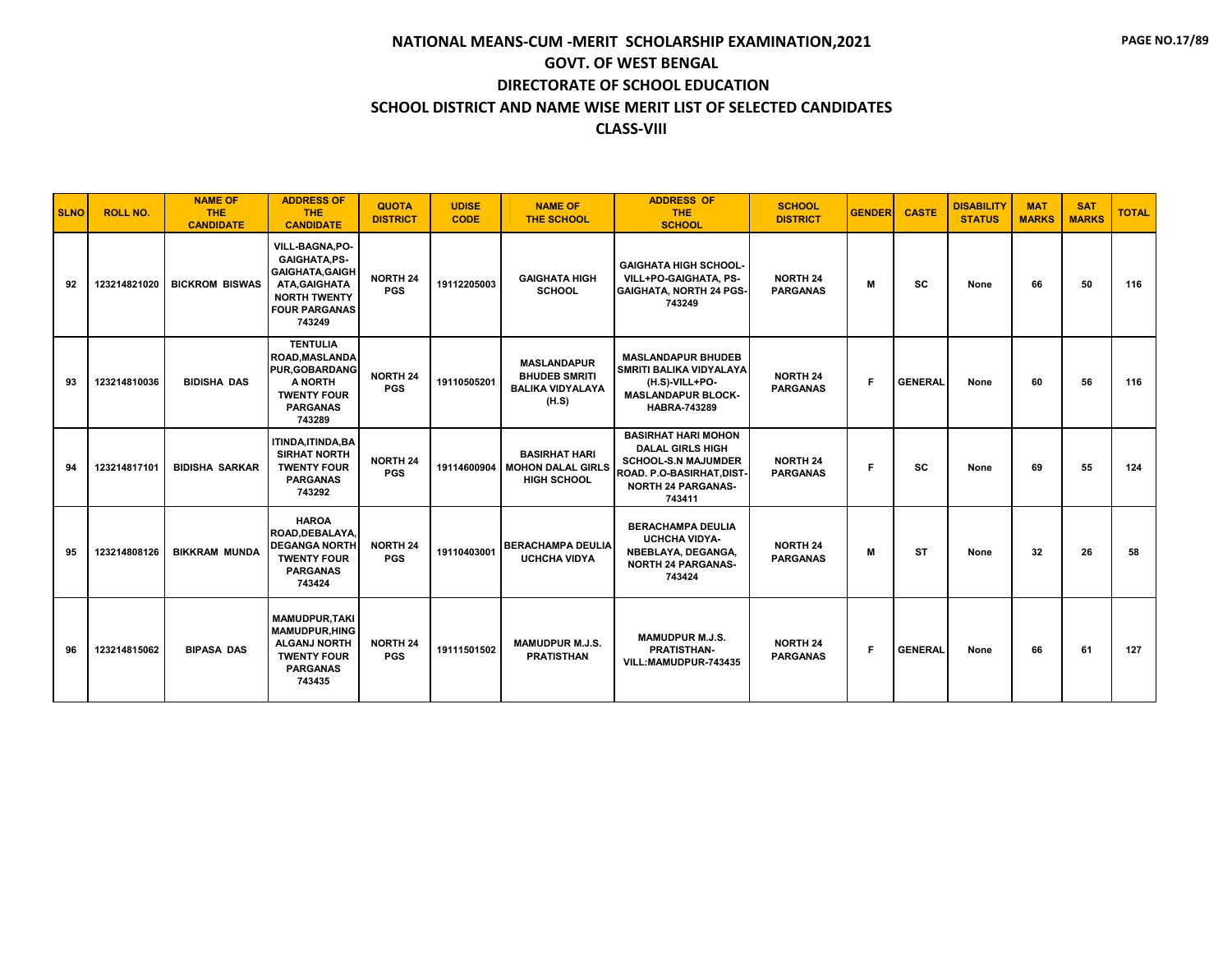| <b>SLNO</b> | <b>ROLL NO.</b> | <b>NAME OF</b><br><b>THE</b><br><b>CANDIDATE</b> | <b>ADDRESS OF</b><br><b>THE</b><br><b>CANDIDATE</b>                                                                                        | <b>QUOTA</b><br><b>DISTRICT</b> | <b>UDISE</b><br><b>CODE</b> | <b>NAME OF</b><br><b>THE SCHOOL</b>                                            | <b>ADDRESS OF</b><br><b>THE</b><br><b>SCHOOL</b>                                                                                                       | <b>SCHOOL</b><br><b>DISTRICT</b>   | <b>GENDER</b> | <b>CASTE</b>   | <b>DISABILITY</b><br><b>STATUS</b> | <b>MAT</b><br><b>MARKS</b> | <b>SAT</b><br><b>MARKS</b> | <b>TOTAL</b> |
|-------------|-----------------|--------------------------------------------------|--------------------------------------------------------------------------------------------------------------------------------------------|---------------------------------|-----------------------------|--------------------------------------------------------------------------------|--------------------------------------------------------------------------------------------------------------------------------------------------------|------------------------------------|---------------|----------------|------------------------------------|----------------------------|----------------------------|--------------|
| 92          | 123214821020    | <b>BICKROM BISWAS</b>                            | VILL-BAGNA, PO-<br><b>GAIGHATA,PS-</b><br><b>GAIGHATA, GAIGH</b><br>ATA, GAIGHATA<br><b>NORTH TWENTY</b><br><b>FOUR PARGANAS</b><br>743249 | <b>NORTH 24</b><br><b>PGS</b>   | 19112205003                 | <b>GAIGHATA HIGH</b><br><b>SCHOOL</b>                                          | <b>GAIGHATA HIGH SCHOOL-</b><br>VILL+PO-GAIGHATA, PS-<br><b>GAIGHATA, NORTH 24 PGS-</b><br>743249                                                      | <b>NORTH 24</b><br><b>PARGANAS</b> | М             | <b>SC</b>      | None                               | 66                         | 50                         | 116          |
| 93          | 123214810036    | <b>BIDISHA DAS</b>                               | <b>TENTULIA</b><br><b>ROAD, MASLANDA</b><br><b>PUR.GOBARDANG</b><br>A NORTH<br><b>TWENTY FOUR</b><br><b>PARGANAS</b><br>743289             | <b>NORTH 24</b><br><b>PGS</b>   | 19110505201                 | <b>MASLANDAPUR</b><br><b>BHUDEB SMRITI</b><br><b>BALIKA VIDYALAYA</b><br>(H.S) | <b>MASLANDAPUR BHUDEB</b><br><b>SMRITI BALIKA VIDYALAYA</b><br>(H.S)-VILL+PO-<br><b>MASLANDAPUR BLOCK-</b><br><b>HABRA-743289</b>                      | <b>NORTH 24</b><br><b>PARGANAS</b> | F.            | <b>GENERAL</b> | None                               | 60                         | 56                         | 116          |
| 94          | 123214817101    | <b>BIDISHA SARKAR</b>                            | <b>ITINDA.ITINDA.BA</b><br><b>SIRHAT NORTH</b><br><b>TWENTY FOUR</b><br><b>PARGANAS</b><br>743292                                          | <b>NORTH 24</b><br><b>PGS</b>   | 19114600904                 | <b>BASIRHAT HARI</b><br><b>MOHON DALAL GIRLS</b><br><b>HIGH SCHOOL</b>         | <b>BASIRHAT HARI MOHON</b><br><b>DALAL GIRLS HIGH</b><br><b>SCHOOL-S.N MAJUMDER</b><br>ROAD. P.O-BASIRHAT, DIST<br><b>NORTH 24 PARGANAS-</b><br>743411 | <b>NORTH 24</b><br><b>PARGANAS</b> | F.            | <b>SC</b>      | None                               | 69                         | 55                         | 124          |
| 95          | 123214808126    | <b>BIKKRAM MUNDA</b>                             | <b>HAROA</b><br>ROAD.DEBALAYA.<br><b>DEGANGA NORTH</b><br><b>TWENTY FOUR</b><br><b>PARGANAS</b><br>743424                                  | <b>NORTH 24</b><br><b>PGS</b>   | 19110403001                 | <b>BERACHAMPA DEULIA</b><br><b>UCHCHA VIDYA</b>                                | <b>BERACHAMPA DEULIA</b><br><b>UCHCHA VIDYA-</b><br>NBEBLAYA, DEGANGA,<br><b>NORTH 24 PARGANAS-</b><br>743424                                          | <b>NORTH 24</b><br><b>PARGANAS</b> | M             | <b>ST</b>      | None                               | 32                         | 26                         | 58           |
| 96          | 123214815062    | <b>BIPASA DAS</b>                                | <b>MAMUDPUR.TAKI</b><br><b>MAMUDPUR.HING</b><br><b>ALGANJ NORTH</b><br><b>TWENTY FOUR</b><br><b>PARGANAS</b><br>743435                     | <b>NORTH 24</b><br><b>PGS</b>   | 19111501502                 | <b>MAMUDPUR M.J.S.</b><br><b>PRATISTHAN</b>                                    | <b>MAMUDPUR M.J.S.</b><br><b>PRATISTHAN-</b><br>VILL:MAMUDPUR-743435                                                                                   | <b>NORTH 24</b><br><b>PARGANAS</b> | F.            | <b>GENERAL</b> | None                               | 66                         | 61                         | 127          |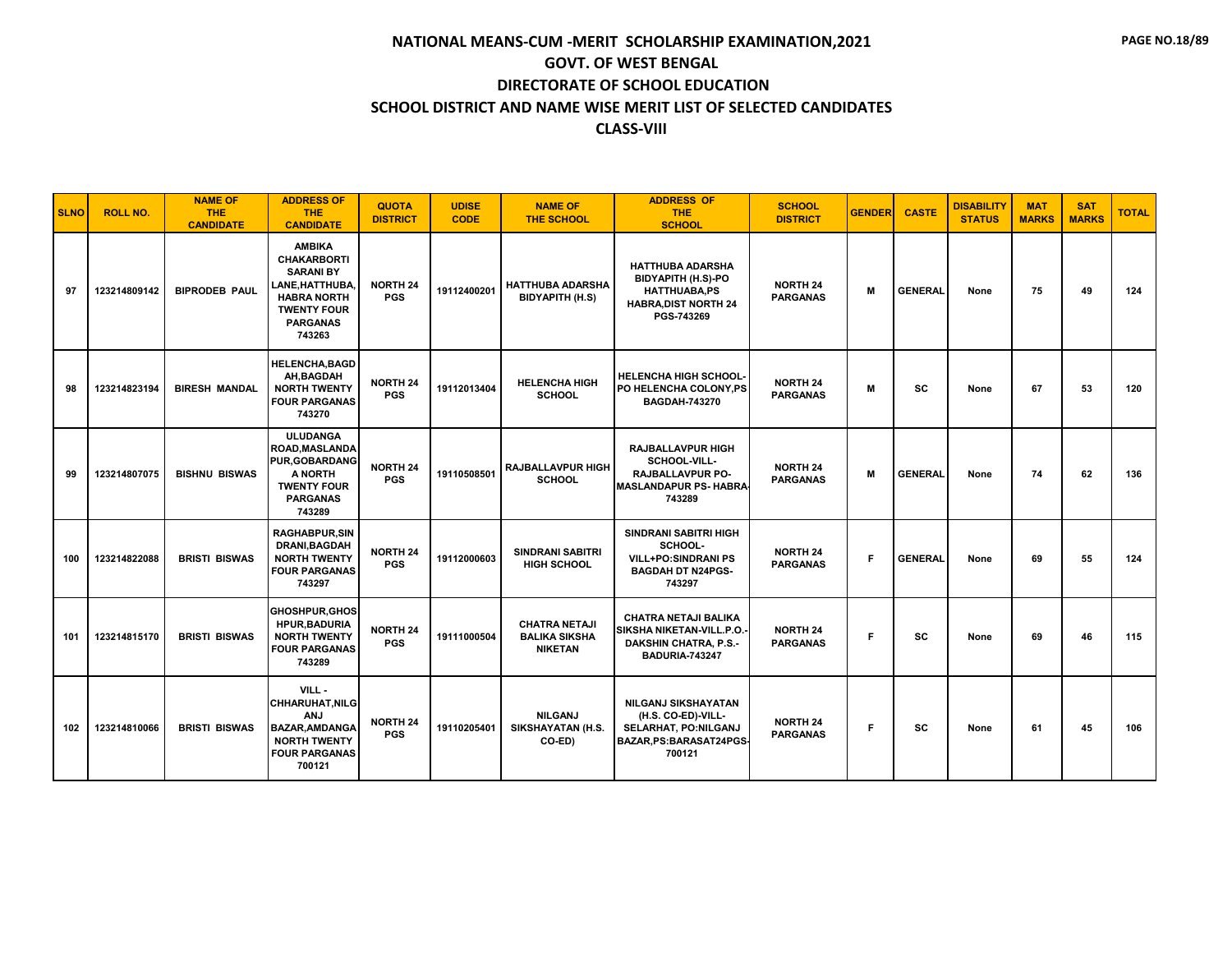| <b>SLNO</b> | <b>ROLL NO.</b> | <b>NAME OF</b><br><b>THE</b><br><b>CANDIDATE</b> | <b>ADDRESS OF</b><br><b>THE</b><br><b>CANDIDATE</b>                                                                                                 | <b>QUOTA</b><br><b>DISTRICT</b> | <b>UDISE</b><br><b>CODE</b> | <b>NAME OF</b><br><b>THE SCHOOL</b>                            | <b>ADDRESS OF</b><br><b>THE</b><br><b>SCHOOL</b>                                                                         | <b>SCHOOL</b><br><b>DISTRICT</b>   | <b>GENDER</b> | <b>CASTE</b>   | <b>DISABILITY</b><br><b>STATUS</b> | <b>MAT</b><br><b>MARKS</b> | <b>SAT</b><br><b>MARKS</b> | <b>TOTAL</b> |
|-------------|-----------------|--------------------------------------------------|-----------------------------------------------------------------------------------------------------------------------------------------------------|---------------------------------|-----------------------------|----------------------------------------------------------------|--------------------------------------------------------------------------------------------------------------------------|------------------------------------|---------------|----------------|------------------------------------|----------------------------|----------------------------|--------------|
| 97          | 123214809142    | <b>BIPRODEB PAUL</b>                             | <b>AMBIKA</b><br><b>CHAKARBORTI</b><br><b>SARANI BY</b><br>LANE, HATTHUBA,<br><b>HABRA NORTH</b><br><b>TWENTY FOUR</b><br><b>PARGANAS</b><br>743263 | <b>NORTH 24</b><br><b>PGS</b>   | 19112400201                 | <b>HATTHUBA ADARSHA</b><br><b>BIDYAPITH (H.S)</b>              | <b>HATTHUBA ADARSHA</b><br><b>BIDYAPITH (H.S)-PO</b><br><b>HATTHUABA,PS</b><br><b>HABRA, DIST NORTH 24</b><br>PGS-743269 | <b>NORTH 24</b><br><b>PARGANAS</b> | M             | <b>GENERAL</b> | None                               | 75                         | 49                         | 124          |
| 98          | 123214823194    | <b>BIRESH MANDAL</b>                             | <b>HELENCHA, BAGD</b><br>AH, BAGDAH<br><b>NORTH TWENTY</b><br><b>FOUR PARGANAS</b><br>743270                                                        | <b>NORTH 24</b><br><b>PGS</b>   | 19112013404                 | <b>HELENCHA HIGH</b><br><b>SCHOOL</b>                          | <b>HELENCHA HIGH SCHOOL-</b><br>PO HELENCHA COLONY.PS<br><b>BAGDAH-743270</b>                                            | <b>NORTH 24</b><br><b>PARGANAS</b> | м             | SC             | None                               | 67                         | 53                         | 120          |
| 99          | 123214807075    | <b>BISHNU BISWAS</b>                             | <b>ULUDANGA</b><br>ROAD, MASLANDA<br><b>PUR, GOBARDANG</b><br>A NORTH<br><b>TWENTY FOUR</b><br><b>PARGANAS</b><br>743289                            | <b>NORTH 24</b><br><b>PGS</b>   | 19110508501                 | <b>RAJBALLAVPUR HIGH</b><br><b>SCHOOL</b>                      | <b>RAJBALLAVPUR HIGH</b><br>SCHOOL-VILL-<br>RAJBALLAVPUR PO-<br><b>MASLANDAPUR PS- HABRA</b><br>743289                   | <b>NORTH 24</b><br><b>PARGANAS</b> | M             | <b>GENERAL</b> | None                               | 74                         | 62                         | 136          |
| 100         | 123214822088    | <b>BRISTI BISWAS</b>                             | <b>RAGHABPUR, SIN</b><br>DRANI, BAGDAH<br><b>NORTH TWENTY</b><br><b>FOUR PARGANAS</b><br>743297                                                     | <b>NORTH 24</b><br><b>PGS</b>   | 19112000603                 | <b>SINDRANI SABITRI</b><br><b>HIGH SCHOOL</b>                  | <b>SINDRANI SABITRI HIGH</b><br>SCHOOL-<br><b>VILL+PO:SINDRANI PS</b><br><b>BAGDAH DT N24PGS-</b><br>743297              | <b>NORTH 24</b><br><b>PARGANAS</b> | F.            | <b>GENERAL</b> | None                               | 69                         | 55                         | 124          |
| 101         | 123214815170    | <b>BRISTI BISWAS</b>                             | <b>GHOSHPUR.GHOS</b><br><b>HPUR, BADURIA</b><br><b>NORTH TWENTY</b><br><b>FOUR PARGANAS</b><br>743289                                               | <b>NORTH 24</b><br><b>PGS</b>   | 19111000504                 | <b>CHATRA NETAJI</b><br><b>BALIKA SIKSHA</b><br><b>NIKETAN</b> | <b>CHATRA NETAJI BALIKA</b><br>SIKSHA NIKETAN-VILL.P.O.<br><b>DAKSHIN CHATRA, P.S.-</b><br><b>BADURIA-743247</b>         | <b>NORTH 24</b><br><b>PARGANAS</b> | F             | <b>SC</b>      | None                               | 69                         | 46                         | 115          |
| 102         | 123214810066    | <b>BRISTI BISWAS</b>                             | VILL-<br><b>CHHARUHAT, NILG</b><br><b>ANJ</b><br><b>BAZAR, AMDANGA</b><br><b>NORTH TWENTY</b><br><b>FOUR PARGANAS</b><br>700121                     | <b>NORTH 24</b><br><b>PGS</b>   | 19110205401                 | <b>NILGANJ</b><br>SIKSHAYATAN (H.S.<br>CO-ED)                  | <b>NILGANJ SIKSHAYATAN</b><br>(H.S. CO-ED)-VILL-<br>SELARHAT, PO:NILGANJ<br>BAZAR, PS: BARASAT24PGS-<br>700121           | <b>NORTH 24</b><br><b>PARGANAS</b> | F.            | <b>SC</b>      | None                               | 61                         | 45                         | 106          |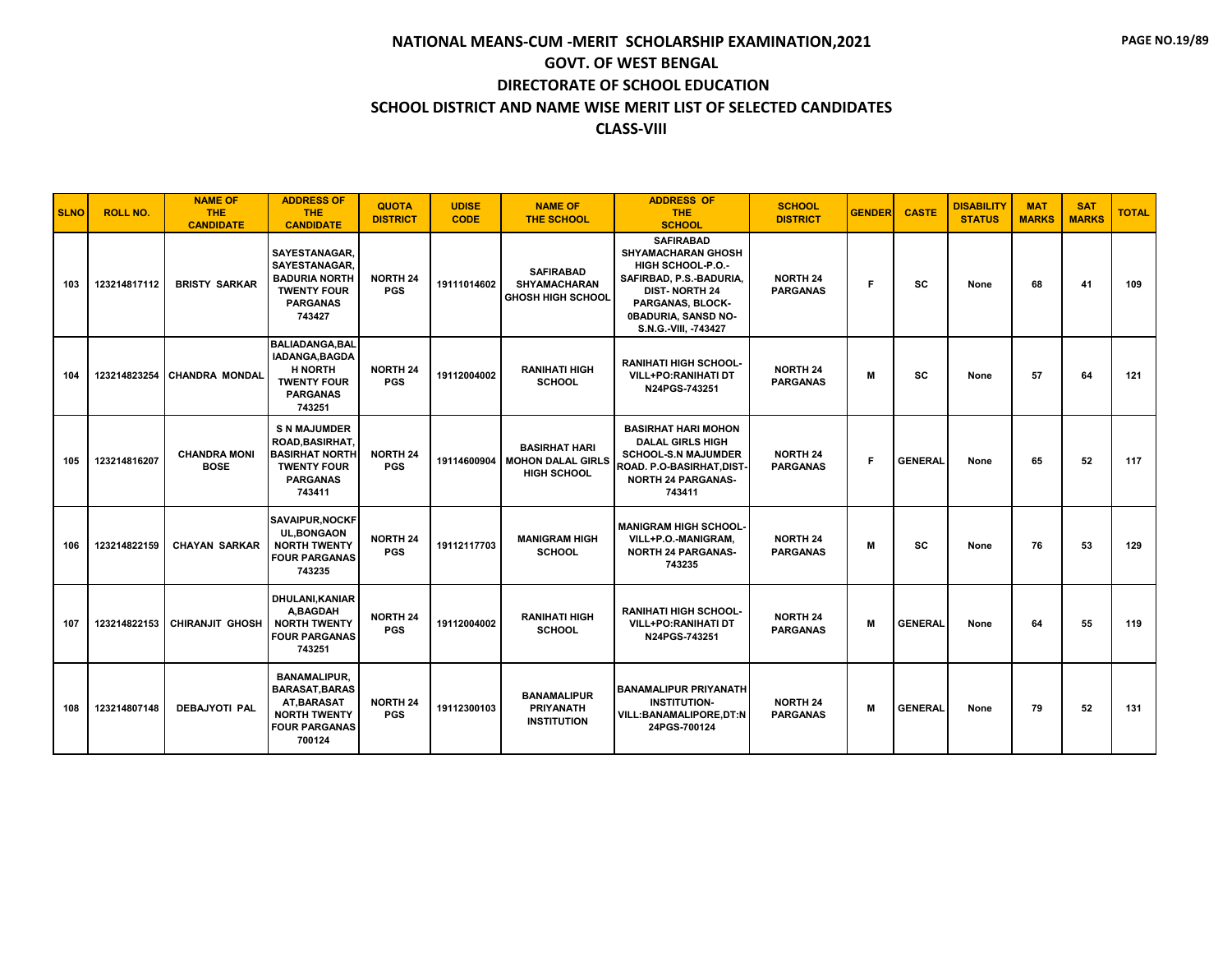| <b>SLNO</b> | <b>ROLL NO.</b> | <b>NAME OF</b><br>THE.<br><b>CANDIDATE</b> | <b>ADDRESS OF</b><br><b>THE</b><br><b>CANDIDATE</b>                                                                       | <b>QUOTA</b><br><b>DISTRICT</b> | <b>UDISE</b><br><b>CODE</b> | <b>NAME OF</b><br><b>THE SCHOOL</b>                                    | <b>ADDRESS OF</b><br><b>THE</b><br><b>SCHOOL</b>                                                                                                                                         | <b>SCHOOL</b><br><b>DISTRICT</b>   | <b>GENDER</b> | <b>CASTE</b>   | <b>DISABILITY</b><br><b>STATUS</b> | <b>MAT</b><br><b>MARKS</b> | <b>SAT</b><br><b>MARKS</b> | <b>TOTAL</b> |
|-------------|-----------------|--------------------------------------------|---------------------------------------------------------------------------------------------------------------------------|---------------------------------|-----------------------------|------------------------------------------------------------------------|------------------------------------------------------------------------------------------------------------------------------------------------------------------------------------------|------------------------------------|---------------|----------------|------------------------------------|----------------------------|----------------------------|--------------|
| 103         | 123214817112    | <b>BRISTY SARKAR</b>                       | <b>SAYESTANAGAR,</b><br><b>SAYESTANAGAR.</b><br><b>BADURIA NORTH</b><br><b>TWENTY FOUR</b><br><b>PARGANAS</b><br>743427   | <b>NORTH 24</b><br><b>PGS</b>   | 19111014602                 | <b>SAFIRABAD</b><br><b>SHYAMACHARAN</b><br><b>GHOSH HIGH SCHOOL</b>    | <b>SAFIRABAD</b><br><b>SHYAMACHARAN GHOSH</b><br>HIGH SCHOOL-P.O.-<br>SAFIRBAD, P.S.-BADURIA,<br><b>DIST-NORTH 24</b><br>PARGANAS, BLOCK-<br>0BADURIA, SANSD NO-<br>S.N.G.-VIII, -743427 | <b>NORTH 24</b><br><b>PARGANAS</b> | F             | <b>SC</b>      | None                               | 68                         | 41                         | 109          |
| 104         | 123214823254    | <b>CHANDRA MONDAL</b>                      | <b>BALIADANGA, BAL</b><br><b>IADANGA.BAGDA</b><br><b>H NORTH</b><br><b>TWENTY FOUR</b><br><b>PARGANAS</b><br>743251       | <b>NORTH 24</b><br><b>PGS</b>   | 19112004002                 | <b>RANIHATI HIGH</b><br><b>SCHOOL</b>                                  | <b>RANIHATI HIGH SCHOOL-</b><br><b>VILL+PO:RANIHATI DT</b><br>N24PGS-743251                                                                                                              | <b>NORTH 24</b><br><b>PARGANAS</b> | M             | <b>SC</b>      | None                               | 57                         | 64                         | 121          |
| 105         | 123214816207    | <b>CHANDRA MONI</b><br><b>BOSE</b>         | <b>S N MAJUMDER</b><br><b>ROAD, BASIRHAT.</b><br><b>BASIRHAT NORTH</b><br><b>TWENTY FOUR</b><br><b>PARGANAS</b><br>743411 | <b>NORTH 24</b><br><b>PGS</b>   | 19114600904                 | <b>BASIRHAT HARI</b><br><b>MOHON DALAL GIRLS</b><br><b>HIGH SCHOOL</b> | <b>BASIRHAT HARI MOHON</b><br><b>DALAL GIRLS HIGH</b><br><b>SCHOOL-S.N MAJUMDER</b><br>ROAD. P.O-BASIRHAT, DIST-<br><b>NORTH 24 PARGANAS-</b><br>743411                                  | <b>NORTH 24</b><br><b>PARGANAS</b> | F             | <b>GENERAL</b> | None                               | 65                         | 52                         | 117          |
| 106         | 123214822159    | <b>CHAYAN SARKAR</b>                       | <b>SAVAIPUR, NOCKF</b><br><b>UL, BONGAON</b><br><b>NORTH TWENTY</b><br><b>FOUR PARGANAS</b><br>743235                     | <b>NORTH 24</b><br><b>PGS</b>   | 19112117703                 | <b>MANIGRAM HIGH</b><br><b>SCHOOL</b>                                  | <b>MANIGRAM HIGH SCHOOL-</b><br>VILL+P.O.-MANIGRAM<br><b>NORTH 24 PARGANAS-</b><br>743235                                                                                                | <b>NORTH 24</b><br><b>PARGANAS</b> | M             | <b>SC</b>      | None                               | 76                         | 53                         | 129          |
| 107         | 123214822153    | <b>CHIRANJIT GHOSH</b>                     | <b>DHULANI, KANIAR</b><br>A.BAGDAH<br><b>NORTH TWENTY</b><br><b>FOUR PARGANAS</b><br>743251                               | <b>NORTH 24</b><br><b>PGS</b>   | 19112004002                 | <b>RANIHATI HIGH</b><br><b>SCHOOL</b>                                  | <b>RANIHATI HIGH SCHOOL-</b><br><b>VILL+PO:RANIHATI DT</b><br>N24PGS-743251                                                                                                              | <b>NORTH 24</b><br><b>PARGANAS</b> | M             | <b>GENERAL</b> | None                               | 64                         | 55                         | 119          |
| 108         | 123214807148    | DEBAJYOTI PAL                              | <b>BANAMALIPUR,</b><br><b>BARASAT, BARAS</b><br>AT.BARASAT<br><b>NORTH TWENTY</b><br><b>FOUR PARGANAS</b><br>700124       | <b>NORTH 24</b><br><b>PGS</b>   | 19112300103                 | <b>BANAMALIPUR</b><br><b>PRIYANATH</b><br><b>INSTITUTION</b>           | <b>BANAMALIPUR PRIYANATH</b><br><b>INSTITUTION-</b><br>VILL:BANAMALIPORE,DT:N<br>24PGS-700124                                                                                            | <b>NORTH 24</b><br><b>PARGANAS</b> | M             | <b>GENERAL</b> | None                               | 79                         | 52                         | 131          |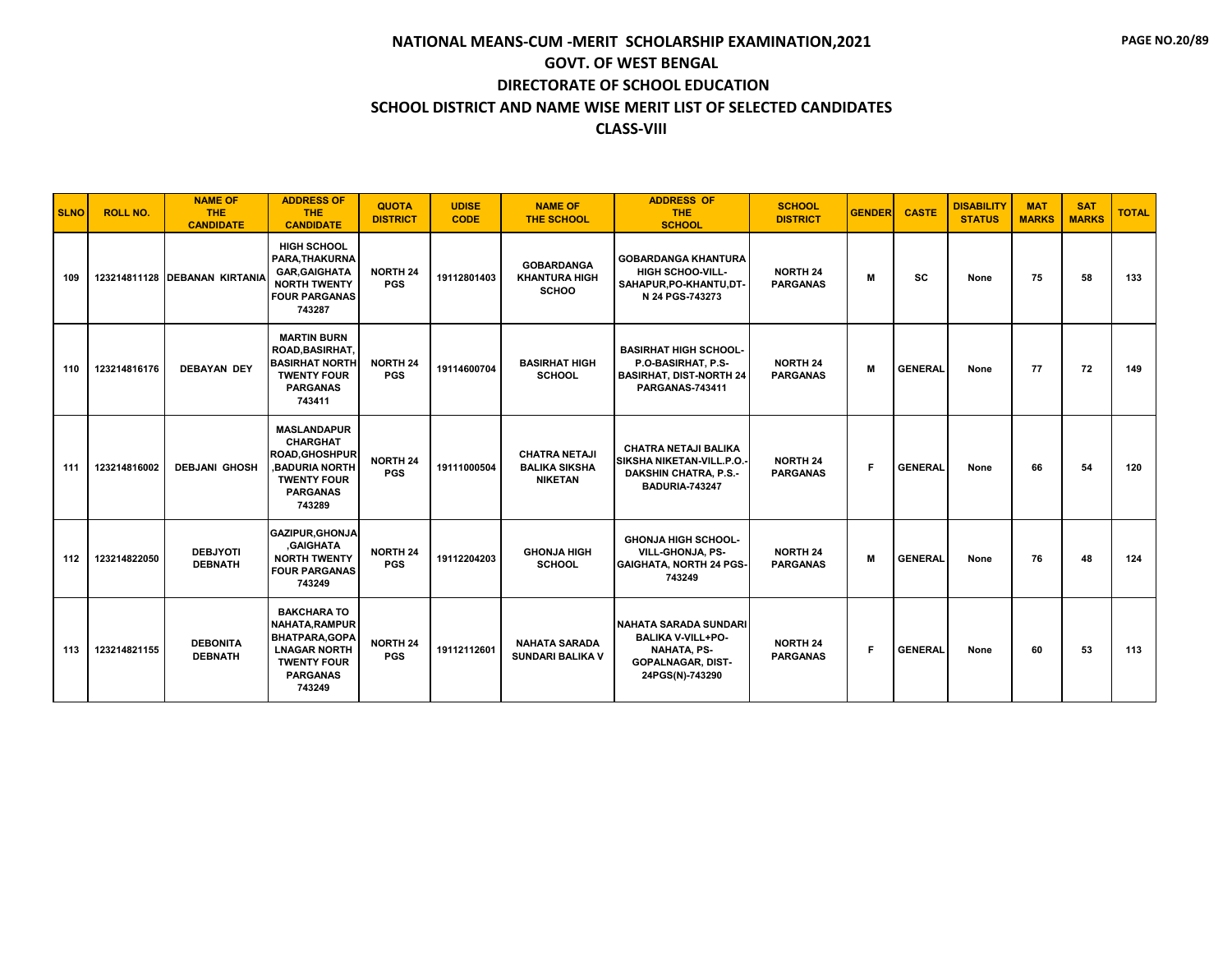| <b>SLNO</b> | <b>ROLL NO.</b> | <b>NAME OF</b><br><b>THE</b><br><b>CANDIDATE</b> | <b>ADDRESS OF</b><br><b>THE</b><br><b>CANDIDATE</b>                                                                                      | <b>QUOTA</b><br><b>DISTRICT</b> | <b>UDISE</b><br><b>CODE</b> | <b>NAME OF</b><br><b>THE SCHOOL</b>                            | <b>ADDRESS OF</b><br><b>THE</b><br><b>SCHOOL</b>                                                                       | <b>SCHOOL</b><br><b>DISTRICT</b>   | <b>GENDER</b> | <b>CASTE</b>   | <b>DISABILITY</b><br><b>STATUS</b> | <b>MAT</b><br><b>MARKS</b> | <b>SAT</b><br><b>MARKS</b> | <b>TOTAL</b> |
|-------------|-----------------|--------------------------------------------------|------------------------------------------------------------------------------------------------------------------------------------------|---------------------------------|-----------------------------|----------------------------------------------------------------|------------------------------------------------------------------------------------------------------------------------|------------------------------------|---------------|----------------|------------------------------------|----------------------------|----------------------------|--------------|
| 109         |                 | 123214811128 DEBANAN KIRTANIA                    | <b>HIGH SCHOOL</b><br>PARA, THAKURNA<br><b>GAR, GAIGHATA</b><br><b>NORTH TWENTY</b><br><b>FOUR PARGANAS</b><br>743287                    | <b>NORTH 24</b><br><b>PGS</b>   | 19112801403                 | <b>GOBARDANGA</b><br><b>KHANTURA HIGH</b><br><b>SCHOO</b>      | <b>GOBARDANGA KHANTURA</b><br><b>HIGH SCHOO-VILL-</b><br>SAHAPUR, PO-KHANTU, DT-<br>N 24 PGS-743273                    | <b>NORTH 24</b><br><b>PARGANAS</b> | м             | <b>SC</b>      | None                               | 75                         | 58                         | 133          |
| 110         | 123214816176    | <b>DEBAYAN DEY</b>                               | <b>MARTIN BURN</b><br>ROAD.BASIRHAT.<br><b>BASIRHAT NORTH</b><br><b>TWENTY FOUR</b><br><b>PARGANAS</b><br>743411                         | <b>NORTH 24</b><br><b>PGS</b>   | 19114600704                 | <b>BASIRHAT HIGH</b><br><b>SCHOOL</b>                          | <b>BASIRHAT HIGH SCHOOL-</b><br>P.O-BASIRHAT. P.S-<br><b>BASIRHAT, DIST-NORTH 24</b><br><b>PARGANAS-743411</b>         | <b>NORTH 24</b><br><b>PARGANAS</b> | M             | <b>GENERAL</b> | None                               | 77                         | 72                         | 149          |
| 111         | 123214816002    | <b>DEBJANI GHOSH</b>                             | <b>MASLANDAPUR</b><br><b>CHARGHAT</b><br><b>ROAD.GHOSHPUR</b><br><b>BADURIA NORTH</b><br><b>TWENTY FOUR</b><br><b>PARGANAS</b><br>743289 | <b>NORTH 24</b><br><b>PGS</b>   | 19111000504                 | <b>CHATRA NETAJI</b><br><b>BALIKA SIKSHA</b><br><b>NIKETAN</b> | <b>CHATRA NETAJI BALIKA</b><br>SIKSHA NIKETAN-VILL.P.O.<br><b>DAKSHIN CHATRA, P.S.-</b><br><b>BADURIA-743247</b>       | <b>NORTH 24</b><br><b>PARGANAS</b> | F.            | <b>GENERAL</b> | None                               | 66                         | 54                         | 120          |
| 112         | 123214822050    | <b>DEBJYOTI</b><br><b>DEBNATH</b>                | <b>GAZIPUR, GHONJA</b><br><b>GAIGHATA</b><br><b>NORTH TWENTY</b><br><b>FOUR PARGANAS</b><br>743249                                       | <b>NORTH 24</b><br><b>PGS</b>   | 19112204203                 | <b>GHONJA HIGH</b><br><b>SCHOOL</b>                            | <b>GHONJA HIGH SCHOOL-</b><br><b>VILL-GHONJA, PS-</b><br><b>GAIGHATA, NORTH 24 PGS-</b><br>743249                      | <b>NORTH 24</b><br><b>PARGANAS</b> | M             | <b>GENERAL</b> | None                               | 76                         | 48                         | 124          |
| 113         | 123214821155    | <b>DEBONITA</b><br><b>DEBNATH</b>                | <b>BAKCHARA TO</b><br><b>NAHATA, RAMPUR</b><br>BHATPARA, GOPA<br><b>LNAGAR NORTH</b><br><b>TWENTY FOUR</b><br><b>PARGANAS</b><br>743249  | <b>NORTH 24</b><br><b>PGS</b>   | 19112112601                 | <b>NAHATA SARADA</b><br><b>SUNDARI BALIKA V</b>                | NAHATA SARADA SUNDARI<br><b>BALIKA V-VILL+PO-</b><br><b>NAHATA, PS-</b><br><b>GOPALNAGAR, DIST-</b><br>24PGS(N)-743290 | <b>NORTH 24</b><br><b>PARGANAS</b> | F.            | <b>GENERAL</b> | None                               | 60                         | 53                         | 113          |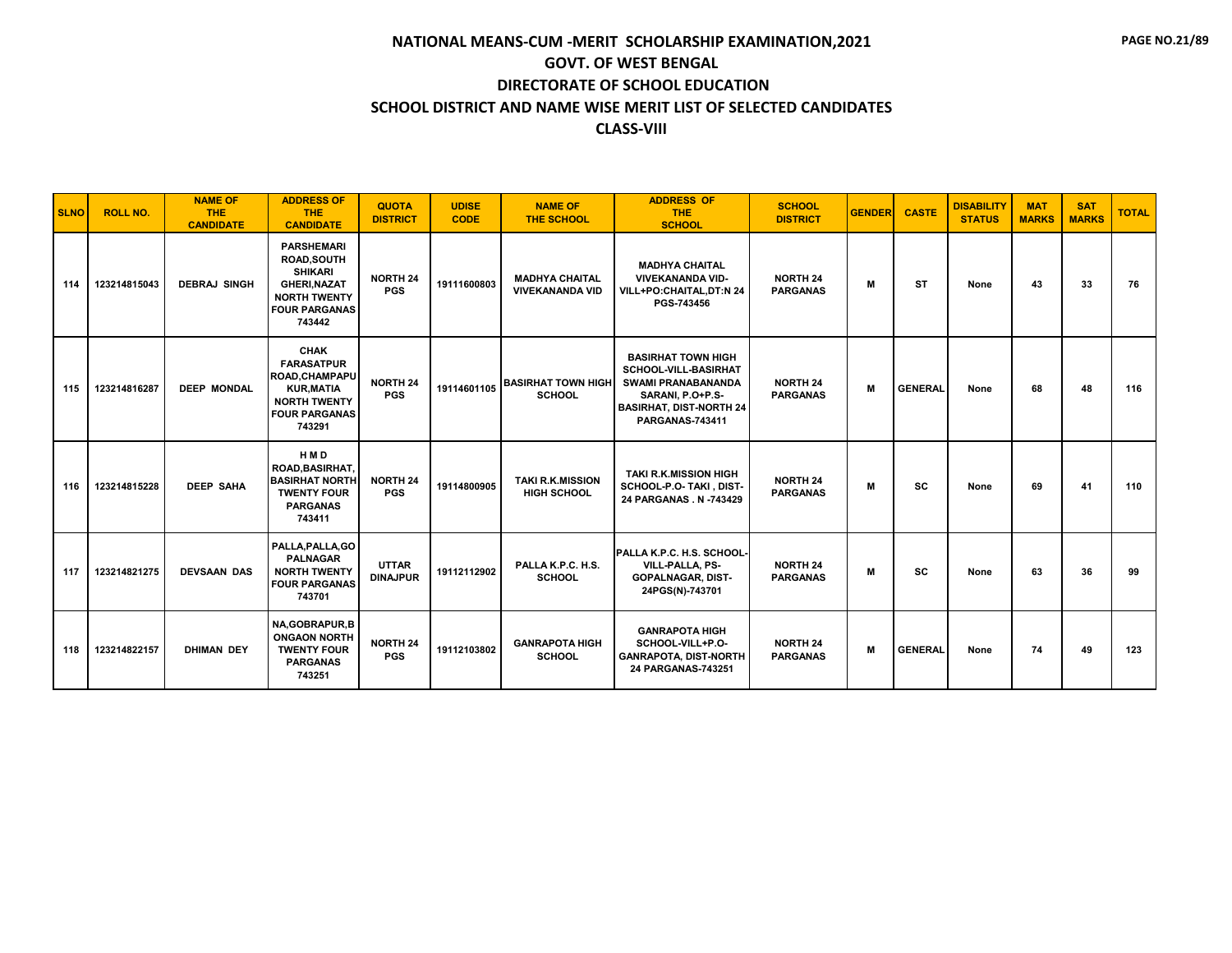| <b>SLNO</b> | <b>ROLL NO.</b> | <b>NAME OF</b><br><b>THE</b><br><b>CANDIDATE</b> | <b>ADDRESS OF</b><br><b>THE</b><br><b>CANDIDATE</b>                                                                                       | <b>QUOTA</b><br><b>DISTRICT</b> | <b>UDISE</b><br><b>CODE</b> | <b>NAME OF</b><br><b>THE SCHOOL</b>             | <b>ADDRESS OF</b><br><b>THE</b><br><b>SCHOOL</b>                                                                                                               | <b>SCHOOL</b><br><b>DISTRICT</b>   | <b>GENDER</b> | <b>CASTE</b>   | <b>DISABILITY</b><br><b>STATUS</b> | <b>MAT</b><br><b>MARKS</b> | <b>SAT</b><br><b>MARKS</b> | <b>TOTAL</b> |
|-------------|-----------------|--------------------------------------------------|-------------------------------------------------------------------------------------------------------------------------------------------|---------------------------------|-----------------------------|-------------------------------------------------|----------------------------------------------------------------------------------------------------------------------------------------------------------------|------------------------------------|---------------|----------------|------------------------------------|----------------------------|----------------------------|--------------|
| 114         | 123214815043    | <b>DEBRAJ SINGH</b>                              | <b>PARSHEMARI</b><br><b>ROAD, SOUTH</b><br><b>SHIKARI</b><br><b>GHERI, NAZAT</b><br><b>NORTH TWENTY</b><br><b>FOUR PARGANAS</b><br>743442 | <b>NORTH 24</b><br><b>PGS</b>   | 19111600803                 | <b>MADHYA CHAITAL</b><br><b>VIVEKANANDA VID</b> | <b>MADHYA CHAITAL</b><br><b>VIVEKANANDA VID-</b><br>VILL+PO:CHAITAL,DT:N 24<br>PGS-743456                                                                      | <b>NORTH 24</b><br><b>PARGANAS</b> | M             | ST             | None                               | 43                         | 33                         | 76           |
| 115         | 123214816287    | <b>DEEP MONDAL</b>                               | <b>CHAK</b><br><b>FARASATPUR</b><br>ROAD, CHAMPAPU<br><b>KUR, MATIA</b><br><b>NORTH TWENTY</b><br><b>FOUR PARGANAS</b><br>743291          | <b>NORTH 24</b><br><b>PGS</b>   | 19114601105                 | <b>BASIRHAT TOWN HIGH</b><br><b>SCHOOL</b>      | <b>BASIRHAT TOWN HIGH</b><br>SCHOOL-VILL-BASIRHAT<br><b>SWAMI PRANABANANDA</b><br>SARANI, P.O+P.S-<br><b>BASIRHAT, DIST-NORTH 24</b><br><b>PARGANAS-743411</b> | <b>NORTH 24</b><br><b>PARGANAS</b> | M             | <b>GENERAL</b> | None                               | 68                         | 48                         | 116          |
| 116         | 123214815228    | <b>DEEP SAHA</b>                                 | <b>HMD</b><br><b>ROAD.BASIRHAT.</b><br><b>BASIRHAT NORTH</b><br><b>TWENTY FOUR</b><br><b>PARGANAS</b><br>743411                           | <b>NORTH 24</b><br><b>PGS</b>   | 19114800905                 | <b>TAKI R.K.MISSION</b><br><b>HIGH SCHOOL</b>   | <b>TAKI R.K.MISSION HIGH</b><br>SCHOOL-P.O- TAKI, DIST-<br>24 PARGANAS . N -743429                                                                             | <b>NORTH 24</b><br><b>PARGANAS</b> | M             | <b>SC</b>      | None                               | 69                         | 41                         | 110          |
| 117         | 123214821275    | <b>DEVSAAN DAS</b>                               | PALLA, PALLA, GO<br><b>PALNAGAR</b><br><b>NORTH TWENTY</b><br><b>FOUR PARGANAS</b><br>743701                                              | <b>UTTAR</b><br><b>DINAJPUR</b> | 19112112902                 | PALLA K.P.C. H.S.<br><b>SCHOOL</b>              | <b>PALLA K.P.C. H.S. SCHOOL-</b><br>VILL-PALLA, PS-<br><b>GOPALNAGAR, DIST-</b><br>24PGS(N)-743701                                                             | <b>NORTH 24</b><br><b>PARGANAS</b> | M             | <b>SC</b>      | None                               | 63                         | 36                         | 99           |
| 118         | 123214822157    | <b>DHIMAN DEY</b>                                | NA, GOBRAPUR, B<br><b>ONGAON NORTH</b><br><b>TWENTY FOUR</b><br><b>PARGANAS</b><br>743251                                                 | <b>NORTH 24</b><br><b>PGS</b>   | 19112103802                 | <b>GANRAPOTA HIGH</b><br><b>SCHOOL</b>          | <b>GANRAPOTA HIGH</b><br>SCHOOL-VILL+P.O-<br><b>GANRAPOTA, DIST-NORTH</b><br>24 PARGANAS-743251                                                                | <b>NORTH 24</b><br><b>PARGANAS</b> | M             | <b>GENERAL</b> | None                               | 74                         | 49                         | 123          |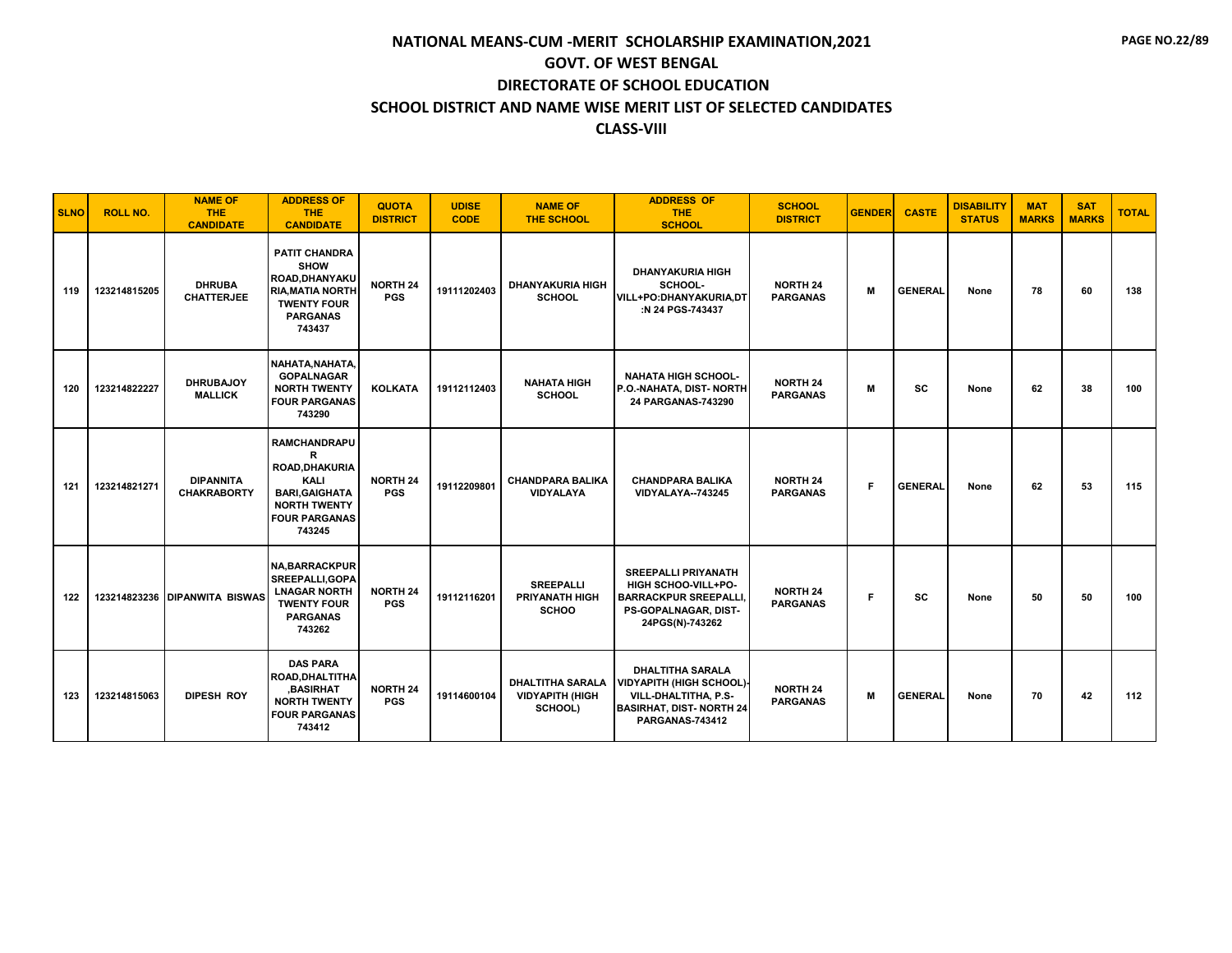| <b>SLNO</b> | <b>ROLL NO.</b> | <b>NAME OF</b><br><b>THE</b><br><b>CANDIDATE</b> | <b>ADDRESS OF</b><br><b>THE</b><br><b>CANDIDATE</b>                                                                                  | <b>QUOTA</b><br><b>DISTRICT</b> | <b>UDISE</b><br><b>CODE</b> | <b>NAME OF</b><br><b>THE SCHOOL</b>                          | <b>ADDRESS OF</b><br><b>THE</b><br><b>SCHOOL</b>                                                                                       | <b>SCHOOL</b><br><b>DISTRICT</b>   | <b>GENDER</b> | <b>CASTE</b>   | <b>DISABILITY</b><br><b>STATUS</b> | <b>MAT</b><br><b>MARKS</b> | <b>SAT</b><br><b>MARKS</b> | <b>TOTAL</b> |
|-------------|-----------------|--------------------------------------------------|--------------------------------------------------------------------------------------------------------------------------------------|---------------------------------|-----------------------------|--------------------------------------------------------------|----------------------------------------------------------------------------------------------------------------------------------------|------------------------------------|---------------|----------------|------------------------------------|----------------------------|----------------------------|--------------|
| 119         | 123214815205    | <b>DHRUBA</b><br><b>CHATTERJEE</b>               | <b>PATIT CHANDRA</b><br><b>SHOW</b><br>ROAD, DHANYAKU<br><b>RIA, MATIA NORTH</b><br><b>TWENTY FOUR</b><br><b>PARGANAS</b><br>743437  | <b>NORTH 24</b><br><b>PGS</b>   | 19111202403                 | <b>DHANYAKURIA HIGH</b><br><b>SCHOOL</b>                     | <b>DHANYAKURIA HIGH</b><br>SCHOOL-<br>VILL+PO:DHANYAKURIA,DT<br>:N 24 PGS-743437                                                       | <b>NORTH 24</b><br><b>PARGANAS</b> | M             | <b>GENERAL</b> | None                               | 78                         | 60                         | 138          |
| 120         | 123214822227    | <b>DHRUBAJOY</b><br><b>MALLICK</b>               | NAHATA, NAHATA,<br><b>GOPALNAGAR</b><br><b>NORTH TWENTY</b><br><b>FOUR PARGANAS</b><br>743290                                        | <b>KOLKATA</b>                  | 19112112403                 | <b>NAHATA HIGH</b><br><b>SCHOOL</b>                          | <b>NAHATA HIGH SCHOOL-</b><br>P.O.-NAHATA, DIST-NORTH<br>24 PARGANAS-743290                                                            | <b>NORTH 24</b><br><b>PARGANAS</b> | М             | <b>SC</b>      | None                               | 62                         | 38                         | 100          |
| 121         | 123214821271    | <b>DIPANNITA</b><br><b>CHAKRABORTY</b>           | <b>RAMCHANDRAPU</b><br>R<br>ROAD, DHAKURIA<br>KALI<br><b>BARI, GAIGHATA</b><br><b>NORTH TWENTY</b><br><b>FOUR PARGANAS</b><br>743245 | <b>NORTH 24</b><br><b>PGS</b>   | 19112209801                 | <b>CHANDPARA BALIKA</b><br><b>VIDYALAYA</b>                  | <b>CHANDPARA BALIKA</b><br>VIDYALAYA--743245                                                                                           | <b>NORTH 24</b><br><b>PARGANAS</b> | F.            | <b>GENERAL</b> | None                               | 62                         | 53                         | 115          |
| 122         |                 | 123214823236 DIPANWITA BISWAS                    | <b>NA, BARRACKPUR</b><br>SREEPALLI, GOPA<br><b>LNAGAR NORTH</b><br><b>TWENTY FOUR</b><br><b>PARGANAS</b><br>743262                   | <b>NORTH 24</b><br><b>PGS</b>   | 19112116201                 | <b>SREEPALLI</b><br><b>PRIYANATH HIGH</b><br><b>SCHOO</b>    | <b>SREEPALLI PRIYANATH</b><br>HIGH SCHOO-VILL+PO-<br><b>BARRACKPUR SREEPALLI</b><br>PS-GOPALNAGAR, DIST-<br>24PGS(N)-743262            | <b>NORTH 24</b><br><b>PARGANAS</b> | Е             | <b>SC</b>      | None                               | 50                         | 50                         | 100          |
| 123         | 123214815063    | <b>DIPESH ROY</b>                                | <b>DAS PARA</b><br><b>ROAD, DHALTITHA</b><br><b>BASIRHAT</b><br><b>NORTH TWENTY</b><br><b>FOUR PARGANAS</b><br>743412                | <b>NORTH 24</b><br><b>PGS</b>   | 19114600104                 | <b>DHALTITHA SARALA</b><br><b>VIDYAPITH (HIGH</b><br>SCHOOL) | <b>DHALTITHA SARALA</b><br><b>VIDYAPITH (HIGH SCHOOL)</b><br>VILL-DHALTITHA, P.S-<br><b>BASIRHAT, DIST-NORTH 24</b><br>PARGANAS-743412 | <b>NORTH 24</b><br><b>PARGANAS</b> | M             | <b>GENERAL</b> | None                               | 70                         | 42                         | 112          |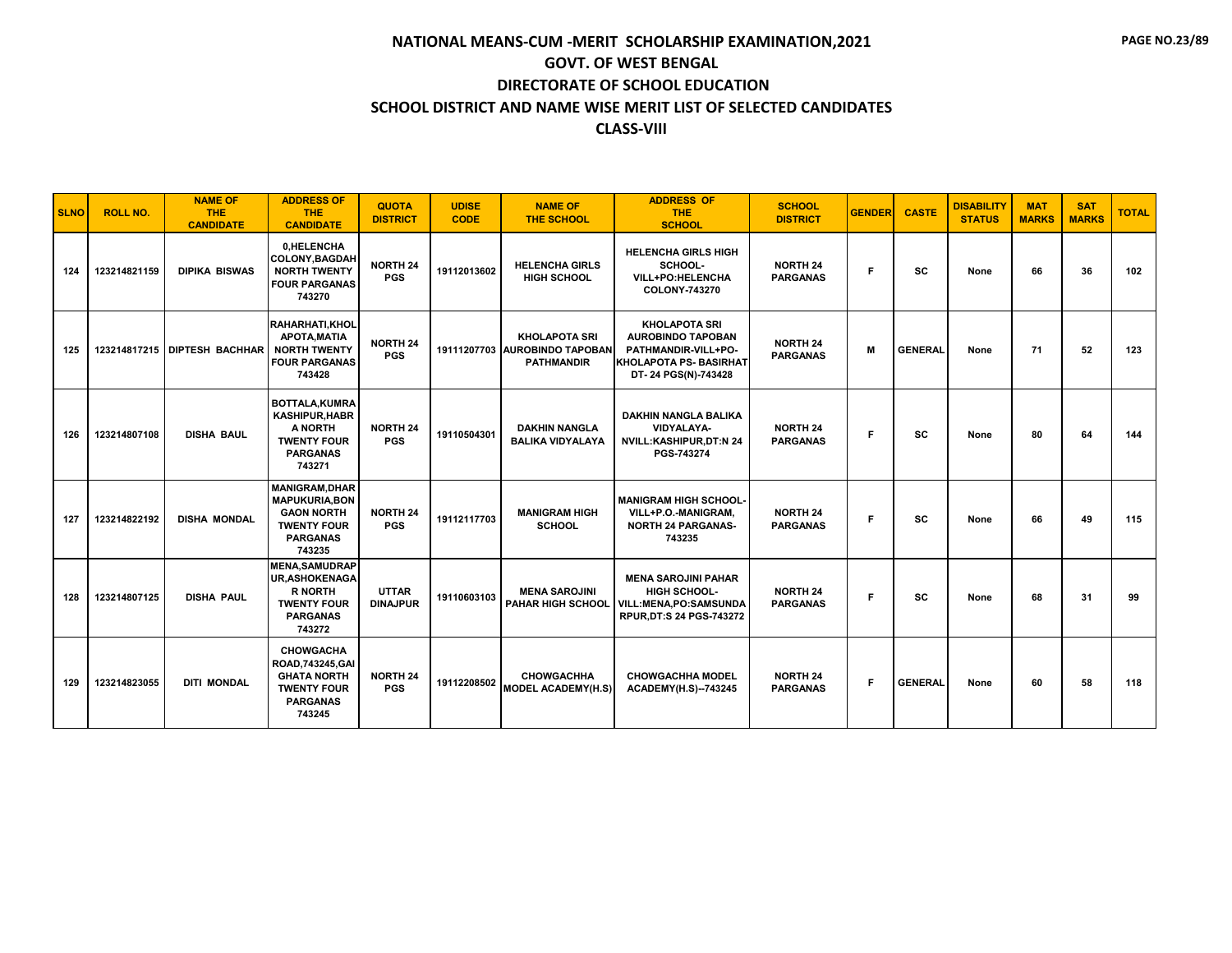| <b>SLNO</b> | <b>ROLL NO.</b> | <b>NAME OF</b><br><b>THE</b><br><b>CANDIDATE</b> | <b>ADDRESS OF</b><br><b>THE</b><br><b>CANDIDATE</b>                                                                    | <b>QUOTA</b><br><b>DISTRICT</b> | <b>UDISE</b><br><b>CODE</b> | <b>NAME OF</b><br><b>THE SCHOOL</b>                                        | <b>ADDRESS OF</b><br><b>THE</b><br><b>SCHOOL</b>                                                                                | <b>SCHOOL</b><br><b>DISTRICT</b>   | <b>GENDER</b> | <b>CASTE</b>   | <b>DISABILITY</b><br><b>STATUS</b> | <b>MAT</b><br><b>MARKS</b> | <b>SAT</b><br><b>MARKS</b> | <b>TOTAL</b> |
|-------------|-----------------|--------------------------------------------------|------------------------------------------------------------------------------------------------------------------------|---------------------------------|-----------------------------|----------------------------------------------------------------------------|---------------------------------------------------------------------------------------------------------------------------------|------------------------------------|---------------|----------------|------------------------------------|----------------------------|----------------------------|--------------|
| 124         | 123214821159    | <b>DIPIKA BISWAS</b>                             | 0.HELENCHA<br>COLONY, BAGDAH<br><b>NORTH TWENTY</b><br><b>FOUR PARGANAS</b><br>743270                                  | <b>NORTH 24</b><br><b>PGS</b>   | 19112013602                 | <b>HELENCHA GIRLS</b><br><b>HIGH SCHOOL</b>                                | <b>HELENCHA GIRLS HIGH</b><br>SCHOOL-<br>VILL+PO:HELENCHA<br>COLONY-743270                                                      | <b>NORTH 24</b><br><b>PARGANAS</b> | Е             | <b>SC</b>      | None                               | 66                         | 36                         | 102          |
| 125         |                 | 123214817215 DIPTESH BACHHAR                     | <b>RAHARHATI.KHOL</b><br>APOTA.MATIA<br><b>NORTH TWENTY</b><br><b>FOUR PARGANAS</b><br>743428                          | <b>NORTH 24</b><br><b>PGS</b>   |                             | <b>KHOLAPOTA SRI</b><br>19111207703 AUROBINDO TAPOBAN<br><b>PATHMANDIR</b> | <b>KHOLAPOTA SRI</b><br><b>AUROBINDO TAPOBAN</b><br>PATHMANDIR-VILL+PO-<br><b>KHOLAPOTA PS- BASIRHAT</b><br>DT-24 PGS(N)-743428 | <b>NORTH 24</b><br><b>PARGANAS</b> | M             | <b>GENERAL</b> | None                               | 71                         | 52                         | 123          |
| 126         | 123214807108    | <b>DISHA BAUL</b>                                | <b>BOTTALA.KUMRA</b><br><b>KASHIPUR, HABR</b><br>A NORTH<br><b>TWENTY FOUR</b><br><b>PARGANAS</b><br>743271            | <b>NORTH 24</b><br><b>PGS</b>   | 19110504301                 | <b>DAKHIN NANGLA</b><br><b>BALIKA VIDYALAYA</b>                            | <b>DAKHIN NANGLA BALIKA</b><br><b>VIDYALAYA-</b><br><b>NVILL:KASHIPUR,DT:N 24</b><br>PGS-743274                                 | <b>NORTH 24</b><br><b>PARGANAS</b> | F             | SC             | None                               | 80                         | 64                         | 144          |
| 127         | 123214822192    | <b>DISHA MONDAL</b>                              | <b>MANIGRAM, DHAR</b><br><b>MAPUKURIA, BON</b><br><b>GAON NORTH</b><br><b>TWENTY FOUR</b><br><b>PARGANAS</b><br>743235 | <b>NORTH 24</b><br><b>PGS</b>   | 19112117703                 | <b>MANIGRAM HIGH</b><br><b>SCHOOL</b>                                      | <b>MANIGRAM HIGH SCHOOL-</b><br>VILL+P.O.-MANIGRAM,<br><b>NORTH 24 PARGANAS-</b><br>743235                                      | <b>NORTH 24</b><br><b>PARGANAS</b> | F             | sc             | None                               | 66                         | 49                         | 115          |
| 128         | 123214807125    | <b>DISHA PAUL</b>                                | <b>MENA.SAMUDRAP</b><br><b>UR, ASHOKENAGA</b><br><b>R NORTH</b><br><b>TWENTY FOUR</b><br><b>PARGANAS</b><br>743272     | <b>UTTAR</b><br><b>DINAJPUR</b> | 19110603103                 | <b>MENA SAROJINI</b>                                                       | <b>MENA SAROJINI PAHAR</b><br>HIGH SCHOOL-<br>PAHAR HIGH SCHOOL   VILL: MENA, PO: SAMSUNDA<br>RPUR, DT:S 24 PGS-743272          | <b>NORTH 24</b><br><b>PARGANAS</b> | F.            | <b>SC</b>      | None                               | 68                         | 31                         | 99           |
| 129         | 123214823055    | <b>DITI MONDAL</b>                               | <b>CHOWGACHA</b><br>ROAD, 743245, GAI<br><b>GHATA NORTH</b><br><b>TWENTY FOUR</b><br><b>PARGANAS</b><br>743245         | <b>NORTH 24</b><br><b>PGS</b>   | 19112208502                 | <b>CHOWGACHHA</b><br><b>MODEL ACADEMY(H.S)</b>                             | <b>CHOWGACHHA MODEL</b><br><b>ACADEMY(H.S)--743245</b>                                                                          | <b>NORTH 24</b><br><b>PARGANAS</b> | F.            | <b>GENERAL</b> | None                               | 60                         | 58                         | 118          |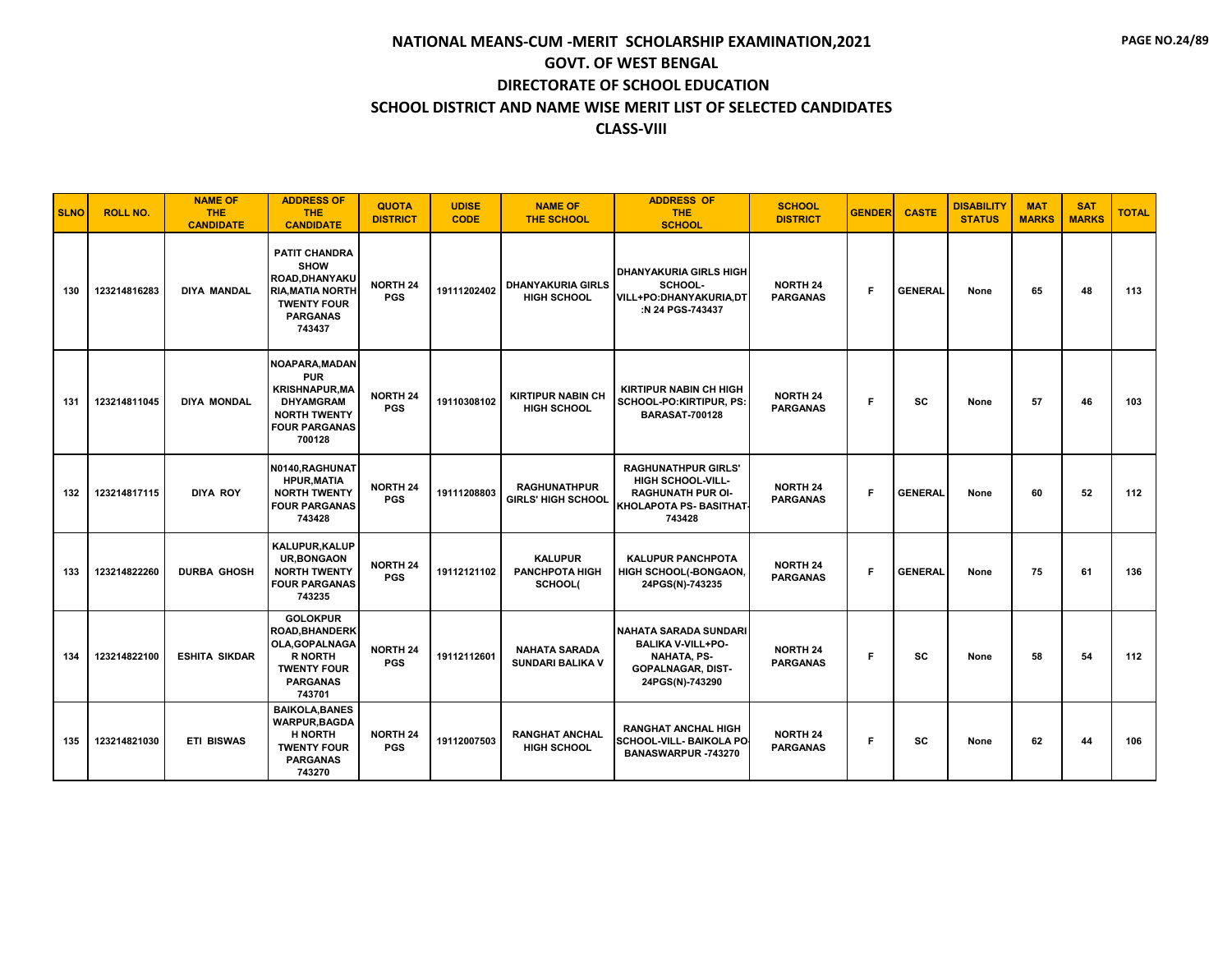| <b>SLNO</b> | <b>ROLL NO.</b> | <b>NAME OF</b><br><b>THE</b><br><b>CANDIDATE</b> | <b>ADDRESS OF</b><br><b>THE</b><br><b>CANDIDATE</b>                                                                                       | <b>QUOTA</b><br><b>DISTRICT</b> | <b>UDISE</b><br><b>CODE</b> | <b>NAME OF</b><br><b>THE SCHOOL</b>                | <b>ADDRESS OF</b><br><b>THE</b><br><b>SCHOOL</b>                                                                              | <b>SCHOOL</b><br><b>DISTRICT</b>   | <b>GENDER</b> | <b>CASTE</b>   | <b>DISABILITY</b><br><b>STATUS</b> | <b>MAT</b><br><b>MARKS</b> | <b>SAT</b><br><b>MARKS</b> | <b>TOTAL</b> |
|-------------|-----------------|--------------------------------------------------|-------------------------------------------------------------------------------------------------------------------------------------------|---------------------------------|-----------------------------|----------------------------------------------------|-------------------------------------------------------------------------------------------------------------------------------|------------------------------------|---------------|----------------|------------------------------------|----------------------------|----------------------------|--------------|
| 130         | 123214816283    | <b>DIYA MANDAL</b>                               | <b>PATIT CHANDRA</b><br><b>SHOW</b><br><b>ROAD.DHANYAKU</b><br><b>RIA, MATIA NORTH</b><br><b>TWENTY FOUR</b><br><b>PARGANAS</b><br>743437 | <b>NORTH 24</b><br><b>PGS</b>   | 19111202402                 | <b>DHANYAKURIA GIRLS</b><br><b>HIGH SCHOOL</b>     | <b>DHANYAKURIA GIRLS HIGH</b><br>SCHOOL-<br>VILL+PO:DHANYAKURIA,DT<br>:N 24 PGS-743437                                        | <b>NORTH 24</b><br><b>PARGANAS</b> | F             | <b>GENERAL</b> | None                               | 65                         | 48                         | 113          |
| 131         | 123214811045    | <b>DIYA MONDAL</b>                               | NOAPARA, MADAN<br><b>PUR</b><br><b>KRISHNAPUR, MA</b><br><b>DHYAMGRAM</b><br><b>NORTH TWENTY</b><br><b>FOUR PARGANAS</b><br>700128        | <b>NORTH 24</b><br><b>PGS</b>   | 19110308102                 | <b>KIRTIPUR NABIN CH</b><br><b>HIGH SCHOOL</b>     | <b>KIRTIPUR NABIN CH HIGH</b><br>SCHOOL-PO:KIRTIPUR, PS:<br><b>BARASAT-700128</b>                                             | <b>NORTH 24</b><br><b>PARGANAS</b> | F.            | <b>SC</b>      | None                               | 57                         | 46                         | 103          |
| 132         | 123214817115    | <b>DIYA ROY</b>                                  | N0140, RAGHUNAT<br><b>HPUR, MATIA</b><br><b>NORTH TWENTY</b><br><b>FOUR PARGANAS</b><br>743428                                            | <b>NORTH 24</b><br><b>PGS</b>   | 19111208803                 | <b>RAGHUNATHPUR</b><br><b>GIRLS' HIGH SCHOOL</b>   | <b>RAGHUNATHPUR GIRLS'</b><br><b>HIGH SCHOOL-VILL-</b><br><b>RAGHUNATH PUR OI-</b><br>KHOLAPOTA PS- BASITHAT<br>743428        | <b>NORTH 24</b><br><b>PARGANAS</b> | F             | <b>GENERAL</b> | None                               | 60                         | 52                         | 112          |
| 133         | 123214822260    | <b>DURBA GHOSH</b>                               | KALUPUR, KALUP<br><b>UR, BONGAON</b><br><b>NORTH TWENTY</b><br><b>FOUR PARGANAS</b><br>743235                                             | <b>NORTH 24</b><br><b>PGS</b>   | 19112121102                 | <b>KALUPUR</b><br><b>PANCHPOTA HIGH</b><br>SCHOOL( | <b>KALUPUR PANCHPOTA</b><br>HIGH SCHOOL(-BONGAON,<br>24PGS(N)-743235                                                          | <b>NORTH 24</b><br><b>PARGANAS</b> | F.            | <b>GENERAL</b> | None                               | 75                         | 61                         | 136          |
| 134         | 123214822100    | <b>ESHITA SIKDAR</b>                             | <b>GOLOKPUR</b><br><b>ROAD, BHANDERK</b><br>OLA, GOPALNAGA<br><b>R NORTH</b><br><b>TWENTY FOUR</b><br><b>PARGANAS</b><br>743701           | <b>NORTH 24</b><br><b>PGS</b>   | 19112112601                 | <b>NAHATA SARADA</b><br><b>SUNDARI BALIKA V</b>    | <b>NAHATA SARADA SUNDARI</b><br><b>BALIKA V-VILL+PO-</b><br><b>NAHATA, PS-</b><br><b>GOPALNAGAR, DIST-</b><br>24PGS(N)-743290 | <b>NORTH 24</b><br><b>PARGANAS</b> | F             | <b>SC</b>      | None                               | 58                         | 54                         | 112          |
| 135         | 123214821030    | <b>ETI BISWAS</b>                                | <b>BAIKOLA, BANES</b><br><b>WARPUR, BAGDA</b><br><b>H NORTH</b><br><b>TWENTY FOUR</b><br><b>PARGANAS</b><br>743270                        | <b>NORTH 24</b><br><b>PGS</b>   | 19112007503                 | <b>RANGHAT ANCHAL</b><br><b>HIGH SCHOOL</b>        | <b>RANGHAT ANCHAL HIGH</b><br><b>SCHOOL-VILL- BAIKOLA PO</b><br>BANASWARPUR -743270                                           | <b>NORTH 24</b><br><b>PARGANAS</b> | F             | <b>SC</b>      | None                               | 62                         | 44                         | 106          |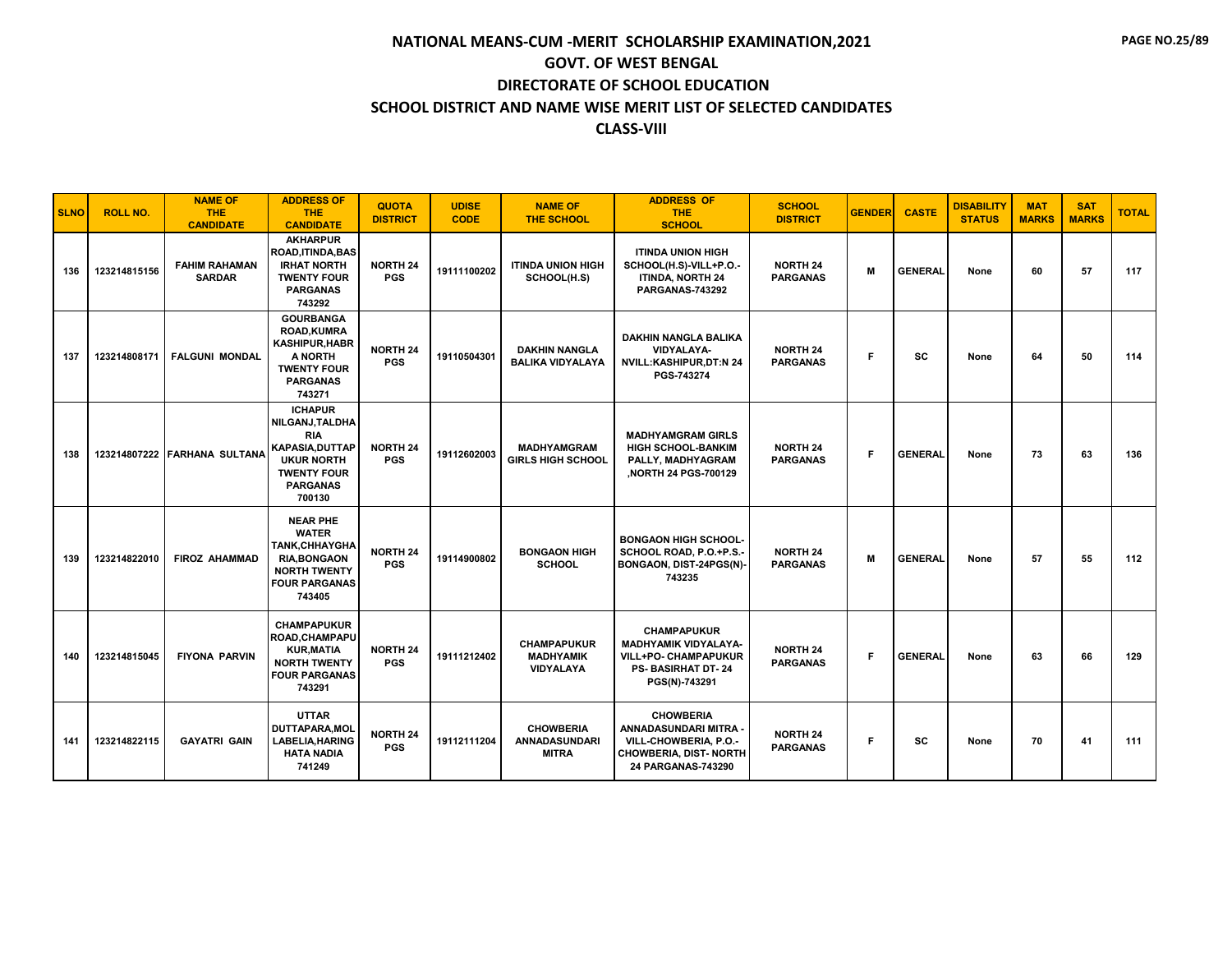| <b>SLNO</b> | <b>ROLL NO.</b> | <b>NAME OF</b><br><b>THE</b><br><b>CANDIDATE</b> | <b>ADDRESS OF</b><br><b>THE</b><br><b>CANDIDATE</b>                                                                                               | <b>QUOTA</b><br><b>DISTRICT</b> | <b>UDISE</b><br><b>CODE</b> | <b>NAME OF</b><br><b>THE SCHOOL</b>                      | <b>ADDRESS OF</b><br><b>THE</b><br><b>SCHOOL</b>                                                                               | <b>SCHOOL</b><br><b>DISTRICT</b>   | <b>GENDER</b> | <b>CASTE</b>   | <b>DISABILITY</b><br><b>STATUS</b> | <b>MAT</b><br><b>MARKS</b> | <b>SAT</b><br><b>MARKS</b> | <b>TOTAL</b> |
|-------------|-----------------|--------------------------------------------------|---------------------------------------------------------------------------------------------------------------------------------------------------|---------------------------------|-----------------------------|----------------------------------------------------------|--------------------------------------------------------------------------------------------------------------------------------|------------------------------------|---------------|----------------|------------------------------------|----------------------------|----------------------------|--------------|
| 136         | 123214815156    | <b>FAHIM RAHAMAN</b><br><b>SARDAR</b>            | <b>AKHARPUR</b><br><b>ROAD, ITINDA, BAS</b><br><b>IRHAT NORTH</b><br><b>TWENTY FOUR</b><br><b>PARGANAS</b><br>743292                              | <b>NORTH 24</b><br><b>PGS</b>   | 19111100202                 | <b>ITINDA UNION HIGH</b><br>SCHOOL(H.S)                  | <b>ITINDA UNION HIGH</b><br>SCHOOL(H.S)-VILL+P.O.-<br><b>ITINDA, NORTH 24</b><br>PARGANAS-743292                               | <b>NORTH 24</b><br><b>PARGANAS</b> | M             | <b>GENERAL</b> | None                               | 60                         | 57                         | 117          |
| 137         | 123214808171    | <b>FALGUNI MONDAL</b>                            | <b>GOURBANGA</b><br><b>ROAD, KUMRA</b><br><b>KASHIPUR, HABR</b><br>A NORTH<br><b>TWENTY FOUR</b><br><b>PARGANAS</b><br>743271                     | <b>NORTH 24</b><br><b>PGS</b>   | 19110504301                 | <b>DAKHIN NANGLA</b><br><b>BALIKA VIDYALAYA</b>          | <b>DAKHIN NANGLA BALIKA</b><br><b>VIDYALAYA-</b><br>NVILL:KASHIPUR,DT:N 24<br>PGS-743274                                       | <b>NORTH 24</b><br><b>PARGANAS</b> | F.            | <b>SC</b>      | None                               | 64                         | 50                         | 114          |
| 138         |                 | 123214807222 FARHANA SULTANA                     | <b>ICHAPUR</b><br>NILGANJ, TALDHA<br><b>RIA</b><br><b>KAPASIA, DUTTAP</b><br><b>UKUR NORTH</b><br><b>TWENTY FOUR</b><br><b>PARGANAS</b><br>700130 | <b>NORTH 24</b><br><b>PGS</b>   | 19112602003                 | <b>MADHYAMGRAM</b><br><b>GIRLS HIGH SCHOOL</b>           | <b>MADHYAMGRAM GIRLS</b><br><b>HIGH SCHOOL-BANKIM</b><br>PALLY, MADHYAGRAM<br>NORTH 24 PGS-700129                              | <b>NORTH 24</b><br><b>PARGANAS</b> | F.            | <b>GENERAL</b> | None                               | 73                         | 63                         | 136          |
| 139         | 123214822010    | <b>FIROZ AHAMMAD</b>                             | <b>NEAR PHE</b><br><b>WATER</b><br><b>TANK, CHHAYGHA</b><br><b>RIA.BONGAON</b><br><b>NORTH TWENTY</b><br><b>FOUR PARGANAS</b><br>743405           | <b>NORTH 24</b><br><b>PGS</b>   | 19114900802                 | <b>BONGAON HIGH</b><br><b>SCHOOL</b>                     | <b>BONGAON HIGH SCHOOL-</b><br>SCHOOL ROAD, P.O.+P.S.-<br>BONGAON, DIST-24PGS(N)-<br>743235                                    | <b>NORTH 24</b><br><b>PARGANAS</b> | M             | <b>GENERAL</b> | None                               | 57                         | 55                         | 112          |
| 140         | 123214815045    | <b>FIYONA PARVIN</b>                             | <b>CHAMPAPUKUR</b><br>ROAD.CHAMPAPU<br><b>KUR.MATIA</b><br><b>NORTH TWENTY</b><br><b>FOUR PARGANAS</b><br>743291                                  | <b>NORTH 24</b><br><b>PGS</b>   | 19111212402                 | <b>CHAMPAPUKUR</b><br><b>MADHYAMIK</b><br>VIDYALAYA      | <b>CHAMPAPUKUR</b><br><b>MADHYAMIK VIDYALAYA-</b><br><b>VILL+PO- CHAMPAPUKUR</b><br><b>PS- BASIRHAT DT-24</b><br>PGS(N)-743291 | <b>NORTH 24</b><br><b>PARGANAS</b> | F.            | <b>GENERAL</b> | None                               | 63                         | 66                         | 129          |
| 141         | 123214822115    | <b>GAYATRI GAIN</b>                              | <b>UTTAR</b><br>DUTTAPARA, MOL<br><b>LABELIA.HARING</b><br><b>HATA NADIA</b><br>741249                                                            | <b>NORTH 24</b><br><b>PGS</b>   | 19112111204                 | <b>CHOWBERIA</b><br><b>ANNADASUNDARI</b><br><b>MITRA</b> | <b>CHOWBERIA</b><br>ANNADASUNDARI MITRA -<br>VILL-CHOWBERIA, P.O.-<br><b>CHOWBERIA, DIST- NORTH</b><br>24 PARGANAS-743290      | <b>NORTH 24</b><br><b>PARGANAS</b> | F.            | SC             | None                               | 70                         | 41                         | 111          |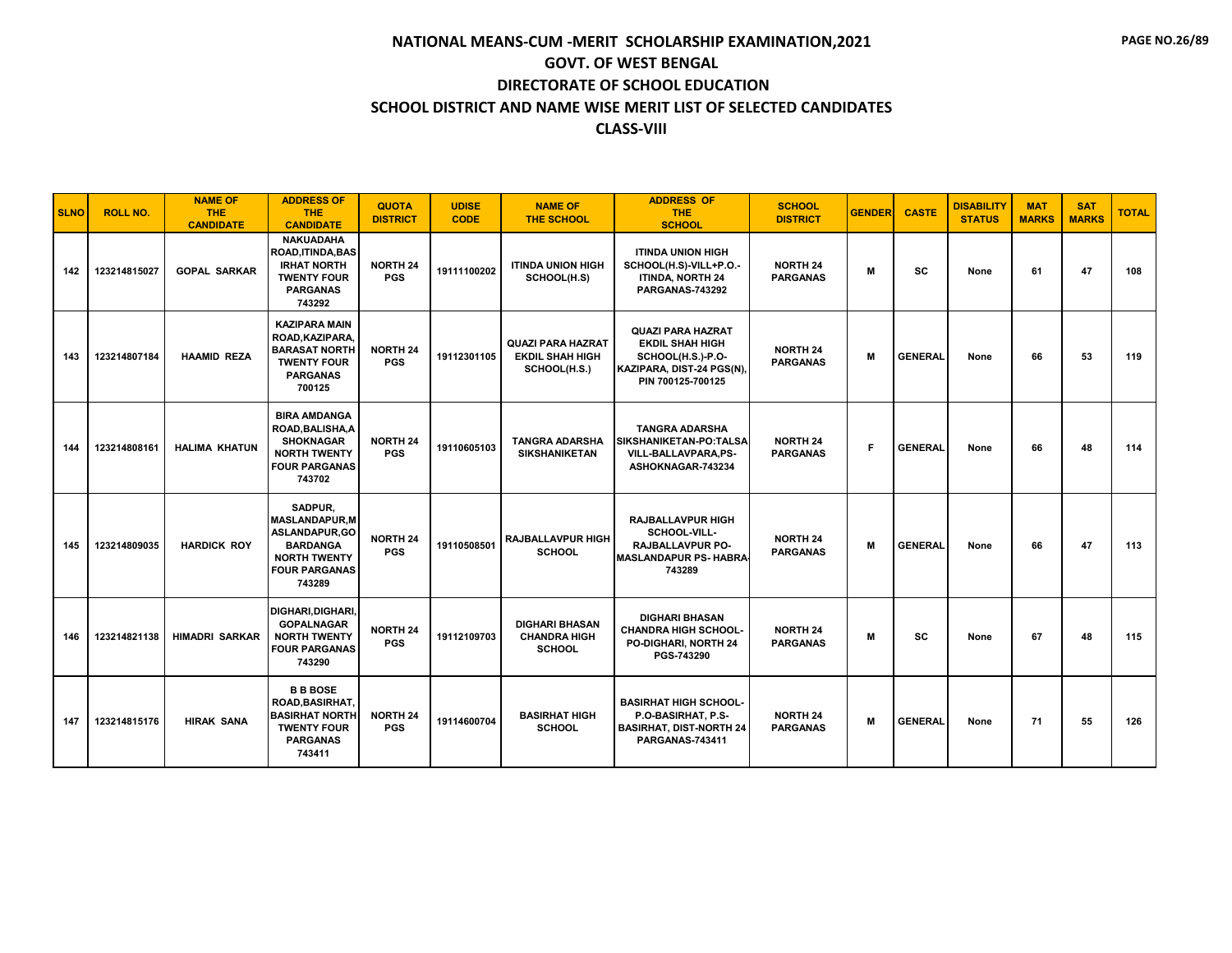| <b>SLNO</b> | <b>ROLL NO.</b> | <b>NAME OF</b><br><b>THE</b><br><b>CANDIDATE</b> | <b>ADDRESS OF</b><br><b>THE</b><br><b>CANDIDATE</b>                                                                                        | <b>QUOTA</b><br><b>DISTRICT</b> | <b>UDISE</b><br><b>CODE</b> | <b>NAME OF</b><br><b>THE SCHOOL</b>                                | <b>ADDRESS OF</b><br><b>THE</b><br><b>SCHOOL</b>                                                                          | <b>SCHOOL</b><br><b>DISTRICT</b>   | <b>GENDER</b> | <b>CASTE</b>   | <b>DISABILITY</b><br><b>STATUS</b> | <b>MAT</b><br><b>MARKS</b> | <b>SAT</b><br><b>MARKS</b> | <b>TOTAL</b> |
|-------------|-----------------|--------------------------------------------------|--------------------------------------------------------------------------------------------------------------------------------------------|---------------------------------|-----------------------------|--------------------------------------------------------------------|---------------------------------------------------------------------------------------------------------------------------|------------------------------------|---------------|----------------|------------------------------------|----------------------------|----------------------------|--------------|
| 142         | 123214815027    | <b>GOPAL SARKAR</b>                              | <b>NAKUADAHA</b><br><b>ROAD, ITINDA, BAS</b><br><b>IRHAT NORTH</b><br><b>TWENTY FOUR</b><br><b>PARGANAS</b><br>743292                      | <b>NORTH 24</b><br><b>PGS</b>   | 19111100202                 | <b>ITINDA UNION HIGH</b><br>SCHOOL(H.S)                            | <b>ITINDA UNION HIGH</b><br>SCHOOL(H.S)-VILL+P.O.-<br>ITINDA, NORTH 24<br>PARGANAS-743292                                 | <b>NORTH 24</b><br><b>PARGANAS</b> | M             | SC             | None                               | 61                         | 47                         | 108          |
| 143         | 123214807184    | <b>HAAMID REZA</b>                               | <b>KAZIPARA MAIN</b><br>ROAD, KAZIPARA,<br><b>BARASAT NORTH</b><br><b>TWENTY FOUR</b><br><b>PARGANAS</b><br>700125                         | <b>NORTH 24</b><br><b>PGS</b>   | 19112301105                 | <b>QUAZI PARA HAZRAT</b><br><b>EKDIL SHAH HIGH</b><br>SCHOOL(H.S.) | <b>QUAZI PARA HAZRAT</b><br><b>EKDIL SHAH HIGH</b><br>SCHOOL(H.S.)-P.O-<br>KAZIPARA, DIST-24 PGS(N),<br>PIN 700125-700125 | <b>NORTH 24</b><br><b>PARGANAS</b> | M             | <b>GENERAL</b> | None                               | 66                         | 53                         | 119          |
| 144         | 123214808161    | <b>HALIMA KHATUN</b>                             | <b>BIRA AMDANGA</b><br>ROAD.BALISHA.A<br><b>SHOKNAGAR</b><br><b>NORTH TWENTY</b><br><b>FOUR PARGANAS</b><br>743702                         | <b>NORTH 24</b><br><b>PGS</b>   | 19110605103                 | <b>TANGRA ADARSHA</b><br><b>SIKSHANIKETAN</b>                      | <b>TANGRA ADARSHA</b><br><b>SIKSHANIKETAN-PO:TALSA</b><br>VILL-BALLAVPARA,PS-<br>ASHOKNAGAR-743234                        | <b>NORTH 24</b><br><b>PARGANAS</b> | F             | <b>GENERAL</b> | None                               | 66                         | 48                         | 114          |
| 145         | 123214809035    | <b>HARDICK ROY</b>                               | <b>SADPUR.</b><br><b>MASLANDAPUR.M</b><br><b>ASLANDAPUR,GO</b><br><b>BARDANGA</b><br><b>NORTH TWENTY</b><br><b>FOUR PARGANAS</b><br>743289 | <b>NORTH 24</b><br><b>PGS</b>   | 19110508501                 | <b>RAJBALLAVPUR HIGH</b><br><b>SCHOOL</b>                          | <b>RAJBALLAVPUR HIGH</b><br>SCHOOL-VILL-<br>RAJBALLAVPUR PO-<br><b>MASLANDAPUR PS- HABRA</b><br>743289                    | <b>NORTH 24</b><br><b>PARGANAS</b> | M             | <b>GENERAL</b> | None                               | 66                         | 47                         | 113          |
| 146         | 123214821138    | <b>HIMADRI SARKAR</b>                            | DIGHARI.DIGHARI.<br><b>GOPALNAGAR</b><br><b>NORTH TWENTY</b><br><b>FOUR PARGANAS</b><br>743290                                             | <b>NORTH 24</b><br><b>PGS</b>   | 19112109703                 | <b>DIGHARI BHASAN</b><br><b>CHANDRA HIGH</b><br><b>SCHOOL</b>      | <b>DIGHARI BHASAN</b><br><b>CHANDRA HIGH SCHOOL-</b><br>PO-DIGHARI, NORTH 24<br>PGS-743290                                | <b>NORTH 24</b><br><b>PARGANAS</b> | м             | SC             | None                               | 67                         | 48                         | 115          |
| 147         | 123214815176    | <b>HIRAK SANA</b>                                | <b>B B BOSE</b><br><b>ROAD.BASIRHAT.</b><br><b>BASIRHAT NORTH</b><br><b>TWENTY FOUR</b><br><b>PARGANAS</b><br>743411                       | <b>NORTH 24</b><br><b>PGS</b>   | 19114600704                 | <b>BASIRHAT HIGH</b><br><b>SCHOOL</b>                              | <b>BASIRHAT HIGH SCHOOL-</b><br>P.O-BASIRHAT, P.S-<br><b>BASIRHAT, DIST-NORTH 24</b><br><b>PARGANAS-743411</b>            | <b>NORTH 24</b><br><b>PARGANAS</b> | M             | <b>GENERAL</b> | None                               | 71                         | 55                         | 126          |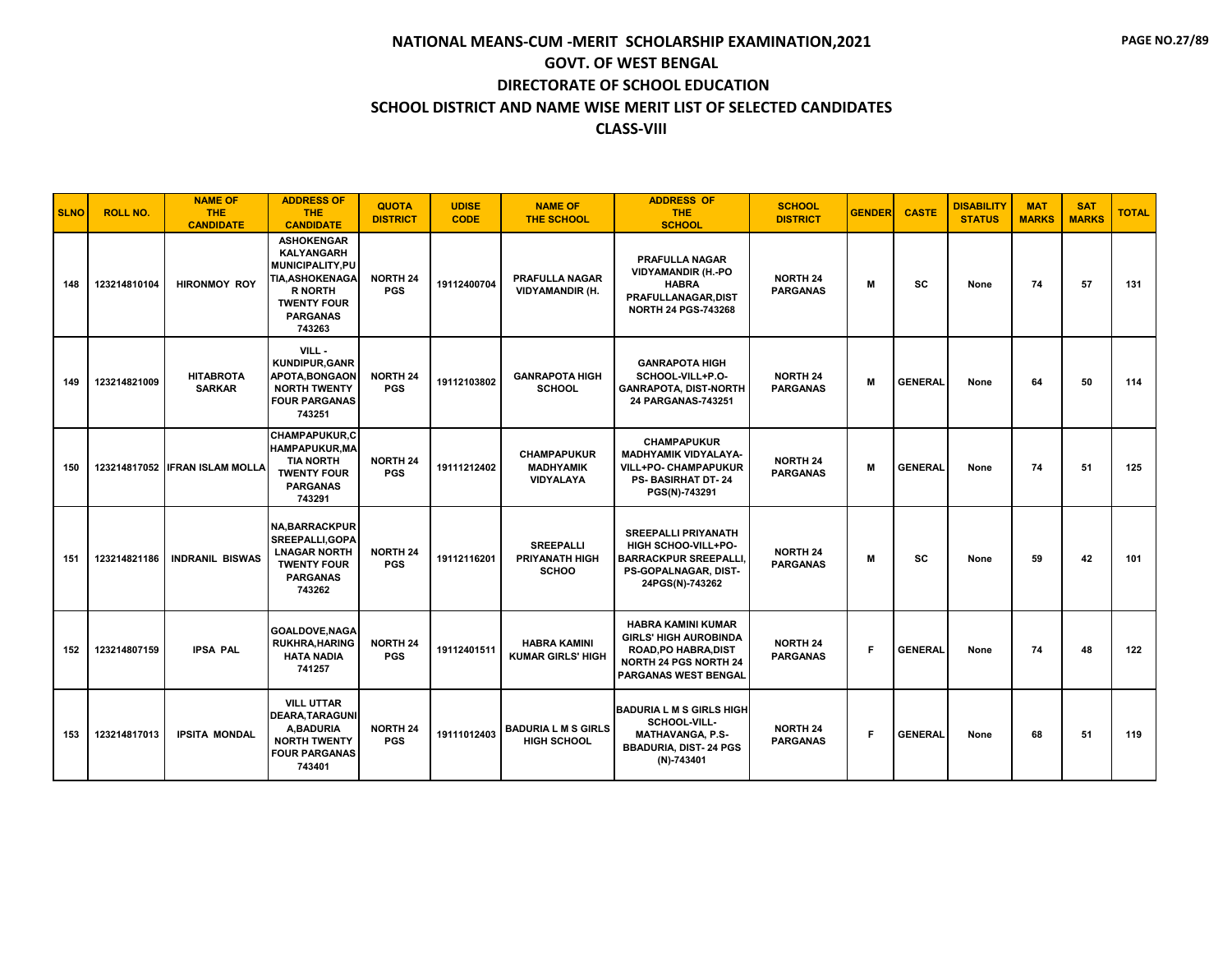| <b>SLNO</b> | <b>ROLL NO.</b> | <b>NAME OF</b><br><b>THE</b><br><b>CANDIDATE</b> | <b>ADDRESS OF</b><br><b>THE</b><br><b>CANDIDATE</b>                                                                                                            | <b>QUOTA</b><br><b>DISTRICT</b> | <b>UDISE</b><br><b>CODE</b> | <b>NAME OF</b><br><b>THE SCHOOL</b>                 | <b>ADDRESS OF</b><br><b>THE</b><br><b>SCHOOL</b>                                                                                                 | <b>SCHOOL</b><br><b>DISTRICT</b>   | <b>GENDER</b> | <b>CASTE</b>   | <b>DISABILITY</b><br><b>STATUS</b> | <b>MAT</b><br><b>MARKS</b> | <b>SAT</b><br><b>MARKS</b> | <b>TOTAL</b> |
|-------------|-----------------|--------------------------------------------------|----------------------------------------------------------------------------------------------------------------------------------------------------------------|---------------------------------|-----------------------------|-----------------------------------------------------|--------------------------------------------------------------------------------------------------------------------------------------------------|------------------------------------|---------------|----------------|------------------------------------|----------------------------|----------------------------|--------------|
| 148         | 123214810104    | <b>HIRONMOY ROY</b>                              | <b>ASHOKENGAR</b><br><b>KALYANGARH</b><br><b>MUNICIPALITY.PU</b><br><b>TIA.ASHOKENAGA</b><br><b>R NORTH</b><br><b>TWENTY FOUR</b><br><b>PARGANAS</b><br>743263 | <b>NORTH 24</b><br><b>PGS</b>   | 19112400704                 | <b>PRAFULLA NAGAR</b><br><b>VIDYAMANDIR (H.</b>     | <b>PRAFULLA NAGAR</b><br><b>VIDYAMANDIR (H.-PO</b><br><b>HABRA</b><br><b>PRAFULLANAGAR.DIST</b><br><b>NORTH 24 PGS-743268</b>                    | <b>NORTH 24</b><br><b>PARGANAS</b> | M             | <b>SC</b>      | None                               | 74                         | 57                         | 131          |
| 149         | 123214821009    | <b>HITABROTA</b><br><b>SARKAR</b>                | VILL-<br><b>KUNDIPUR, GANR</b><br><b>APOTA.BONGAON</b><br><b>NORTH TWENTY</b><br><b>FOUR PARGANAS</b><br>743251                                                | <b>NORTH 24</b><br><b>PGS</b>   | 19112103802                 | <b>GANRAPOTA HIGH</b><br><b>SCHOOL</b>              | <b>GANRAPOTA HIGH</b><br>SCHOOL-VILL+P.O-<br><b>GANRAPOTA, DIST-NORTH</b><br>24 PARGANAS-743251                                                  | <b>NORTH 24</b><br><b>PARGANAS</b> | M             | <b>GENERAL</b> | None                               | 64                         | 50                         | 114          |
| 150         |                 | 123214817052 IFRAN ISLAM MOLLA                   | <b>CHAMPAPUKUR,C</b><br><b>HAMPAPUKUR, MA</b><br><b>TIA NORTH</b><br><b>TWENTY FOUR</b><br><b>PARGANAS</b><br>743291                                           | <b>NORTH 24</b><br><b>PGS</b>   | 19111212402                 | <b>CHAMPAPUKUR</b><br><b>MADHYAMIK</b><br>VIDYALAYA | <b>CHAMPAPUKUR</b><br><b>MADHYAMIK VIDYALAYA-</b><br>VILL+PO- CHAMPAPUKUR<br>PS-BASIRHAT DT-24<br>PGS(N)-743291                                  | <b>NORTH 24</b><br><b>PARGANAS</b> | M             | <b>GENERAL</b> | None                               | 74                         | 51                         | 125          |
| 151         | 123214821186    | <b>INDRANIL BISWAS</b>                           | <b>NA, BARRACKPUR</b><br>SREEPALLI, GOPA<br><b>LNAGAR NORTH</b><br><b>TWENTY FOUR</b><br><b>PARGANAS</b><br>743262                                             | <b>NORTH 24</b><br><b>PGS</b>   | 19112116201                 | <b>SREEPALLI</b><br><b>PRIYANATH HIGH</b><br>SCHOO  | <b>SREEPALLI PRIYANATH</b><br><b>HIGH SCHOO-VILL+PO-</b><br><b>BARRACKPUR SREEPALLI</b><br>PS-GOPALNAGAR, DIST-<br>24PGS(N)-743262               | <b>NORTH 24</b><br><b>PARGANAS</b> | M             | SC             | None                               | 59                         | 42                         | 101          |
| 152         | 123214807159    | <b>IPSA PAL</b>                                  | <b>GOALDOVE, NAGA</b><br><b>RUKHRA, HARING</b><br><b>HATA NADIA</b><br>741257                                                                                  | <b>NORTH 24</b><br><b>PGS</b>   | 19112401511                 | <b>HABRA KAMINI</b><br><b>KUMAR GIRLS' HIGH</b>     | <b>HABRA KAMINI KUMAR</b><br><b>GIRLS' HIGH AUROBINDA</b><br><b>ROAD, PO HABRA, DIST</b><br><b>NORTH 24 PGS NORTH 24</b><br>PARGANAS WEST BENGAL | <b>NORTH 24</b><br><b>PARGANAS</b> | F             | <b>GENERAL</b> | None                               | 74                         | 48                         | 122          |
| 153         | 123214817013    | <b>IPSITA MONDAL</b>                             | <b>VILL UTTAR</b><br><b>DEARA, TARAGUNI</b><br>A.BADURIA<br><b>NORTH TWENTY</b><br><b>FOUR PARGANAS</b><br>743401                                              | <b>NORTH 24</b><br><b>PGS</b>   | 19111012403                 | <b>BADURIA L M S GIRLS</b><br><b>HIGH SCHOOL</b>    | <b>BADURIA L M S GIRLS HIGH</b><br>SCHOOL-VILL-<br><b>MATHAVANGA, P.S-</b><br><b>BBADURIA, DIST-24 PGS</b><br>(N)-743401                         | <b>NORTH 24</b><br><b>PARGANAS</b> | F.            | <b>GENERAL</b> | None                               | 68                         | 51                         | 119          |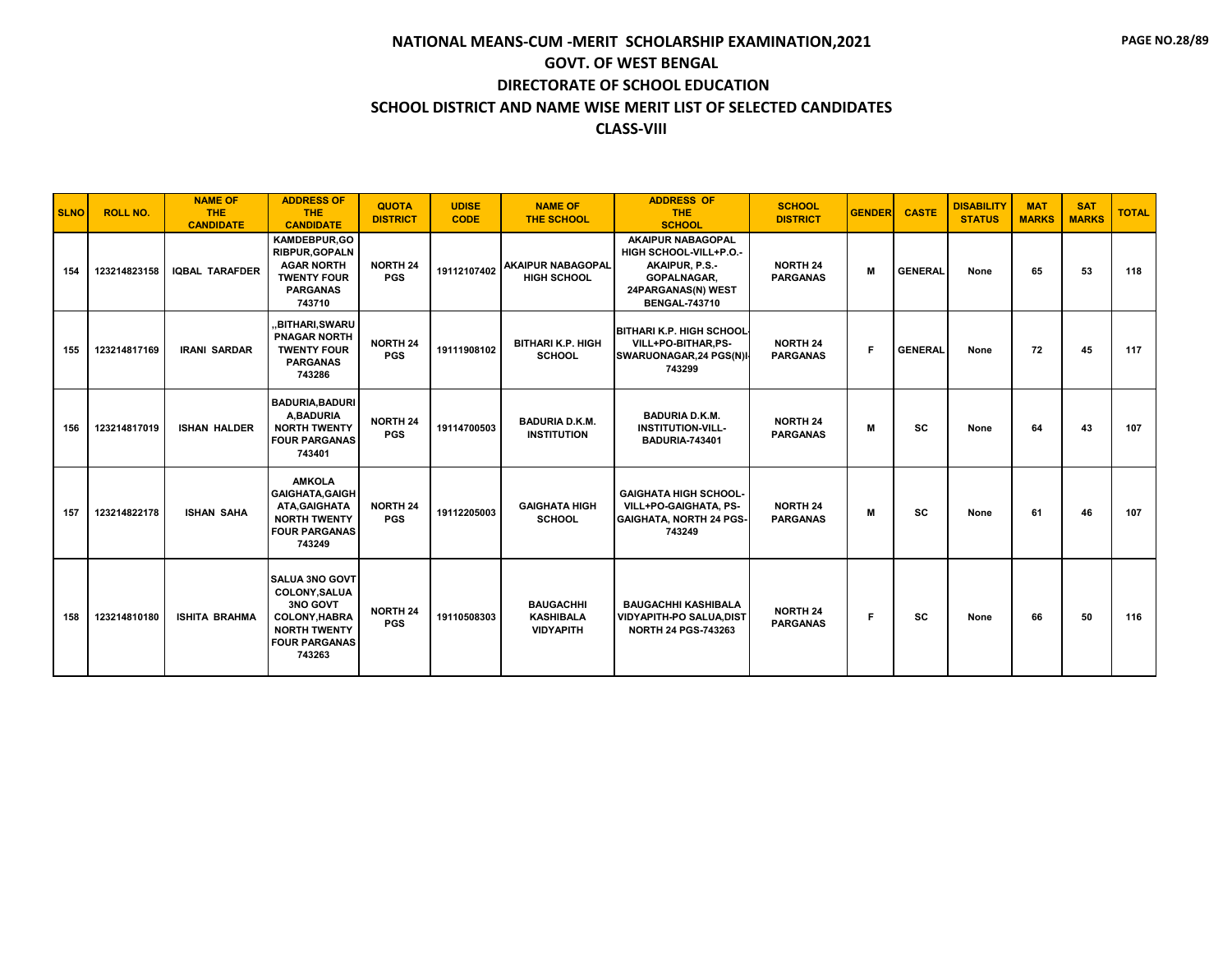| <b>SLNO</b> | <b>ROLL NO.</b> | <b>NAME OF</b><br><b>THE</b><br><b>CANDIDATE</b> | <b>ADDRESS OF</b><br><b>THE</b><br><b>CANDIDATE</b>                                                                                | <b>QUOTA</b><br><b>DISTRICT</b> | <b>UDISE</b><br><b>CODE</b> | <b>NAME OF</b><br><b>THE SCHOOL</b>                      | <b>ADDRESS OF</b><br><b>THE</b><br><b>SCHOOL</b>                                                                                  | <b>SCHOOL</b><br><b>DISTRICT</b>   | <b>GENDER</b> | <b>CASTE</b>   | <b>DISABILITY</b><br><b>STATUS</b> | <b>MAT</b><br><b>MARKS</b> | <b>SAT</b><br><b>MARKS</b> | <b>TOTAL</b> |
|-------------|-----------------|--------------------------------------------------|------------------------------------------------------------------------------------------------------------------------------------|---------------------------------|-----------------------------|----------------------------------------------------------|-----------------------------------------------------------------------------------------------------------------------------------|------------------------------------|---------------|----------------|------------------------------------|----------------------------|----------------------------|--------------|
| 154         | 123214823158    | <b>IQBAL TARAFDER</b>                            | KAMDEBPUR.GO<br><b>RIBPUR.GOPALN</b><br><b>AGAR NORTH</b><br><b>TWENTY FOUR</b><br><b>PARGANAS</b><br>743710                       | <b>NORTH 24</b><br><b>PGS</b>   | 19112107402                 | <b>AKAIPUR NABAGOPAL</b><br><b>HIGH SCHOOL</b>           | <b>AKAIPUR NABAGOPAL</b><br>HIGH SCHOOL-VILL+P.O.-<br>AKAIPUR, P.S.-<br>GOPALNAGAR,<br>24PARGANAS(N) WEST<br><b>BENGAL-743710</b> | <b>NORTH 24</b><br><b>PARGANAS</b> | M             | <b>GENERAL</b> | None                               | 65                         | 53                         | 118          |
| 155         | 123214817169    | <b>IRANI SARDAR</b>                              | "BITHARI,SWARU<br><b>PNAGAR NORTH</b><br><b>TWENTY FOUR</b><br><b>PARGANAS</b><br>743286                                           | <b>NORTH 24</b><br><b>PGS</b>   | 19111908102                 | <b>BITHARI K.P. HIGH</b><br><b>SCHOOL</b>                | <b>BITHARI K.P. HIGH SCHOOL</b><br>VILL+PO-BITHAR,PS-<br>SWARUONAGAR, 24 PGS(N)I<br>743299                                        | <b>NORTH 24</b><br><b>PARGANAS</b> | Е             | <b>GENERAL</b> | None                               | 72                         | 45                         | 117          |
| 156         | 123214817019    | <b>ISHAN HALDER</b>                              | <b>BADURIA, BADURI</b><br>A.BADURIA<br><b>NORTH TWENTY</b><br><b>FOUR PARGANAS</b><br>743401                                       | <b>NORTH 24</b><br><b>PGS</b>   | 19114700503                 | <b>BADURIA D.K.M.</b><br><b>INSTITUTION</b>              | <b>BADURIA D.K.M.</b><br><b>INSTITUTION-VILL-</b><br><b>BADURIA-743401</b>                                                        | <b>NORTH 24</b><br><b>PARGANAS</b> | M             | <b>SC</b>      | None                               | 64                         | 43                         | 107          |
| 157         | 123214822178    | <b>ISHAN SAHA</b>                                | <b>AMKOLA</b><br><b>GAIGHATA, GAIGH</b><br>ATA, GAIGHATA<br><b>NORTH TWENTY</b><br><b>FOUR PARGANAS</b><br>743249                  | <b>NORTH 24</b><br><b>PGS</b>   | 19112205003                 | <b>GAIGHATA HIGH</b><br><b>SCHOOL</b>                    | <b>GAIGHATA HIGH SCHOOL-</b><br>VILL+PO-GAIGHATA, PS-<br><b>GAIGHATA, NORTH 24 PGS-</b><br>743249                                 | <b>NORTH 24</b><br><b>PARGANAS</b> | M             | <b>SC</b>      | None                               | 61                         | 46                         | 107          |
| 158         | 123214810180    | <b>ISHITA BRAHMA</b>                             | <b>SALUA 3NO GOVT</b><br>COLONY, SALUA<br>3NO GOVT<br><b>COLONY.HABRA</b><br><b>NORTH TWENTY</b><br><b>FOUR PARGANAS</b><br>743263 | <b>NORTH 24</b><br><b>PGS</b>   | 19110508303                 | <b>BAUGACHHI</b><br><b>KASHIBALA</b><br><b>VIDYAPITH</b> | <b>BAUGACHHI KASHIBALA</b><br>VIDYAPITH-PO SALUA, DIST<br><b>NORTH 24 PGS-743263</b>                                              | <b>NORTH 24</b><br><b>PARGANAS</b> | F             | <b>SC</b>      | None                               | 66                         | 50                         | 116          |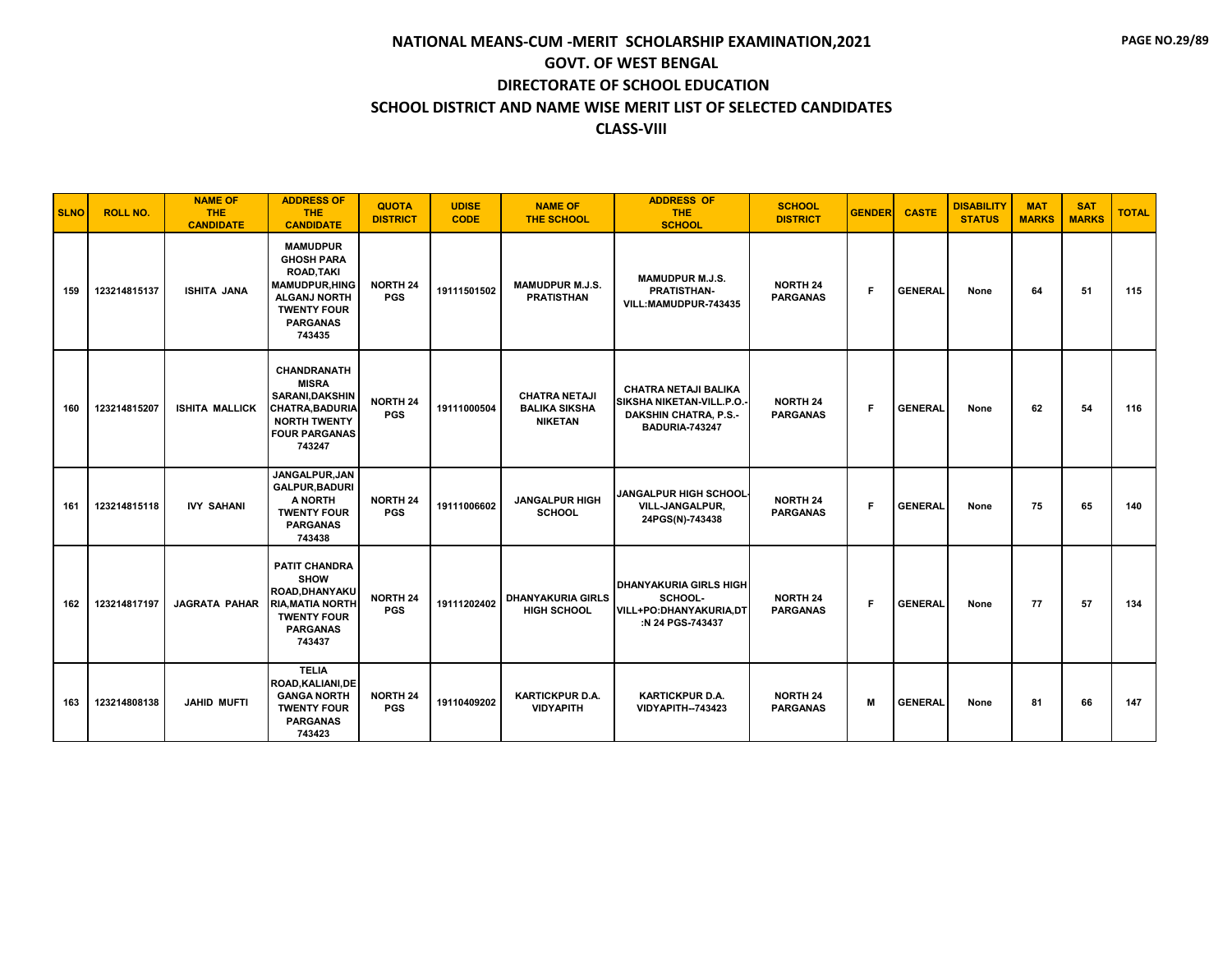| <b>SLNO</b> | <b>ROLL NO.</b> | <b>NAME OF</b><br><b>THE</b><br><b>CANDIDATE</b> | <b>ADDRESS OF</b><br><b>THE</b><br><b>CANDIDATE</b>                                                                                                         | <b>QUOTA</b><br><b>DISTRICT</b> | <b>UDISE</b><br><b>CODE</b> | <b>NAME OF</b><br><b>THE SCHOOL</b>                            | <b>ADDRESS OF</b><br><b>THE</b><br><b>SCHOOL</b>                                                          | <b>SCHOOL</b><br><b>DISTRICT</b>   | <b>GENDER</b> | <b>CASTE</b>   | <b>DISABILITY</b><br><b>STATUS</b> | <b>MAT</b><br><b>MARKS</b> | <b>SAT</b><br><b>MARKS</b> | <b>TOTAL</b> |
|-------------|-----------------|--------------------------------------------------|-------------------------------------------------------------------------------------------------------------------------------------------------------------|---------------------------------|-----------------------------|----------------------------------------------------------------|-----------------------------------------------------------------------------------------------------------|------------------------------------|---------------|----------------|------------------------------------|----------------------------|----------------------------|--------------|
| 159         | 123214815137    | <b>ISHITA JANA</b>                               | <b>MAMUDPUR</b><br><b>GHOSH PARA</b><br><b>ROAD.TAKI</b><br><b>MAMUDPUR, HING</b><br><b>ALGANJ NORTH</b><br><b>TWENTY FOUR</b><br><b>PARGANAS</b><br>743435 | <b>NORTH 24</b><br><b>PGS</b>   | 19111501502                 | <b>MAMUDPUR M.J.S.</b><br><b>PRATISTHAN</b>                    | <b>MAMUDPUR M.J.S.</b><br><b>PRATISTHAN-</b><br>VILL:MAMUDPUR-743435                                      | <b>NORTH 24</b><br><b>PARGANAS</b> | F             | <b>GENERAL</b> | None                               | 64                         | 51                         | 115          |
| 160         | 123214815207    | <b>ISHITA MALLICK</b>                            | CHANDRANATH<br><b>MISRA</b><br><b>SARANI, DAKSHIN</b><br><b>CHATRA, BADURIA</b><br><b>NORTH TWENTY</b><br><b>FOUR PARGANAS</b><br>743247                    | <b>NORTH 24</b><br><b>PGS</b>   | 19111000504                 | <b>CHATRA NETAJI</b><br><b>BALIKA SIKSHA</b><br><b>NIKETAN</b> | <b>CHATRA NETAJI BALIKA</b><br>SIKSHA NIKETAN-VILL.P.O.<br><b>DAKSHIN CHATRA, P.S.-</b><br>BADURIA-743247 | <b>NORTH 24</b><br><b>PARGANAS</b> | F             | <b>GENERAL</b> | None                               | 62                         | 54                         | 116          |
| 161         | 123214815118    | <b>IVY SAHANI</b>                                | JANGALPUR, JAN<br><b>GALPUR, BADURI</b><br><b>A NORTH</b><br><b>TWENTY FOUR</b><br><b>PARGANAS</b><br>743438                                                | <b>NORTH 24</b><br><b>PGS</b>   | 19111006602                 | <b>JANGALPUR HIGH</b><br><b>SCHOOL</b>                         | <b>JANGALPUR HIGH SCHOOL</b><br><b>VILL-JANGALPUR.</b><br>24PGS(N)-743438                                 | <b>NORTH 24</b><br><b>PARGANAS</b> | F             | <b>GENERAL</b> | None                               | 75                         | 65                         | 140          |
| 162         | 123214817197    | <b>JAGRATA PAHAR</b>                             | <b>PATIT CHANDRA</b><br><b>SHOW</b><br>ROAD.DHANYAKU<br><b>RIA, MATIA NORTH</b><br><b>TWENTY FOUR</b><br><b>PARGANAS</b><br>743437                          | <b>NORTH 24</b><br><b>PGS</b>   | 19111202402                 | <b>DHANYAKURIA GIRLS</b><br><b>HIGH SCHOOL</b>                 | <b>DHANYAKURIA GIRLS HIGH</b><br>SCHOOL-<br><b>VILL+PO:DHANYAKURIA,DT</b><br>:N 24 PGS-743437             | <b>NORTH 24</b><br><b>PARGANAS</b> | F             | <b>GENERAL</b> | None                               | 77                         | 57                         | 134          |
| 163         | 123214808138    | <b>JAHID MUFTI</b>                               | <b>TELIA</b><br>ROAD, KALIANI, DE<br><b>GANGA NORTH</b><br><b>TWENTY FOUR</b><br><b>PARGANAS</b><br>743423                                                  | <b>NORTH 24</b><br><b>PGS</b>   | 19110409202                 | <b>KARTICKPUR D.A.</b><br><b>VIDYAPITH</b>                     | <b>KARTICKPUR D.A.</b><br><b>VIDYAPITH--743423</b>                                                        | <b>NORTH 24</b><br><b>PARGANAS</b> | M             | <b>GENERAL</b> | None                               | 81                         | 66                         | 147          |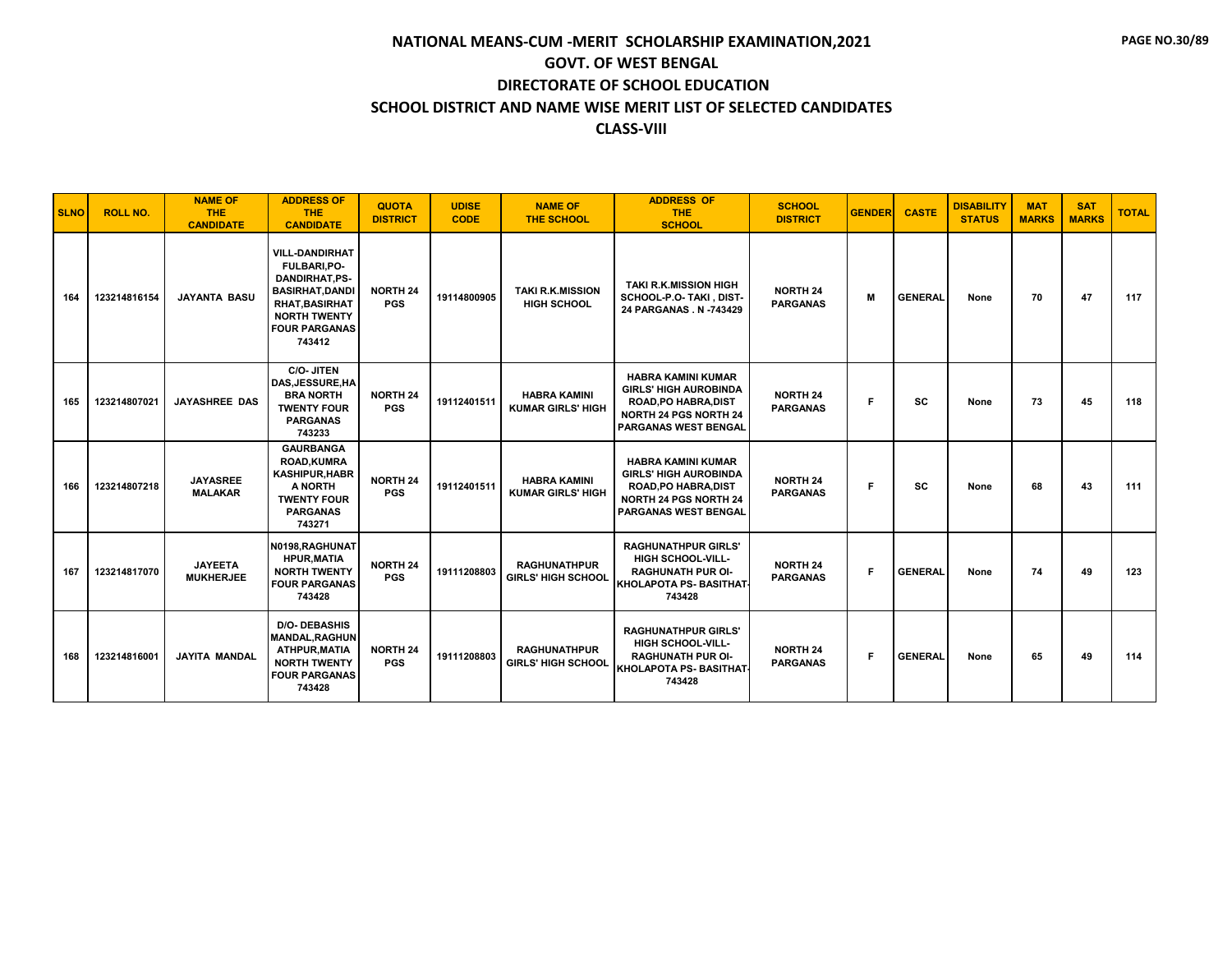| <b>SLNO</b> | <b>ROLL NO.</b> | <b>NAME OF</b><br><b>THE</b><br><b>CANDIDATE</b> | <b>ADDRESS OF</b><br><b>THE</b><br><b>CANDIDATE</b>                                                                                                                      | <b>QUOTA</b><br><b>DISTRICT</b> | <b>UDISE</b><br><b>CODE</b> | <b>NAME OF</b><br>THE SCHOOL                     | <b>ADDRESS OF</b><br><b>THE</b><br><b>SCHOOL</b>                                                                                                        | <b>SCHOOL</b><br><b>DISTRICT</b>   | <b>GENDER</b> | <b>CASTE</b>   | <b>DISABILITY</b><br><b>STATUS</b> | <b>MAT</b><br><b>MARKS</b> | <b>SAT</b><br><b>MARKS</b> | <b>TOTAL</b> |
|-------------|-----------------|--------------------------------------------------|--------------------------------------------------------------------------------------------------------------------------------------------------------------------------|---------------------------------|-----------------------------|--------------------------------------------------|---------------------------------------------------------------------------------------------------------------------------------------------------------|------------------------------------|---------------|----------------|------------------------------------|----------------------------|----------------------------|--------------|
| 164         | 123214816154    | <b>JAYANTA BASU</b>                              | <b>VILL-DANDIRHAT</b><br><b>FULBARI,PO-</b><br>DANDIRHAT,PS-<br><b>BASIRHAT, DANDI</b><br><b>RHAT, BASIRHAT</b><br><b>NORTH TWENTY</b><br><b>FOUR PARGANAS</b><br>743412 | <b>NORTH 24</b><br><b>PGS</b>   | 19114800905                 | <b>TAKI R.K.MISSION</b><br><b>HIGH SCHOOL</b>    | <b>TAKI R.K.MISSION HIGH</b><br>SCHOOL-P.O- TAKI, DIST-<br>24 PARGANAS . N -743429                                                                      | <b>NORTH 24</b><br><b>PARGANAS</b> | M             | <b>GENERAL</b> | None                               | 70                         | 47                         | 117          |
| 165         | 123214807021    | <b>JAYASHREE DAS</b>                             | C/O- JITEN<br>DAS, JESSURE, HA<br><b>BRA NORTH</b><br><b>TWENTY FOUR</b><br><b>PARGANAS</b><br>743233                                                                    | <b>NORTH 24</b><br><b>PGS</b>   | 19112401511                 | <b>HABRA KAMINI</b><br><b>KUMAR GIRLS' HIGH</b>  | <b>HABRA KAMINI KUMAR</b><br><b>GIRLS' HIGH AUROBINDA</b><br><b>ROAD, PO HABRA, DIST</b><br><b>NORTH 24 PGS NORTH 24</b><br><b>PARGANAS WEST BENGAL</b> | <b>NORTH 24</b><br><b>PARGANAS</b> | F.            | <b>SC</b>      | None                               | 73                         | 45                         | 118          |
| 166         | 123214807218    | <b>JAYASREE</b><br><b>MALAKAR</b>                | <b>GAURBANGA</b><br><b>ROAD,KUMRA</b><br><b>KASHIPUR, HABR</b><br>A NORTH<br><b>TWENTY FOUR</b><br><b>PARGANAS</b><br>743271                                             | <b>NORTH 24</b><br><b>PGS</b>   | 19112401511                 | <b>HABRA KAMINI</b><br><b>KUMAR GIRLS' HIGH</b>  | <b>HABRA KAMINI KUMAR</b><br><b>GIRLS' HIGH AUROBINDA</b><br>ROAD, PO HABRA, DIST<br><b>NORTH 24 PGS NORTH 24</b><br>PARGANAS WEST BENGAL               | <b>NORTH 24</b><br><b>PARGANAS</b> | Е             | <b>SC</b>      | None                               | 68                         | 43                         | 111          |
| 167         | 123214817070    | <b>JAYEETA</b><br><b>MUKHERJEE</b>               | N0198, RAGHUNAT<br><b>HPUR, MATIA</b><br><b>NORTH TWENTY</b><br><b>FOUR PARGANAS</b><br>743428                                                                           | <b>NORTH 24</b><br><b>PGS</b>   | 19111208803                 | <b>RAGHUNATHPUR</b><br><b>GIRLS' HIGH SCHOOL</b> | <b>RAGHUNATHPUR GIRLS'</b><br><b>HIGH SCHOOL-VILL-</b><br><b>RAGHUNATH PUR OI-</b><br><b>KHOLAPOTA PS- BASITHAT</b><br>743428                           | <b>NORTH 24</b><br><b>PARGANAS</b> | F.            | <b>GENERAL</b> | None                               | 74                         | 49                         | 123          |
| 168         | 123214816001    | <b>JAYITA MANDAL</b>                             | <b>D/O- DEBASHIS</b><br><b>MANDAL.RAGHUN</b><br>ATHPUR, MATIA<br><b>NORTH TWENTY</b><br><b>FOUR PARGANAS</b><br>743428                                                   | <b>NORTH 24</b><br><b>PGS</b>   | 19111208803                 | <b>RAGHUNATHPUR</b><br><b>GIRLS' HIGH SCHOOL</b> | <b>RAGHUNATHPUR GIRLS'</b><br><b>HIGH SCHOOL-VILL-</b><br><b>RAGHUNATH PUR OI-</b><br><b>KHOLAPOTA PS- BASITHAT</b><br>743428                           | <b>NORTH 24</b><br><b>PARGANAS</b> | F.            | <b>GENERAL</b> | None                               | 65                         | 49                         | 114          |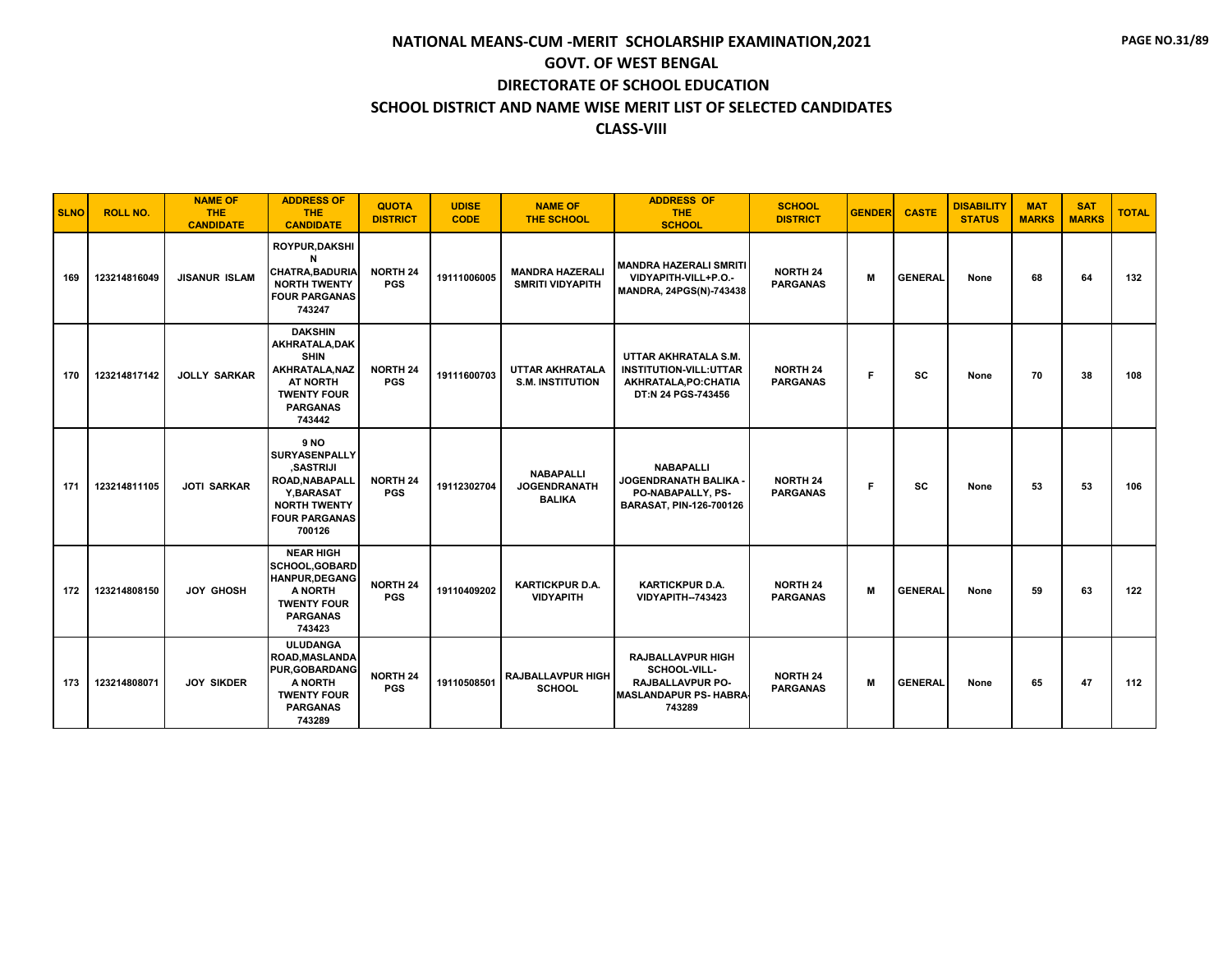| <b>SLNO</b> | <b>ROLL NO.</b> | <b>NAME OF</b><br><b>THE</b><br><b>CANDIDATE</b> | <b>ADDRESS OF</b><br><b>THE</b><br><b>CANDIDATE</b>                                                                                            | <b>QUOTA</b><br><b>DISTRICT</b> | <b>UDISE</b><br><b>CODE</b> | <b>NAME OF</b><br><b>THE SCHOOL</b>                      | <b>ADDRESS OF</b><br><b>THE</b><br><b>SCHOOL</b>                                                       | <b>SCHOOL</b><br><b>DISTRICT</b>   | <b>GENDER</b> | <b>CASTE</b>   | <b>DISABILITY</b><br><b>STATUS</b> | <b>MAT</b><br><b>MARKS</b> | <b>SAT</b><br><b>MARKS</b> | <b>TOTAL</b> |
|-------------|-----------------|--------------------------------------------------|------------------------------------------------------------------------------------------------------------------------------------------------|---------------------------------|-----------------------------|----------------------------------------------------------|--------------------------------------------------------------------------------------------------------|------------------------------------|---------------|----------------|------------------------------------|----------------------------|----------------------------|--------------|
| 169         | 123214816049    | <b>JISANUR ISLAM</b>                             | ROYPUR, DAKSHI<br><b>CHATRA, BADURIA</b><br><b>NORTH TWENTY</b><br><b>FOUR PARGANAS</b><br>743247                                              | NORTH 24<br><b>PGS</b>          | 19111006005                 | <b>MANDRA HAZERALI</b><br><b>SMRITI VIDYAPITH</b>        | <b>MANDRA HAZERALI SMRITI</b><br>VIDYAPITH-VILL+P.O.-<br>MANDRA, 24PGS(N)-743438                       | <b>NORTH 24</b><br><b>PARGANAS</b> | м             | <b>GENERAL</b> | None                               | 68                         | 64                         | 132          |
| 170         | 123214817142    | <b>JOLLY SARKAR</b>                              | <b>DAKSHIN</b><br>AKHRATALA, DAK<br><b>SHIN</b><br>AKHRATALA.NAZ<br><b>AT NORTH</b><br><b>TWENTY FOUR</b><br><b>PARGANAS</b><br>743442         | <b>NORTH 24</b><br><b>PGS</b>   | 19111600703                 | <b>UTTAR AKHRATALA</b><br><b>S.M. INSTITUTION</b>        | UTTAR AKHRATALA S.M.<br><b>INSTITUTION-VILL:UTTAR</b><br>AKHRATALA, PO: CHATIA<br>DT:N 24 PGS-743456   | <b>NORTH 24</b><br><b>PARGANAS</b> | F             | sc             | None                               | 70                         | 38                         | 108          |
| 171         | 123214811105    | <b>JOTI SARKAR</b>                               | <b>9 NO</b><br>SURYASENPALLY<br><b>SASTRIJI</b><br><b>ROAD.NABAPALL</b><br>Y, BARASAT<br><b>NORTH TWENTY</b><br><b>FOUR PARGANAS</b><br>700126 | <b>NORTH 24</b><br><b>PGS</b>   | 19112302704                 | <b>NABAPALLI</b><br><b>JOGENDRANATH</b><br><b>BALIKA</b> | <b>NABAPALLI</b><br><b>JOGENDRANATH BALIKA</b><br>PO-NABAPALLY, PS-<br><b>BARASAT, PIN-126-700126</b>  | <b>NORTH 24</b><br><b>PARGANAS</b> | F             | SC             | None                               | 53                         | 53                         | 106          |
| 172         | 123214808150    | <b>JOY GHOSH</b>                                 | <b>NEAR HIGH</b><br><b>SCHOOL, GOBARD</b><br><b>HANPUR, DEGANG</b><br>A NORTH<br><b>TWENTY FOUR</b><br><b>PARGANAS</b><br>743423               | NORTH 24<br><b>PGS</b>          | 19110409202                 | <b>KARTICKPUR D.A.</b><br><b>VIDYAPITH</b>               | <b>KARTICKPUR D.A.</b><br><b>VIDYAPITH--743423</b>                                                     | <b>NORTH 24</b><br><b>PARGANAS</b> | M             | <b>GENERAL</b> | None                               | 59                         | 63                         | 122          |
| 173         | 123214808071    | <b>JOY SIKDER</b>                                | <b>ULUDANGA</b><br><b>ROAD, MASLANDA</b><br><b>PUR, GOBARDANG</b><br>A NORTH<br><b>TWENTY FOUR</b><br><b>PARGANAS</b><br>743289                | <b>NORTH 24</b><br><b>PGS</b>   | 19110508501                 | <b>RAJBALLAVPUR HIGH</b><br><b>SCHOOL</b>                | <b>RAJBALLAVPUR HIGH</b><br>SCHOOL-VILL-<br>RAJBALLAVPUR PO-<br><b>MASLANDAPUR PS- HABRA</b><br>743289 | <b>NORTH 24</b><br><b>PARGANAS</b> | M             | <b>GENERAL</b> | None                               | 65                         | 47                         | 112          |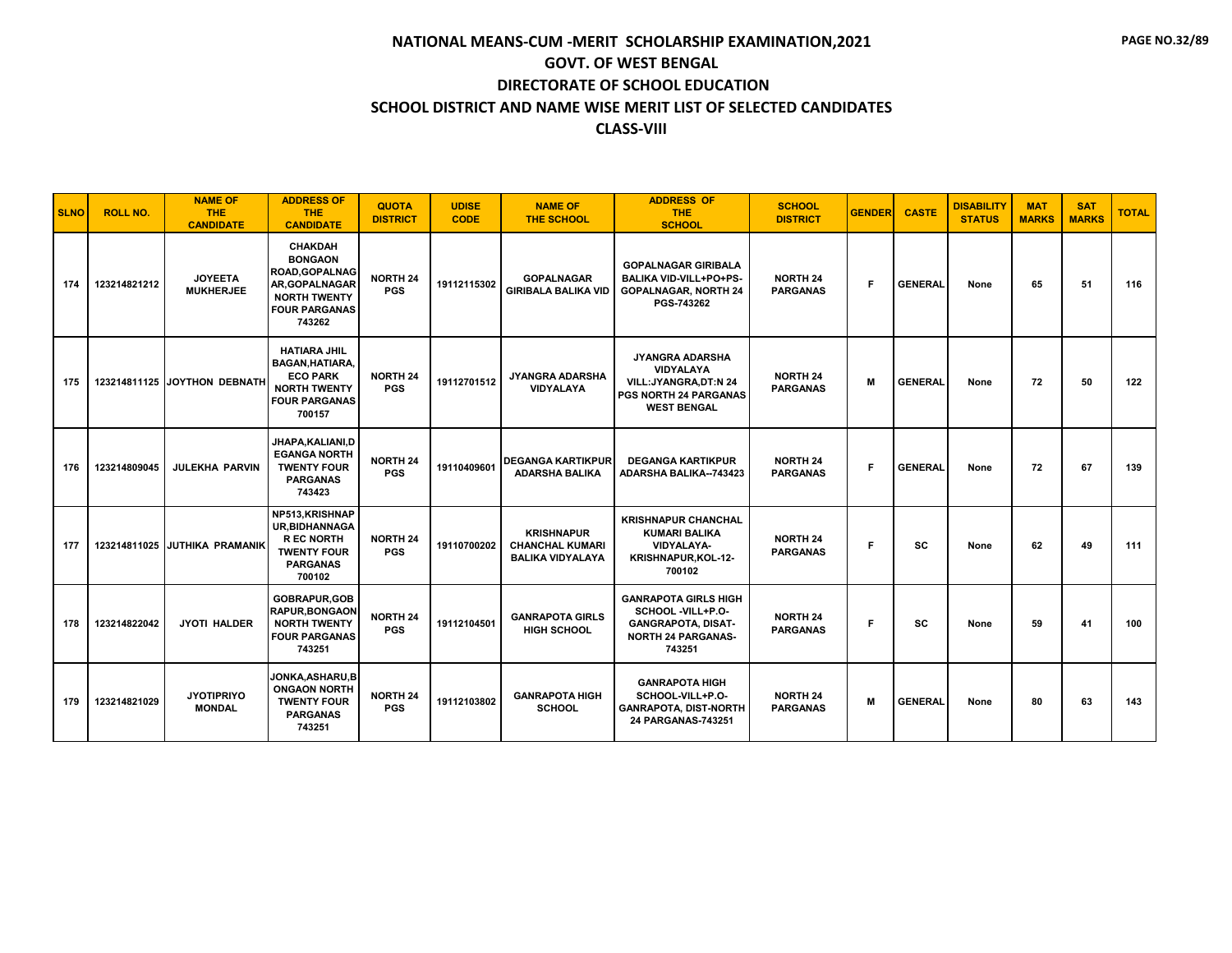| <b>SLNO</b> | <b>ROLL NO.</b> | <b>NAME OF</b><br>THE.<br><b>CANDIDATE</b> | <b>ADDRESS OF</b><br><b>THE</b><br><b>CANDIDATE</b>                                                                                  | <b>QUOTA</b><br><b>DISTRICT</b> | <b>UDISE</b><br><b>CODE</b> | <b>NAME OF</b><br><b>THE SCHOOL</b>                                    | <b>ADDRESS OF</b><br><b>THE</b><br><b>SCHOOL</b>                                                                     | <b>SCHOOL</b><br><b>DISTRICT</b>   | <b>GENDER</b> | <b>CASTE</b>   | <b>DISABILITY</b><br><b>STATUS</b> | <b>MAT</b><br><b>MARKS</b> | <b>SAT</b><br><b>MARKS</b> | <b>TOTAL</b> |
|-------------|-----------------|--------------------------------------------|--------------------------------------------------------------------------------------------------------------------------------------|---------------------------------|-----------------------------|------------------------------------------------------------------------|----------------------------------------------------------------------------------------------------------------------|------------------------------------|---------------|----------------|------------------------------------|----------------------------|----------------------------|--------------|
| 174         | 123214821212    | <b>JOYEETA</b><br><b>MUKHERJEE</b>         | <b>CHAKDAH</b><br><b>BONGAON</b><br><b>ROAD, GOPALNAG</b><br>AR, GOPALNAGAR<br><b>NORTH TWENTY</b><br><b>FOUR PARGANAS</b><br>743262 | <b>NORTH 24</b><br><b>PGS</b>   | 19112115302                 | <b>GOPALNAGAR</b><br><b>GIRIBALA BALIKA VID</b>                        | <b>GOPALNAGAR GIRIBALA</b><br><b>BALIKA VID-VILL+PO+PS-</b><br><b>GOPALNAGAR, NORTH 24</b><br>PGS-743262             | <b>NORTH 24</b><br><b>PARGANAS</b> | F             | <b>GENERAL</b> | None                               | 65                         | 51                         | 116          |
| 175         |                 | 123214811125 JOYTHON DEBNATH               | <b>HATIARA JHIL</b><br><b>BAGAN, HATIARA,</b><br><b>ECO PARK</b><br><b>NORTH TWENTY</b><br><b>FOUR PARGANAS</b><br>700157            | <b>NORTH 24</b><br><b>PGS</b>   | 19112701512                 | JYANGRA ADARSHA<br><b>VIDYALAYA</b>                                    | JYANGRA ADARSHA<br><b>VIDYALAYA</b><br>VILL: JYANGRA, DT:N 24<br><b>PGS NORTH 24 PARGANAS</b><br><b>WEST BENGAL</b>  | <b>NORTH 24</b><br><b>PARGANAS</b> | м             | <b>GENERAL</b> | None                               | 72                         | 50                         | 122          |
| 176         | 123214809045    | <b>JULEKHA PARVIN</b>                      | JHAPA, KALIANI, D<br><b>EGANGA NORTH</b><br><b>TWENTY FOUR</b><br><b>PARGANAS</b><br>743423                                          | <b>NORTH 24</b><br><b>PGS</b>   | 19110409601                 | <b>DEGANGA KARTIKPUR</b><br><b>ADARSHA BALIKA</b>                      | <b>DEGANGA KARTIKPUR</b><br><b>ADARSHA BALIKA--743423</b>                                                            | <b>NORTH 24</b><br><b>PARGANAS</b> | F             | <b>GENERAL</b> | None                               | 72                         | 67                         | 139          |
| 177         | 123214811025    | <b>JUTHIKA PRAMANIK</b>                    | NP513, KRISHNAP<br><b>UR.BIDHANNAGA</b><br><b>REC NORTH</b><br><b>TWENTY FOUR</b><br><b>PARGANAS</b><br>700102                       | <b>NORTH 24</b><br><b>PGS</b>   | 19110700202                 | <b>KRISHNAPUR</b><br><b>CHANCHAL KUMARI</b><br><b>BALIKA VIDYALAYA</b> | <b>KRISHNAPUR CHANCHAL</b><br><b>KUMARI BALIKA</b><br><b>VIDYALAYA-</b><br>KRISHNAPUR, KOL-12-<br>700102             | <b>NORTH 24</b><br><b>PARGANAS</b> | F             | <b>SC</b>      | None                               | 62                         | 49                         | 111          |
| 178         | 123214822042    | <b>JYOTI HALDER</b>                        | <b>GOBRAPUR.GOB</b><br><b>RAPUR.BONGAON</b><br><b>NORTH TWENTY</b><br><b>FOUR PARGANAS</b><br>743251                                 | <b>NORTH 24</b><br><b>PGS</b>   | 19112104501                 | <b>GANRAPOTA GIRLS</b><br><b>HIGH SCHOOL</b>                           | <b>GANRAPOTA GIRLS HIGH</b><br>SCHOOL -VILL+P.O-<br><b>GANGRAPOTA, DISAT-</b><br><b>NORTH 24 PARGANAS-</b><br>743251 | <b>NORTH 24</b><br><b>PARGANAS</b> | F             | <b>SC</b>      | None                               | 59                         | 41                         | 100          |
| 179         | 123214821029    | <b>JYOTIPRIYO</b><br><b>MONDAL</b>         | JONKA,ASHARU,B<br><b>ONGAON NORTH</b><br><b>TWENTY FOUR</b><br><b>PARGANAS</b><br>743251                                             | NORTH 24<br><b>PGS</b>          | 19112103802                 | <b>GANRAPOTA HIGH</b><br><b>SCHOOL</b>                                 | <b>GANRAPOTA HIGH</b><br>SCHOOL-VILL+P.O-<br><b>GANRAPOTA, DIST-NORTH</b><br>24 PARGANAS-743251                      | <b>NORTH 24</b><br><b>PARGANAS</b> | м             | <b>GENERAL</b> | None                               | 80                         | 63                         | 143          |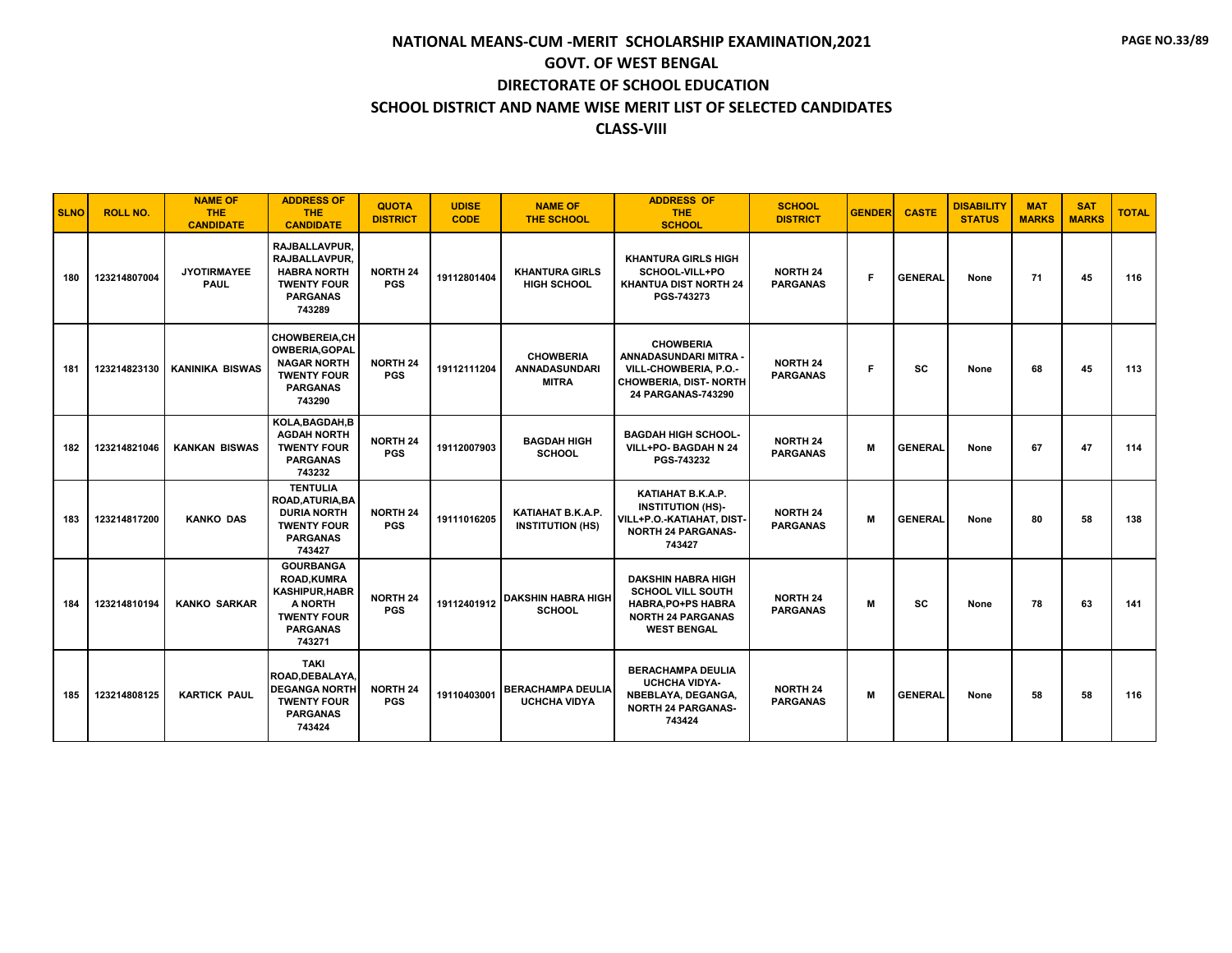| <b>SLNO</b> | <b>ROLL NO.</b> | <b>NAME OF</b><br><b>THE</b><br><b>CANDIDATE</b> | <b>ADDRESS OF</b><br><b>THE</b><br><b>CANDIDATE</b>                                                                          | <b>QUOTA</b><br><b>DISTRICT</b> | <b>UDISE</b><br><b>CODE</b> | <b>NAME OF</b><br><b>THE SCHOOL</b>                      | <b>ADDRESS OF</b><br><b>THE</b><br><b>SCHOOL</b>                                                                                     | <b>SCHOOL</b><br><b>DISTRICT</b>   | <b>GENDER</b> | <b>CASTE</b>   | <b>DISABILITY</b><br><b>STATUS</b> | <b>MAT</b><br><b>MARKS</b> | <b>SAT</b><br><b>MARKS</b> | <b>TOTAL</b> |
|-------------|-----------------|--------------------------------------------------|------------------------------------------------------------------------------------------------------------------------------|---------------------------------|-----------------------------|----------------------------------------------------------|--------------------------------------------------------------------------------------------------------------------------------------|------------------------------------|---------------|----------------|------------------------------------|----------------------------|----------------------------|--------------|
| 180         | 123214807004    | <b>JYOTIRMAYEE</b><br><b>PAUL</b>                | RAJBALLAVPUR.<br>RAJBALLAVPUR.<br><b>HABRA NORTH</b><br><b>TWENTY FOUR</b><br><b>PARGANAS</b><br>743289                      | <b>NORTH 24</b><br><b>PGS</b>   | 19112801404                 | <b>KHANTURA GIRLS</b><br><b>HIGH SCHOOL</b>              | <b>KHANTURA GIRLS HIGH</b><br>SCHOOL-VILL+PO<br>KHANTUA DIST NORTH 24<br>PGS-743273                                                  | <b>NORTH 24</b><br><b>PARGANAS</b> | F.            | <b>GENERAL</b> | None                               | 71                         | 45                         | 116          |
| 181         | 123214823130    | <b>KANINIKA BISWAS</b>                           | <b>CHOWBEREIA,CH</b><br><b>OWBERIA, GOPAL</b><br><b>NAGAR NORTH</b><br><b>TWENTY FOUR</b><br><b>PARGANAS</b><br>743290       | <b>NORTH 24</b><br><b>PGS</b>   | 19112111204                 | <b>CHOWBERIA</b><br><b>ANNADASUNDARI</b><br><b>MITRA</b> | <b>CHOWBERIA</b><br>ANNADASUNDARI MITRA -<br>VILL-CHOWBERIA, P.O.-<br><b>CHOWBERIA, DIST- NORTH</b><br>24 PARGANAS-743290            | <b>NORTH 24</b><br><b>PARGANAS</b> | F             | sc             | None                               | 68                         | 45                         | 113          |
| 182         | 123214821046    | <b>KANKAN BISWAS</b>                             | KOLA.BAGDAH.B<br><b>AGDAH NORTH</b><br><b>TWENTY FOUR</b><br><b>PARGANAS</b><br>743232                                       | <b>NORTH 24</b><br><b>PGS</b>   | 19112007903                 | <b>BAGDAH HIGH</b><br><b>SCHOOL</b>                      | <b>BAGDAH HIGH SCHOOL-</b><br>VILL+PO- BAGDAH N 24<br>PGS-743232                                                                     | <b>NORTH 24</b><br><b>PARGANAS</b> | M             | <b>GENERAL</b> | None                               | 67                         | 47                         | 114          |
| 183         | 123214817200    | <b>KANKO DAS</b>                                 | <b>TENTULIA</b><br>ROAD, ATURIA, BA<br><b>DURIA NORTH</b><br><b>TWENTY FOUR</b><br><b>PARGANAS</b><br>743427                 | <b>NORTH 24</b><br><b>PGS</b>   | 19111016205                 | KATIAHAT B.K.A.P.<br><b>INSTITUTION (HS)</b>             | KATIAHAT B.K.A.P.<br><b>INSTITUTION (HS)-</b><br>VILL+P.O.-KATIAHAT, DIST-<br><b>NORTH 24 PARGANAS-</b><br>743427                    | <b>NORTH 24</b><br><b>PARGANAS</b> | M             | <b>GENERAL</b> | None                               | 80                         | 58                         | 138          |
| 184         | 123214810194    | <b>KANKO SARKAR</b>                              | <b>GOURBANGA</b><br><b>ROAD.KUMRA</b><br><b>KASHIPUR, HABR</b><br>A NORTH<br><b>TWENTY FOUR</b><br><b>PARGANAS</b><br>743271 | <b>NORTH 24</b><br><b>PGS</b>   | 19112401912                 | <b>DAKSHIN HABRA HIGH</b><br><b>SCHOOL</b>               | <b>DAKSHIN HABRA HIGH</b><br><b>SCHOOL VILL SOUTH</b><br><b>HABRA, PO+PS HABRA</b><br><b>NORTH 24 PARGANAS</b><br><b>WEST BENGAL</b> | <b>NORTH 24</b><br><b>PARGANAS</b> | м             | SC             | None                               | 78                         | 63                         | 141          |
| 185         | 123214808125    | <b>KARTICK PAUL</b>                              | <b>TAKI</b><br>ROAD.DEBALAYA.<br><b>DEGANGA NORTH</b><br><b>TWENTY FOUR</b><br><b>PARGANAS</b><br>743424                     | <b>NORTH 24</b><br><b>PGS</b>   | 19110403001                 | <b>BERACHAMPA DEULIA</b><br><b>UCHCHA VIDYA</b>          | <b>BERACHAMPA DEULIA</b><br><b>UCHCHA VIDYA-</b><br><b>NBEBLAYA, DEGANGA,</b><br><b>NORTH 24 PARGANAS-</b><br>743424                 | <b>NORTH 24</b><br><b>PARGANAS</b> | M             | <b>GENERAL</b> | None                               | 58                         | 58                         | 116          |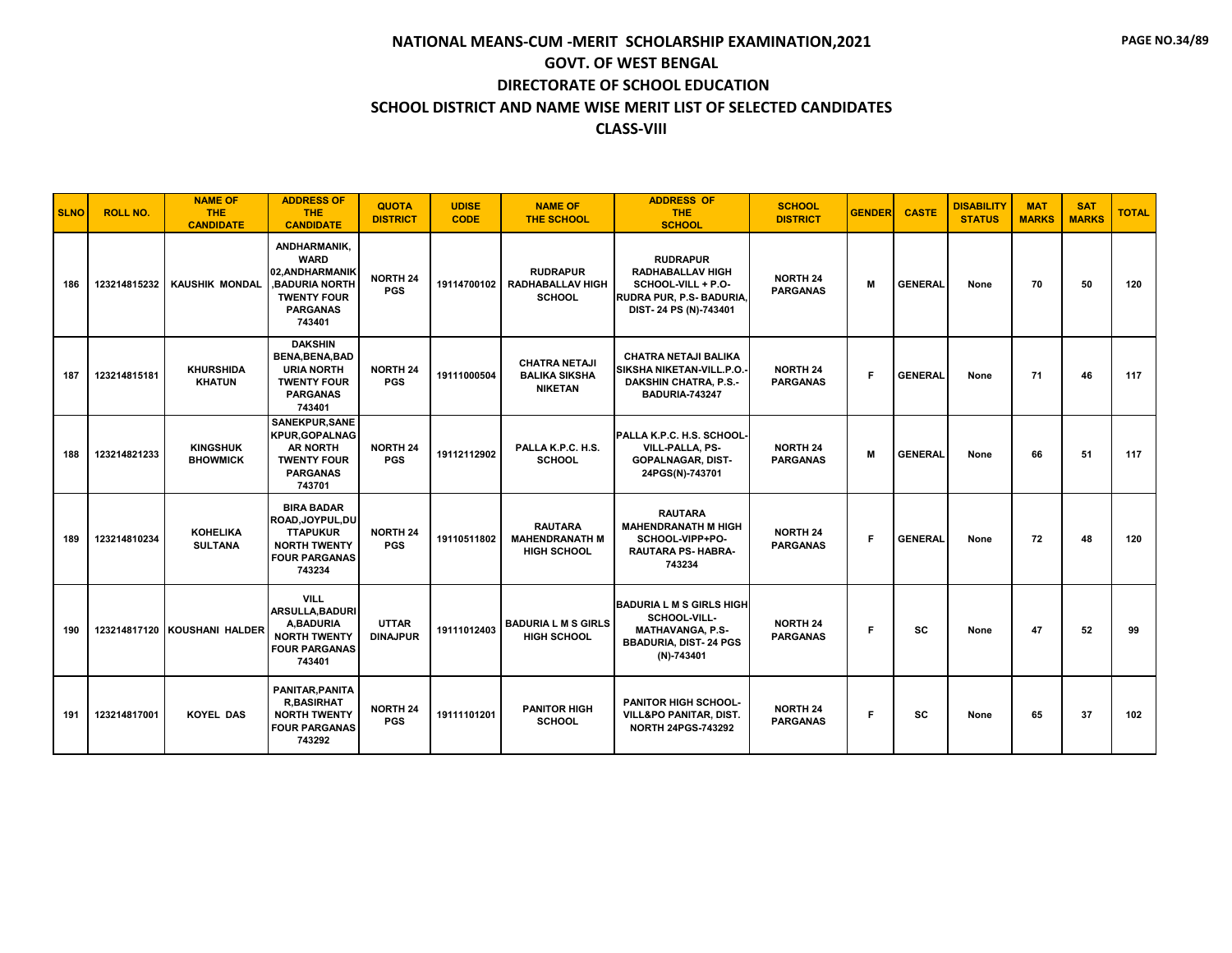| <b>SLNO</b> | <b>ROLL NO.</b> | <b>NAME OF</b><br><b>THE</b><br><b>CANDIDATE</b> | <b>ADDRESS OF</b><br><b>THE</b><br><b>CANDIDATE</b>                                                                      | <b>QUOTA</b><br><b>DISTRICT</b> | <b>UDISE</b><br><b>CODE</b> | <b>NAME OF</b><br><b>THE SCHOOL</b>                            | <b>ADDRESS OF</b><br><b>THE</b><br><b>SCHOOL</b>                                                                             | <b>SCHOOL</b><br><b>DISTRICT</b>   | <b>GENDER</b> | <b>CASTE</b>   | <b>DISABILITY</b><br><b>STATUS</b> | <b>MAT</b><br><b>MARKS</b> | <b>SAT</b><br><b>MARKS</b> | <b>TOTAL</b> |
|-------------|-----------------|--------------------------------------------------|--------------------------------------------------------------------------------------------------------------------------|---------------------------------|-----------------------------|----------------------------------------------------------------|------------------------------------------------------------------------------------------------------------------------------|------------------------------------|---------------|----------------|------------------------------------|----------------------------|----------------------------|--------------|
| 186         | 123214815232    | <b>KAUSHIK MONDAL</b>                            | ANDHARMANIK,<br><b>WARD</b><br>02.ANDHARMANIK<br><b>BADURIA NORTH</b><br><b>TWENTY FOUR</b><br><b>PARGANAS</b><br>743401 | <b>NORTH 24</b><br><b>PGS</b>   | 19114700102                 | <b>RUDRAPUR</b><br><b>RADHABALLAV HIGH</b><br><b>SCHOOL</b>    | <b>RUDRAPUR</b><br><b>RADHABALLAV HIGH</b><br>SCHOOL-VILL + P.O-<br>RUDRA PUR, P.S- BADURIA.<br>DIST-24 PS (N)-743401        | <b>NORTH 24</b><br><b>PARGANAS</b> | M             | <b>GENERAL</b> | None                               | 70                         | 50                         | 120          |
| 187         | 123214815181    | <b>KHURSHIDA</b><br><b>KHATUN</b>                | <b>DAKSHIN</b><br><b>BENA, BENA, BAD</b><br><b>URIA NORTH</b><br><b>TWENTY FOUR</b><br><b>PARGANAS</b><br>743401         | <b>NORTH 24</b><br><b>PGS</b>   | 19111000504                 | <b>CHATRA NETAJI</b><br><b>BALIKA SIKSHA</b><br><b>NIKETAN</b> | CHATRA NETAJI BALIKA<br>SIKSHA NIKETAN-VILL.P.O.<br><b>DAKSHIN CHATRA, P.S.-</b><br><b>BADURIA-743247</b>                    | <b>NORTH 24</b><br><b>PARGANAS</b> | F             | <b>GENERAL</b> | None                               | 71                         | 46                         | 117          |
| 188         | 123214821233    | <b>KINGSHUK</b><br><b>BHOWMICK</b>               | SANEKPUR, SANE<br><b>KPUR, GOPALNAG</b><br><b>AR NORTH</b><br><b>TWENTY FOUR</b><br><b>PARGANAS</b><br>743701            | <b>NORTH 24</b><br><b>PGS</b>   | 19112112902                 | PALLA K.P.C. H.S.<br><b>SCHOOL</b>                             | PALLA K.P.C. H.S. SCHOOL-<br><b>VILL-PALLA, PS-</b><br><b>GOPALNAGAR, DIST-</b><br>24PGS(N)-743701                           | <b>NORTH 24</b><br><b>PARGANAS</b> | M             | <b>GENERAL</b> | None                               | 66                         | 51                         | 117          |
| 189         | 123214810234    | <b>KOHELIKA</b><br><b>SULTANA</b>                | <b>BIRA BADAR</b><br>ROAD, JOYPUL, DU<br><b>TTAPUKUR</b><br><b>NORTH TWENTY</b><br><b>FOUR PARGANAS</b><br>743234        | <b>NORTH 24</b><br><b>PGS</b>   | 19110511802                 | <b>RAUTARA</b><br><b>MAHENDRANATH M</b><br><b>HIGH SCHOOL</b>  | <b>RAUTARA</b><br><b>MAHENDRANATH M HIGH</b><br>SCHOOL-VIPP+PO-<br><b>RAUTARA PS-HABRA-</b><br>743234                        | <b>NORTH 24</b><br><b>PARGANAS</b> | F             | <b>GENERAL</b> | None                               | 72                         | 48                         | 120          |
| 190         |                 | 123214817120 KOUSHANI HALDER                     | <b>VILL</b><br><b>ARSULLA, BADURI</b><br>A.BADURIA<br><b>NORTH TWENTY</b><br><b>FOUR PARGANAS</b><br>743401              | <b>UTTAR</b><br><b>DINAJPUR</b> | 19111012403                 | <b>BADURIA L M S GIRLS</b><br><b>HIGH SCHOOL</b>               | <b>BADURIA L M S GIRLS HIGH</b><br>SCHOOL-VILL-<br><b>MATHAVANGA, P.S-</b><br><b>BBADURIA, DIST-24 PGS</b><br>$(N) - 743401$ | <b>NORTH 24</b><br><b>PARGANAS</b> | F             | SC             | None                               | 47                         | 52                         | 99           |
| 191         | 123214817001    | <b>KOYEL DAS</b>                                 | PANITAR, PANITA<br><b>R,BASIRHAT</b><br><b>NORTH TWENTY</b><br><b>FOUR PARGANAS</b><br>743292                            | <b>NORTH 24</b><br><b>PGS</b>   | 19111101201                 | <b>PANITOR HIGH</b><br><b>SCHOOL</b>                           | <b>PANITOR HIGH SCHOOL-</b><br><b>VILL&amp;PO PANITAR, DIST.</b><br><b>NORTH 24PGS-743292</b>                                | <b>NORTH 24</b><br><b>PARGANAS</b> | F             | <b>SC</b>      | None                               | 65                         | 37                         | 102          |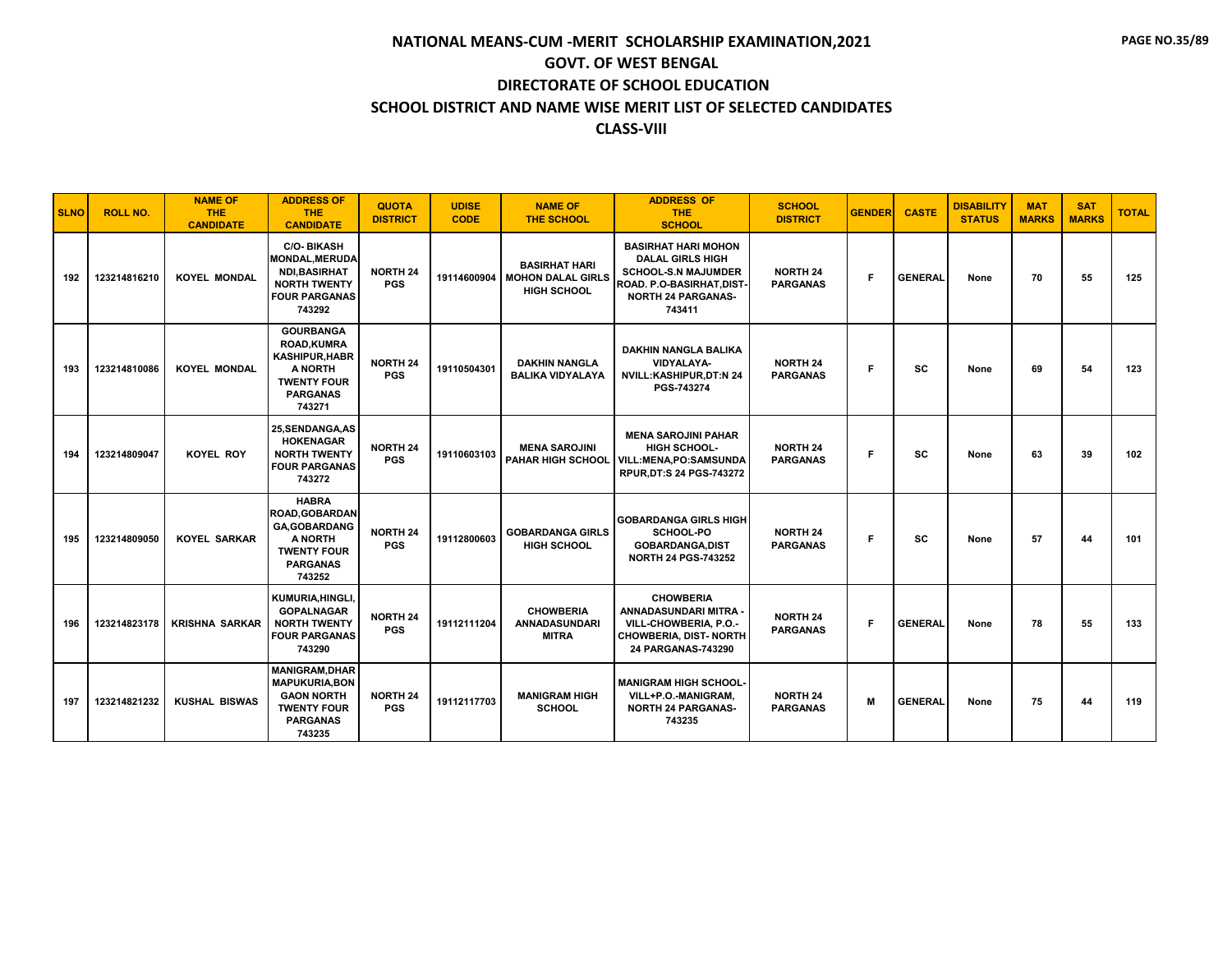| <b>SLNO</b> | <b>ROLL NO.</b> | <b>NAME OF</b><br><b>THE</b><br><b>CANDIDATE</b> | <b>ADDRESS OF</b><br><b>THE</b><br><b>CANDIDATE</b>                                                                         | <b>QUOTA</b><br><b>DISTRICT</b> | <b>UDISE</b><br><b>CODE</b> | <b>NAME OF</b><br><b>THE SCHOOL</b>                                    | <b>ADDRESS OF</b><br><b>THE</b><br><b>SCHOOL</b>                                                                                                        | <b>SCHOOL</b><br><b>DISTRICT</b>   | <b>GENDER</b> | <b>CASTE</b>   | <b>DISABILITY</b><br><b>STATUS</b> | <b>MAT</b><br><b>MARKS</b> | <b>SAT</b><br><b>MARKS</b> | <b>TOTAL</b> |
|-------------|-----------------|--------------------------------------------------|-----------------------------------------------------------------------------------------------------------------------------|---------------------------------|-----------------------------|------------------------------------------------------------------------|---------------------------------------------------------------------------------------------------------------------------------------------------------|------------------------------------|---------------|----------------|------------------------------------|----------------------------|----------------------------|--------------|
| 192         | 123214816210    | <b>KOYEL MONDAL</b>                              | <b>C/O-BIKASH</b><br><b>MONDAL, MERUDA</b><br><b>NDI, BASIRHAT</b><br><b>NORTH TWENTY</b><br><b>FOUR PARGANAS</b><br>743292 | <b>NORTH 24</b><br><b>PGS</b>   | 19114600904                 | <b>BASIRHAT HARI</b><br><b>MOHON DALAL GIRLS</b><br><b>HIGH SCHOOL</b> | <b>BASIRHAT HARI MOHON</b><br><b>DALAL GIRLS HIGH</b><br><b>SCHOOL-S.N MAJUMDER</b><br>ROAD. P.O-BASIRHAT, DIST-<br><b>NORTH 24 PARGANAS-</b><br>743411 | <b>NORTH 24</b><br><b>PARGANAS</b> | F             | <b>GENERAL</b> | None                               | 70                         | 55                         | 125          |
| 193         | 123214810086    | <b>KOYEL MONDAL</b>                              | <b>GOURBANGA</b><br><b>ROAD,KUMRA</b><br><b>KASHIPUR.HABR</b><br>A NORTH<br><b>TWENTY FOUR</b><br><b>PARGANAS</b><br>743271 | <b>NORTH 24</b><br><b>PGS</b>   | 19110504301                 | <b>DAKHIN NANGLA</b><br><b>BALIKA VIDYALAYA</b>                        | <b>DAKHIN NANGLA BALIKA</b><br>VIDYALAYA-<br>NVILL:KASHIPUR,DT:N 24<br>PGS-743274                                                                       | <b>NORTH 24</b><br><b>PARGANAS</b> | F.            | SC             | None                               | 69                         | 54                         | 123          |
| 194         | 123214809047    | <b>KOYEL ROY</b>                                 | 25.SENDANGA.AS<br><b>HOKENAGAR</b><br><b>NORTH TWENTY</b><br><b>FOUR PARGANAS</b><br>743272                                 | <b>NORTH 24</b><br><b>PGS</b>   | 19110603103                 | <b>MENA SAROJINI</b><br><b>PAHAR HIGH SCHOOL</b>                       | <b>MENA SAROJINI PAHAR</b><br>HIGH SCHOOL-<br>VILL:MENA,PO:SAMSUNDA<br>RPUR, DT:S 24 PGS-743272                                                         | <b>NORTH 24</b><br><b>PARGANAS</b> | F.            | <b>SC</b>      | None                               | 63                         | 39                         | 102          |
| 195         | 123214809050    | <b>KOYEL SARKAR</b>                              | <b>HABRA</b><br><b>ROAD, GOBARDAN</b><br><b>GA, GOBARDANG</b><br>A NORTH<br><b>TWENTY FOUR</b><br><b>PARGANAS</b><br>743252 | <b>NORTH 24</b><br><b>PGS</b>   | 19112800603                 | <b>GOBARDANGA GIRLS</b><br><b>HIGH SCHOOL</b>                          | <b>GOBARDANGA GIRLS HIGH</b><br><b>SCHOOL-PO</b><br>GOBARDANGA, DIST<br><b>NORTH 24 PGS-743252</b>                                                      | <b>NORTH 24</b><br><b>PARGANAS</b> | Е             | <b>SC</b>      | None                               | 57                         | 44                         | 101          |
| 196         | 123214823178    | <b>KRISHNA SARKAR</b>                            | KUMURIA, HINGLI,<br><b>GOPALNAGAR</b><br><b>NORTH TWENTY</b><br><b>FOUR PARGANAS</b><br>743290                              | <b>NORTH 24</b><br><b>PGS</b>   | 19112111204                 | <b>CHOWBERIA</b><br><b>ANNADASUNDARI</b><br><b>MITRA</b>               | <b>CHOWBERIA</b><br>ANNADASUNDARI MITRA -<br>VILL-CHOWBERIA, P.O.-<br><b>CHOWBERIA, DIST- NORTH</b><br>24 PARGANAS-743290                               | <b>NORTH 24</b><br><b>PARGANAS</b> | F.            | <b>GENERAL</b> | None                               | 78                         | 55                         | 133          |
| 197         | 123214821232    | <b>KUSHAL BISWAS</b>                             | <b>MANIGRAM, DHAR</b><br><b>MAPUKURIA, BON</b><br><b>GAON NORTH</b><br><b>TWENTY FOUR</b><br><b>PARGANAS</b><br>743235      | <b>NORTH 24</b><br><b>PGS</b>   | 19112117703                 | <b>MANIGRAM HIGH</b><br><b>SCHOOL</b>                                  | <b>MANIGRAM HIGH SCHOOL-</b><br>VILL+P.O.-MANIGRAM,<br><b>NORTH 24 PARGANAS-</b><br>743235                                                              | <b>NORTH 24</b><br><b>PARGANAS</b> | М             | <b>GENERAL</b> | None                               | 75                         | 44                         | 119          |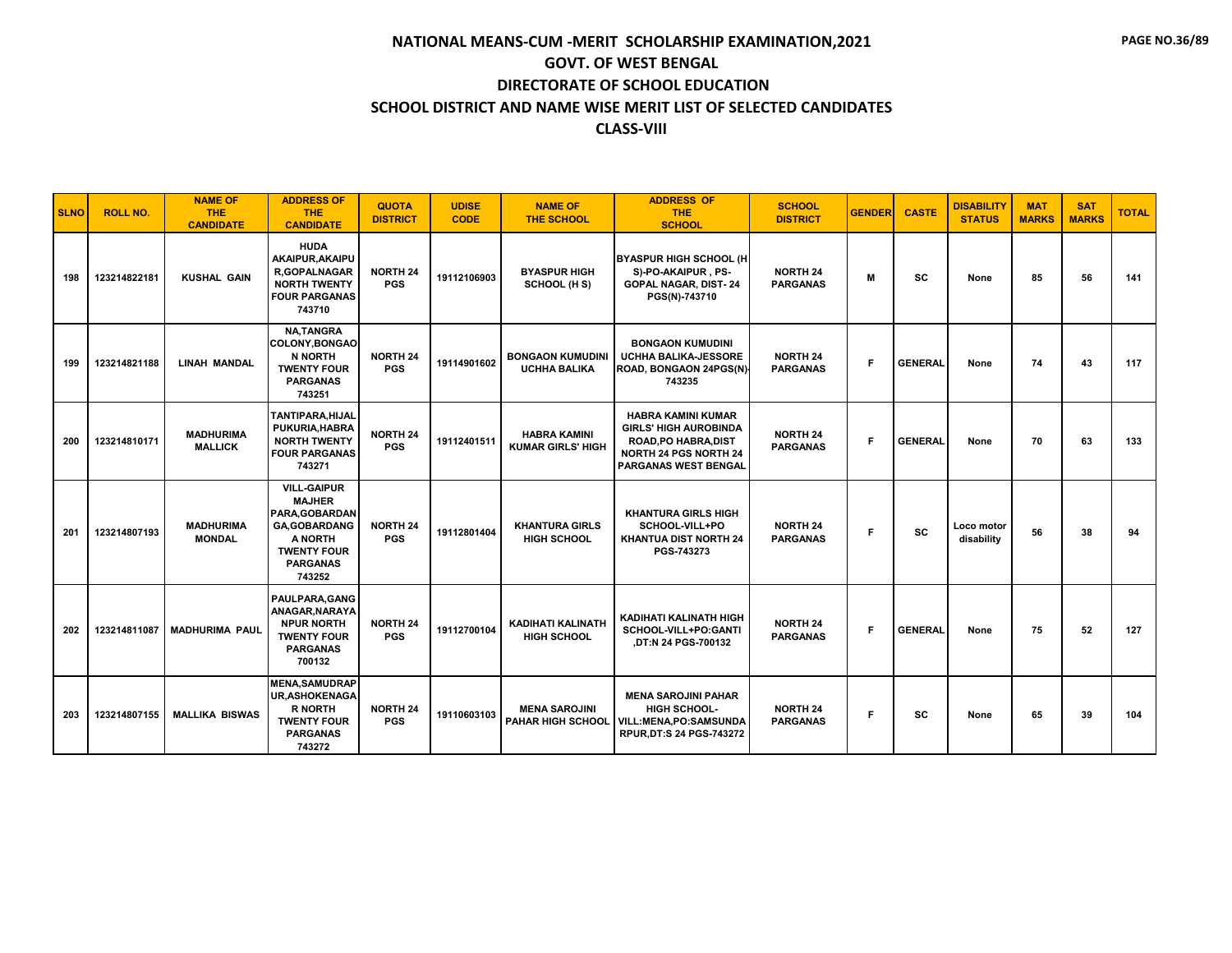| <b>SLNO</b> | <b>ROLL NO.</b> | <b>NAME OF</b><br><b>THE</b><br><b>CANDIDATE</b> | <b>ADDRESS OF</b><br><b>THE</b><br><b>CANDIDATE</b>                                                                                         | <b>QUOTA</b><br><b>DISTRICT</b> | <b>UDISE</b><br><b>CODE</b> | <b>NAME OF</b><br><b>THE SCHOOL</b>              | <b>ADDRESS OF</b><br><b>THE</b><br><b>SCHOOL</b>                                                                                                        | <b>SCHOOL</b><br><b>DISTRICT</b>   | <b>GENDER</b> | <b>CASTE</b>   | <b>DISABILITY</b><br><b>STATUS</b> | <b>MAT</b><br><b>MARKS</b> | <b>SAT</b><br><b>MARKS</b> | <b>TOTAL</b> |
|-------------|-----------------|--------------------------------------------------|---------------------------------------------------------------------------------------------------------------------------------------------|---------------------------------|-----------------------------|--------------------------------------------------|---------------------------------------------------------------------------------------------------------------------------------------------------------|------------------------------------|---------------|----------------|------------------------------------|----------------------------|----------------------------|--------------|
| 198         | 123214822181    | <b>KUSHAL GAIN</b>                               | <b>HUDA</b><br>AKAIPUR.AKAIPU<br><b>R.GOPALNAGAR</b><br><b>NORTH TWENTY</b><br><b>FOUR PARGANAS</b><br>743710                               | <b>NORTH 24</b><br><b>PGS</b>   | 19112106903                 | <b>BYASPUR HIGH</b><br>SCHOOL (H S)              | <b>BYASPUR HIGH SCHOOL (H</b><br>S)-PO-AKAIPUR, PS-<br><b>GOPAL NAGAR, DIST-24</b><br>PGS(N)-743710                                                     | <b>NORTH 24</b><br><b>PARGANAS</b> | м             | sc             | None                               | 85                         | 56                         | 141          |
| 199         | 123214821188    | <b>LINAH MANDAL</b>                              | <b>NA.TANGRA</b><br><b>COLONY.BONGAO</b><br><b>N NORTH</b><br><b>TWENTY FOUR</b><br><b>PARGANAS</b><br>743251                               | <b>NORTH 24</b><br><b>PGS</b>   | 19114901602                 | <b>BONGAON KUMUDINI</b><br><b>UCHHA BALIKA</b>   | <b>BONGAON KUMUDINI</b><br><b>UCHHA BALIKA-JESSORE</b><br>ROAD, BONGAON 24PGS(N)<br>743235                                                              | <b>NORTH 24</b><br><b>PARGANAS</b> | F             | <b>GENERAL</b> | None                               | 74                         | 43                         | 117          |
| 200         | 123214810171    | <b>MADHURIMA</b><br><b>MALLICK</b>               | <b>TANTIPARA.HIJAL</b><br>PUKURIA.HABRA<br><b>NORTH TWENTY</b><br><b>FOUR PARGANAS</b><br>743271                                            | <b>NORTH 24</b><br><b>PGS</b>   | 19112401511                 | <b>HABRA KAMINI</b><br><b>KUMAR GIRLS' HIGH</b>  | <b>HABRA KAMINI KUMAR</b><br><b>GIRLS' HIGH AUROBINDA</b><br><b>ROAD, PO HABRA, DIST</b><br><b>NORTH 24 PGS NORTH 24</b><br><b>PARGANAS WEST BENGAL</b> | <b>NORTH 24</b><br><b>PARGANAS</b> | F.            | <b>GENERAL</b> | None                               | 70                         | 63                         | 133          |
| 201         | 123214807193    | <b>MADHURIMA</b><br><b>MONDAL</b>                | <b>VILL-GAIPUR</b><br><b>MAJHER</b><br>PARA, GOBARDAN<br><b>GA, GOBARDANG</b><br>A NORTH<br><b>TWENTY FOUR</b><br><b>PARGANAS</b><br>743252 | <b>NORTH 24</b><br><b>PGS</b>   | 19112801404                 | <b>KHANTURA GIRLS</b><br><b>HIGH SCHOOL</b>      | <b>KHANTURA GIRLS HIGH</b><br>SCHOOL-VILL+PO<br><b>KHANTUA DIST NORTH 24</b><br>PGS-743273                                                              | <b>NORTH 24</b><br><b>PARGANAS</b> | Е             | <b>SC</b>      | Loco motor<br>disability           | 56                         | 38                         | 94           |
| 202         | 123214811087    | <b>MADHURIMA PAUL</b>                            | PAULPARA.GANG<br>ANAGAR, NARAYA<br><b>NPUR NORTH</b><br><b>TWENTY FOUR</b><br><b>PARGANAS</b><br>700132                                     | <b>NORTH 24</b><br><b>PGS</b>   | 19112700104                 | <b>KADIHATI KALINATH</b><br><b>HIGH SCHOOL</b>   | KADIHATI KALINATH HIGH<br>SCHOOL-VILL+PO:GANTI<br>.DT:N 24 PGS-700132                                                                                   | <b>NORTH 24</b><br><b>PARGANAS</b> | F             | <b>GENERAL</b> | None                               | 75                         | 52                         | 127          |
| 203         | 123214807155    | <b>MALLIKA BISWAS</b>                            | <b>MENA.SAMUDRAP</b><br><b>UR, ASHOKENAGA</b><br><b>R NORTH</b><br><b>TWENTY FOUR</b><br><b>PARGANAS</b><br>743272                          | <b>NORTH 24</b><br><b>PGS</b>   | 19110603103                 | <b>MENA SAROJINI</b><br><b>PAHAR HIGH SCHOOL</b> | <b>MENA SAROJINI PAHAR</b><br><b>HIGH SCHOOL-</b><br>VILL:MENA,PO:SAMSUNDA<br>RPUR, DT: S 24 PGS-743272                                                 | <b>NORTH 24</b><br><b>PARGANAS</b> | F             | <b>SC</b>      | None                               | 65                         | 39                         | 104          |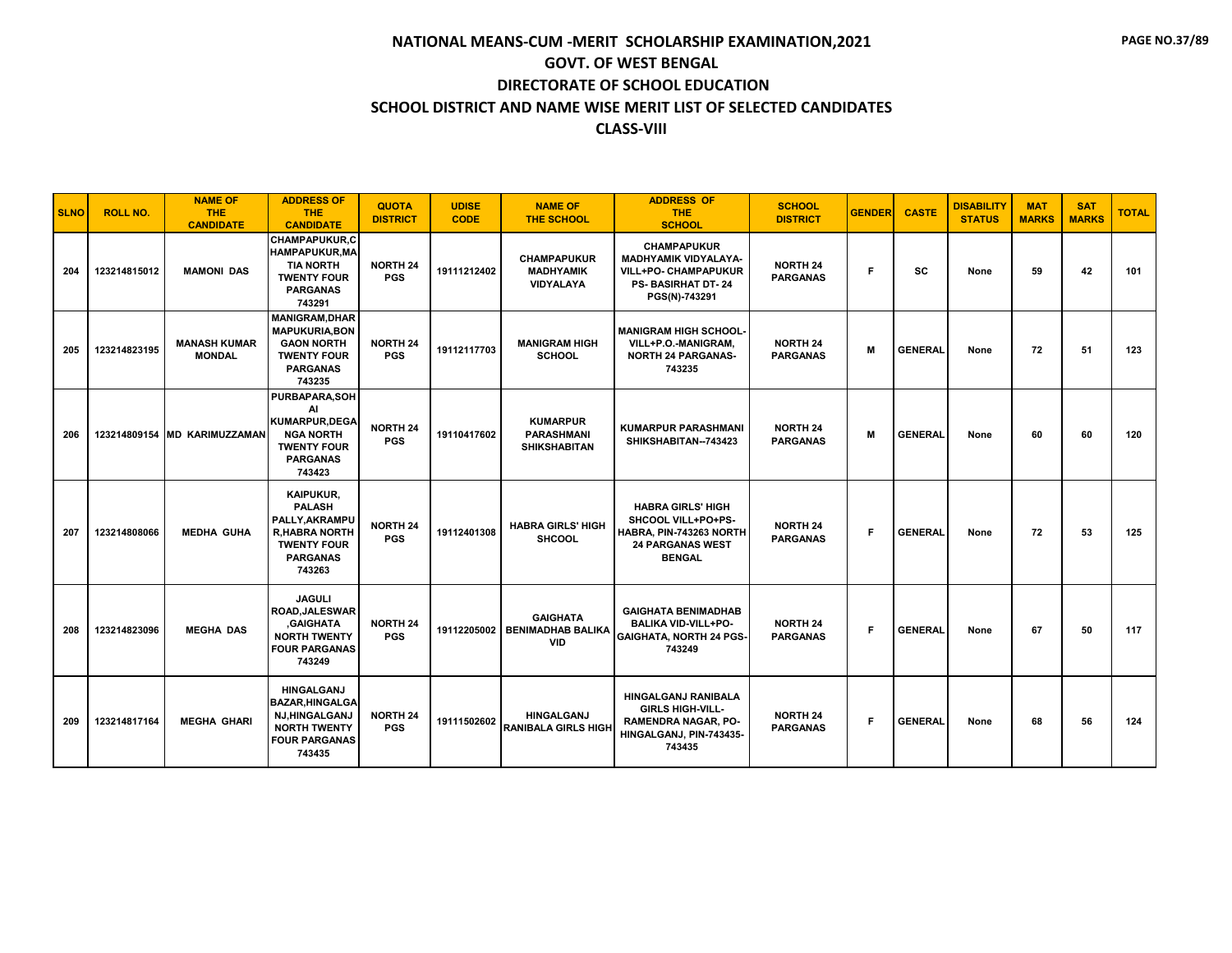| <b>SLNO</b> | <b>ROLL NO.</b> | <b>NAME OF</b><br><b>THE</b><br><b>CANDIDATE</b> | <b>ADDRESS OF</b><br><b>THE</b><br><b>CANDIDATE</b>                                                                            | <b>QUOTA</b><br><b>DISTRICT</b> | <b>UDISE</b><br><b>CODE</b> | <b>NAME OF</b><br><b>THE SCHOOL</b>                         | <b>ADDRESS OF</b><br><b>THE</b><br><b>SCHOOL</b>                                                                         | <b>SCHOOL</b><br><b>DISTRICT</b>   | <b>GENDER</b> | <b>CASTE</b>   | <b>DISABILITY</b><br><b>STATUS</b> | <b>MAT</b><br><b>MARKS</b> | <b>SAT</b><br><b>MARKS</b> | <b>TOTAL</b> |
|-------------|-----------------|--------------------------------------------------|--------------------------------------------------------------------------------------------------------------------------------|---------------------------------|-----------------------------|-------------------------------------------------------------|--------------------------------------------------------------------------------------------------------------------------|------------------------------------|---------------|----------------|------------------------------------|----------------------------|----------------------------|--------------|
| 204         | 123214815012    | <b>MAMONI DAS</b>                                | <b>CHAMPAPUKUR,C</b><br><b>HAMPAPUKUR.MA</b><br><b>TIA NORTH</b><br><b>TWENTY FOUR</b><br><b>PARGANAS</b><br>743291            | <b>NORTH 24</b><br><b>PGS</b>   | 19111212402                 | <b>CHAMPAPUKUR</b><br><b>MADHYAMIK</b><br><b>VIDYALAYA</b>  | <b>CHAMPAPUKUR</b><br><b>MADHYAMIK VIDYALAYA-</b><br>VILL+PO- CHAMPAPUKUR<br><b>PS-BASIRHAT DT-24</b><br>PGS(N)-743291   | <b>NORTH 24</b><br><b>PARGANAS</b> | F             | <b>SC</b>      | None                               | 59                         | 42                         | 101          |
| 205         | 123214823195    | <b>MANASH KUMAR</b><br><b>MONDAL</b>             | <b>MANIGRAM, DHAR</b><br><b>MAPUKURIA, BON</b><br><b>GAON NORTH</b><br><b>TWENTY FOUR</b><br><b>PARGANAS</b><br>743235         | <b>NORTH 24</b><br><b>PGS</b>   | 19112117703                 | <b>MANIGRAM HIGH</b><br><b>SCHOOL</b>                       | <b>MANIGRAM HIGH SCHOOL-</b><br>VILL+P.O.-MANIGRAM.<br><b>NORTH 24 PARGANAS-</b><br>743235                               | <b>NORTH 24</b><br><b>PARGANAS</b> | M             | <b>GENERAL</b> | None                               | 72                         | 51                         | 123          |
| 206         |                 | 123214809154 MD KARIMUZZAMAN                     | PURBAPARA, SOH<br>AI<br><b>KUMARPUR.DEGA</b><br><b>NGA NORTH</b><br><b>TWENTY FOUR</b><br><b>PARGANAS</b><br>743423            | <b>NORTH 24</b><br><b>PGS</b>   | 19110417602                 | <b>KUMARPUR</b><br><b>PARASHMANI</b><br><b>SHIKSHABITAN</b> | <b>KUMARPUR PARASHMANI</b><br>SHIKSHABITAN--743423                                                                       | <b>NORTH 24</b><br><b>PARGANAS</b> | м             | <b>GENERAL</b> | None                               | 60                         | 60                         | 120          |
| 207         | 123214808066    | <b>MEDHA GUHA</b>                                | <b>KAIPUKUR.</b><br><b>PALASH</b><br>PALLY, AKRAMPU<br><b>R,HABRA NORTH</b><br><b>TWENTY FOUR</b><br><b>PARGANAS</b><br>743263 | <b>NORTH 24</b><br><b>PGS</b>   | 19112401308                 | <b>HABRA GIRLS' HIGH</b><br><b>SHCOOL</b>                   | <b>HABRA GIRLS' HIGH</b><br>SHCOOL VILL+PO+PS-<br>HABRA, PIN-743263 NORTH<br><b>24 PARGANAS WEST</b><br><b>BENGAL</b>    | <b>NORTH 24</b><br><b>PARGANAS</b> | F             | <b>GENERAL</b> | None                               | 72                         | 53                         | 125          |
| 208         | 123214823096    | <b>MEGHA DAS</b>                                 | <b>JAGULI</b><br><b>ROAD, JALESWAR</b><br><b>GAIGHATA</b><br><b>NORTH TWENTY</b><br><b>FOUR PARGANAS</b><br>743249             | <b>NORTH 24</b><br><b>PGS</b>   | 19112205002                 | <b>GAIGHATA</b><br><b>BENIMADHAB BALIKA</b><br><b>VID</b>   | <b>GAIGHATA BENIMADHAB</b><br><b>BALIKA VID-VILL+PO-</b><br><b>GAIGHATA, NORTH 24 PGS-</b><br>743249                     | <b>NORTH 24</b><br><b>PARGANAS</b> | F.            | <b>GENERAL</b> | None                               | 67                         | 50                         | 117          |
| 209         | 123214817164    | <b>MEGHA GHARI</b>                               | <b>HINGALGANJ</b><br><b>BAZAR, HINGALGA</b><br>NJ,HINGALGANJ<br><b>NORTH TWENTY</b><br><b>FOUR PARGANAS</b><br>743435          | <b>NORTH 24</b><br><b>PGS</b>   | 19111502602                 | <b>HINGALGANJ</b><br><b>RANIBALA GIRLS HIGH</b>             | <b>HINGALGANJ RANIBALA</b><br><b>GIRLS HIGH-VILL-</b><br><b>RAMENDRA NAGAR, PO-</b><br>HINGALGANJ, PIN-743435-<br>743435 | <b>NORTH 24</b><br><b>PARGANAS</b> | F             | <b>GENERAL</b> | None                               | 68                         | 56                         | 124          |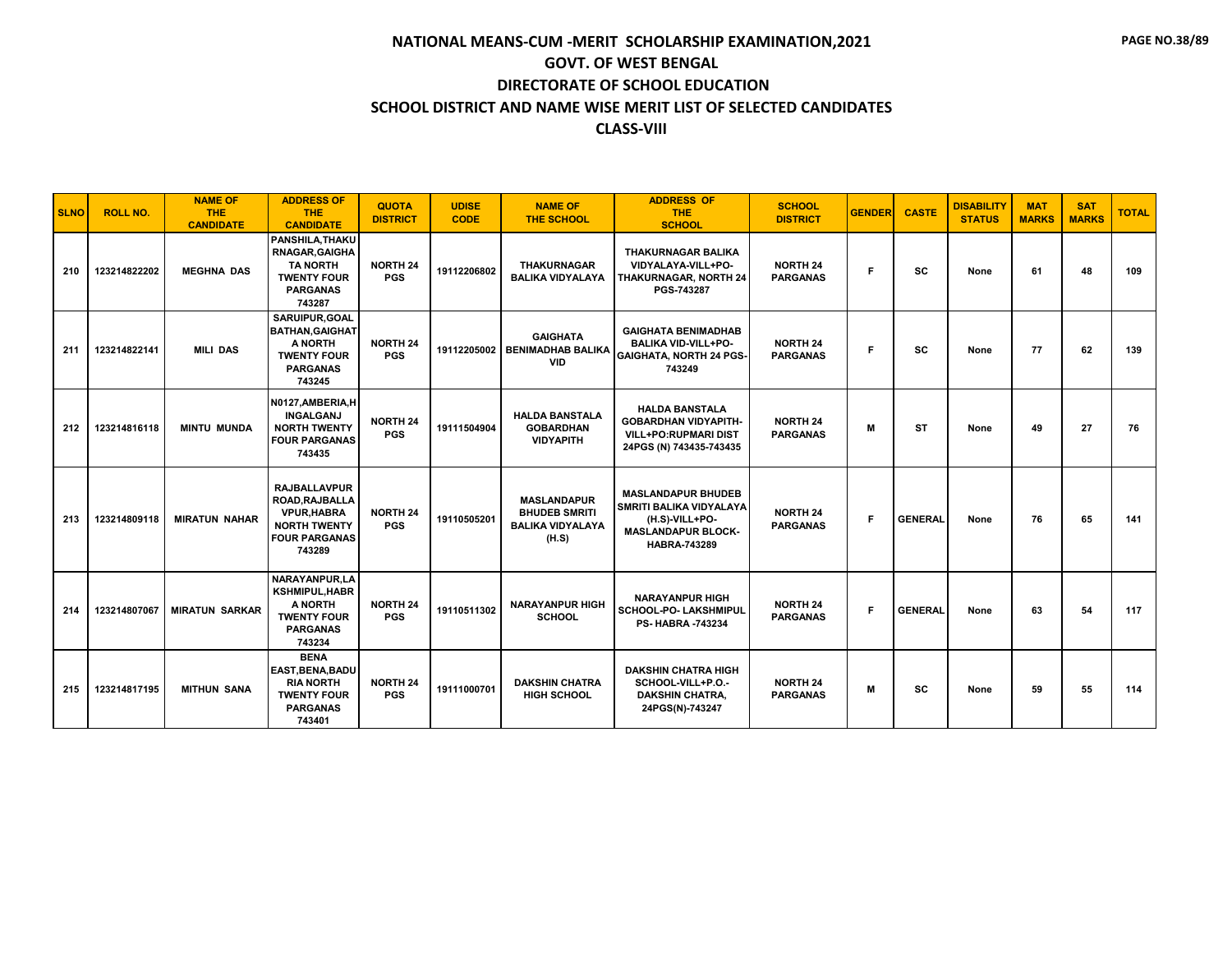| <b>SLNO</b> | <b>ROLL NO.</b> | <b>NAME OF</b><br><b>THE</b><br><b>CANDIDATE</b> | <b>ADDRESS OF</b><br><b>THE</b><br><b>CANDIDATE</b>                                                                  | <b>QUOTA</b><br><b>DISTRICT</b> | <b>UDISE</b><br><b>CODE</b> | <b>NAME OF</b><br><b>THE SCHOOL</b>                                            | <b>ADDRESS OF</b><br><b>THE</b><br><b>SCHOOL</b>                                                                           | <b>SCHOOL</b><br><b>DISTRICT</b>   | <b>GENDER</b> | <b>CASTE</b>   | <b>DISABILITY</b><br><b>STATUS</b> | <b>MAT</b><br><b>MARKS</b> | <b>SAT</b><br><b>MARKS</b> | <b>TOTAL</b> |
|-------------|-----------------|--------------------------------------------------|----------------------------------------------------------------------------------------------------------------------|---------------------------------|-----------------------------|--------------------------------------------------------------------------------|----------------------------------------------------------------------------------------------------------------------------|------------------------------------|---------------|----------------|------------------------------------|----------------------------|----------------------------|--------------|
| 210         | 123214822202    | <b>MEGHNA DAS</b>                                | <b>PANSHILA.THAKU</b><br>RNAGAR, GAIGHA<br><b>TA NORTH</b><br><b>TWENTY FOUR</b><br><b>PARGANAS</b><br>743287        | <b>NORTH 24</b><br><b>PGS</b>   | 19112206802                 | <b>THAKURNAGAR</b><br><b>BALIKA VIDYALAYA</b>                                  | <b>THAKURNAGAR BALIKA</b><br>VIDYALAYA-VILL+PO-<br><b>THAKURNAGAR, NORTH 24</b><br>PGS-743287                              | <b>NORTH 24</b><br><b>PARGANAS</b> | F             | <b>SC</b>      | None                               | 61                         | 48                         | 109          |
| 211         | 123214822141    | <b>MILI DAS</b>                                  | <b>SARUIPUR.GOAL</b><br><b>BATHAN, GAIGHAT</b><br>A NORTH<br><b>TWENTY FOUR</b><br><b>PARGANAS</b><br>743245         | <b>NORTH 24</b><br><b>PGS</b>   | 19112205002                 | <b>GAIGHATA</b><br><b>BENIMADHAB BALIKA</b><br><b>VID</b>                      | <b>GAIGHATA BENIMADHAB</b><br><b>BALIKA VID-VILL+PO-</b><br><b>GAIGHATA, NORTH 24 PGS-</b><br>743249                       | <b>NORTH 24</b><br><b>PARGANAS</b> | F             | SC             | None                               | 77                         | 62                         | 139          |
| 212         | 123214816118    | <b>MINTU MUNDA</b>                               | N0127, AMBERIA, H<br><b>INGALGANJ</b><br><b>NORTH TWENTY</b><br><b>FOUR PARGANAS</b><br>743435                       | <b>NORTH 24</b><br><b>PGS</b>   | 19111504904                 | <b>HALDA BANSTALA</b><br><b>GOBARDHAN</b><br><b>VIDYAPITH</b>                  | <b>HALDA BANSTALA</b><br><b>GOBARDHAN VIDYAPITH-</b><br><b>VILL+PO:RUPMARI DIST</b><br>24PGS (N) 743435-743435             | <b>NORTH 24</b><br><b>PARGANAS</b> | M             | <b>ST</b>      | None                               | 49                         | 27                         | 76           |
| 213         | 123214809118    | <b>MIRATUN NAHAR</b>                             | <b>RAJBALLAVPUR</b><br>ROAD, RAJBALLA<br><b>VPUR, HABRA</b><br><b>NORTH TWENTY</b><br><b>FOUR PARGANAS</b><br>743289 | <b>NORTH 24</b><br><b>PGS</b>   | 19110505201                 | <b>MASLANDAPUR</b><br><b>BHUDEB SMRITI</b><br><b>BALIKA VIDYALAYA</b><br>(H.S) | <b>MASLANDAPUR BHUDEB</b><br><b>SMRITI BALIKA VIDYALAYA</b><br>(H.S)-VILL+PO-<br><b>MASLANDAPUR BLOCK-</b><br>HABRA-743289 | <b>NORTH 24</b><br><b>PARGANAS</b> | F.            | <b>GENERAL</b> | None                               | 76                         | 65                         | 141          |
| 214         | 123214807067    | <b>MIRATUN SARKAR</b>                            | NARAYANPUR.LA<br><b>KSHMIPUL, HABR</b><br>A NORTH<br><b>TWENTY FOUR</b><br><b>PARGANAS</b><br>743234                 | <b>NORTH 24</b><br><b>PGS</b>   | 19110511302                 | <b>NARAYANPUR HIGH</b><br><b>SCHOOL</b>                                        | <b>NARAYANPUR HIGH</b><br><b>SCHOOL-PO- LAKSHMIPUL</b><br><b>PS-HABRA -743234</b>                                          | <b>NORTH 24</b><br><b>PARGANAS</b> | F             | <b>GENERAL</b> | None                               | 63                         | 54                         | 117          |
| 215         | 123214817195    | <b>MITHUN SANA</b>                               | <b>BENA</b><br><b>EAST, BENA, BADU</b><br><b>RIA NORTH</b><br><b>TWENTY FOUR</b><br><b>PARGANAS</b><br>743401        | <b>NORTH 24</b><br><b>PGS</b>   | 19111000701                 | <b>DAKSHIN CHATRA</b><br><b>HIGH SCHOOL</b>                                    | <b>DAKSHIN CHATRA HIGH</b><br>SCHOOL-VILL+P.O.-<br><b>DAKSHIN CHATRA,</b><br>24PGS(N)-743247                               | <b>NORTH 24</b><br><b>PARGANAS</b> | M             | <b>SC</b>      | None                               | 59                         | 55                         | 114          |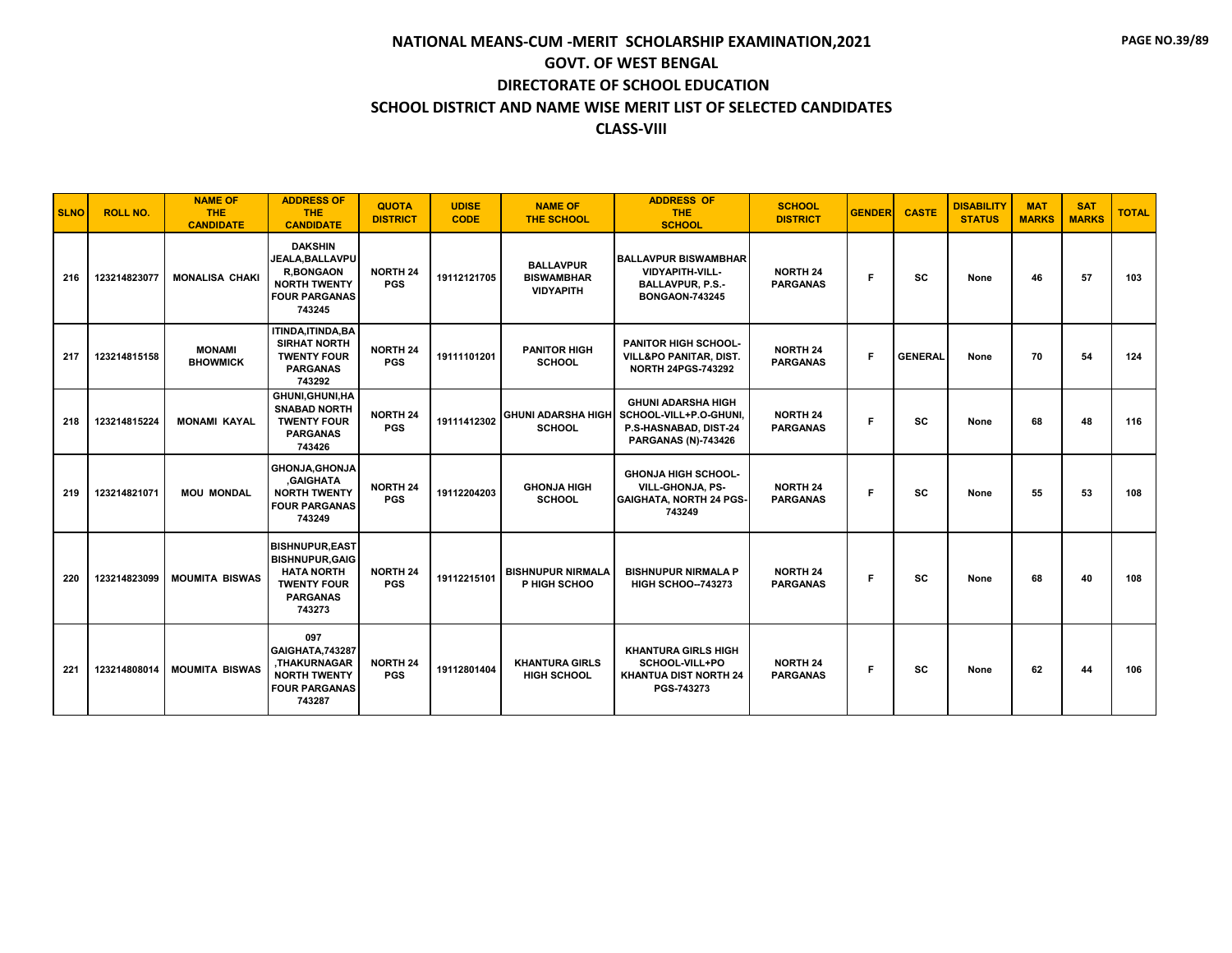| <b>SLNO</b> | <b>ROLL NO.</b> | <b>NAME OF</b><br><b>THE</b><br><b>CANDIDATE</b> | <b>ADDRESS OF</b><br><b>THE</b><br><b>CANDIDATE</b>                                                                      | <b>QUOTA</b><br><b>DISTRICT</b> | <b>UDISE</b><br><b>CODE</b> | <b>NAME OF</b><br><b>THE SCHOOL</b>                       | <b>ADDRESS OF</b><br><b>THE</b><br><b>SCHOOL</b>                                                           | <b>SCHOOL</b><br><b>DISTRICT</b>   | <b>GENDER</b> | <b>CASTE</b>   | <b>DISABILITY</b><br><b>STATUS</b> | <b>MAT</b><br><b>MARKS</b> | <b>SAT</b><br><b>MARKS</b> | <b>TOTAL</b> |
|-------------|-----------------|--------------------------------------------------|--------------------------------------------------------------------------------------------------------------------------|---------------------------------|-----------------------------|-----------------------------------------------------------|------------------------------------------------------------------------------------------------------------|------------------------------------|---------------|----------------|------------------------------------|----------------------------|----------------------------|--------------|
| 216         | 123214823077    | <b>MONALISA CHAKI</b>                            | <b>DAKSHIN</b><br>JEALA.BALLAVPU<br><b>R.BONGAON</b><br><b>NORTH TWENTY</b><br><b>FOUR PARGANAS</b><br>743245            | <b>NORTH 24</b><br><b>PGS</b>   | 19112121705                 | <b>BALLAVPUR</b><br><b>BISWAMBHAR</b><br><b>VIDYAPITH</b> | <b>BALLAVPUR BISWAMBHAR</b><br>VIDYAPITH-VILL-<br><b>BALLAVPUR, P.S.-</b><br><b>BONGAON-743245</b>         | <b>NORTH 24</b><br><b>PARGANAS</b> | Е             | <b>SC</b>      | None                               | 46                         | 57                         | 103          |
| 217         | 123214815158    | <b>MONAMI</b><br><b>BHOWMICK</b>                 | ITINDA, ITINDA, BA<br><b>SIRHAT NORTH</b><br><b>TWENTY FOUR</b><br><b>PARGANAS</b><br>743292                             | <b>NORTH 24</b><br><b>PGS</b>   | 19111101201                 | <b>PANITOR HIGH</b><br><b>SCHOOL</b>                      | <b>PANITOR HIGH SCHOOL-</b><br>VILL&PO PANITAR, DIST.<br><b>NORTH 24PGS-743292</b>                         | <b>NORTH 24</b><br><b>PARGANAS</b> | F.            | <b>GENERAL</b> | None                               | 70                         | 54                         | 124          |
| 218         | 123214815224    | <b>MONAMI KAYAL</b>                              | GHUNI, GHUNI, HA<br><b>SNABAD NORTH</b><br><b>TWENTY FOUR</b><br><b>PARGANAS</b><br>743426                               | <b>NORTH 24</b><br><b>PGS</b>   | 19111412302                 | <b>GHUNI ADARSHA HIGH</b><br><b>SCHOOL</b>                | <b>GHUNI ADARSHA HIGH</b><br>SCHOOL-VILL+P.O-GHUNI,<br>P.S-HASNABAD, DIST-24<br><b>PARGANAS (N)-743426</b> | <b>NORTH 24</b><br><b>PARGANAS</b> | F             | <b>SC</b>      | None                               | 68                         | 48                         | 116          |
| 219         | 123214821071    | <b>MOU MONDAL</b>                                | <b>GHONJA, GHONJA</b><br><b>GAIGHATA</b><br><b>NORTH TWENTY</b><br><b>FOUR PARGANAS</b><br>743249                        | <b>NORTH 24</b><br><b>PGS</b>   | 19112204203                 | <b>GHONJA HIGH</b><br><b>SCHOOL</b>                       | <b>GHONJA HIGH SCHOOL-</b><br>VILL-GHONJA, PS-<br><b>GAIGHATA, NORTH 24 PGS-</b><br>743249                 | <b>NORTH 24</b><br><b>PARGANAS</b> | Е             | <b>SC</b>      | None                               | 55                         | 53                         | 108          |
| 220         | 123214823099    | <b>MOUMITA BISWAS</b>                            | <b>BISHNUPUR, EAST</b><br><b>BISHNUPUR, GAIG</b><br><b>HATA NORTH</b><br><b>TWENTY FOUR</b><br><b>PARGANAS</b><br>743273 | <b>NORTH 24</b><br><b>PGS</b>   | 19112215101                 | <b>BISHNUPUR NIRMALA</b><br>P HIGH SCHOO                  | <b>BISHNUPUR NIRMALA P</b><br><b>HIGH SCHOO--743273</b>                                                    | <b>NORTH 24</b><br><b>PARGANAS</b> | F             | <b>SC</b>      | None                               | 68                         | 40                         | 108          |
| 221         | 123214808014    | <b>MOUMITA BISWAS</b>                            | 097<br>GAIGHATA, 743287<br>.THAKURNAGAR<br><b>NORTH TWENTY</b><br><b>FOUR PARGANAS</b><br>743287                         | <b>NORTH 24</b><br><b>PGS</b>   | 19112801404                 | <b>KHANTURA GIRLS</b><br><b>HIGH SCHOOL</b>               | <b>KHANTURA GIRLS HIGH</b><br>SCHOOL-VILL+PO<br><b>KHANTUA DIST NORTH 24</b><br>PGS-743273                 | <b>NORTH 24</b><br><b>PARGANAS</b> | F.            | <b>SC</b>      | None                               | 62                         | 44                         | 106          |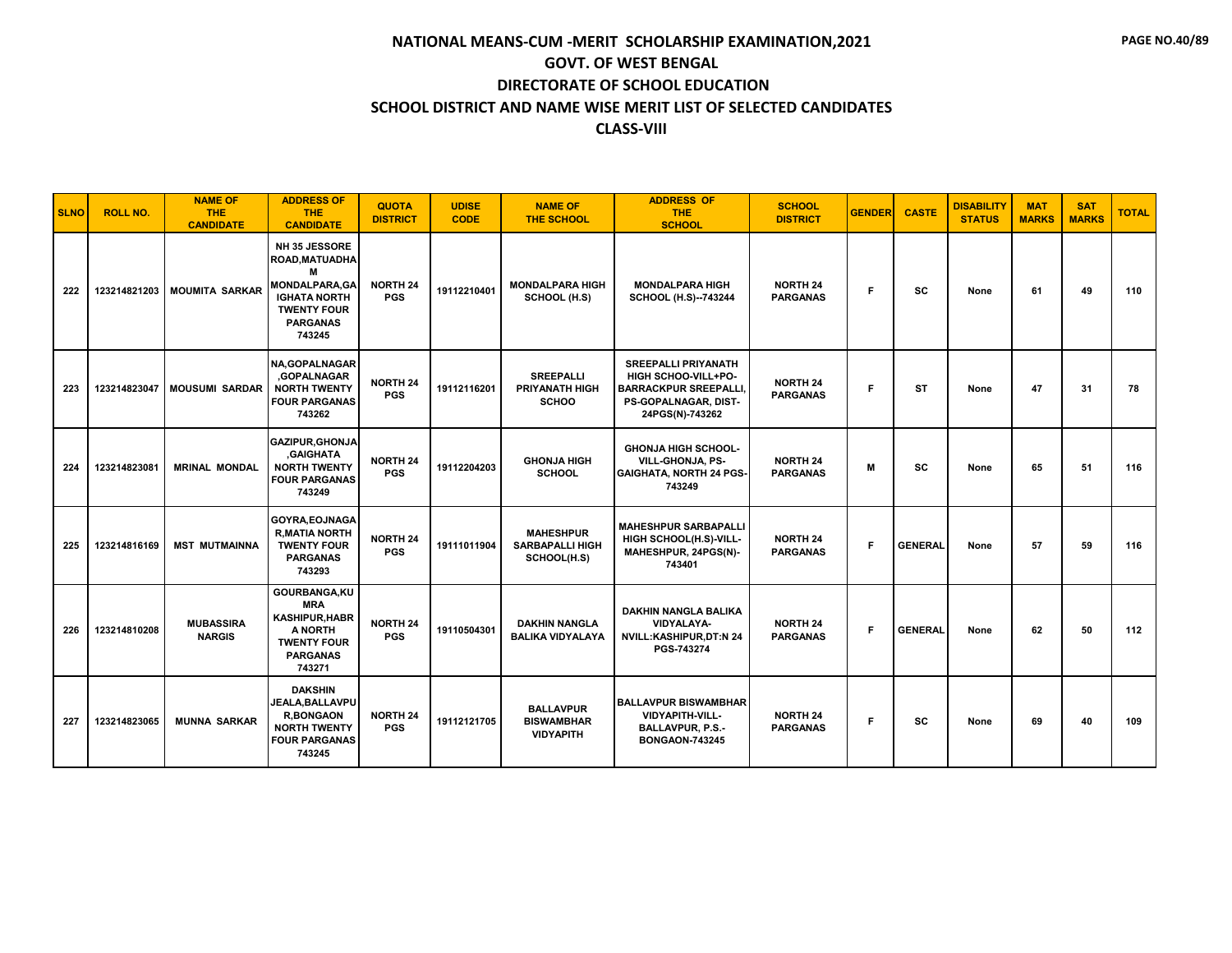| <b>SLNO</b> | <b>ROLL NO.</b> | <b>NAME OF</b><br><b>THE</b><br><b>CANDIDATE</b> | <b>ADDRESS OF</b><br><b>THE</b><br><b>CANDIDATE</b>                                                                                           | <b>QUOTA</b><br><b>DISTRICT</b> | <b>UDISE</b><br><b>CODE</b> | <b>NAME OF</b><br><b>THE SCHOOL</b>                       | <b>ADDRESS OF</b><br><b>THE</b><br><b>SCHOOL</b>                                                                            | <b>SCHOOL</b><br><b>DISTRICT</b>   | <b>GENDER</b> | <b>CASTE</b>   | <b>DISABILITY</b><br><b>STATUS</b> | <b>MAT</b><br><b>MARKS</b> | <b>SAT</b><br><b>MARKS</b> | <b>TOTAL</b> |
|-------------|-----------------|--------------------------------------------------|-----------------------------------------------------------------------------------------------------------------------------------------------|---------------------------------|-----------------------------|-----------------------------------------------------------|-----------------------------------------------------------------------------------------------------------------------------|------------------------------------|---------------|----------------|------------------------------------|----------------------------|----------------------------|--------------|
| 222         |                 | 123214821203   MOUMITA SARKAR                    | <b>NH 35 JESSORE</b><br>ROAD, MATUADHA<br>M<br><b>MONDALPARA.GA</b><br><b>IGHATA NORTH</b><br><b>TWENTY FOUR</b><br><b>PARGANAS</b><br>743245 | <b>NORTH 24</b><br><b>PGS</b>   | 19112210401                 | <b>MONDALPARA HIGH</b><br>SCHOOL (H.S)                    | <b>MONDALPARA HIGH</b><br>SCHOOL (H.S)--743244                                                                              | <b>NORTH 24</b><br><b>PARGANAS</b> | F.            | SC             | None                               | 61                         | 49                         | 110          |
| 223         | 123214823047    | <b>MOUSUMI SARDAR</b>                            | <b>NA, GOPALNAGAR</b><br>,GOPALNAGAR<br><b>NORTH TWENTY</b><br><b>FOUR PARGANAS</b><br>743262                                                 | <b>NORTH 24</b><br><b>PGS</b>   | 19112116201                 | <b>SREEPALLI</b><br><b>PRIYANATH HIGH</b><br><b>SCHOO</b> | <b>SREEPALLI PRIYANATH</b><br>HIGH SCHOO-VILL+PO-<br><b>BARRACKPUR SREEPALLI</b><br>PS-GOPALNAGAR, DIST-<br>24PGS(N)-743262 | <b>NORTH 24</b><br><b>PARGANAS</b> | F.            | <b>ST</b>      | None                               | 47                         | 31                         | 78           |
| 224         | 123214823081    | <b>MRINAL MONDAL</b>                             | <b>GAZIPUR.GHONJA</b><br><b>GAIGHATA</b><br><b>NORTH TWENTY</b><br><b>FOUR PARGANAS</b><br>743249                                             | <b>NORTH 24</b><br><b>PGS</b>   | 19112204203                 | <b>GHONJA HIGH</b><br><b>SCHOOL</b>                       | <b>GHONJA HIGH SCHOOL-</b><br>VILL-GHONJA, PS-<br><b>GAIGHATA, NORTH 24 PGS-</b><br>743249                                  | <b>NORTH 24</b><br><b>PARGANAS</b> | M             | SC             | None                               | 65                         | 51                         | 116          |
| 225         | 123214816169    | <b>MST MUTMAINNA</b>                             | GOYRA, EOJNAGA<br><b>R.MATIA NORTH</b><br><b>TWENTY FOUR</b><br><b>PARGANAS</b><br>743293                                                     | <b>NORTH 24</b><br><b>PGS</b>   | 19111011904                 | <b>MAHESHPUR</b><br><b>SARBAPALLI HIGH</b><br>SCHOOL(H.S) | <b>MAHESHPUR SARBAPALLI</b><br>HIGH SCHOOL(H.S)-VILL-<br>MAHESHPUR, 24PGS(N)-<br>743401                                     | <b>NORTH 24</b><br><b>PARGANAS</b> | F             | <b>GENERAL</b> | None                               | 57                         | 59                         | 116          |
| 226         | 123214810208    | <b>MUBASSIRA</b><br><b>NARGIS</b>                | GOURBANGA, KU<br><b>MRA</b><br><b>KASHIPUR, HABR</b><br>A NORTH<br><b>TWENTY FOUR</b><br><b>PARGANAS</b><br>743271                            | <b>NORTH 24</b><br><b>PGS</b>   | 19110504301                 | <b>DAKHIN NANGLA</b><br><b>BALIKA VIDYALAYA</b>           | <b>DAKHIN NANGLA BALIKA</b><br><b>VIDYALAYA-</b><br>NVILL:KASHIPUR,DT:N 24<br>PGS-743274                                    | <b>NORTH 24</b><br><b>PARGANAS</b> | F             | <b>GENERAL</b> | None                               | 62                         | 50                         | 112          |
| 227         | 123214823065    | <b>MUNNA SARKAR</b>                              | <b>DAKSHIN</b><br>JEALA, BALLAVPU<br><b>R,BONGAON</b><br><b>NORTH TWENTY</b><br><b>FOUR PARGANAS</b><br>743245                                | <b>NORTH 24</b><br><b>PGS</b>   | 19112121705                 | <b>BALLAVPUR</b><br><b>BISWAMBHAR</b><br><b>VIDYAPITH</b> | <b>BALLAVPUR BISWAMBHAR</b><br><b>VIDYAPITH-VILL-</b><br><b>BALLAVPUR, P.S.-</b><br><b>BONGAON-743245</b>                   | <b>NORTH 24</b><br><b>PARGANAS</b> | F             | <b>SC</b>      | None                               | 69                         | 40                         | 109          |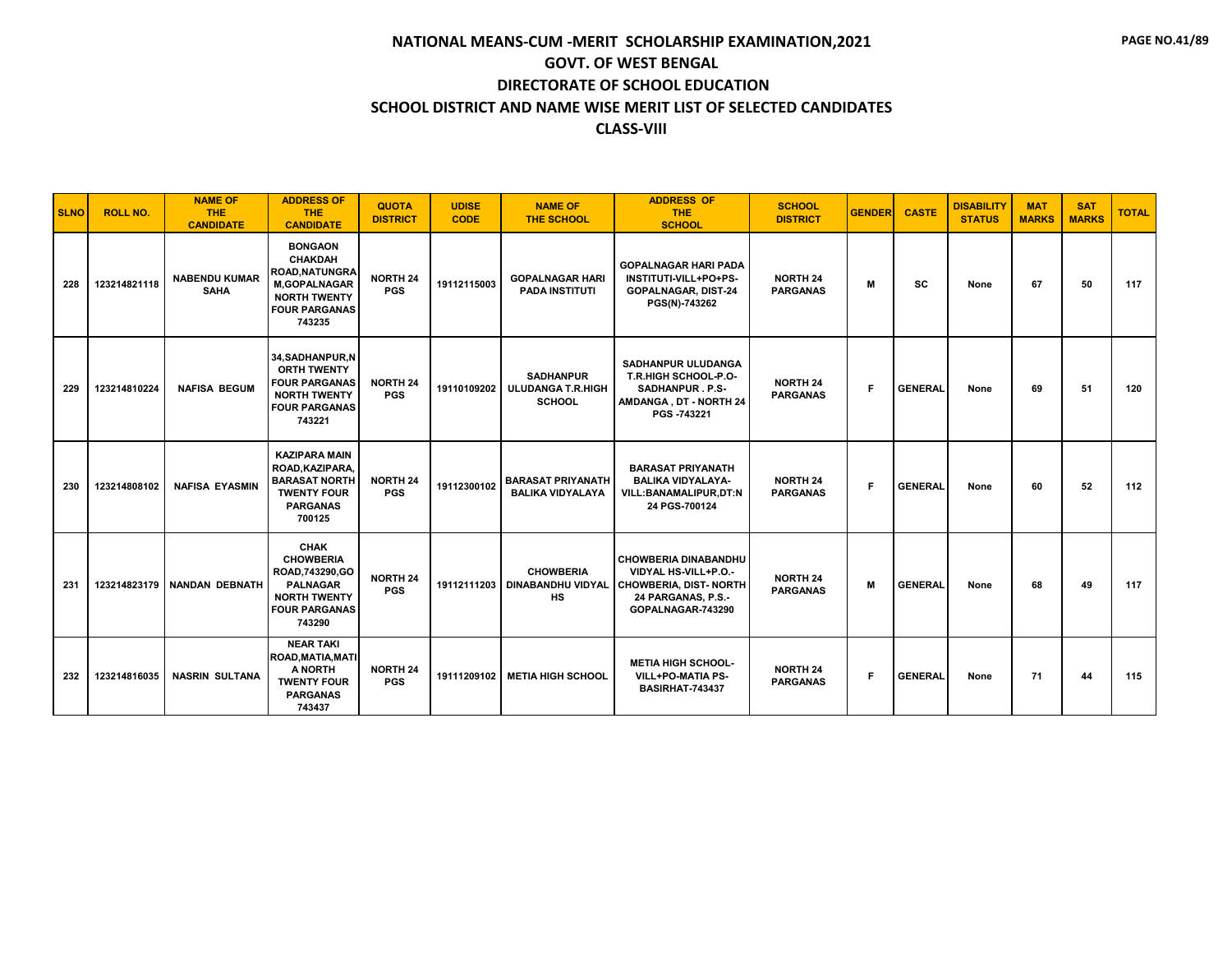| <b>SLNO</b> | <b>ROLL NO.</b> | <b>NAME OF</b><br><b>THE</b><br><b>CANDIDATE</b> | <b>ADDRESS OF</b><br><b>THE</b><br><b>CANDIDATE</b>                                                                                       | <b>QUOTA</b><br><b>DISTRICT</b> | <b>UDISE</b><br><b>CODE</b> | <b>NAME OF</b><br><b>THE SCHOOL</b>                           | <b>ADDRESS OF</b><br><b>THE</b><br><b>SCHOOL</b>                                                                                             | <b>SCHOOL</b><br><b>DISTRICT</b>   | <b>GENDER</b> | <b>CASTE</b>   | <b>DISABILITY</b><br><b>STATUS</b> | <b>MAT</b><br><b>MARKS</b> | <b>SAT</b><br><b>MARKS</b> | <b>TOTAL</b> |
|-------------|-----------------|--------------------------------------------------|-------------------------------------------------------------------------------------------------------------------------------------------|---------------------------------|-----------------------------|---------------------------------------------------------------|----------------------------------------------------------------------------------------------------------------------------------------------|------------------------------------|---------------|----------------|------------------------------------|----------------------------|----------------------------|--------------|
| 228         | 123214821118    | <b>NABENDU KUMAR</b><br><b>SAHA</b>              | <b>BONGAON</b><br><b>CHAKDAH</b><br><b>ROAD, NATUNGRA</b><br><b>M,GOPALNAGAR</b><br><b>NORTH TWENTY</b><br><b>FOUR PARGANAS</b><br>743235 | <b>NORTH 24</b><br><b>PGS</b>   | 19112115003                 | <b>GOPALNAGAR HARI</b><br>PADA INSTITUTI                      | <b>GOPALNAGAR HARI PADA</b><br>INSTITUTI-VILL+PO+PS-<br><b>GOPALNAGAR, DIST-24</b><br>PGS(N)-743262                                          | <b>NORTH 24</b><br><b>PARGANAS</b> | м             | <b>SC</b>      | None                               | 67                         | 50                         | 117          |
| 229         | 123214810224    | <b>NAFISA BEGUM</b>                              | 34, SADHANPUR, N<br><b>ORTH TWENTY</b><br><b>FOUR PARGANAS</b><br><b>NORTH TWENTY</b><br><b>FOUR PARGANAS</b><br>743221                   | <b>NORTH 24</b><br><b>PGS</b>   | 19110109202                 | <b>SADHANPUR</b><br><b>ULUDANGA T.R.HIGH</b><br><b>SCHOOL</b> | <b>SADHANPUR ULUDANGA</b><br>T.R.HIGH SCHOOL-P.O-<br>SADHANPUR. P.S-<br>AMDANGA, DT - NORTH 24<br>PGS -743221                                | <b>NORTH 24</b><br><b>PARGANAS</b> | F.            | <b>GENERAL</b> | None                               | 69                         | 51                         | 120          |
| 230         | 123214808102    | <b>NAFISA EYASMIN</b>                            | <b>KAZIPARA MAIN</b><br>ROAD, KAZIPARA,<br><b>BARASAT NORTH</b><br><b>TWENTY FOUR</b><br><b>PARGANAS</b><br>700125                        | <b>NORTH 24</b><br><b>PGS</b>   | 19112300102                 | <b>BARASAT PRIYANATH</b><br><b>BALIKA VIDYALAYA</b>           | <b>BARASAT PRIYANATH</b><br><b>BALIKA VIDYALAYA-</b><br>VILL:BANAMALIPUR,DT:N<br>24 PGS-700124                                               | <b>NORTH 24</b><br><b>PARGANAS</b> | F.            | <b>GENERAL</b> | None                               | 60                         | 52                         | 112          |
| 231         | 123214823179    | <b>NANDAN DEBNATH</b>                            | <b>CHAK</b><br><b>CHOWBERIA</b><br>ROAD, 743290, GO<br><b>PALNAGAR</b><br><b>NORTH TWENTY</b><br><b>FOUR PARGANAS</b><br>743290           | <b>NORTH 24</b><br><b>PGS</b>   | 19112111203                 | <b>CHOWBERIA</b><br><b>HS</b>                                 | <b>CHOWBERIA DINABANDHU</b><br>VIDYAL HS-VILL+P.O.-<br>DINABANDHU VIDYAL   CHOWBERIA, DIST- NORTH<br>24 PARGANAS, P.S.-<br>GOPALNAGAR-743290 | <b>NORTH 24</b><br><b>PARGANAS</b> | M             | <b>GENERAL</b> | None                               | 68                         | 49                         | 117          |
| 232         | 123214816035    | <b>NASRIN SULTANA</b>                            | <b>NEAR TAKI</b><br>ROAD, MATIA, MATI<br>A NORTH<br><b>TWENTY FOUR</b><br><b>PARGANAS</b><br>743437                                       | <b>NORTH 24</b><br><b>PGS</b>   | 19111209102                 | <b>METIA HIGH SCHOOL</b>                                      | <b>METIA HIGH SCHOOL-</b><br><b>VILL+PO-MATIA PS-</b><br>BASIRHAT-743437                                                                     | <b>NORTH 24</b><br><b>PARGANAS</b> | F.            | <b>GENERAL</b> | None                               | 71                         | 44                         | 115          |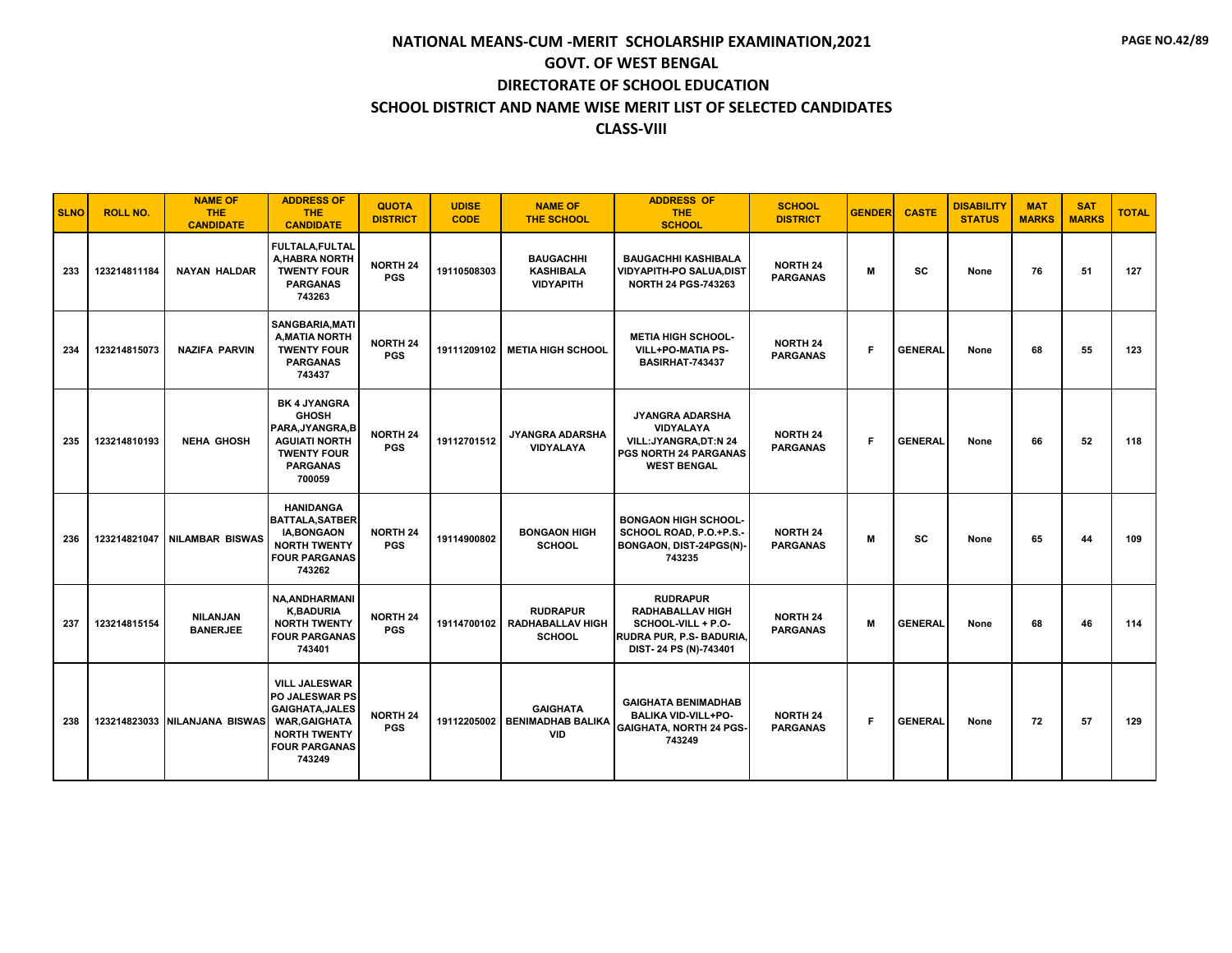| <b>SLNO</b> | <b>ROLL NO.</b> | <b>NAME OF</b><br>THE<br><b>CANDIDATE</b> | <b>ADDRESS OF</b><br><b>THE</b><br><b>CANDIDATE</b>                                                                                                      | <b>QUOTA</b><br><b>DISTRICT</b> | <b>UDISE</b><br><b>CODE</b> | <b>NAME OF</b><br><b>THE SCHOOL</b>                         | <b>ADDRESS OF</b><br><b>THE</b><br><b>SCHOOL</b>                                                                                | <b>SCHOOL</b><br><b>DISTRICT</b>   | <b>GENDER</b> | <b>CASTE</b>   | <b>DISABILITY</b><br><b>STATUS</b> | <b>MAT</b><br><b>MARKS</b> | <b>SAT</b><br><b>MARKS</b> | <b>TOTAL</b> |
|-------------|-----------------|-------------------------------------------|----------------------------------------------------------------------------------------------------------------------------------------------------------|---------------------------------|-----------------------------|-------------------------------------------------------------|---------------------------------------------------------------------------------------------------------------------------------|------------------------------------|---------------|----------------|------------------------------------|----------------------------|----------------------------|--------------|
| 233         | 123214811184    | <b>NAYAN HALDAR</b>                       | FULTALA, FULTAL<br>A, HABRA NORTH<br><b>TWENTY FOUR</b><br><b>PARGANAS</b><br>743263                                                                     | <b>NORTH 24</b><br><b>PGS</b>   | 19110508303                 | <b>BAUGACHHI</b><br><b>KASHIBALA</b><br><b>VIDYAPITH</b>    | <b>BAUGACHHI KASHIBALA</b><br>VIDYAPITH-PO SALUA, DIST<br><b>NORTH 24 PGS-743263</b>                                            | <b>NORTH 24</b><br><b>PARGANAS</b> | M             | <b>SC</b>      | None                               | 76                         | 51                         | 127          |
| 234         | 123214815073    | <b>NAZIFA PARVIN</b>                      | SANGBARIA, MATI<br><b>A, MATIA NORTH</b><br><b>TWENTY FOUR</b><br><b>PARGANAS</b><br>743437                                                              | <b>NORTH 24</b><br><b>PGS</b>   | 19111209102                 | <b>METIA HIGH SCHOOL</b>                                    | <b>METIA HIGH SCHOOL-</b><br>VILL+PO-MATIA PS-<br><b>BASIRHAT-743437</b>                                                        | <b>NORTH 24</b><br><b>PARGANAS</b> | F.            | <b>GENERAL</b> | None                               | 68                         | 55                         | 123          |
| 235         | 123214810193    | <b>NEHA GHOSH</b>                         | <b>BK 4 JYANGRA</b><br><b>GHOSH</b><br>PARA.JYANGRA.B<br><b>AGUIATI NORTH</b><br><b>TWENTY FOUR</b><br><b>PARGANAS</b><br>700059                         | <b>NORTH 24</b><br><b>PGS</b>   | 19112701512                 | JYANGRA ADARSHA<br><b>VIDYALAYA</b>                         | <b>JYANGRA ADARSHA</b><br><b>VIDYALAYA</b><br><b>VILL:JYANGRA.DT:N 24</b><br><b>PGS NORTH 24 PARGANAS</b><br><b>WEST BENGAL</b> | <b>NORTH 24</b><br><b>PARGANAS</b> | F             | <b>GENERAL</b> | None                               | 66                         | 52                         | 118          |
| 236         |                 | 123214821047 NILAMBAR BISWAS              | <b>HANIDANGA</b><br><b>BATTALA, SATBER</b><br><b>IA, BONGAON</b><br><b>NORTH TWENTY</b><br><b>FOUR PARGANAS</b><br>743262                                | <b>NORTH 24</b><br><b>PGS</b>   | 19114900802                 | <b>BONGAON HIGH</b><br><b>SCHOOL</b>                        | <b>BONGAON HIGH SCHOOL-</b><br>SCHOOL ROAD, P.O.+P.S.-<br>BONGAON, DIST-24PGS(N)-<br>743235                                     | <b>NORTH 24</b><br><b>PARGANAS</b> | M             | SC             | None                               | 65                         | 44                         | 109          |
| 237         | 123214815154    | <b>NILANJAN</b><br><b>BANERJEE</b>        | <b>NA, ANDHARMANI</b><br><b>K,BADURIA</b><br><b>NORTH TWENTY</b><br><b>FOUR PARGANAS</b><br>743401                                                       | <b>NORTH 24</b><br><b>PGS</b>   | 19114700102                 | <b>RUDRAPUR</b><br><b>RADHABALLAV HIGH</b><br><b>SCHOOL</b> | <b>RUDRAPUR</b><br>RADHABALLAV HIGH<br>SCHOOL-VILL + P.O-<br>RUDRA PUR, P.S- BADURIA,<br>DIST-24 PS (N)-743401                  | <b>NORTH 24</b><br><b>PARGANAS</b> | M             | <b>GENERAL</b> | None                               | 68                         | 46                         | 114          |
| 238         |                 | 123214823033 NILANJANA BISWAS             | <b>VILL JALESWAR</b><br><b>PO JALESWAR PS</b><br><b>GAIGHATA, JALES</b><br><b>WAR, GAIGHATA</b><br><b>NORTH TWENTY</b><br><b>FOUR PARGANAS</b><br>743249 | <b>NORTH 24</b><br><b>PGS</b>   | 19112205002                 | <b>GAIGHATA</b><br><b>BENIMADHAB BALIKA</b><br><b>VID</b>   | <b>GAIGHATA BENIMADHAB</b><br><b>BALIKA VID-VILL+PO-</b><br><b>GAIGHATA, NORTH 24 PGS-</b><br>743249                            | <b>NORTH 24</b><br><b>PARGANAS</b> | F.            | <b>GENERAL</b> | None                               | 72                         | 57                         | 129          |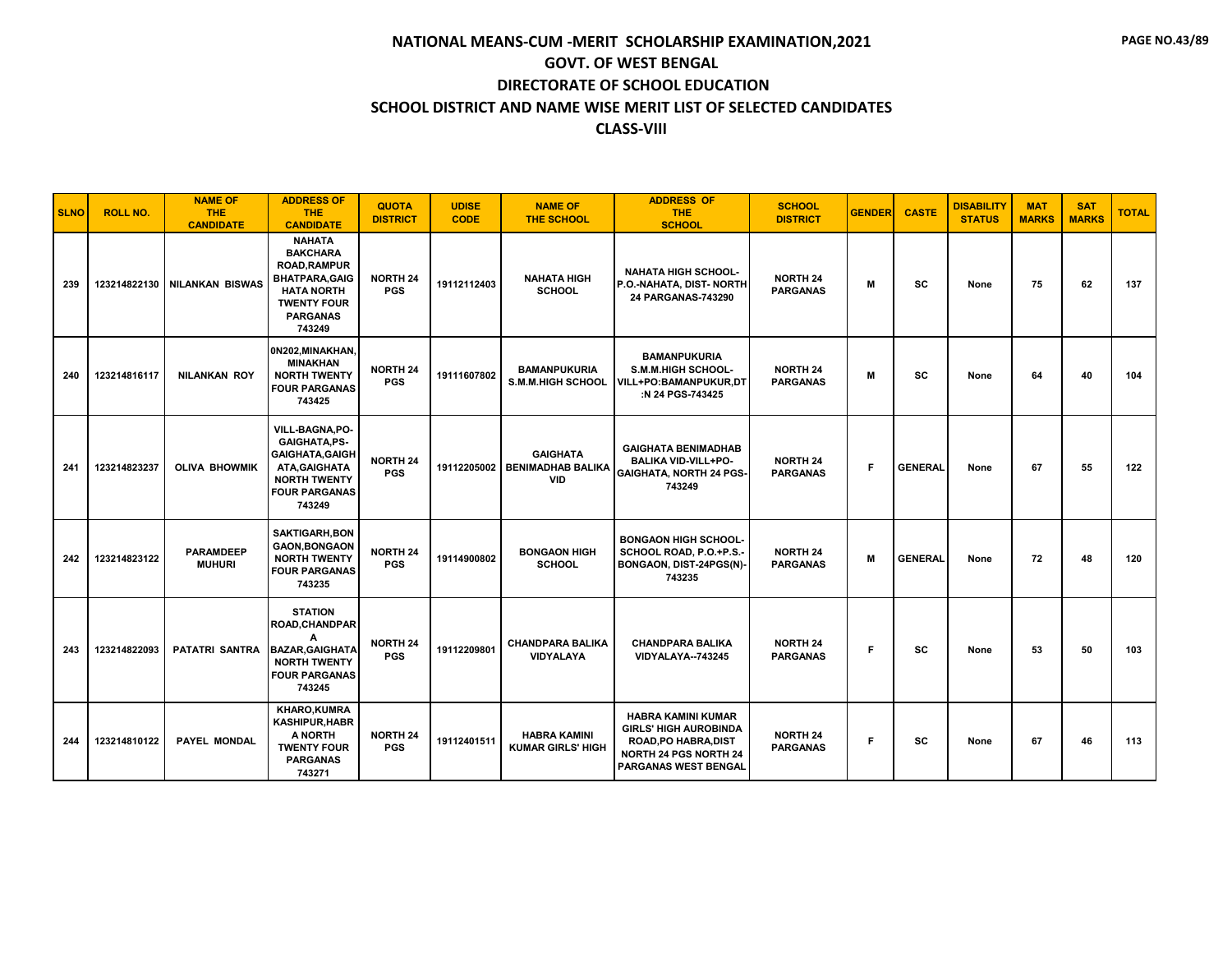| <b>SLNO</b> | <b>ROLL NO.</b> | <b>NAME OF</b><br><b>THE</b><br><b>CANDIDATE</b> | <b>ADDRESS OF</b><br><b>THE</b><br><b>CANDIDATE</b>                                                                                                      | <b>QUOTA</b><br><b>DISTRICT</b> | <b>UDISE</b><br><b>CODE</b> | <b>NAME OF</b><br><b>THE SCHOOL</b>                       | <b>ADDRESS OF</b><br><b>THE</b><br><b>SCHOOL</b>                                                                                                        | <b>SCHOOL</b><br><b>DISTRICT</b>   | <b>GENDER</b> | <b>CASTE</b>   | <b>DISABILITY</b><br><b>STATUS</b> | <b>MAT</b><br><b>MARKS</b> | <b>SAT</b><br><b>MARKS</b> | <b>TOTAL</b> |
|-------------|-----------------|--------------------------------------------------|----------------------------------------------------------------------------------------------------------------------------------------------------------|---------------------------------|-----------------------------|-----------------------------------------------------------|---------------------------------------------------------------------------------------------------------------------------------------------------------|------------------------------------|---------------|----------------|------------------------------------|----------------------------|----------------------------|--------------|
| 239         | 123214822130    | <b>NILANKAN BISWAS</b>                           | <b>NAHATA</b><br><b>BAKCHARA</b><br><b>ROAD, RAMPUR</b><br><b>BHATPARA, GAIG</b><br><b>HATA NORTH</b><br><b>TWENTY FOUR</b><br><b>PARGANAS</b><br>743249 | <b>NORTH 24</b><br><b>PGS</b>   | 19112112403                 | <b>NAHATA HIGH</b><br><b>SCHOOL</b>                       | <b>NAHATA HIGH SCHOOL-</b><br>P.O.-NAHATA, DIST- NORTH<br>24 PARGANAS-743290                                                                            | <b>NORTH 24</b><br><b>PARGANAS</b> | М             | SC             | None                               | 75                         | 62                         | 137          |
| 240         | 123214816117    | <b>NILANKAN ROY</b>                              | 0N202, MINAKHAN,<br><b>MINAKHAN</b><br><b>NORTH TWENTY</b><br><b>FOUR PARGANAS</b><br>743425                                                             | <b>NORTH 24</b><br><b>PGS</b>   | 19111607802                 | <b>BAMANPUKURIA</b><br><b>S.M.M.HIGH SCHOOL</b>           | <b>BAMANPUKURIA</b><br><b>S.M.M.HIGH SCHOOL-</b><br><b>VILL+PO:BAMANPUKUR,DT</b><br>:N 24 PGS-743425                                                    | <b>NORTH 24</b><br><b>PARGANAS</b> | M             | <b>SC</b>      | None                               | 64                         | 40                         | 104          |
| 241         | 123214823237    | <b>OLIVA BHOWMIK</b>                             | <b>VILL-BAGNA,PO-</b><br><b>GAIGHATA,PS-</b><br><b>GAIGHATA, GAIGH</b><br>ATA, GAIGHATA<br><b>NORTH TWENTY</b><br><b>FOUR PARGANAS</b><br>743249         | <b>NORTH 24</b><br><b>PGS</b>   | 19112205002                 | <b>GAIGHATA</b><br><b>BENIMADHAB BALIKA</b><br><b>VID</b> | <b>GAIGHATA BENIMADHAB</b><br><b>BALIKA VID-VILL+PO-</b><br><b>GAIGHATA, NORTH 24 PGS-</b><br>743249                                                    | <b>NORTH 24</b><br><b>PARGANAS</b> | F.            | <b>GENERAL</b> | None                               | 67                         | 55                         | 122          |
| 242         | 123214823122    | <b>PARAMDEEP</b><br><b>MUHURI</b>                | <b>SAKTIGARH, BON</b><br><b>GAON, BONGAON</b><br><b>NORTH TWENTY</b><br><b>FOUR PARGANAS</b><br>743235                                                   | <b>NORTH 24</b><br><b>PGS</b>   | 19114900802                 | <b>BONGAON HIGH</b><br><b>SCHOOL</b>                      | <b>BONGAON HIGH SCHOOL-</b><br>SCHOOL ROAD, P.O.+P.S.-<br>BONGAON, DIST-24PGS(N)-<br>743235                                                             | <b>NORTH 24</b><br><b>PARGANAS</b> | M             | <b>GENERAL</b> | None                               | 72                         | 48                         | 120          |
| 243         | 123214822093    | <b>PATATRI SANTRA</b>                            | <b>STATION</b><br><b>ROAD, CHANDPAR</b><br>A<br><b>BAZAR, GAIGHATA</b><br><b>NORTH TWENTY</b><br><b>FOUR PARGANAS</b><br>743245                          | <b>NORTH 24</b><br><b>PGS</b>   | 19112209801                 | <b>CHANDPARA BALIKA</b><br><b>VIDYALAYA</b>               | <b>CHANDPARA BALIKA</b><br>VIDYALAYA--743245                                                                                                            | <b>NORTH 24</b><br><b>PARGANAS</b> | F.            | <b>SC</b>      | None                               | 53                         | 50                         | 103          |
| 244         | 123214810122    | <b>PAYEL MONDAL</b>                              | <b>KHARO,KUMRA</b><br><b>KASHIPUR, HABR</b><br>A NORTH<br><b>TWENTY FOUR</b><br><b>PARGANAS</b><br>743271                                                | <b>NORTH 24</b><br><b>PGS</b>   | 19112401511                 | <b>HABRA KAMINI</b><br><b>KUMAR GIRLS' HIGH</b>           | <b>HABRA KAMINI KUMAR</b><br><b>GIRLS' HIGH AUROBINDA</b><br><b>ROAD, PO HABRA, DIST</b><br><b>NORTH 24 PGS NORTH 24</b><br><b>PARGANAS WEST BENGAL</b> | <b>NORTH 24</b><br><b>PARGANAS</b> | F.            | <b>SC</b>      | None                               | 67                         | 46                         | 113          |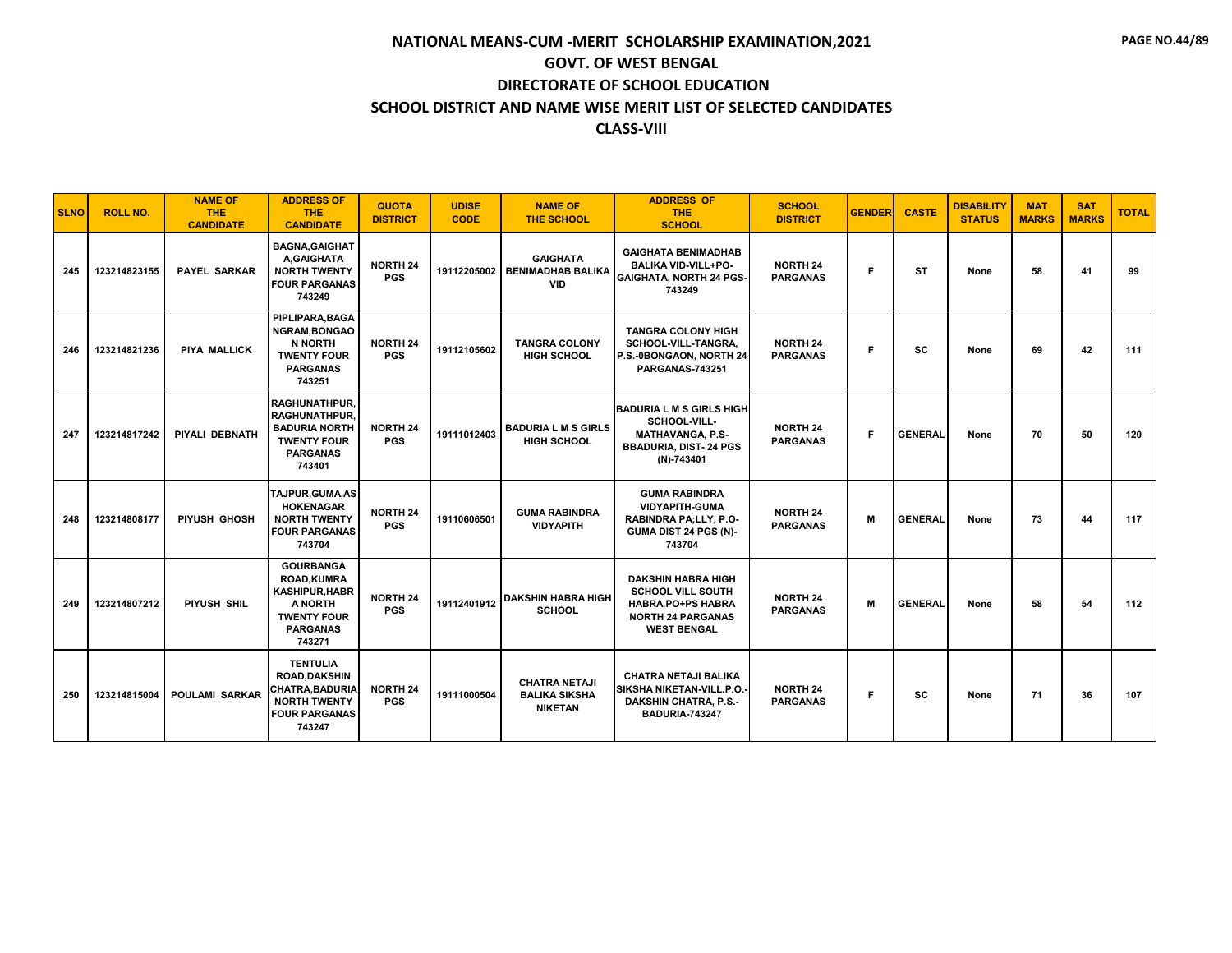| <b>SLNO</b> | <b>ROLL NO.</b> | <b>NAME OF</b><br><b>THE</b><br><b>CANDIDATE</b> | <b>ADDRESS OF</b><br><b>THE</b><br><b>CANDIDATE</b>                                                                          | <b>QUOTA</b><br><b>DISTRICT</b> | <b>UDISE</b><br><b>CODE</b> | <b>NAME OF</b><br><b>THE SCHOOL</b>                            | <b>ADDRESS OF</b><br><b>THE</b><br><b>SCHOOL</b>                                                                                    | <b>SCHOOL</b><br><b>DISTRICT</b>   | <b>GENDER</b> | <b>CASTE</b>   | <b>DISABILITY</b><br><b>STATUS</b> | <b>MAT</b><br><b>MARKS</b> | <b>SAT</b><br><b>MARKS</b> | <b>TOTAL</b> |
|-------------|-----------------|--------------------------------------------------|------------------------------------------------------------------------------------------------------------------------------|---------------------------------|-----------------------------|----------------------------------------------------------------|-------------------------------------------------------------------------------------------------------------------------------------|------------------------------------|---------------|----------------|------------------------------------|----------------------------|----------------------------|--------------|
| 245         | 123214823155    | <b>PAYEL SARKAR</b>                              | <b>BAGNA, GAIGHAT</b><br>A,GAIGHATA<br><b>NORTH TWENTY</b><br><b>FOUR PARGANAS</b><br>743249                                 | <b>NORTH 24</b><br><b>PGS</b>   | 19112205002                 | <b>GAIGHATA</b><br><b>BENIMADHAB BALIKA</b><br><b>VID</b>      | <b>GAIGHATA BENIMADHAB</b><br><b>BALIKA VID-VILL+PO-</b><br><b>GAIGHATA, NORTH 24 PGS-</b><br>743249                                | <b>NORTH 24</b><br><b>PARGANAS</b> | F.            | <b>ST</b>      | None                               | 58                         | 41                         | 99           |
| 246         | 123214821236    | PIYA MALLICK                                     | PIPLIPARA, BAGA<br>NGRAM, BONGAO<br>N NORTH<br><b>TWENTY FOUR</b><br><b>PARGANAS</b><br>743251                               | <b>NORTH 24</b><br><b>PGS</b>   | 19112105602                 | <b>TANGRA COLONY</b><br><b>HIGH SCHOOL</b>                     | <b>TANGRA COLONY HIGH</b><br>SCHOOL-VILL-TANGRA.<br>P.S.-0BONGAON, NORTH 24<br><b>PARGANAS-743251</b>                               | <b>NORTH 24</b><br><b>PARGANAS</b> | F.            | <b>SC</b>      | None                               | 69                         | 42                         | 111          |
| 247         | 123214817242    | PIYALI DEBNATH                                   | <b>RAGHUNATHPUR.</b><br><b>RAGHUNATHPUR.</b><br><b>BADURIA NORTH</b><br><b>TWENTY FOUR</b><br><b>PARGANAS</b><br>743401      | <b>NORTH 24</b><br><b>PGS</b>   | 19111012403                 | <b>BADURIA L M S GIRLS</b><br><b>HIGH SCHOOL</b>               | <b>BADURIA L M S GIRLS HIGH</b><br>SCHOOL-VILL-<br><b>MATHAVANGA, P.S-</b><br><b>BBADURIA, DIST-24 PGS</b><br>$(N)-743401$          | <b>NORTH 24</b><br><b>PARGANAS</b> | F.            | <b>GENERAL</b> | None                               | 70                         | 50                         | 120          |
| 248         | 123214808177    | PIYUSH GHOSH                                     | TAJPUR, GUMA, AS<br><b>HOKENAGAR</b><br><b>NORTH TWENTY</b><br><b>FOUR PARGANAS</b><br>743704                                | <b>NORTH 24</b><br><b>PGS</b>   | 19110606501                 | <b>GUMA RABINDRA</b><br><b>VIDYAPITH</b>                       | <b>GUMA RABINDRA</b><br><b>VIDYAPITH-GUMA</b><br>RABINDRA PA;LLY, P.O-<br>GUMA DIST 24 PGS (N)-<br>743704                           | <b>NORTH 24</b><br><b>PARGANAS</b> | M             | <b>GENERAL</b> | None                               | 73                         | 44                         | 117          |
| 249         | 123214807212    | PIYUSH SHIL                                      | <b>GOURBANGA</b><br><b>ROAD.KUMRA</b><br><b>KASHIPUR, HABR</b><br>A NORTH<br><b>TWENTY FOUR</b><br><b>PARGANAS</b><br>743271 | <b>NORTH 24</b><br><b>PGS</b>   | 19112401912                 | <b>DAKSHIN HABRA HIGH</b><br><b>SCHOOL</b>                     | <b>DAKSHIN HABRA HIGH</b><br><b>SCHOOL VILL SOUTH</b><br><b>HABRA.PO+PS HABRA</b><br><b>NORTH 24 PARGANAS</b><br><b>WEST BENGAL</b> | <b>NORTH 24</b><br><b>PARGANAS</b> | M             | <b>GENERAL</b> | None                               | 58                         | 54                         | 112          |
| 250         | 123214815004    | <b>POULAMI SARKAR</b>                            | <b>TENTULIA</b><br><b>ROAD.DAKSHIN</b><br>CHATRA, BADURIA<br><b>NORTH TWENTY</b><br><b>FOUR PARGANAS</b><br>743247           | <b>NORTH 24</b><br><b>PGS</b>   | 19111000504                 | <b>CHATRA NETAJI</b><br><b>BALIKA SIKSHA</b><br><b>NIKETAN</b> | <b>CHATRA NETAJI BALIKA</b><br>SIKSHA NIKETAN-VILL.P.O.<br><b>DAKSHIN CHATRA, P.S.-</b><br><b>BADURIA-743247</b>                    | <b>NORTH 24</b><br><b>PARGANAS</b> | F.            | SC             | None                               | 71                         | 36                         | 107          |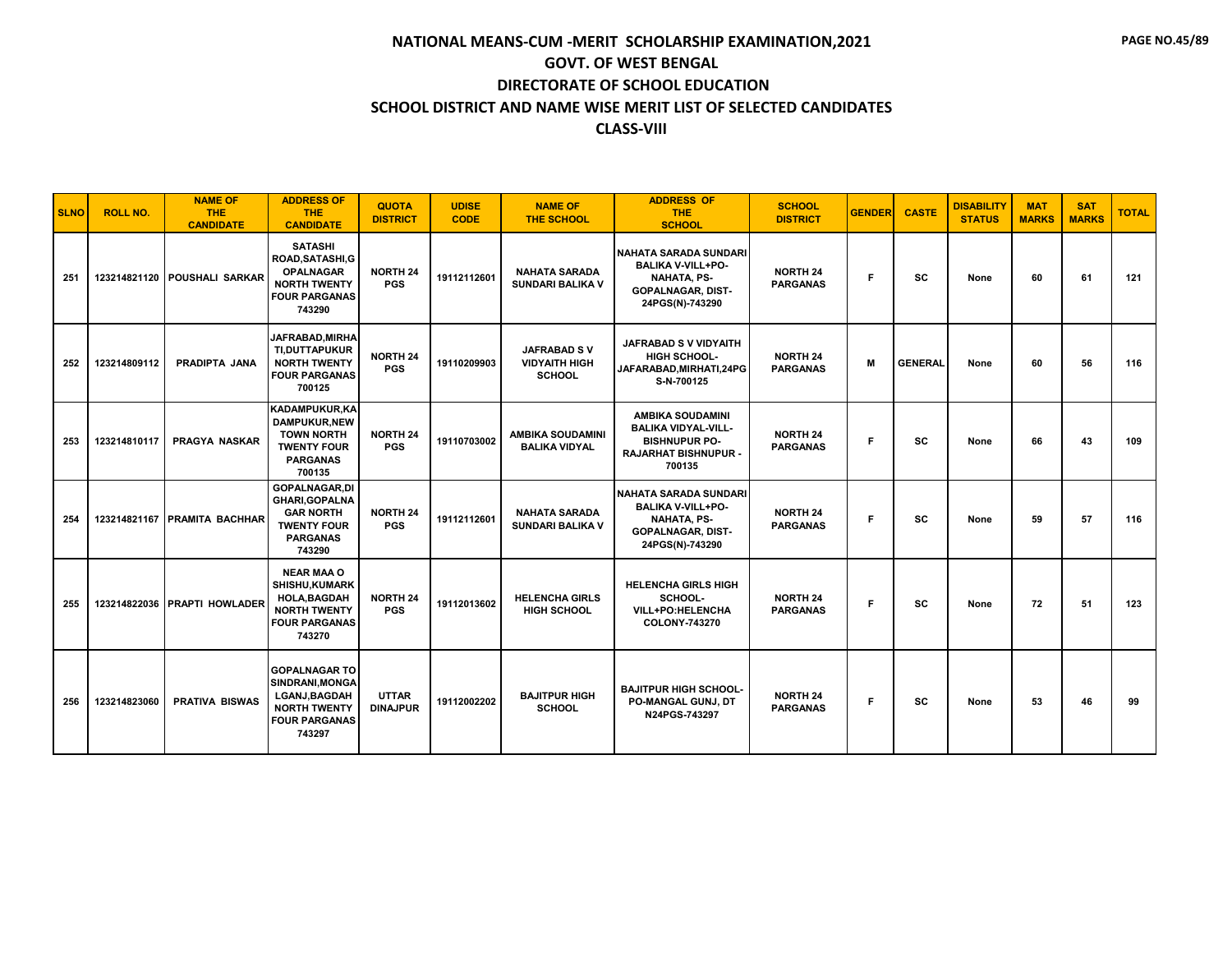| <b>SLNO</b> | <b>ROLL NO.</b> | <b>NAME OF</b><br>THE.<br><b>CANDIDATE</b> | <b>ADDRESS OF</b><br><b>THE</b><br><b>CANDIDATE</b>                                                                       | <b>QUOTA</b><br><b>DISTRICT</b> | <b>UDISE</b><br><b>CODE</b> | <b>NAME OF</b><br><b>THE SCHOOL</b>                         | <b>ADDRESS OF</b><br><b>THE</b><br><b>SCHOOL</b>                                                                              | <b>SCHOOL</b><br><b>DISTRICT</b>   | <b>GENDER</b> | <b>CASTE</b>   | <b>DISABILITY</b><br><b>STATUS</b> | <b>MAT</b><br><b>MARKS</b> | <b>SAT</b><br><b>MARKS</b> | <b>TOTAL</b> |
|-------------|-----------------|--------------------------------------------|---------------------------------------------------------------------------------------------------------------------------|---------------------------------|-----------------------------|-------------------------------------------------------------|-------------------------------------------------------------------------------------------------------------------------------|------------------------------------|---------------|----------------|------------------------------------|----------------------------|----------------------------|--------------|
| 251         |                 | 123214821120 POUSHALI SARKAR               | <b>SATASHI</b><br>ROAD, SATASHI, G<br><b>OPALNAGAR</b><br><b>NORTH TWENTY</b><br><b>FOUR PARGANAS</b><br>743290           | <b>NORTH 24</b><br><b>PGS</b>   | 19112112601                 | <b>NAHATA SARADA</b><br><b>SUNDARI BALIKA V</b>             | <b>NAHATA SARADA SUNDARI</b><br><b>BALIKA V-VILL+PO-</b><br><b>NAHATA, PS-</b><br><b>GOPALNAGAR, DIST-</b><br>24PGS(N)-743290 | <b>NORTH 24</b><br><b>PARGANAS</b> | F             | sc             | None                               | 60                         | 61                         | 121          |
| 252         | 123214809112    | PRADIPTA JANA                              | <b>JAFRABAD,MIRHA</b><br>TI, DUTTAPUKUR<br><b>NORTH TWENTY</b><br><b>FOUR PARGANAS</b><br>700125                          | <b>NORTH 24</b><br><b>PGS</b>   | 19110209903                 | <b>JAFRABAD SV</b><br><b>VIDYAITH HIGH</b><br><b>SCHOOL</b> | <b>JAFRABAD S V VIDYAITH</b><br><b>HIGH SCHOOL-</b><br>JAFARABAD, MIRHATI, 24PG<br>S-N-700125                                 | <b>NORTH 24</b><br><b>PARGANAS</b> | M             | <b>GENERAL</b> | None                               | 60                         | 56                         | 116          |
| 253         | 123214810117    | <b>PRAGYA NASKAR</b>                       | <b>KADAMPUKUR,KA</b><br><b>DAMPUKUR,NEW</b><br><b>TOWN NORTH</b><br><b>TWENTY FOUR</b><br><b>PARGANAS</b><br>700135       | <b>NORTH 24</b><br><b>PGS</b>   | 19110703002                 | <b>AMBIKA SOUDAMINI</b><br><b>BALIKA VIDYAL</b>             | <b>AMBIKA SOUDAMINI</b><br><b>BALIKA VIDYAL-VILL-</b><br><b>BISHNUPUR PO-</b><br><b>RAJARHAT BISHNUPUR -</b><br>700135        | <b>NORTH 24</b><br><b>PARGANAS</b> | Е             | SC             | None                               | 66                         | 43                         | 109          |
| 254         |                 | 123214821167 PRAMITA BACHHAR               | <b>GOPALNAGAR,DI</b><br><b>GHARI, GOPALNA</b><br><b>GAR NORTH</b><br><b>TWENTY FOUR</b><br><b>PARGANAS</b><br>743290      | <b>NORTH 24</b><br><b>PGS</b>   | 19112112601                 | <b>NAHATA SARADA</b><br><b>SUNDARI BALIKA V</b>             | <b>NAHATA SARADA SUNDARI</b><br><b>BALIKA V-VILL+PO-</b><br><b>NAHATA, PS-</b><br><b>GOPALNAGAR, DIST-</b><br>24PGS(N)-743290 | <b>NORTH 24</b><br><b>PARGANAS</b> | F.            | <b>SC</b>      | None                               | 59                         | 57                         | 116          |
| 255         |                 | 123214822036 PRAPTI HOWLADER               | <b>NEAR MAA O</b><br><b>SHISHU,KUMARK</b><br><b>HOLA, BAGDAH</b><br><b>NORTH TWENTY</b><br><b>FOUR PARGANAS</b><br>743270 | <b>NORTH 24</b><br><b>PGS</b>   | 19112013602                 | <b>HELENCHA GIRLS</b><br><b>HIGH SCHOOL</b>                 | <b>HELENCHA GIRLS HIGH</b><br>SCHOOL-<br>VILL+PO:HELENCHA<br>COLONY-743270                                                    | <b>NORTH 24</b><br><b>PARGANAS</b> | F.            | SC             | None                               | 72                         | 51                         | 123          |
| 256         | 123214823060    | <b>PRATIVA BISWAS</b>                      | <b>GOPALNAGAR TO</b><br>SINDRANI.MONGA<br><b>LGANJ, BAGDAH</b><br><b>NORTH TWENTY</b><br><b>FOUR PARGANAS</b><br>743297   | <b>UTTAR</b><br><b>DINAJPUR</b> | 19112002202                 | <b>BAJITPUR HIGH</b><br><b>SCHOOL</b>                       | <b>BAJITPUR HIGH SCHOOL-</b><br>PO-MANGAL GUNJ, DT<br>N24PGS-743297                                                           | <b>NORTH 24</b><br><b>PARGANAS</b> | F.            | <b>SC</b>      | None                               | 53                         | 46                         | 99           |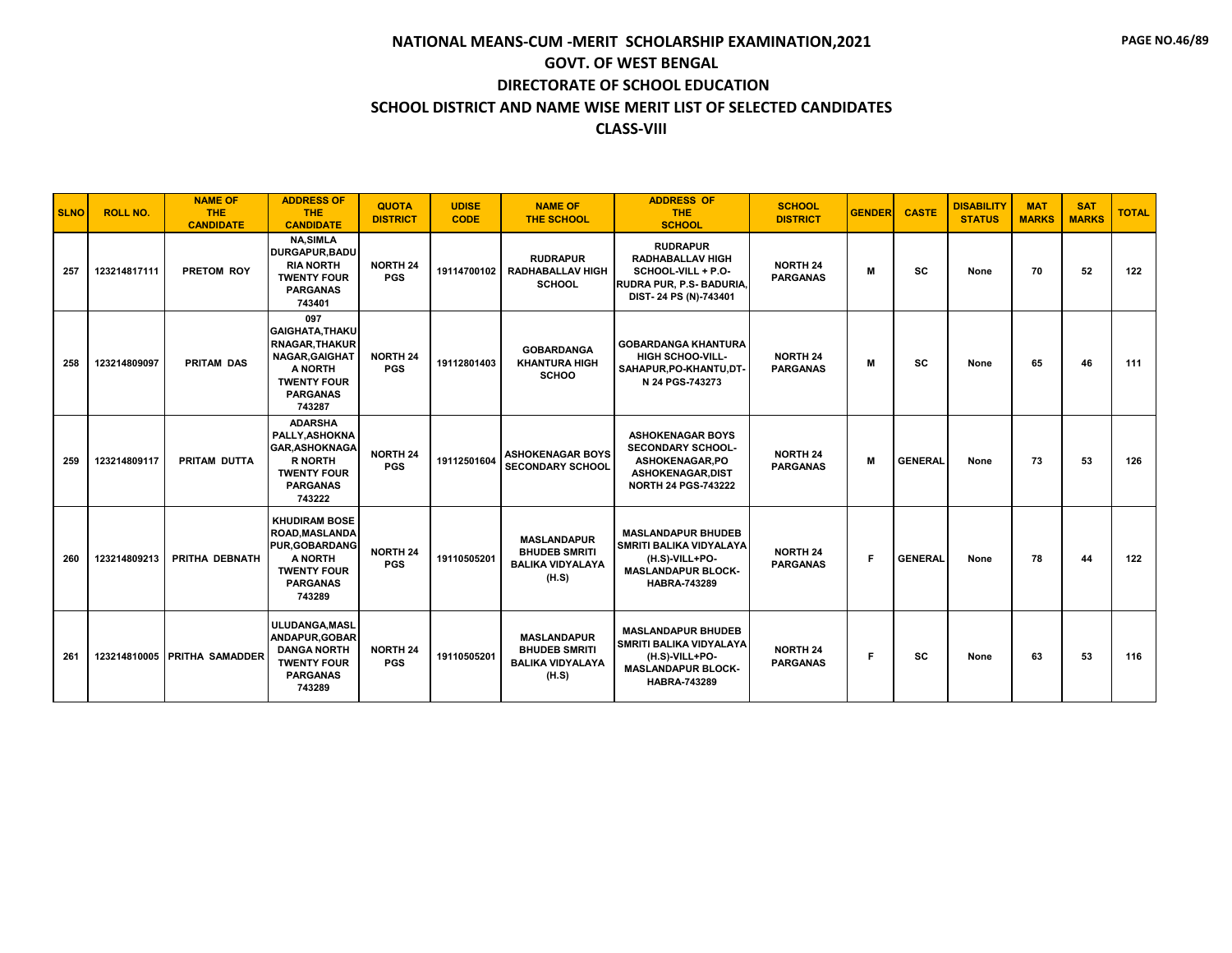| <b>SLNO</b> | <b>ROLL NO.</b> | <b>NAME OF</b><br><b>THE</b><br><b>CANDIDATE</b> | <b>ADDRESS OF</b><br><b>THE</b><br><b>CANDIDATE</b>                                                                                           | <b>QUOTA</b><br><b>DISTRICT</b> | <b>UDISE</b><br><b>CODE</b> | <b>NAME OF</b><br><b>THE SCHOOL</b>                                            | <b>ADDRESS OF</b><br><b>THE</b><br><b>SCHOOL</b>                                                                                  | <b>SCHOOL</b><br><b>DISTRICT</b>   | <b>GENDER</b> | <b>CASTE</b>   | <b>DISABILITY</b><br><b>STATUS</b> | <b>MAT</b><br><b>MARKS</b> | <b>SAT</b><br><b>MARKS</b> | <b>TOTAL</b> |
|-------------|-----------------|--------------------------------------------------|-----------------------------------------------------------------------------------------------------------------------------------------------|---------------------------------|-----------------------------|--------------------------------------------------------------------------------|-----------------------------------------------------------------------------------------------------------------------------------|------------------------------------|---------------|----------------|------------------------------------|----------------------------|----------------------------|--------------|
| 257         | 123214817111    | PRETOM ROY                                       | <b>NA,SIMLA</b><br><b>DURGAPUR, BADU</b><br><b>RIA NORTH</b><br><b>TWENTY FOUR</b><br><b>PARGANAS</b><br>743401                               | <b>NORTH 24</b><br><b>PGS</b>   | 19114700102                 | <b>RUDRAPUR</b><br><b>RADHABALLAV HIGH</b><br><b>SCHOOL</b>                    | <b>RUDRAPUR</b><br><b>RADHABALLAV HIGH</b><br>SCHOOL-VILL + P.O-<br>RUDRA PUR, P.S- BADURIA<br>DIST-24 PS (N)-743401              | <b>NORTH 24</b><br><b>PARGANAS</b> | м             | <b>SC</b>      | None                               | 70                         | 52                         | 122          |
| 258         | 123214809097    | <b>PRITAM DAS</b>                                | 097<br><b>GAIGHATA, THAKU</b><br><b>RNAGAR, THAKUR</b><br><b>NAGAR, GAIGHAT</b><br>A NORTH<br><b>TWENTY FOUR</b><br><b>PARGANAS</b><br>743287 | <b>NORTH 24</b><br><b>PGS</b>   | 19112801403                 | <b>GOBARDANGA</b><br><b>KHANTURA HIGH</b><br><b>SCHOO</b>                      | <b>GOBARDANGA KHANTURA</b><br><b>HIGH SCHOO-VILL-</b><br>SAHAPUR.PO-KHANTU.DT-<br>N 24 PGS-743273                                 | <b>NORTH 24</b><br><b>PARGANAS</b> | м             | <b>SC</b>      | None                               | 65                         | 46                         | 111          |
| 259         | 123214809117    | PRITAM DUTTA                                     | <b>ADARSHA</b><br>PALLY, ASHOKNA<br><b>GAR, ASHOKNAGA</b><br><b>R NORTH</b><br><b>TWENTY FOUR</b><br><b>PARGANAS</b><br>743222                | <b>NORTH 24</b><br><b>PGS</b>   | 19112501604                 | <b>ASHOKENAGAR BOYS</b><br><b>SECONDARY SCHOOL</b>                             | <b>ASHOKENAGAR BOYS</b><br><b>SECONDARY SCHOOL-</b><br>ASHOKENAGAR.PO<br>ASHOKENAGAR, DIST<br><b>NORTH 24 PGS-743222</b>          | <b>NORTH 24</b><br><b>PARGANAS</b> | M             | <b>GENERAL</b> | None                               | 73                         | 53                         | 126          |
| 260         | 123214809213    | PRITHA DEBNATH                                   | <b>KHUDIRAM BOSE</b><br><b>ROAD, MASLANDA</b><br><b>PUR.GOBARDANG</b><br>A NORTH<br><b>TWENTY FOUR</b><br><b>PARGANAS</b><br>743289           | <b>NORTH 24</b><br><b>PGS</b>   | 19110505201                 | <b>MASLANDAPUR</b><br><b>BHUDEB SMRITI</b><br><b>BALIKA VIDYALAYA</b><br>(H.S) | <b>MASLANDAPUR BHUDEB</b><br><b>SMRITI BALIKA VIDYALAYA</b><br>(H.S)-VILL+PO-<br><b>MASLANDAPUR BLOCK-</b><br><b>HABRA-743289</b> | <b>NORTH 24</b><br><b>PARGANAS</b> | F.            | <b>GENERAL</b> | None                               | 78                         | 44                         | 122          |
| 261         | 123214810005    | <b>PRITHA SAMADDER</b>                           | ULUDANGA, MASL<br>ANDAPUR, GOBAR<br><b>DANGA NORTH</b><br><b>TWENTY FOUR</b><br><b>PARGANAS</b><br>743289                                     | <b>NORTH 24</b><br><b>PGS</b>   | 19110505201                 | <b>MASLANDAPUR</b><br><b>BHUDEB SMRITI</b><br><b>BALIKA VIDYALAYA</b><br>(H.S) | <b>MASLANDAPUR BHUDEB</b><br><b>SMRITI BALIKA VIDYALAYA</b><br>(H.S)-VILL+PO-<br><b>MASLANDAPUR BLOCK-</b><br><b>HABRA-743289</b> | <b>NORTH 24</b><br><b>PARGANAS</b> | F.            | <b>SC</b>      | None                               | 63                         | 53                         | 116          |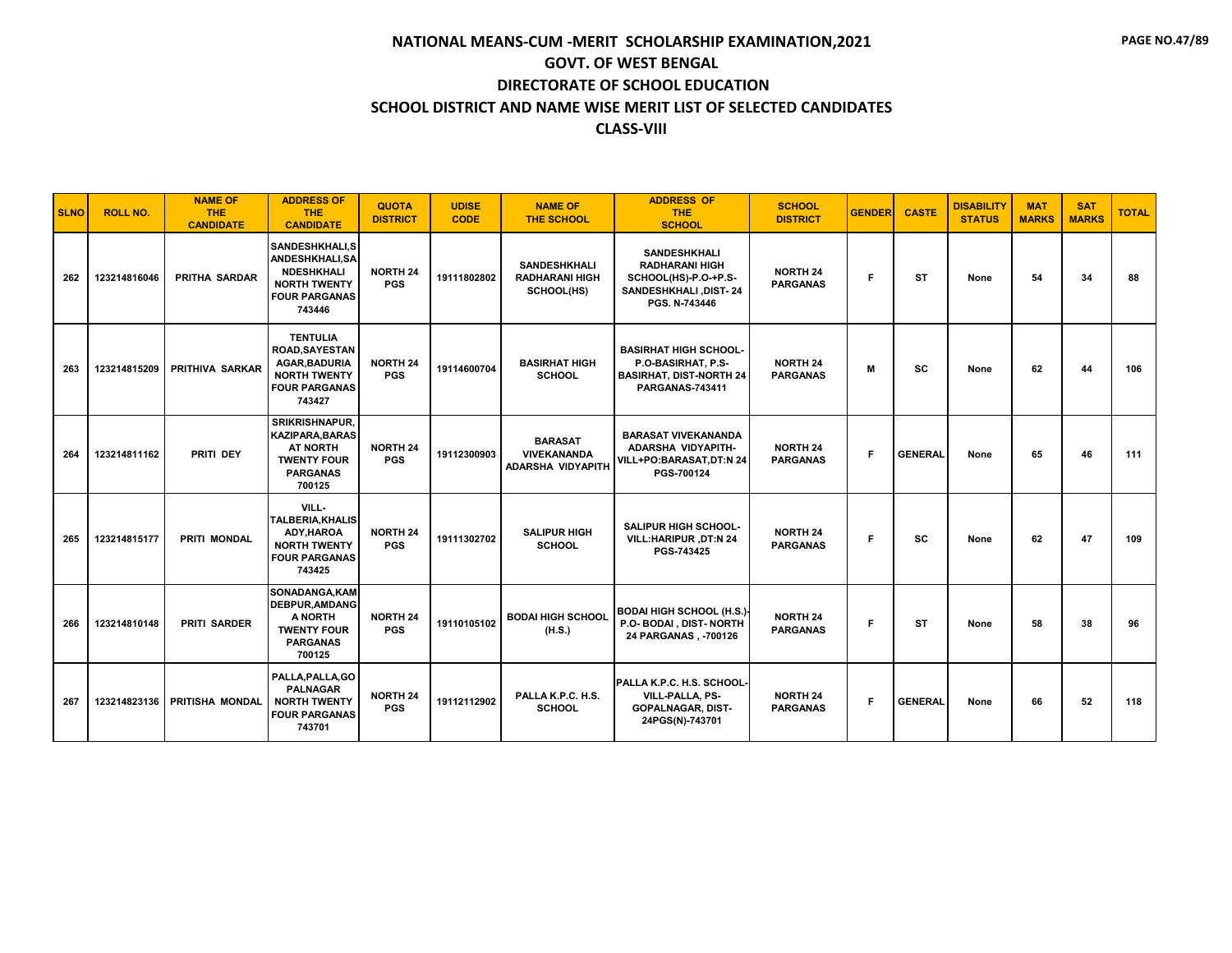| <b>SLNO</b> | <b>ROLL NO.</b> | <b>NAME OF</b><br><b>THE</b><br><b>CANDIDATE</b> | <b>ADDRESS OF</b><br><b>THE</b><br><b>CANDIDATE</b>                                                                     | <b>QUOTA</b><br><b>DISTRICT</b> | <b>UDISE</b><br><b>CODE</b> | <b>NAME OF</b><br>THE SCHOOL                                     | <b>ADDRESS OF</b><br><b>THE</b><br><b>SCHOOL</b>                                                               | <b>SCHOOL</b><br><b>DISTRICT</b>   | <b>GENDER</b> | <b>CASTE</b>   | <b>DISABILITY</b><br><b>STATUS</b> | <b>MAT</b><br><b>MARKS</b> | <b>SAT</b><br><b>MARKS</b> | <b>TOTAL</b> |
|-------------|-----------------|--------------------------------------------------|-------------------------------------------------------------------------------------------------------------------------|---------------------------------|-----------------------------|------------------------------------------------------------------|----------------------------------------------------------------------------------------------------------------|------------------------------------|---------------|----------------|------------------------------------|----------------------------|----------------------------|--------------|
| 262         | 123214816046    | PRITHA SARDAR                                    | SANDESHKHALI.S<br><b>ANDESHKHALI,SA</b><br><b>NDESHKHALI</b><br><b>NORTH TWENTY</b><br><b>FOUR PARGANAS</b><br>743446   | <b>NORTH 24</b><br><b>PGS</b>   | 19111802802                 | <b>SANDESHKHALI</b><br><b>RADHARANI HIGH</b><br>SCHOOL(HS)       | <b>SANDESHKHALI</b><br><b>RADHARANI HIGH</b><br>SCHOOL(HS)-P.O-+P.S-<br>SANDESHKHALI, DIST-24<br>PGS. N-743446 | <b>NORTH 24</b><br><b>PARGANAS</b> | F.            | ST             | None                               | 54                         | 34                         | 88           |
| 263         | 123214815209    | <b>PRITHIVA SARKAR</b>                           | <b>TENTULIA</b><br><b>ROAD.SAYESTAN</b><br><b>AGAR.BADURIA</b><br><b>NORTH TWENTY</b><br><b>FOUR PARGANAS</b><br>743427 | <b>NORTH 24</b><br><b>PGS</b>   | 19114600704                 | <b>BASIRHAT HIGH</b><br><b>SCHOOL</b>                            | <b>BASIRHAT HIGH SCHOOL-</b><br>P.O-BASIRHAT. P.S-<br><b>BASIRHAT, DIST-NORTH 24</b><br><b>PARGANAS-743411</b> | <b>NORTH 24</b><br><b>PARGANAS</b> | M             | SC             | None                               | 62                         | 44                         | 106          |
| 264         | 123214811162    | PRITI DEY                                        | <b>SRIKRISHNAPUR.</b><br><b>KAZIPARA, BARAS</b><br><b>AT NORTH</b><br><b>TWENTY FOUR</b><br><b>PARGANAS</b><br>700125   | <b>NORTH 24</b><br><b>PGS</b>   | 19112300903                 | <b>BARASAT</b><br><b>VIVEKANANDA</b><br><b>ADARSHA VIDYAPITH</b> | <b>BARASAT VIVEKANANDA</b><br>ADARSHA VIDYAPITH-<br>VILL+PO:BARASAT,DT:N 24<br>PGS-700124                      | <b>NORTH 24</b><br><b>PARGANAS</b> | F             | <b>GENERAL</b> | None                               | 65                         | 46                         | 111          |
| 265         | 123214815177    | <b>PRITI MONDAL</b>                              | VILL-<br><b>TALBERIA.KHALIS</b><br>ADY.HAROA<br><b>NORTH TWENTY</b><br><b>FOUR PARGANAS</b><br>743425                   | <b>NORTH 24</b><br><b>PGS</b>   | 19111302702                 | <b>SALIPUR HIGH</b><br><b>SCHOOL</b>                             | <b>SALIPUR HIGH SCHOOL-</b><br>VILL: HARIPUR, DT: N 24<br>PGS-743425                                           | <b>NORTH 24</b><br><b>PARGANAS</b> | F             | SC             | None                               | 62                         | 47                         | 109          |
| 266         | 123214810148    | <b>PRITI SARDER</b>                              | SONADANGA, KAM<br><b>DEBPUR.AMDANG</b><br>A NORTH<br><b>TWENTY FOUR</b><br><b>PARGANAS</b><br>700125                    | <b>NORTH 24</b><br><b>PGS</b>   | 19110105102                 | <b>BODAI HIGH SCHOOL</b><br>(H.S.)                               | <b>BODAI HIGH SCHOOL (H.S.)</b><br>P.O- BODAI, DIST- NORTH<br>24 PARGANAS, -700126                             | <b>NORTH 24</b><br><b>PARGANAS</b> | F             | <b>ST</b>      | None                               | 58                         | 38                         | 96           |
| 267         | 123214823136    | PRITISHA MONDAL                                  | PALLA, PALLA, GO<br><b>PALNAGAR</b><br><b>NORTH TWENTY</b><br><b>FOUR PARGANAS</b><br>743701                            | <b>NORTH 24</b><br><b>PGS</b>   | 19112112902                 | PALLA K.P.C. H.S.<br><b>SCHOOL</b>                               | IPALLA K.P.C. H.S. SCHOOL·<br>VILL-PALLA, PS-<br><b>GOPALNAGAR, DIST-</b><br>24PGS(N)-743701                   | <b>NORTH 24</b><br><b>PARGANAS</b> | F             | <b>GENERAL</b> | None                               | 66                         | 52                         | 118          |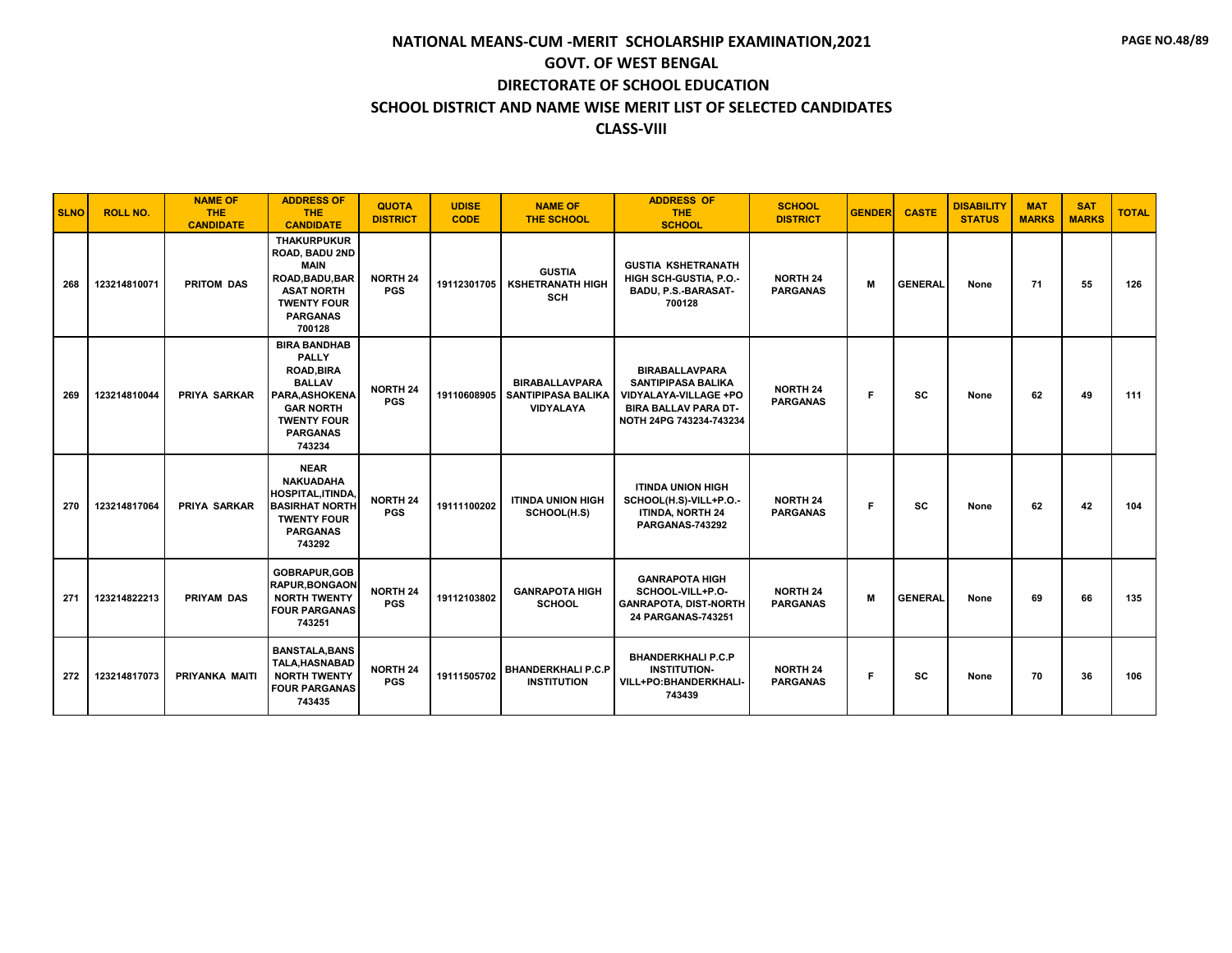| <b>SLNO</b> | <b>ROLL NO.</b> | <b>NAME OF</b><br><b>THE</b><br><b>CANDIDATE</b> | <b>ADDRESS OF</b><br><b>THE</b><br><b>CANDIDATE</b>                                                                                                                | <b>QUOTA</b><br><b>DISTRICT</b> | <b>UDISE</b><br><b>CODE</b> | <b>NAME OF</b><br><b>THE SCHOOL</b>                             | <b>ADDRESS OF</b><br><b>THE</b><br><b>SCHOOL</b>                                                                                      | <b>SCHOOL</b><br><b>DISTRICT</b>   | <b>GENDER</b> | <b>CASTE</b>   | <b>DISABILITY</b><br><b>STATUS</b> | <b>MAT</b><br><b>MARKS</b> | <b>SAT</b><br><b>MARKS</b> | <b>TOTAL</b> |
|-------------|-----------------|--------------------------------------------------|--------------------------------------------------------------------------------------------------------------------------------------------------------------------|---------------------------------|-----------------------------|-----------------------------------------------------------------|---------------------------------------------------------------------------------------------------------------------------------------|------------------------------------|---------------|----------------|------------------------------------|----------------------------|----------------------------|--------------|
| 268         | 123214810071    | <b>PRITOM DAS</b>                                | <b>THAKURPUKUR</b><br>ROAD, BADU 2ND<br><b>MAIN</b><br>ROAD, BADU, BAR<br><b>ASAT NORTH</b><br><b>TWENTY FOUR</b><br><b>PARGANAS</b><br>700128                     | <b>NORTH 24</b><br><b>PGS</b>   | 19112301705                 | <b>GUSTIA</b><br><b>KSHETRANATH HIGH</b><br><b>SCH</b>          | <b>GUSTIA KSHETRANATH</b><br>HIGH SCH-GUSTIA, P.O.-<br>BADU, P.S.-BARASAT-<br>700128                                                  | <b>NORTH 24</b><br><b>PARGANAS</b> | M             | <b>GENERAL</b> | None                               | 71                         | 55                         | 126          |
| 269         | 123214810044    | <b>PRIYA SARKAR</b>                              | <b>BIRA BANDHAB</b><br><b>PALLY</b><br><b>ROAD, BIRA</b><br><b>BALLAV</b><br>PARA, ASHOKENA<br><b>GAR NORTH</b><br><b>TWENTY FOUR</b><br><b>PARGANAS</b><br>743234 | <b>NORTH 24</b><br><b>PGS</b>   | 19110608905                 | <b>BIRABALLAVPARA</b><br><b>SANTIPIPASA BALIKA</b><br>VIDYALAYA | <b>BIRABALLAVPARA</b><br><b>SANTIPIPASA BALIKA</b><br>VIDYALAYA-VILLAGE +PO<br><b>BIRA BALLAV PARA DT-</b><br>NOTH 24PG 743234-743234 | <b>NORTH 24</b><br><b>PARGANAS</b> | F.            | <b>SC</b>      | None                               | 62                         | 49                         | 111          |
| 270         | 123214817064    | PRIYA SARKAR                                     | <b>NEAR</b><br><b>NAKUADAHA</b><br><b>HOSPITAL, ITINDA.</b><br><b>BASIRHAT NORTH</b><br><b>TWENTY FOUR</b><br><b>PARGANAS</b><br>743292                            | <b>NORTH 24</b><br><b>PGS</b>   | 19111100202                 | <b>ITINDA UNION HIGH</b><br>SCHOOL(H.S)                         | <b>ITINDA UNION HIGH</b><br>SCHOOL(H.S)-VILL+P.O.-<br><b>ITINDA, NORTH 24</b><br>PARGANAS-743292                                      | <b>NORTH 24</b><br><b>PARGANAS</b> | F.            | <b>SC</b>      | None                               | 62                         | 42                         | 104          |
| 271         | 123214822213    | <b>PRIYAM DAS</b>                                | GOBRAPUR, GOB<br><b>RAPUR, BONGAON</b><br><b>NORTH TWENTY</b><br><b>FOUR PARGANAS</b><br>743251                                                                    | <b>NORTH 24</b><br><b>PGS</b>   | 19112103802                 | <b>GANRAPOTA HIGH</b><br><b>SCHOOL</b>                          | <b>GANRAPOTA HIGH</b><br>SCHOOL-VILL+P.O-<br><b>GANRAPOTA, DIST-NORTH</b><br>24 PARGANAS-743251                                       | <b>NORTH 24</b><br><b>PARGANAS</b> | M             | <b>GENERAL</b> | None                               | 69                         | 66                         | 135          |
| 272         | 123214817073    | PRIYANKA MAITI                                   | <b>BANSTALA, BANS</b><br><b>TALA.HASNABAD</b><br><b>NORTH TWENTY</b><br><b>FOUR PARGANAS</b><br>743435                                                             | <b>NORTH 24</b><br><b>PGS</b>   | 19111505702                 | <b>BHANDERKHALI P.C.P</b><br><b>INSTITUTION</b>                 | <b>BHANDERKHALI P.C.P</b><br><b>INSTITUTION-</b><br>VILL+PO:BHANDERKHALI-<br>743439                                                   | <b>NORTH 24</b><br><b>PARGANAS</b> | F.            | <b>SC</b>      | None                               | 70                         | 36                         | 106          |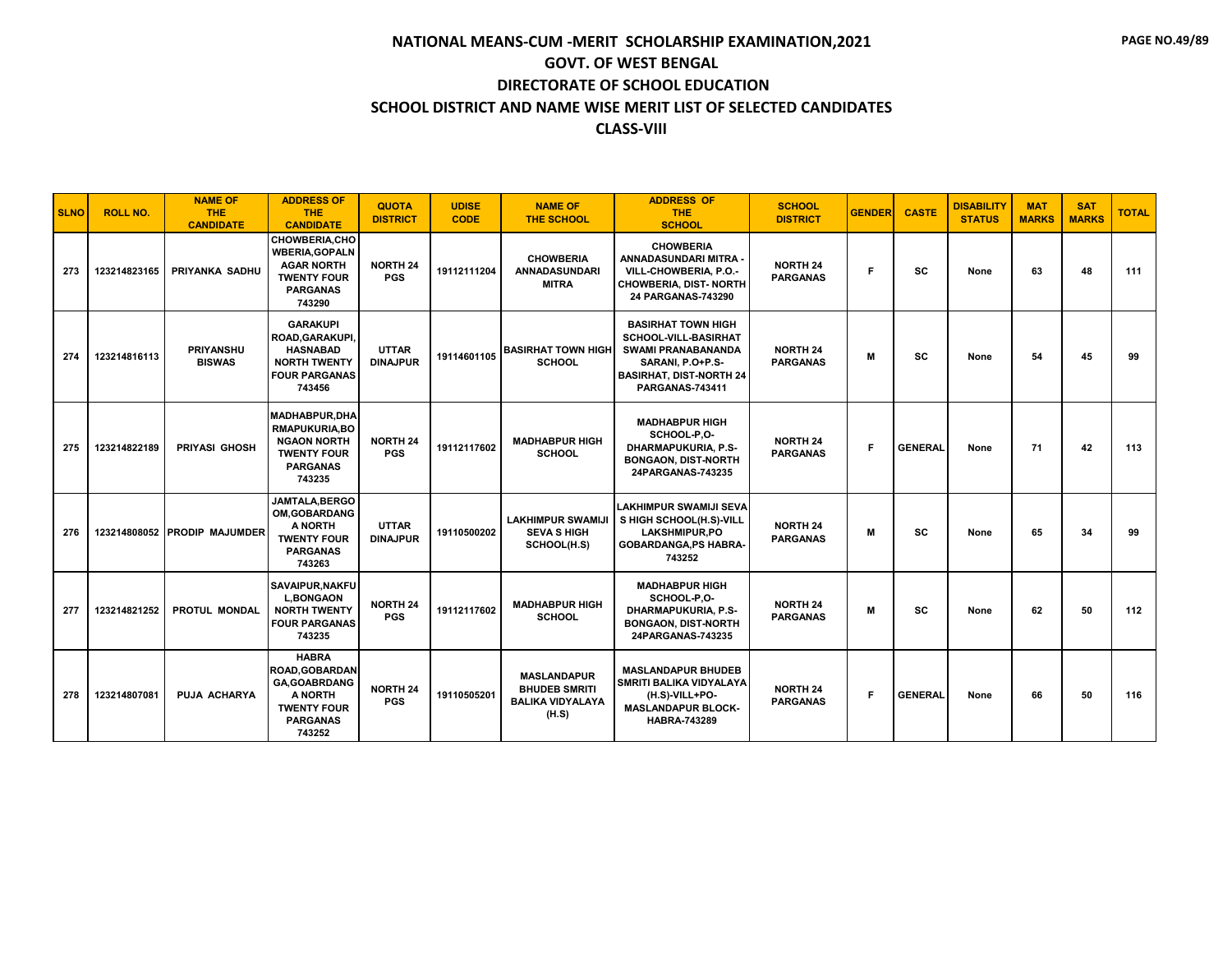| <b>SLNO</b> | <b>ROLL NO.</b> | <b>NAME OF</b><br><b>THE</b><br><b>CANDIDATE</b> | <b>ADDRESS OF</b><br><b>THE</b><br><b>CANDIDATE</b>                                                                        | <b>QUOTA</b><br><b>DISTRICT</b> | <b>UDISE</b><br><b>CODE</b> | <b>NAME OF</b><br><b>THE SCHOOL</b>                                            | <b>ADDRESS OF</b><br><b>THE</b><br><b>SCHOOL</b>                                                                                                                      | <b>SCHOOL</b><br><b>DISTRICT</b>   | <b>GENDER</b> | <b>CASTE</b>   | <b>DISABILITY</b><br><b>STATUS</b> | <b>MAT</b><br><b>MARKS</b> | <b>SAT</b><br><b>MARKS</b> | <b>TOTAL</b> |
|-------------|-----------------|--------------------------------------------------|----------------------------------------------------------------------------------------------------------------------------|---------------------------------|-----------------------------|--------------------------------------------------------------------------------|-----------------------------------------------------------------------------------------------------------------------------------------------------------------------|------------------------------------|---------------|----------------|------------------------------------|----------------------------|----------------------------|--------------|
| 273         | 123214823165    | PRIYANKA SADHU                                   | <b>CHOWBERIA,CHO</b><br><b>WBERIA, GOPALN</b><br><b>AGAR NORTH</b><br><b>TWENTY FOUR</b><br><b>PARGANAS</b><br>743290      | <b>NORTH 24</b><br><b>PGS</b>   | 19112111204                 | <b>CHOWBERIA</b><br><b>ANNADASUNDARI</b><br><b>MITRA</b>                       | <b>CHOWBERIA</b><br>ANNADASUNDARI MITRA <sub>'</sub><br>VILL-CHOWBERIA, P.O.-<br><b>CHOWBERIA, DIST- NORTH</b><br>24 PARGANAS-743290                                  | <b>NORTH 24</b><br><b>PARGANAS</b> | E             | <b>SC</b>      | None                               | 63                         | 48                         | 111          |
| 274         | 123214816113    | <b>PRIYANSHU</b><br><b>BISWAS</b>                | <b>GARAKUPI</b><br>ROAD, GARAKUPI,<br><b>HASNABAD</b><br><b>NORTH TWENTY</b><br><b>FOUR PARGANAS</b><br>743456             | <b>UTTAR</b><br><b>DINAJPUR</b> | 19114601105                 | <b>BASIRHAT TOWN HIGH</b><br><b>SCHOOL</b>                                     | <b>BASIRHAT TOWN HIGH</b><br><b>SCHOOL-VILL-BASIRHAT</b><br><b>SWAMI PRANABANANDA</b><br>SARANI, P.O+P.S-<br><b>BASIRHAT, DIST-NORTH 24</b><br><b>PARGANAS-743411</b> | <b>NORTH 24</b><br><b>PARGANAS</b> | м             | <b>SC</b>      | None                               | 54                         | 45                         | 99           |
| 275         | 123214822189    | PRIYASI GHOSH                                    | <b>MADHABPUR.DHA</b><br>RMAPUKURIA, BO<br><b>NGAON NORTH</b><br><b>TWENTY FOUR</b><br><b>PARGANAS</b><br>743235            | <b>NORTH 24</b><br><b>PGS</b>   | 19112117602                 | <b>MADHABPUR HIGH</b><br><b>SCHOOL</b>                                         | <b>MADHABPUR HIGH</b><br>SCHOOL-P.O-<br><b>DHARMAPUKURIA, P.S-</b><br><b>BONGAON, DIST-NORTH</b><br>24PARGANAS-743235                                                 | <b>NORTH 24</b><br><b>PARGANAS</b> | F             | <b>GENERAL</b> | None                               | 71                         | 42                         | 113          |
| 276         |                 | 123214808052 PRODIP MAJUMDER                     | JAMTALA.BERGO<br><b>OM.GOBARDANG</b><br>A NORTH<br><b>TWENTY FOUR</b><br><b>PARGANAS</b><br>743263                         | <b>UTTAR</b><br><b>DINAJPUR</b> | 19110500202                 | <b>LAKHIMPUR SWAMIJI</b><br><b>SEVA S HIGH</b><br>SCHOOL(H.S)                  | LAKHIMPUR SWAMIJI SEVA<br>S HIGH SCHOOL(H.S)-VILL<br><b>LAKSHMIPUR.PO</b><br><b>GOBARDANGA, PS HABRA-</b><br>743252                                                   | <b>NORTH 24</b><br><b>PARGANAS</b> | м             | SC             | None                               | 65                         | 34                         | 99           |
| 277         | 123214821252    | PROTUL MONDAL                                    | <b>SAVAIPUR.NAKFU</b><br><b>L.BONGAON</b><br><b>NORTH TWENTY</b><br><b>FOUR PARGANAS</b><br>743235                         | <b>NORTH 24</b><br><b>PGS</b>   | 19112117602                 | <b>MADHABPUR HIGH</b><br><b>SCHOOL</b>                                         | <b>MADHABPUR HIGH</b><br>SCHOOL-P.O-<br>DHARMAPUKURIA, P.S-<br><b>BONGAON, DIST-NORTH</b><br>24PARGANAS-743235                                                        | <b>NORTH 24</b><br><b>PARGANAS</b> | M             | <b>SC</b>      | None                               | 62                         | 50                         | 112          |
| 278         | 123214807081    | <b>PUJA ACHARYA</b>                              | <b>HABRA</b><br><b>ROAD.GOBARDAN</b><br><b>GA, GOABRDANG</b><br>A NORTH<br><b>TWENTY FOUR</b><br><b>PARGANAS</b><br>743252 | <b>NORTH 24</b><br><b>PGS</b>   | 19110505201                 | <b>MASLANDAPUR</b><br><b>BHUDEB SMRITI</b><br><b>BALIKA VIDYALAYA</b><br>(H.S) | <b>MASLANDAPUR BHUDEB</b><br>SMRITI BALIKA VIDYALAYA<br>(H.S)-VILL+PO-<br><b>MASLANDAPUR BLOCK-</b><br><b>HABRA-743289</b>                                            | <b>NORTH 24</b><br><b>PARGANAS</b> | F             | <b>GENERAL</b> | None                               | 66                         | 50                         | 116          |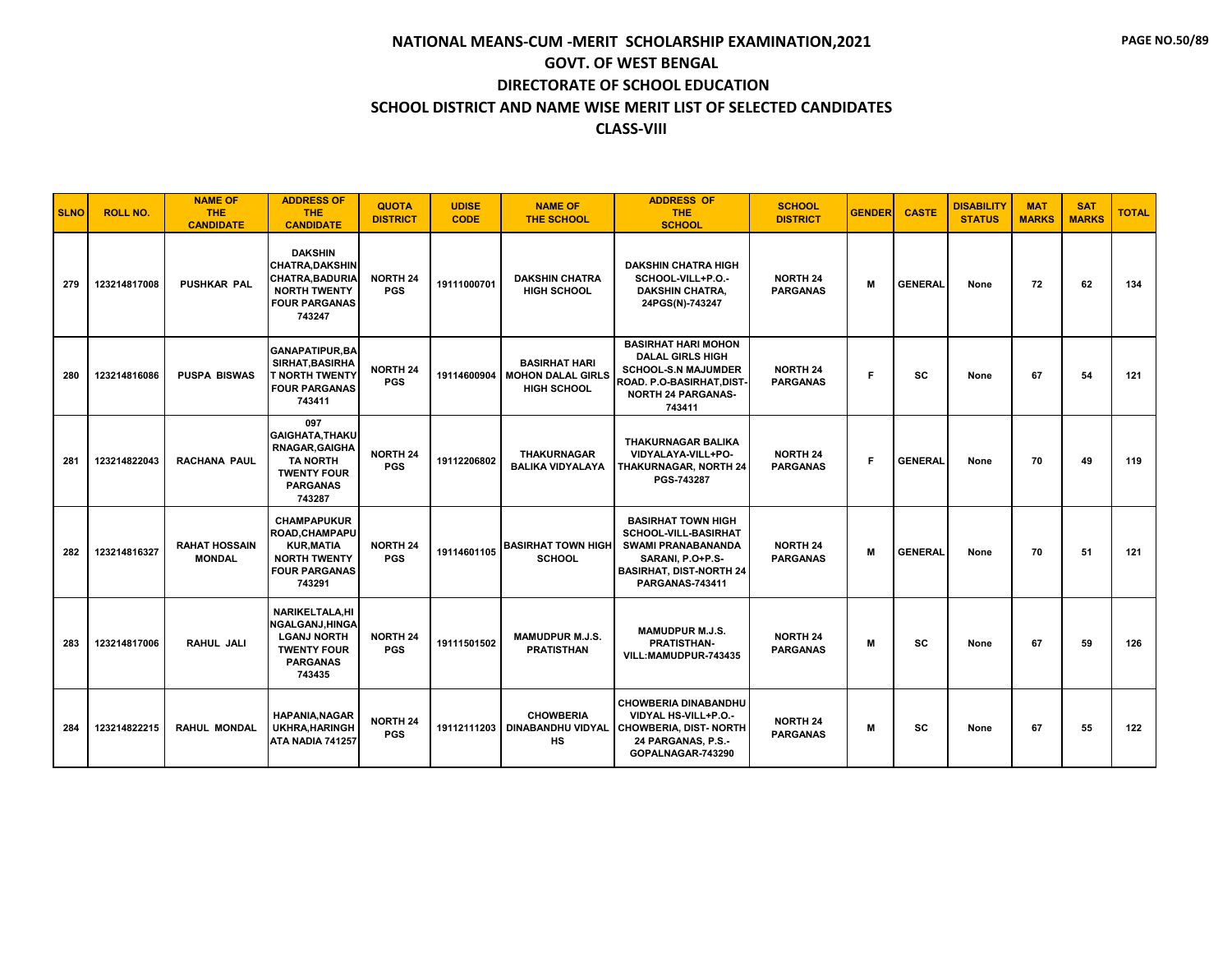| <b>SLNO</b> | <b>ROLL NO.</b> | <b>NAME OF</b><br><b>THE</b><br><b>CANDIDATE</b> | <b>ADDRESS OF</b><br><b>THE</b><br><b>CANDIDATE</b>                                                                          | <b>QUOTA</b><br><b>DISTRICT</b> | <b>UDISE</b><br><b>CODE</b> | <b>NAME OF</b><br><b>THE SCHOOL</b>                                    | <b>ADDRESS OF</b><br><b>THE</b><br><b>SCHOOL</b>                                                                                                                      | <b>SCHOOL</b><br><b>DISTRICT</b>   | <b>GENDER</b> | <b>CASTE</b>   | <b>DISABILITY</b><br><b>STATUS</b> | <b>MAT</b><br><b>MARKS</b> | <b>SAT</b><br><b>MARKS</b> | <b>TOTAL</b> |
|-------------|-----------------|--------------------------------------------------|------------------------------------------------------------------------------------------------------------------------------|---------------------------------|-----------------------------|------------------------------------------------------------------------|-----------------------------------------------------------------------------------------------------------------------------------------------------------------------|------------------------------------|---------------|----------------|------------------------------------|----------------------------|----------------------------|--------------|
| 279         | 123214817008    | <b>PUSHKAR PAL</b>                               | <b>DAKSHIN</b><br><b>CHATRA, DAKSHIN</b><br><b>CHATRA, BADURIA</b><br><b>NORTH TWENTY</b><br><b>FOUR PARGANAS</b><br>743247  | <b>NORTH 24</b><br><b>PGS</b>   | 19111000701                 | <b>DAKSHIN CHATRA</b><br>HIGH SCHOOL                                   | <b>DAKSHIN CHATRA HIGH</b><br>SCHOOL-VILL+P.O.-<br><b>DAKSHIN CHATRA,</b><br>24PGS(N)-743247                                                                          | <b>NORTH 24</b><br><b>PARGANAS</b> | M             | <b>GENERAL</b> | None                               | 72                         | 62                         | 134          |
| 280         | 123214816086    | <b>PUSPA BISWAS</b>                              | <b>GANAPATIPUR, BA</b><br>SIRHAT, BASIRHA<br><b>T NORTH TWENTY</b><br><b>FOUR PARGANAS</b><br>743411                         | <b>NORTH 24</b><br><b>PGS</b>   | 19114600904                 | <b>BASIRHAT HARI</b><br><b>MOHON DALAL GIRLS</b><br><b>HIGH SCHOOL</b> | <b>BASIRHAT HARI MOHON</b><br><b>DALAL GIRLS HIGH</b><br><b>SCHOOL-S.N MAJUMDER</b><br>ROAD. P.O-BASIRHAT,DIST <sup>.</sup><br><b>NORTH 24 PARGANAS-</b><br>743411    | <b>NORTH 24</b><br><b>PARGANAS</b> | F             | SC             | None                               | 67                         | 54                         | 121          |
| 281         | 123214822043    | <b>RACHANA PAUL</b>                              | 097<br><b>GAIGHATA, THAKU</b><br><b>RNAGAR, GAIGHA</b><br><b>TA NORTH</b><br><b>TWENTY FOUR</b><br><b>PARGANAS</b><br>743287 | <b>NORTH 24</b><br><b>PGS</b>   | 19112206802                 | <b>THAKURNAGAR</b><br><b>BALIKA VIDYALAYA</b>                          | <b>THAKURNAGAR BALIKA</b><br>VIDYALAYA-VILL+PO-<br>THAKURNAGAR, NORTH 24<br>PGS-743287                                                                                | <b>NORTH 24</b><br><b>PARGANAS</b> | F.            | <b>GENERAL</b> | None                               | 70                         | 49                         | 119          |
| 282         | 123214816327    | <b>RAHAT HOSSAIN</b><br><b>MONDAL</b>            | <b>CHAMPAPUKUR</b><br>ROAD, CHAMPAPU<br><b>KUR, MATIA</b><br><b>NORTH TWENTY</b><br><b>FOUR PARGANAS</b><br>743291           | <b>NORTH 24</b><br><b>PGS</b>   | 19114601105                 | <b>BASIRHAT TOWN HIGH</b><br><b>SCHOOL</b>                             | <b>BASIRHAT TOWN HIGH</b><br><b>SCHOOL-VILL-BASIRHAT</b><br><b>SWAMI PRANABANANDA</b><br>SARANI, P.O+P.S-<br><b>BASIRHAT, DIST-NORTH 24</b><br><b>PARGANAS-743411</b> | <b>NORTH 24</b><br><b>PARGANAS</b> | M             | <b>GENERAL</b> | None                               | 70                         | 51                         | 121          |
| 283         | 123214817006    | RAHUL JALI                                       | <b>NARIKELTALA.HI</b><br>NGALGANJ, HINGA<br><b>LGANJ NORTH</b><br><b>TWENTY FOUR</b><br><b>PARGANAS</b><br>743435            | <b>NORTH 24</b><br><b>PGS</b>   | 19111501502                 | <b>MAMUDPUR M.J.S.</b><br><b>PRATISTHAN</b>                            | <b>MAMUDPUR M.J.S.</b><br><b>PRATISTHAN-</b><br>VILL:MAMUDPUR-743435                                                                                                  | <b>NORTH 24</b><br><b>PARGANAS</b> | м             | SC             | None                               | 67                         | 59                         | 126          |
| 284         | 123214822215    | <b>RAHUL MONDAL</b>                              | <b>HAPANIA, NAGAR</b><br>UKHRA, HARINGH<br>ATA NADIA 741257                                                                  | <b>NORTH 24</b><br><b>PGS</b>   |                             | <b>CHOWBERIA</b><br>19112111203   DINABANDHU VIDYAL<br><b>HS</b>       | <b>CHOWBERIA DINABANDHU</b><br>VIDYAL HS-VILL+P.O.-<br><b>CHOWBERIA, DIST- NORTH</b><br>24 PARGANAS, P.S.-<br>GOPALNAGAR-743290                                       | <b>NORTH 24</b><br><b>PARGANAS</b> | M             | SC             | None                               | 67                         | 55                         | 122          |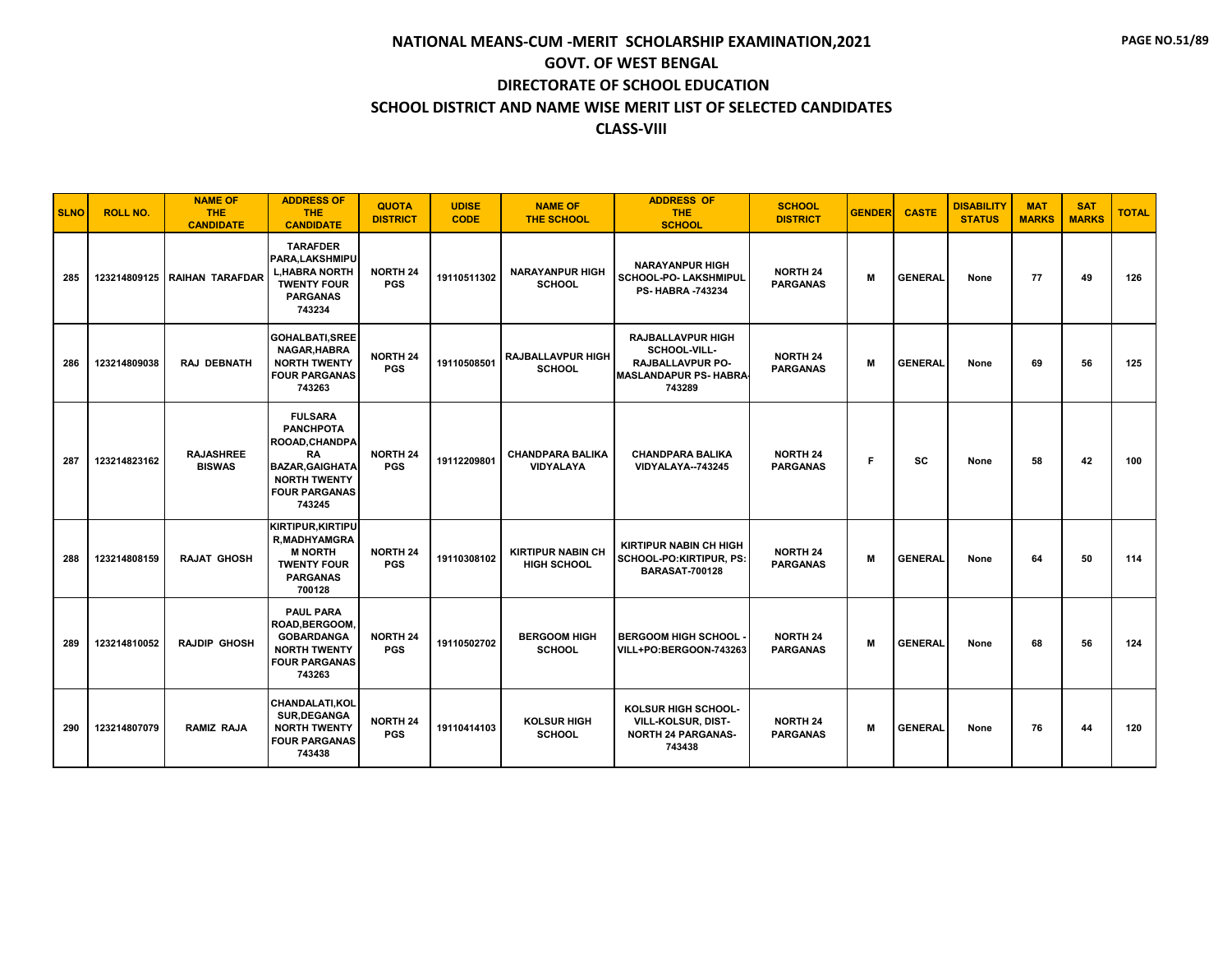| <b>SLNO</b> | <b>ROLL NO.</b> | <b>NAME OF</b><br><b>THE</b><br><b>CANDIDATE</b> | <b>ADDRESS OF</b><br><b>THE</b><br><b>CANDIDATE</b>                                                                                                  | <b>QUOTA</b><br><b>DISTRICT</b> | <b>UDISE</b><br><b>CODE</b> | <b>NAME OF</b><br><b>THE SCHOOL</b>            | <b>ADDRESS OF</b><br><b>THE</b><br><b>SCHOOL</b>                                                              | <b>SCHOOL</b><br><b>DISTRICT</b>   | <b>GENDER</b> | <b>CASTE</b>   | <b>DISABILITY</b><br><b>STATUS</b> | <b>MAT</b><br><b>MARKS</b> | <b>SAT</b><br><b>MARKS</b> | <b>TOTAL</b> |
|-------------|-----------------|--------------------------------------------------|------------------------------------------------------------------------------------------------------------------------------------------------------|---------------------------------|-----------------------------|------------------------------------------------|---------------------------------------------------------------------------------------------------------------|------------------------------------|---------------|----------------|------------------------------------|----------------------------|----------------------------|--------------|
| 285         |                 | 123214809125   RAIHAN TARAFDAR                   | <b>TARAFDER</b><br>PARA, LAKSHMIPU<br><b>L.HABRA NORTH</b><br><b>TWENTY FOUR</b><br><b>PARGANAS</b><br>743234                                        | <b>NORTH 24</b><br><b>PGS</b>   | 19110511302                 | <b>NARAYANPUR HIGH</b><br><b>SCHOOL</b>        | <b>NARAYANPUR HIGH</b><br>SCHOOL-PO- LAKSHMIPUL<br><b>PS-HABRA -743234</b>                                    | <b>NORTH 24</b><br><b>PARGANAS</b> | м             | <b>GENERAL</b> | None                               | 77                         | 49                         | 126          |
| 286         | 123214809038    | <b>RAJ DEBNATH</b>                               | <b>GOHALBATI, SREE</b><br>NAGAR, HABRA<br><b>NORTH TWENTY</b><br><b>FOUR PARGANAS</b><br>743263                                                      | <b>NORTH 24</b><br><b>PGS</b>   | 19110508501                 | <b>RAJBALLAVPUR HIGH</b><br><b>SCHOOL</b>      | <b>RAJBALLAVPUR HIGH</b><br>SCHOOL-VILL-<br><b>RAJBALLAVPUR PO-</b><br><b>MASLANDAPUR PS- HABRA</b><br>743289 | <b>NORTH 24</b><br><b>PARGANAS</b> | M             | <b>GENERAL</b> | None                               | 69                         | 56                         | 125          |
| 287         | 123214823162    | <b>RAJASHREE</b><br><b>BISWAS</b>                | <b>FULSARA</b><br><b>PANCHPOTA</b><br><b>ROOAD, CHANDPA</b><br>RA<br><b>BAZAR, GAIGHATA</b><br><b>NORTH TWENTY</b><br><b>FOUR PARGANAS</b><br>743245 | <b>NORTH 24</b><br><b>PGS</b>   | 19112209801                 | <b>CHANDPARA BALIKA</b><br><b>VIDYALAYA</b>    | <b>CHANDPARA BALIKA</b><br>VIDYALAYA--743245                                                                  | <b>NORTH 24</b><br><b>PARGANAS</b> | F.            | <b>SC</b>      | None                               | 58                         | 42                         | 100          |
| 288         | 123214808159    | <b>RAJAT GHOSH</b>                               | <b>KIRTIPUR, KIRTIPU</b><br><b>R,MADHYAMGRA</b><br><b>M NORTH</b><br><b>TWENTY FOUR</b><br><b>PARGANAS</b><br>700128                                 | <b>NORTH 24</b><br><b>PGS</b>   | 19110308102                 | <b>KIRTIPUR NABIN CH</b><br><b>HIGH SCHOOL</b> | <b>KIRTIPUR NABIN CH HIGH</b><br>SCHOOL-PO:KIRTIPUR, PS:<br><b>BARASAT-700128</b>                             | <b>NORTH 24</b><br><b>PARGANAS</b> | M             | <b>GENERAL</b> | None                               | 64                         | 50                         | 114          |
| 289         | 123214810052    | <b>RAJDIP GHOSH</b>                              | <b>PAUL PARA</b><br>ROAD, BERGOOM,<br><b>GOBARDANGA</b><br><b>NORTH TWENTY</b><br><b>FOUR PARGANAS</b><br>743263                                     | <b>NORTH 24</b><br><b>PGS</b>   | 19110502702                 | <b>BERGOOM HIGH</b><br><b>SCHOOL</b>           | <b>BERGOOM HIGH SCHOOL -</b><br>VILL+PO:BERGOON-743263                                                        | <b>NORTH 24</b><br><b>PARGANAS</b> | M             | <b>GENERAL</b> | None                               | 68                         | 56                         | 124          |
| 290         | 123214807079    | <b>RAMIZ RAJA</b>                                | CHANDALATI, KOL<br>SUR, DEGANGA<br><b>NORTH TWENTY</b><br><b>FOUR PARGANAS</b><br>743438                                                             | <b>NORTH 24</b><br><b>PGS</b>   | 19110414103                 | <b>KOLSUR HIGH</b><br><b>SCHOOL</b>            | KOLSUR HIGH SCHOOL-<br>VILL-KOLSUR, DIST-<br><b>NORTH 24 PARGANAS-</b><br>743438                              | <b>NORTH 24</b><br><b>PARGANAS</b> | M             | <b>GENERAL</b> | None                               | 76                         | 44                         | 120          |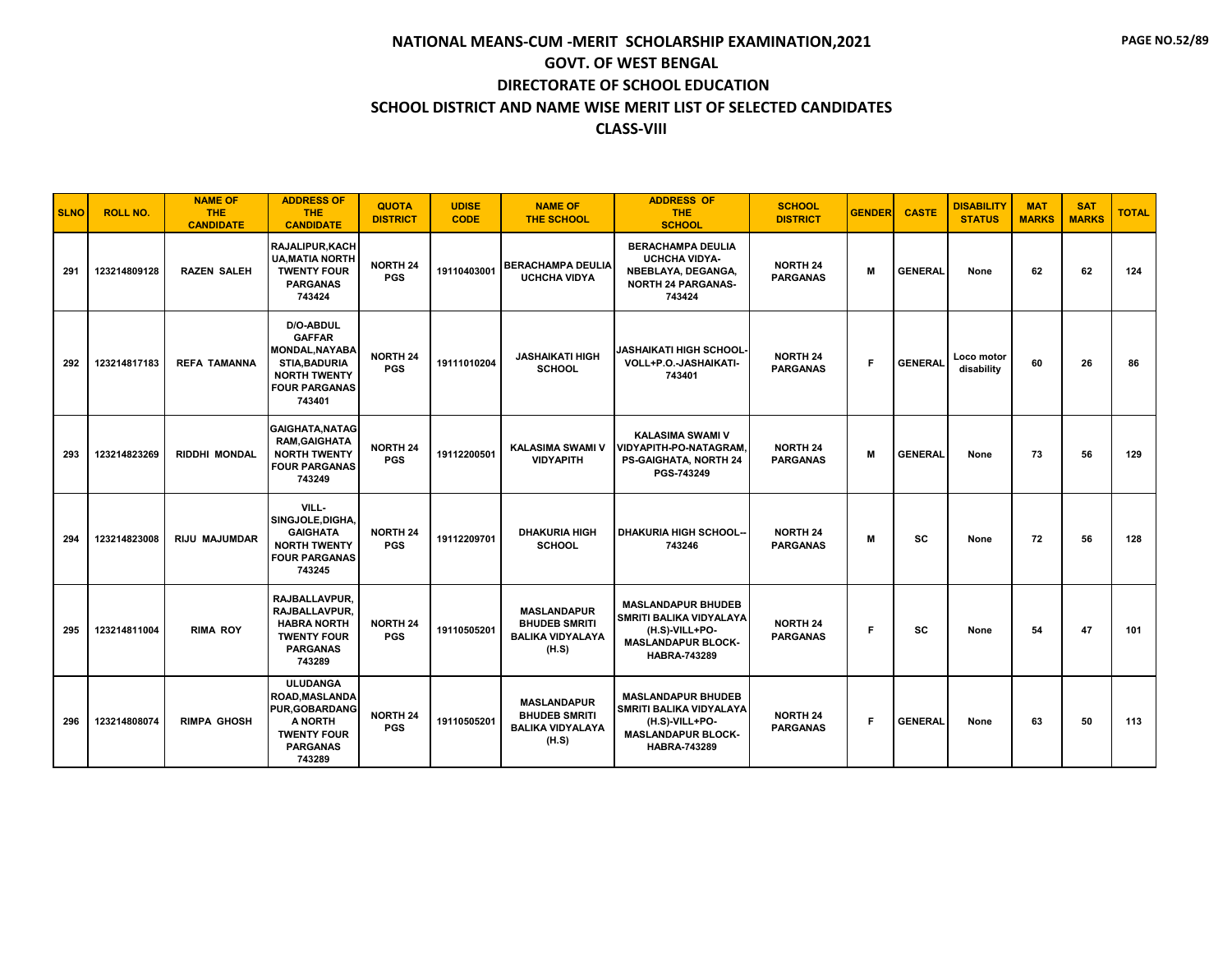| <b>SLNO</b> | <b>ROLL NO.</b> | <b>NAME OF</b><br><b>THE</b><br><b>CANDIDATE</b> | <b>ADDRESS OF</b><br>THE.<br><b>CANDIDATE</b>                                                                                        | <b>QUOTA</b><br><b>DISTRICT</b> | <b>UDISE</b><br><b>CODE</b> | <b>NAME OF</b><br><b>THE SCHOOL</b>                                            | <b>ADDRESS OF</b><br><b>THE</b><br><b>SCHOOL</b>                                                                                  | <b>SCHOOL</b><br><b>DISTRICT</b>   | <b>GENDER</b> | <b>CASTE</b>   | <b>DISABILITY</b><br><b>STATUS</b> | <b>MAT</b><br><b>MARKS</b> | <b>SAT</b><br><b>MARKS</b> | <b>TOTAL</b> |
|-------------|-----------------|--------------------------------------------------|--------------------------------------------------------------------------------------------------------------------------------------|---------------------------------|-----------------------------|--------------------------------------------------------------------------------|-----------------------------------------------------------------------------------------------------------------------------------|------------------------------------|---------------|----------------|------------------------------------|----------------------------|----------------------------|--------------|
| 291         | 123214809128    | <b>RAZEN SALEH</b>                               | <b>RAJALIPUR, KACH</b><br><b>UA, MATIA NORTH</b><br><b>TWENTY FOUR</b><br><b>PARGANAS</b><br>743424                                  | <b>NORTH 24</b><br><b>PGS</b>   | 19110403001                 | <b>BERACHAMPA DEULIA</b><br><b>UCHCHA VIDYA</b>                                | <b>BERACHAMPA DEULIA</b><br><b>UCHCHA VIDYA-</b><br>NBEBLAYA, DEGANGA,<br><b>NORTH 24 PARGANAS-</b><br>743424                     | <b>NORTH 24</b><br><b>PARGANAS</b> | M             | <b>GENERAL</b> | None                               | 62                         | 62                         | 124          |
| 292         | 123214817183    | <b>REFA TAMANNA</b>                              | D/O-ABDUL<br><b>GAFFAR</b><br><b>MONDAL, NAYABA</b><br><b>STIA, BADURIA</b><br><b>NORTH TWENTY</b><br><b>FOUR PARGANAS</b><br>743401 | <b>NORTH 24</b><br><b>PGS</b>   | 19111010204                 | <b>JASHAIKATI HIGH</b><br><b>SCHOOL</b>                                        | JASHAIKATI HIGH SCHOOL·<br>VOLL+P.O.-JASHAIKATI-<br>743401                                                                        | <b>NORTH 24</b><br><b>PARGANAS</b> | F             | <b>GENERAL</b> | Loco motor<br>disability           | 60                         | 26                         | 86           |
| 293         | 123214823269    | <b>RIDDHI MONDAL</b>                             | GAIGHATA, NATAG<br><b>RAM, GAIGHATA</b><br><b>NORTH TWENTY</b><br><b>FOUR PARGANAS</b><br>743249                                     | <b>NORTH 24</b><br><b>PGS</b>   | 19112200501                 | <b>KALASIMA SWAMI V</b><br><b>VIDYAPITH</b>                                    | <b>KALASIMA SWAMI V</b><br>VIDYAPITH-PO-NATAGRAM.<br><b>PS-GAIGHATA, NORTH 24</b><br>PGS-743249                                   | <b>NORTH 24</b><br><b>PARGANAS</b> | M             | <b>GENERAL</b> | None                               | 73                         | 56                         | 129          |
| 294         | 123214823008    | <b>RIJU MAJUMDAR</b>                             | VILL-<br>SINGJOLE, DIGHA,<br><b>GAIGHATA</b><br><b>NORTH TWENTY</b><br><b>FOUR PARGANAS</b><br>743245                                | <b>NORTH 24</b><br><b>PGS</b>   | 19112209701                 | <b>DHAKURIA HIGH</b><br><b>SCHOOL</b>                                          | <b>DHAKURIA HIGH SCHOOL--</b><br>743246                                                                                           | <b>NORTH 24</b><br><b>PARGANAS</b> | м             | sc             | None                               | 72                         | 56                         | 128          |
| 295         | 123214811004    | <b>RIMA ROY</b>                                  | <b>RAJBALLAVPUR.</b><br>RAJBALLAVPUR,<br><b>HABRA NORTH</b><br><b>TWENTY FOUR</b><br><b>PARGANAS</b><br>743289                       | <b>NORTH 24</b><br><b>PGS</b>   | 19110505201                 | <b>MASLANDAPUR</b><br><b>BHUDEB SMRITI</b><br><b>BALIKA VIDYALAYA</b><br>(H.S) | <b>MASLANDAPUR BHUDEB</b><br><b>SMRITI BALIKA VIDYALAYA</b><br>(H.S)-VILL+PO-<br><b>MASLANDAPUR BLOCK-</b><br><b>HABRA-743289</b> | <b>NORTH 24</b><br><b>PARGANAS</b> | F             | <b>SC</b>      | None                               | 54                         | 47                         | 101          |
| 296         | 123214808074    | <b>RIMPA GHOSH</b>                               | <b>ULUDANGA</b><br><b>ROAD.MASLANDA</b><br><b>PUR.GOBARDANG</b><br>A NORTH<br><b>TWENTY FOUR</b><br><b>PARGANAS</b><br>743289        | <b>NORTH 24</b><br><b>PGS</b>   | 19110505201                 | <b>MASLANDAPUR</b><br><b>BHUDEB SMRITI</b><br><b>BALIKA VIDYALAYA</b><br>(H.S) | <b>MASLANDAPUR BHUDEB</b><br><b>SMRITI BALIKA VIDYALAYA</b><br>(H.S)-VILL+PO-<br><b>MASLANDAPUR BLOCK-</b><br><b>HABRA-743289</b> | <b>NORTH 24</b><br><b>PARGANAS</b> | F             | <b>GENERAL</b> | None                               | 63                         | 50                         | 113          |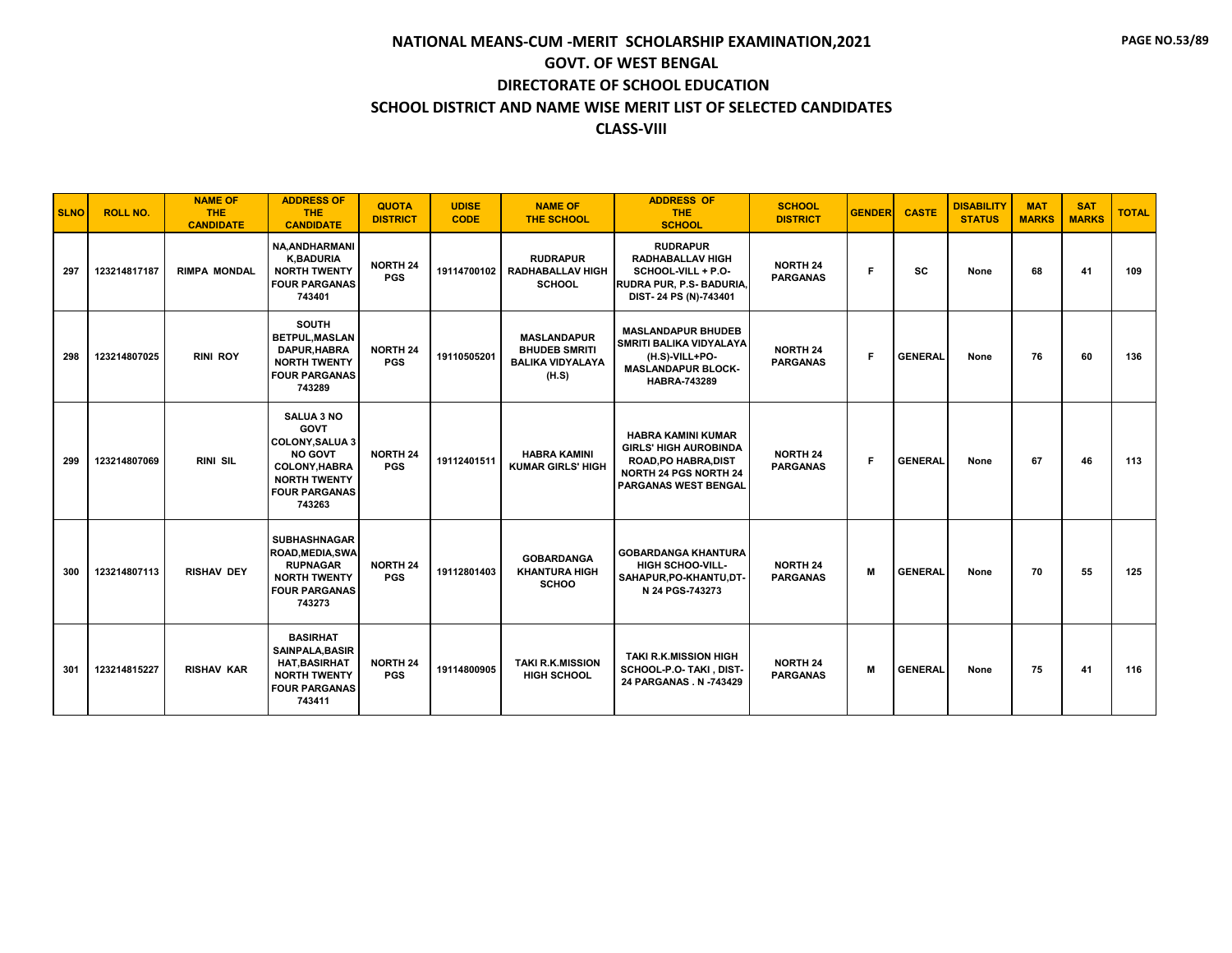| <b>SLNO</b> | <b>ROLL NO.</b> | <b>NAME OF</b><br><b>THE</b><br><b>CANDIDATE</b> | <b>ADDRESS OF</b><br><b>THE</b><br><b>CANDIDATE</b>                                                                                                          | <b>QUOTA</b><br><b>DISTRICT</b> | <b>UDISE</b><br><b>CODE</b> | <b>NAME OF</b><br><b>THE SCHOOL</b>                                            | <b>ADDRESS OF</b><br><b>THE</b><br><b>SCHOOL</b>                                                                                                        | <b>SCHOOL</b><br><b>DISTRICT</b>   | <b>GENDER</b> | <b>CASTE</b>   | <b>DISABILITY</b><br><b>STATUS</b> | <b>MAT</b><br><b>MARKS</b> | <b>SAT</b><br><b>MARKS</b> | <b>TOTAL</b> |
|-------------|-----------------|--------------------------------------------------|--------------------------------------------------------------------------------------------------------------------------------------------------------------|---------------------------------|-----------------------------|--------------------------------------------------------------------------------|---------------------------------------------------------------------------------------------------------------------------------------------------------|------------------------------------|---------------|----------------|------------------------------------|----------------------------|----------------------------|--------------|
| 297         | 123214817187    | <b>RIMPA MONDAL</b>                              | <b>NA.ANDHARMANI</b><br><b>K,BADURIA</b><br><b>NORTH TWENTY</b><br><b>FOUR PARGANAS</b><br>743401                                                            | <b>NORTH 24</b><br><b>PGS</b>   | 19114700102                 | <b>RUDRAPUR</b><br><b>RADHABALLAV HIGH</b><br><b>SCHOOL</b>                    | <b>RUDRAPUR</b><br><b>RADHABALLAV HIGH</b><br>SCHOOL-VILL + P.O-<br>RUDRA PUR, P.S- BADURIA<br>DIST-24 PS (N)-743401                                    | <b>NORTH 24</b><br><b>PARGANAS</b> | Е             | <b>SC</b>      | None                               | 68                         | 41                         | 109          |
| 298         | 123214807025    | <b>RINI ROY</b>                                  | <b>SOUTH</b><br><b>BETPUL.MASLAN</b><br>DAPUR.HABRA<br><b>NORTH TWENTY</b><br><b>FOUR PARGANAS</b><br>743289                                                 | <b>NORTH 24</b><br><b>PGS</b>   | 19110505201                 | <b>MASLANDAPUR</b><br><b>BHUDEB SMRITI</b><br><b>BALIKA VIDYALAYA</b><br>(H.S) | <b>MASLANDAPUR BHUDEB</b><br>SMRITI BALIKA VIDYALAYA<br>(H.S)-VILL+PO-<br><b>MASLANDAPUR BLOCK-</b><br><b>HABRA-743289</b>                              | <b>NORTH 24</b><br><b>PARGANAS</b> | Е             | <b>GENERAL</b> | None                               | 76                         | 60                         | 136          |
| 299         | 123214807069    | <b>RINI SIL</b>                                  | <b>SALUA 3 NO</b><br><b>GOVT</b><br><b>COLONY.SALUA 3</b><br><b>NO GOVT</b><br><b>COLONY, HABRA</b><br><b>NORTH TWENTY</b><br><b>FOUR PARGANAS</b><br>743263 | <b>NORTH 24</b><br><b>PGS</b>   | 19112401511                 | <b>HABRA KAMINI</b><br><b>KUMAR GIRLS' HIGH</b>                                | <b>HABRA KAMINI KUMAR</b><br><b>GIRLS' HIGH AUROBINDA</b><br><b>ROAD, PO HABRA, DIST</b><br><b>NORTH 24 PGS NORTH 24</b><br><b>PARGANAS WEST BENGAL</b> | <b>NORTH 24</b><br><b>PARGANAS</b> | F.            | <b>GENERAL</b> | None                               | 67                         | 46                         | 113          |
| 300         | 123214807113    | <b>RISHAV DEY</b>                                | <b>SUBHASHNAGAR</b><br>ROAD, MEDIA, SWA<br><b>RUPNAGAR</b><br><b>NORTH TWENTY</b><br><b>FOUR PARGANAS</b><br>743273                                          | <b>NORTH 24</b><br><b>PGS</b>   | 19112801403                 | <b>GOBARDANGA</b><br><b>KHANTURA HIGH</b><br><b>SCHOO</b>                      | <b>GOBARDANGA KHANTURA</b><br><b>HIGH SCHOO-VILL-</b><br>SAHAPUR, PO-KHANTU, DT-<br>N 24 PGS-743273                                                     | <b>NORTH 24</b><br><b>PARGANAS</b> | M             | <b>GENERAL</b> | None                               | 70                         | 55                         | 125          |
| 301         | 123214815227    | <b>RISHAV KAR</b>                                | <b>BASIRHAT</b><br>SAINPALA, BASIR<br><b>HAT, BASIRHAT</b><br><b>NORTH TWENTY</b><br><b>FOUR PARGANAS</b><br>743411                                          | <b>NORTH 24</b><br><b>PGS</b>   | 19114800905                 | <b>TAKI R.K.MISSION</b><br><b>HIGH SCHOOL</b>                                  | <b>TAKI R.K.MISSION HIGH</b><br>SCHOOL-P.O- TAKI, DIST-<br>24 PARGANAS . N -743429                                                                      | <b>NORTH 24</b><br><b>PARGANAS</b> | M             | <b>GENERAL</b> | None                               | 75                         | 41                         | 116          |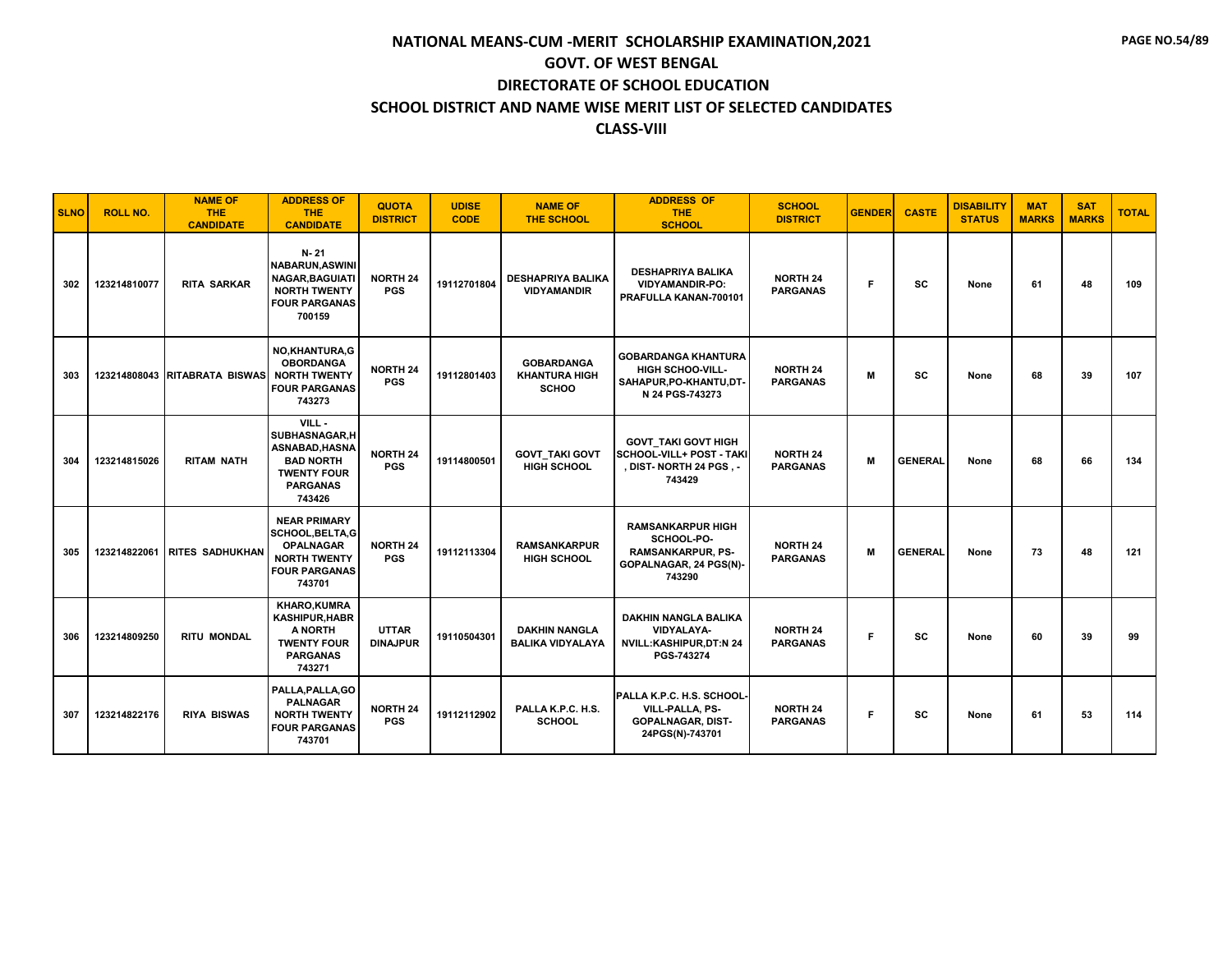| <b>SLNO</b> | <b>ROLL NO.</b> | <b>NAME OF</b><br><b>THE</b><br><b>CANDIDATE</b> | <b>ADDRESS OF</b><br><b>THE</b><br><b>CANDIDATE</b>                                                                         | <b>QUOTA</b><br><b>DISTRICT</b> | <b>UDISE</b><br><b>CODE</b> | <b>NAME OF</b><br><b>THE SCHOOL</b>                       | <b>ADDRESS OF</b><br><b>THE</b><br><b>SCHOOL</b>                                                       | <b>SCHOOL</b><br><b>DISTRICT</b>   | <b>GENDER</b> | <b>CASTE</b>   | <b>DISABILITY</b><br><b>STATUS</b> | <b>MAT</b><br><b>MARKS</b> | <b>SAT</b><br><b>MARKS</b> | <b>TOTAL</b> |
|-------------|-----------------|--------------------------------------------------|-----------------------------------------------------------------------------------------------------------------------------|---------------------------------|-----------------------------|-----------------------------------------------------------|--------------------------------------------------------------------------------------------------------|------------------------------------|---------------|----------------|------------------------------------|----------------------------|----------------------------|--------------|
| 302         | 123214810077    | <b>RITA SARKAR</b>                               | N-21<br><b>NABARUN, ASWINI</b><br><b>NAGAR, BAGUIATI</b><br><b>NORTH TWENTY</b><br><b>FOUR PARGANAS</b><br>700159           | <b>NORTH 24</b><br><b>PGS</b>   | 19112701804                 | <b>DESHAPRIYA BALIKA</b><br><b>VIDYAMANDIR</b>            | <b>DESHAPRIYA BALIKA</b><br><b>VIDYAMANDIR-PO:</b><br>PRAFULLA KANAN-700101                            | <b>NORTH 24</b><br><b>PARGANAS</b> | Е             | <b>SC</b>      | None                               | 61                         | 48                         | 109          |
| 303         |                 | 123214808043 RITABRATA BISWAS                    | NO,KHANTURA,G<br><b>OBORDANGA</b><br><b>NORTH TWENTY</b><br><b>FOUR PARGANAS</b><br>743273                                  | <b>NORTH 24</b><br><b>PGS</b>   | 19112801403                 | <b>GOBARDANGA</b><br><b>KHANTURA HIGH</b><br><b>SCHOO</b> | <b>GOBARDANGA KHANTURA</b><br><b>HIGH SCHOO-VILL-</b><br>SAHAPUR, PO-KHANTU, DT-<br>N 24 PGS-743273    | <b>NORTH 24</b><br><b>PARGANAS</b> | M             | SC             | None                               | 68                         | 39                         | 107          |
| 304         | 123214815026    | <b>RITAM NATH</b>                                | VILL-<br>SUBHASNAGAR.H<br>ASNABAD, HASNA<br><b>BAD NORTH</b><br><b>TWENTY FOUR</b><br><b>PARGANAS</b><br>743426             | <b>NORTH 24</b><br><b>PGS</b>   | 19114800501                 | <b>GOVT_TAKI GOVT</b><br><b>HIGH SCHOOL</b>               | <b>GOVT TAKI GOVT HIGH</b><br>SCHOOL-VILL+ POST - TAKI<br>, DIST- NORTH 24 PGS , -<br>743429           | <b>NORTH 24</b><br><b>PARGANAS</b> | м             | <b>GENERAL</b> | None                               | 68                         | 66                         | 134          |
| 305         | 123214822061    | <b>RITES SADHUKHAN</b>                           | <b>NEAR PRIMARY</b><br><b>SCHOOL, BELTA, G</b><br><b>OPALNAGAR</b><br><b>NORTH TWENTY</b><br><b>FOUR PARGANAS</b><br>743701 | <b>NORTH 24</b><br><b>PGS</b>   | 19112113304                 | <b>RAMSANKARPUR</b><br><b>HIGH SCHOOL</b>                 | <b>RAMSANKARPUR HIGH</b><br>SCHOOL-PO-<br><b>RAMSANKARPUR, PS-</b><br>GOPALNAGAR, 24 PGS(N)-<br>743290 | <b>NORTH 24</b><br><b>PARGANAS</b> | M             | <b>GENERAL</b> | None                               | 73                         | 48                         | 121          |
| 306         | 123214809250    | <b>RITU MONDAL</b>                               | <b>KHARO,KUMRA</b><br><b>KASHIPUR, HABR</b><br>A NORTH<br><b>TWENTY FOUR</b><br><b>PARGANAS</b><br>743271                   | <b>UTTAR</b><br><b>DINAJPUR</b> | 19110504301                 | <b>DAKHIN NANGLA</b><br><b>BALIKA VIDYALAYA</b>           | <b>DAKHIN NANGLA BALIKA</b><br><b>VIDYALAYA-</b><br><b>NVILL:KASHIPUR,DT:N 24</b><br>PGS-743274        | <b>NORTH 24</b><br><b>PARGANAS</b> | Е             | SC             | None                               | 60                         | 39                         | 99           |
| 307         | 123214822176    | <b>RIYA BISWAS</b>                               | PALLA.PALLA.GO<br><b>PALNAGAR</b><br><b>NORTH TWENTY</b><br><b>FOUR PARGANAS</b><br>743701                                  | <b>NORTH 24</b><br><b>PGS</b>   | 19112112902                 | PALLA K.P.C. H.S.<br><b>SCHOOL</b>                        | PALLA K.P.C. H.S. SCHOOL-<br><b>VILL-PALLA, PS-</b><br><b>GOPALNAGAR, DIST-</b><br>24PGS(N)-743701     | <b>NORTH 24</b><br><b>PARGANAS</b> | F.            | SC             | None                               | 61                         | 53                         | 114          |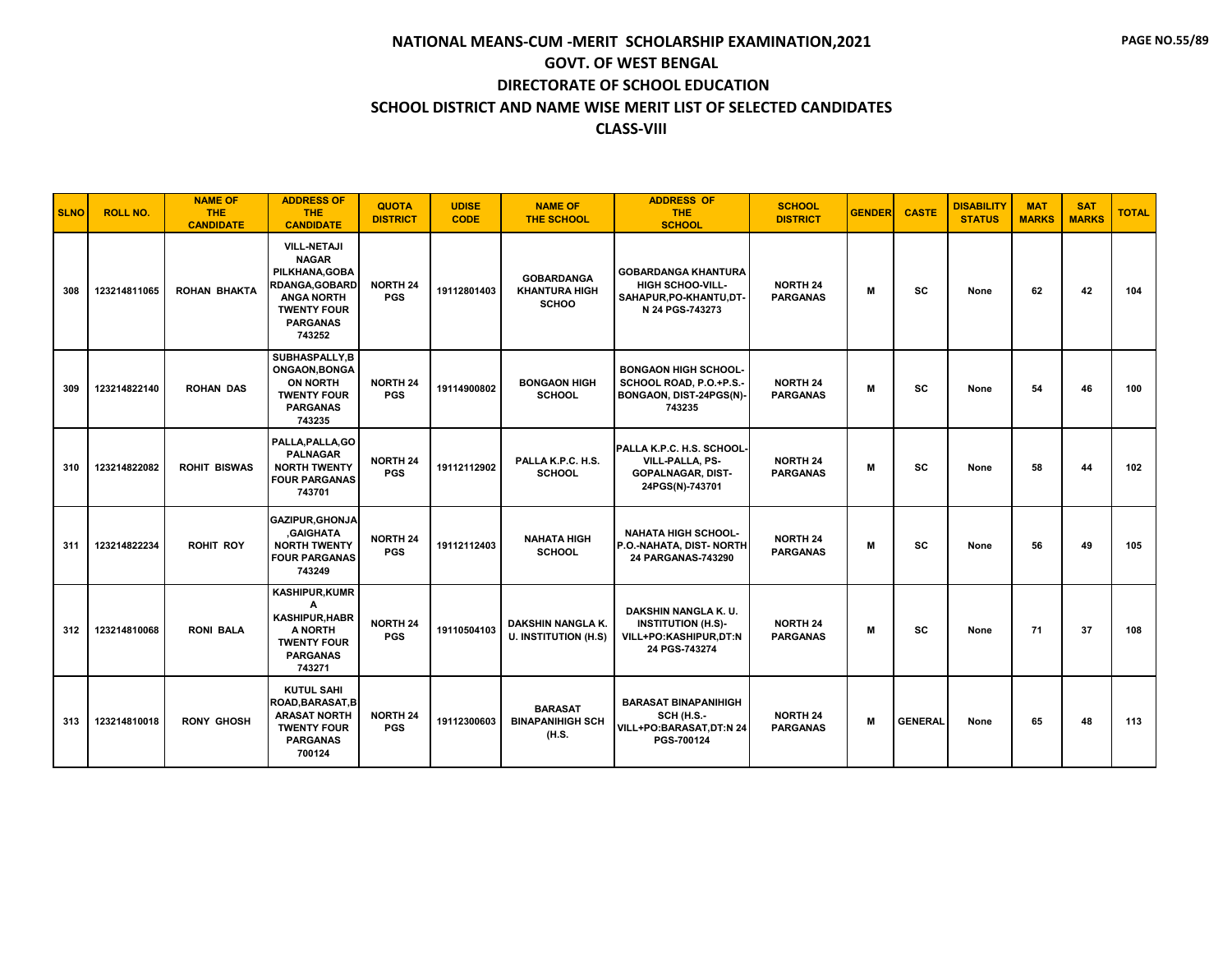| <b>SLNO</b> | <b>ROLL NO.</b> | <b>NAME OF</b><br><b>THE</b><br><b>CANDIDATE</b> | <b>ADDRESS OF</b><br><b>THE</b><br><b>CANDIDATE</b>                                                                                                   | <b>QUOTA</b><br><b>DISTRICT</b> | <b>UDISE</b><br><b>CODE</b> | <b>NAME OF</b><br><b>THE SCHOOL</b>                       | <b>ADDRESS OF</b><br><b>THE</b><br><b>SCHOOL</b>                                                    | <b>SCHOOL</b><br><b>DISTRICT</b>   | <b>GENDER</b> | <b>CASTE</b>   | <b>DISABILITY</b><br><b>STATUS</b> | <b>MAT</b><br><b>MARKS</b> | <b>SAT</b><br><b>MARKS</b> | <b>TOTAL</b> |
|-------------|-----------------|--------------------------------------------------|-------------------------------------------------------------------------------------------------------------------------------------------------------|---------------------------------|-----------------------------|-----------------------------------------------------------|-----------------------------------------------------------------------------------------------------|------------------------------------|---------------|----------------|------------------------------------|----------------------------|----------------------------|--------------|
| 308         | 123214811065    | <b>ROHAN BHAKTA</b>                              | <b>VILL-NETAJI</b><br><b>NAGAR</b><br>PILKHANA, GOBA<br><b>RDANGA, GOBARD</b><br><b>ANGA NORTH</b><br><b>TWENTY FOUR</b><br><b>PARGANAS</b><br>743252 | <b>NORTH 24</b><br><b>PGS</b>   | 19112801403                 | <b>GOBARDANGA</b><br><b>KHANTURA HIGH</b><br><b>SCHOO</b> | <b>GOBARDANGA KHANTURA</b><br><b>HIGH SCHOO-VILL-</b><br>SAHAPUR, PO-KHANTU, DT-<br>N 24 PGS-743273 | <b>NORTH 24</b><br><b>PARGANAS</b> | M             | SC             | None                               | 62                         | 42                         | 104          |
| 309         | 123214822140    | <b>ROHAN DAS</b>                                 | SUBHASPALLY, B<br>ONGAON, BONGA<br><b>ON NORTH</b><br><b>TWENTY FOUR</b><br><b>PARGANAS</b><br>743235                                                 | <b>NORTH 24</b><br><b>PGS</b>   | 19114900802                 | <b>BONGAON HIGH</b><br><b>SCHOOL</b>                      | <b>BONGAON HIGH SCHOOL-</b><br>SCHOOL ROAD, P.O.+P.S.-<br>BONGAON, DIST-24PGS(N)-<br>743235         | <b>NORTH 24</b><br><b>PARGANAS</b> | M             | SC             | None                               | 54                         | 46                         | 100          |
| 310         | 123214822082    | <b>ROHIT BISWAS</b>                              | PALLA, PALLA, GO<br><b>PALNAGAR</b><br><b>NORTH TWENTY</b><br><b>FOUR PARGANAS</b><br>743701                                                          | <b>NORTH 24</b><br><b>PGS</b>   | 19112112902                 | PALLA K.P.C. H.S.<br><b>SCHOOL</b>                        | PALLA K.P.C. H.S. SCHOOL-<br>VILL-PALLA, PS-<br><b>GOPALNAGAR, DIST-</b><br>24PGS(N)-743701         | <b>NORTH 24</b><br><b>PARGANAS</b> | M             | <b>SC</b>      | None                               | 58                         | 44                         | 102          |
| 311         | 123214822234    | <b>ROHIT ROY</b>                                 | <b>GAZIPUR.GHONJA</b><br><b>GAIGHATA</b><br><b>NORTH TWENTY</b><br><b>FOUR PARGANAS</b><br>743249                                                     | <b>NORTH 24</b><br><b>PGS</b>   | 19112112403                 | <b>NAHATA HIGH</b><br><b>SCHOOL</b>                       | <b>NAHATA HIGH SCHOOL-</b><br>P.O.-NAHATA, DIST- NORTH<br>24 PARGANAS-743290                        | <b>NORTH 24</b><br><b>PARGANAS</b> | M             | SC             | None                               | 56                         | 49                         | 105          |
| 312         | 123214810068    | <b>RONI BALA</b>                                 | <b>KASHIPUR,KUMR</b><br>А<br><b>KASHIPUR, HABR</b><br>A NORTH<br><b>TWENTY FOUR</b><br><b>PARGANAS</b><br>743271                                      | <b>NORTH 24</b><br><b>PGS</b>   | 19110504103                 | <b>DAKSHIN NANGLA K.</b><br><b>U. INSTITUTION (H.S)</b>   | DAKSHIN NANGLA K.U.<br><b>INSTITUTION (H.S)-</b><br>VILL+PO:KASHIPUR,DT:N<br>24 PGS-743274          | <b>NORTH 24</b><br><b>PARGANAS</b> | M             | <b>SC</b>      | None                               | 71                         | 37                         | 108          |
| 313         | 123214810018    | <b>RONY GHOSH</b>                                | <b>KUTUL SAHI</b><br>ROAD, BARASAT, B<br><b>ARASAT NORTH</b><br><b>TWENTY FOUR</b><br><b>PARGANAS</b><br>700124                                       | <b>NORTH 24</b><br><b>PGS</b>   | 19112300603                 | <b>BARASAT</b><br><b>BINAPANIHIGH SCH</b><br>(H.S.        | <b>BARASAT BINAPANIHIGH</b><br><b>SCH (H.S.-</b><br>VILL+PO:BARASAT,DT:N 24<br>PGS-700124           | <b>NORTH 24</b><br><b>PARGANAS</b> | M             | <b>GENERAL</b> | None                               | 65                         | 48                         | 113          |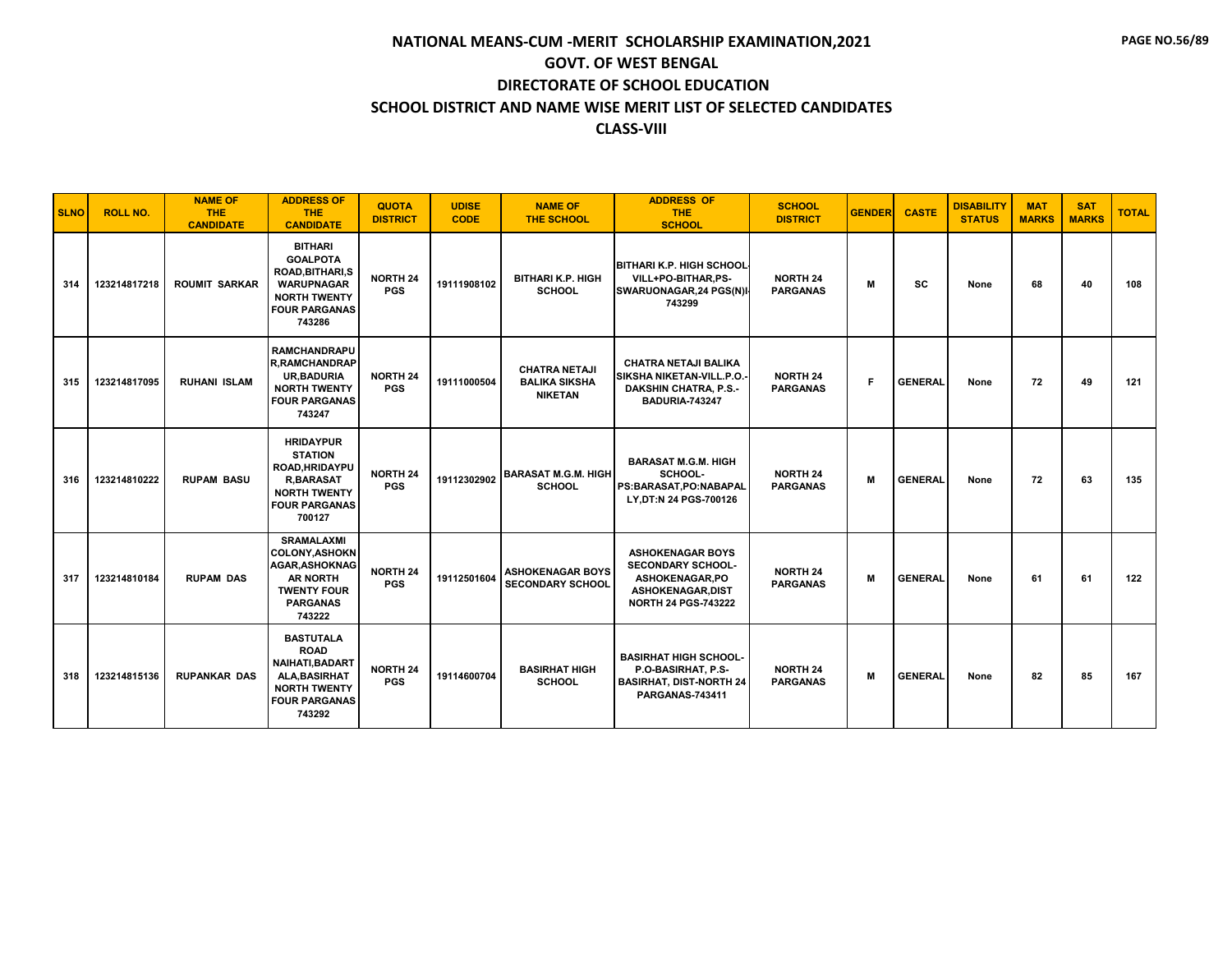| <b>SLNO</b> | <b>ROLL NO.</b> | <b>NAME OF</b><br><b>THE</b><br><b>CANDIDATE</b> | <b>ADDRESS OF</b><br><b>THE</b><br><b>CANDIDATE</b>                                                                                      | <b>QUOTA</b><br><b>DISTRICT</b> | <b>UDISE</b><br><b>CODE</b> | <b>NAME OF</b><br><b>THE SCHOOL</b>                            | <b>ADDRESS OF</b><br><b>THE</b><br><b>SCHOOL</b>                                                                          | <b>SCHOOL</b><br><b>DISTRICT</b>   | <b>GENDER</b> | <b>CASTE</b>   | <b>DISABILITY</b><br><b>STATUS</b> | <b>MAT</b><br><b>MARKS</b> | <b>SAT</b><br><b>MARKS</b> | <b>TOTAL</b> |
|-------------|-----------------|--------------------------------------------------|------------------------------------------------------------------------------------------------------------------------------------------|---------------------------------|-----------------------------|----------------------------------------------------------------|---------------------------------------------------------------------------------------------------------------------------|------------------------------------|---------------|----------------|------------------------------------|----------------------------|----------------------------|--------------|
| 314         | 123214817218    | <b>ROUMIT SARKAR</b>                             | <b>BITHARI</b><br><b>GOALPOTA</b><br>ROAD, BITHARI, S<br><b>WARUPNAGAR</b><br><b>NORTH TWENTY</b><br><b>FOUR PARGANAS</b><br>743286      | <b>NORTH 24</b><br><b>PGS</b>   | 19111908102                 | <b>BITHARI K.P. HIGH</b><br><b>SCHOOL</b>                      | <b>BITHARI K.P. HIGH SCHOOL</b><br>VILL+PO-BITHAR,PS-<br>SWARUONAGAR, 24 PGS(N)<br>743299                                 | <b>NORTH 24</b><br><b>PARGANAS</b> | M             | <b>SC</b>      | None                               | 68                         | 40                         | 108          |
| 315         | 123214817095    | <b>RUHANI ISLAM</b>                              | <b>RAMCHANDRAPU</b><br><b>R, RAMCHANDRAP</b><br><b>UR, BADURIA</b><br><b>NORTH TWENTY</b><br><b>FOUR PARGANAS</b><br>743247              | <b>NORTH 24</b><br><b>PGS</b>   | 19111000504                 | <b>CHATRA NETAJI</b><br><b>BALIKA SIKSHA</b><br><b>NIKETAN</b> | <b>CHATRA NETAJI BALIKA</b><br>SIKSHA NIKETAN-VILL.P.O.<br><b>DAKSHIN CHATRA, P.S.-</b><br><b>BADURIA-743247</b>          | <b>NORTH 24</b><br><b>PARGANAS</b> | F             | <b>GENERAL</b> | None                               | 72                         | 49                         | 121          |
| 316         | 123214810222    | <b>RUPAM BASU</b>                                | <b>HRIDAYPUR</b><br><b>STATION</b><br>ROAD, HRIDAYPU<br><b>R,BARASAT</b><br><b>NORTH TWENTY</b><br><b>FOUR PARGANAS</b><br>700127        | <b>NORTH 24</b><br><b>PGS</b>   | 19112302902                 | <b>BARASAT M.G.M. HIGH</b><br><b>SCHOOL</b>                    | <b>BARASAT M.G.M. HIGH</b><br>SCHOOL-<br>PS:BARASAT,PO:NABAPAL<br>LY, DT:N 24 PGS-700126                                  | <b>NORTH 24</b><br><b>PARGANAS</b> | M             | <b>GENERAL</b> | None                               | 72                         | 63                         | 135          |
| 317         | 123214810184    | <b>RUPAM DAS</b>                                 | <b>SRAMALAXMI</b><br><b>COLONY, ASHOKN</b><br><b>AGAR.ASHOKNAG</b><br><b>AR NORTH</b><br><b>TWENTY FOUR</b><br><b>PARGANAS</b><br>743222 | <b>NORTH 24</b><br><b>PGS</b>   | 19112501604                 | <b>ASHOKENAGAR BOYS</b><br><b>SECONDARY SCHOOL</b>             | <b>ASHOKENAGAR BOYS</b><br><b>SECONDARY SCHOOL-</b><br>ASHOKENAGAR, PO<br>ASHOKENAGAR, DIST<br><b>NORTH 24 PGS-743222</b> | <b>NORTH 24</b><br><b>PARGANAS</b> | M             | <b>GENERAL</b> | None                               | 61                         | 61                         | 122          |
| 318         | 123214815136    | <b>RUPANKAR DAS</b>                              | <b>BASTUTALA</b><br><b>ROAD</b><br>NAIHATI, BADART<br>ALA, BASIRHAT<br><b>NORTH TWENTY</b><br><b>FOUR PARGANAS</b><br>743292             | <b>NORTH 24</b><br><b>PGS</b>   | 19114600704                 | <b>BASIRHAT HIGH</b><br><b>SCHOOL</b>                          | <b>BASIRHAT HIGH SCHOOL-</b><br>P.O-BASIRHAT, P.S-<br><b>BASIRHAT, DIST-NORTH 24</b><br><b>PARGANAS-743411</b>            | <b>NORTH 24</b><br><b>PARGANAS</b> | M             | <b>GENERAL</b> | None                               | 82                         | 85                         | 167          |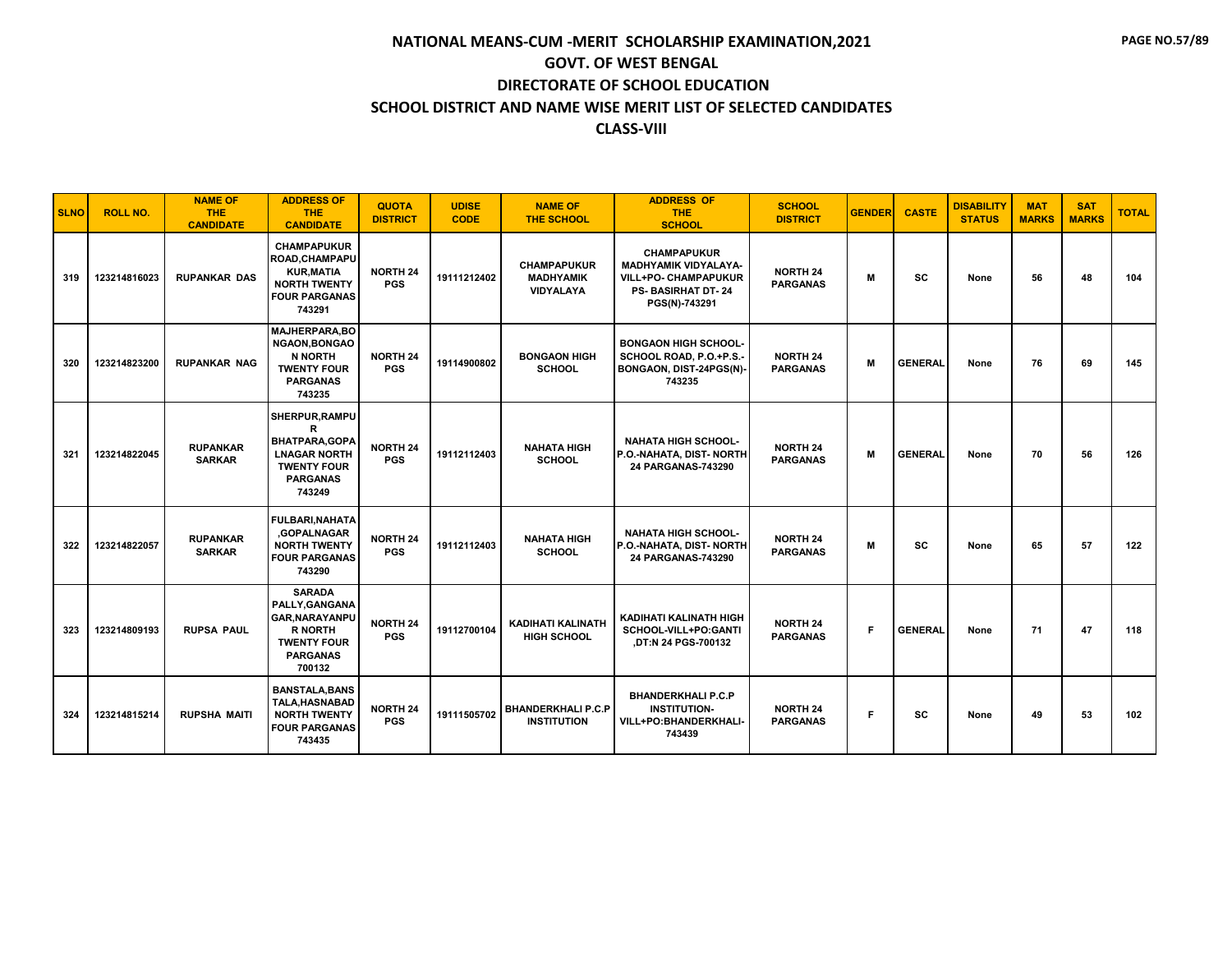| <b>SLNO</b> | <b>ROLL NO.</b> | <b>NAME OF</b><br><b>THE</b><br><b>CANDIDATE</b> | <b>ADDRESS OF</b><br><b>THE</b><br><b>CANDIDATE</b>                                                                          | <b>QUOTA</b><br><b>DISTRICT</b> | <b>UDISE</b><br><b>CODE</b> | <b>NAME OF</b><br><b>THE SCHOOL</b>                 | <b>ADDRESS OF</b><br><b>THE</b><br><b>SCHOOL</b>                                                                              | <b>SCHOOL</b><br><b>DISTRICT</b>   | <b>GENDER</b> | <b>CASTE</b>   | <b>DISABILITY</b><br><b>STATUS</b> | <b>MAT</b><br><b>MARKS</b> | <b>SAT</b><br><b>MARKS</b> | <b>TOTAL</b> |
|-------------|-----------------|--------------------------------------------------|------------------------------------------------------------------------------------------------------------------------------|---------------------------------|-----------------------------|-----------------------------------------------------|-------------------------------------------------------------------------------------------------------------------------------|------------------------------------|---------------|----------------|------------------------------------|----------------------------|----------------------------|--------------|
| 319         | 123214816023    | <b>RUPANKAR DAS</b>                              | <b>CHAMPAPUKUR</b><br>ROAD.CHAMPAPU<br><b>KUR, MATIA</b><br><b>NORTH TWENTY</b><br><b>FOUR PARGANAS</b><br>743291            | <b>NORTH 24</b><br><b>PGS</b>   | 19111212402                 | <b>CHAMPAPUKUR</b><br><b>MADHYAMIK</b><br>VIDYALAYA | <b>CHAMPAPUKUR</b><br><b>MADHYAMIK VIDYALAYA-</b><br><b>VILL+PO- CHAMPAPUKUR</b><br><b>PS-BASIRHAT DT-24</b><br>PGS(N)-743291 | <b>NORTH 24</b><br><b>PARGANAS</b> | м             | <b>SC</b>      | None                               | 56                         | 48                         | 104          |
| 320         | 123214823200    | <b>RUPANKAR NAG</b>                              | <b>MAJHERPARA.BO</b><br><b>NGAON, BONGAO</b><br>N NORTH<br><b>TWENTY FOUR</b><br><b>PARGANAS</b><br>743235                   | <b>NORTH 24</b><br><b>PGS</b>   | 19114900802                 | <b>BONGAON HIGH</b><br><b>SCHOOL</b>                | <b>BONGAON HIGH SCHOOL-</b><br>SCHOOL ROAD, P.O.+P.S.-<br>BONGAON, DIST-24PGS(N)-<br>743235                                   | <b>NORTH 24</b><br><b>PARGANAS</b> | M             | <b>GENERAL</b> | None                               | 76                         | 69                         | 145          |
| 321         | 123214822045    | <b>RUPANKAR</b><br><b>SARKAR</b>                 | SHERPUR, RAMPU<br>R<br>BHATPARA, GOPA<br><b>LNAGAR NORTH</b><br><b>TWENTY FOUR</b><br><b>PARGANAS</b><br>743249              | <b>NORTH 24</b><br><b>PGS</b>   | 19112112403                 | <b>NAHATA HIGH</b><br><b>SCHOOL</b>                 | <b>NAHATA HIGH SCHOOL-</b><br>P.O.-NAHATA, DIST- NORTH<br>24 PARGANAS-743290                                                  | <b>NORTH 24</b><br><b>PARGANAS</b> | M             | <b>GENERAL</b> | None                               | 70                         | 56                         | 126          |
| 322         | 123214822057    | <b>RUPANKAR</b><br><b>SARKAR</b>                 | <b>FULBARI.NAHATA</b><br>.GOPALNAGAR<br><b>NORTH TWENTY</b><br><b>FOUR PARGANAS</b><br>743290                                | <b>NORTH 24</b><br><b>PGS</b>   | 19112112403                 | <b>NAHATA HIGH</b><br><b>SCHOOL</b>                 | <b>NAHATA HIGH SCHOOL-</b><br>P.O.-NAHATA, DIST- NORTH<br>24 PARGANAS-743290                                                  | <b>NORTH 24</b><br><b>PARGANAS</b> | м             | SC             | None                               | 65                         | 57                         | 122          |
| 323         | 123214809193    | <b>RUPSA PAUL</b>                                | <b>SARADA</b><br>PALLY.GANGANA<br><b>GAR, NARAYANPU</b><br><b>R NORTH</b><br><b>TWENTY FOUR</b><br><b>PARGANAS</b><br>700132 | <b>NORTH 24</b><br><b>PGS</b>   | 19112700104                 | <b>KADIHATI KALINATH</b><br><b>HIGH SCHOOL</b>      | KADIHATI KALINATH HIGH<br>SCHOOL-VILL+PO:GANTI<br>,DT:N 24 PGS-700132                                                         | <b>NORTH 24</b><br><b>PARGANAS</b> | F             | <b>GENERAL</b> | None                               | 71                         | 47                         | 118          |
| 324         | 123214815214    | <b>RUPSHA MAITI</b>                              | <b>BANSTALA, BANS</b><br><b>TALA.HASNABAD</b><br><b>NORTH TWENTY</b><br><b>FOUR PARGANAS</b><br>743435                       | <b>NORTH 24</b><br><b>PGS</b>   | 19111505702                 | <b>BHANDERKHALI P.C.P</b><br><b>INSTITUTION</b>     | <b>BHANDERKHALI P.C.P</b><br><b>INSTITUTION-</b><br>VILL+PO:BHANDERKHALI-<br>743439                                           | <b>NORTH 24</b><br><b>PARGANAS</b> | F             | SC             | None                               | 49                         | 53                         | 102          |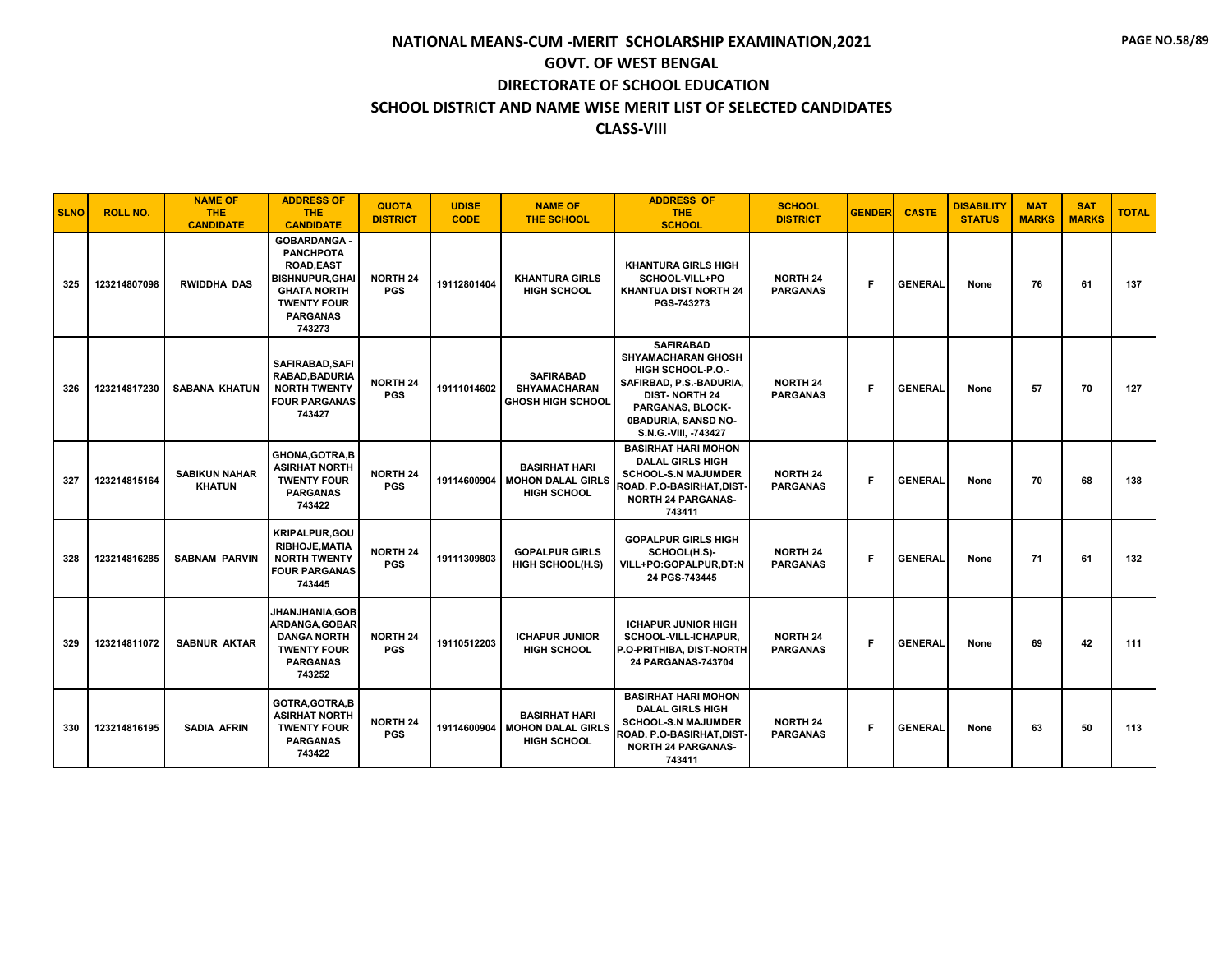| <b>SLNO</b> | <b>ROLL NO.</b> | <b>NAME OF</b><br>THE.<br><b>CANDIDATE</b> | <b>ADDRESS OF</b><br><b>THE</b><br><b>CANDIDATE</b>                                                                                                          | <b>QUOTA</b><br><b>DISTRICT</b> | <b>UDISE</b><br><b>CODE</b> | <b>NAME OF</b><br><b>THE SCHOOL</b>                                    | <b>ADDRESS OF</b><br><b>THE</b><br><b>SCHOOL</b>                                                                                                                                                | <b>SCHOOL</b><br><b>DISTRICT</b>   | <b>GENDER</b> | <b>CASTE</b>   | <b>DISABILITY</b><br><b>STATUS</b> | <b>MAT</b><br><b>MARKS</b> | <b>SAT</b><br><b>MARKS</b> | <b>TOTAL</b> |
|-------------|-----------------|--------------------------------------------|--------------------------------------------------------------------------------------------------------------------------------------------------------------|---------------------------------|-----------------------------|------------------------------------------------------------------------|-------------------------------------------------------------------------------------------------------------------------------------------------------------------------------------------------|------------------------------------|---------------|----------------|------------------------------------|----------------------------|----------------------------|--------------|
| 325         | 123214807098    | <b>RWIDDHA DAS</b>                         | <b>GOBARDANGA</b><br><b>PANCHPOTA</b><br><b>ROAD,EAST</b><br><b>BISHNUPUR, GHAI</b><br><b>GHATA NORTH</b><br><b>TWENTY FOUR</b><br><b>PARGANAS</b><br>743273 | <b>NORTH 24</b><br><b>PGS</b>   | 19112801404                 | <b>KHANTURA GIRLS</b><br><b>HIGH SCHOOL</b>                            | <b>KHANTURA GIRLS HIGH</b><br>SCHOOL-VILL+PO<br>KHANTUA DIST NORTH 24<br>PGS-743273                                                                                                             | <b>NORTH 24</b><br><b>PARGANAS</b> | F.            | <b>GENERAL</b> | None                               | 76                         | 61                         | 137          |
| 326         | 123214817230    | <b>SABANA KHATUN</b>                       | SAFIRABAD, SAFI<br>RABAD, BADURIA<br><b>NORTH TWENTY</b><br><b>FOUR PARGANAS</b><br>743427                                                                   | <b>NORTH 24</b><br><b>PGS</b>   | 19111014602                 | <b>SAFIRABAD</b><br><b>SHYAMACHARAN</b><br><b>GHOSH HIGH SCHOOL</b>    | <b>SAFIRABAD</b><br><b>SHYAMACHARAN GHOSH</b><br><b>HIGH SCHOOL-P.O.-</b><br>SAFIRBAD, P.S.-BADURIA,<br><b>DIST-NORTH 24</b><br>PARGANAS, BLOCK-<br>0BADURIA, SANSD NO-<br>S.N.G.-VIII, -743427 | <b>NORTH 24</b><br><b>PARGANAS</b> | F.            | <b>GENERAL</b> | None                               | 57                         | 70                         | 127          |
| 327         | 123214815164    | <b>SABIKUN NAHAR</b><br><b>KHATUN</b>      | <b>GHONA, GOTRA, B</b><br><b>ASIRHAT NORTH</b><br><b>TWENTY FOUR</b><br><b>PARGANAS</b><br>743422                                                            | <b>NORTH 24</b><br><b>PGS</b>   | 19114600904                 | <b>BASIRHAT HARI</b><br><b>MOHON DALAL GIRLS</b><br><b>HIGH SCHOOL</b> | <b>BASIRHAT HARI MOHON</b><br><b>DALAL GIRLS HIGH</b><br><b>SCHOOL-S.N MAJUMDER</b><br>ROAD. P.O-BASIRHAT, DIST-<br><b>NORTH 24 PARGANAS-</b><br>743411                                         | <b>NORTH 24</b><br><b>PARGANAS</b> | F.            | <b>GENERAL</b> | None                               | 70                         | 68                         | 138          |
| 328         | 123214816285    | <b>SABNAM PARVIN</b>                       | <b>KRIPALPUR, GOU</b><br><b>RIBHOJE, MATIA</b><br><b>NORTH TWENTY</b><br><b>FOUR PARGANAS</b><br>743445                                                      | <b>NORTH 24</b><br><b>PGS</b>   | 19111309803                 | <b>GOPALPUR GIRLS</b><br><b>HIGH SCHOOL(H.S)</b>                       | <b>GOPALPUR GIRLS HIGH</b><br>SCHOOL(H.S)-<br>VILL+PO:GOPALPUR,DT:N<br>24 PGS-743445                                                                                                            | <b>NORTH 24</b><br><b>PARGANAS</b> | F.            | <b>GENERAL</b> | None                               | 71                         | 61                         | 132          |
| 329         | 123214811072    | <b>SABNUR AKTAR</b>                        | JHANJHANIA.GOB<br>ARDANGA, GOBAR<br><b>DANGA NORTH</b><br><b>TWENTY FOUR</b><br><b>PARGANAS</b><br>743252                                                    | <b>NORTH 24</b><br><b>PGS</b>   | 19110512203                 | <b>ICHAPUR JUNIOR</b><br><b>HIGH SCHOOL</b>                            | <b>ICHAPUR JUNIOR HIGH</b><br>SCHOOL-VILL-ICHAPUR,<br>P.O-PRITHIBA, DIST-NORTH<br>24 PARGANAS-743704                                                                                            | <b>NORTH 24</b><br><b>PARGANAS</b> | F.            | <b>GENERAL</b> | None                               | 69                         | 42                         | 111          |
| 330         | 123214816195    | <b>SADIA AFRIN</b>                         | GOTRA, GOTRA, B<br><b>ASIRHAT NORTH</b><br><b>TWENTY FOUR</b><br><b>PARGANAS</b><br>743422                                                                   | <b>NORTH 24</b><br><b>PGS</b>   | 19114600904                 | <b>BASIRHAT HARI</b><br><b>MOHON DALAL GIRLS</b><br><b>HIGH SCHOOL</b> | <b>BASIRHAT HARI MOHON</b><br><b>DALAL GIRLS HIGH</b><br><b>SCHOOL-S.N MAJUMDER</b><br>ROAD. P.O-BASIRHAT,DIST <sup>.</sup><br><b>NORTH 24 PARGANAS-</b><br>743411                              | <b>NORTH 24</b><br><b>PARGANAS</b> | F.            | <b>GENERAL</b> | None                               | 63                         | 50                         | 113          |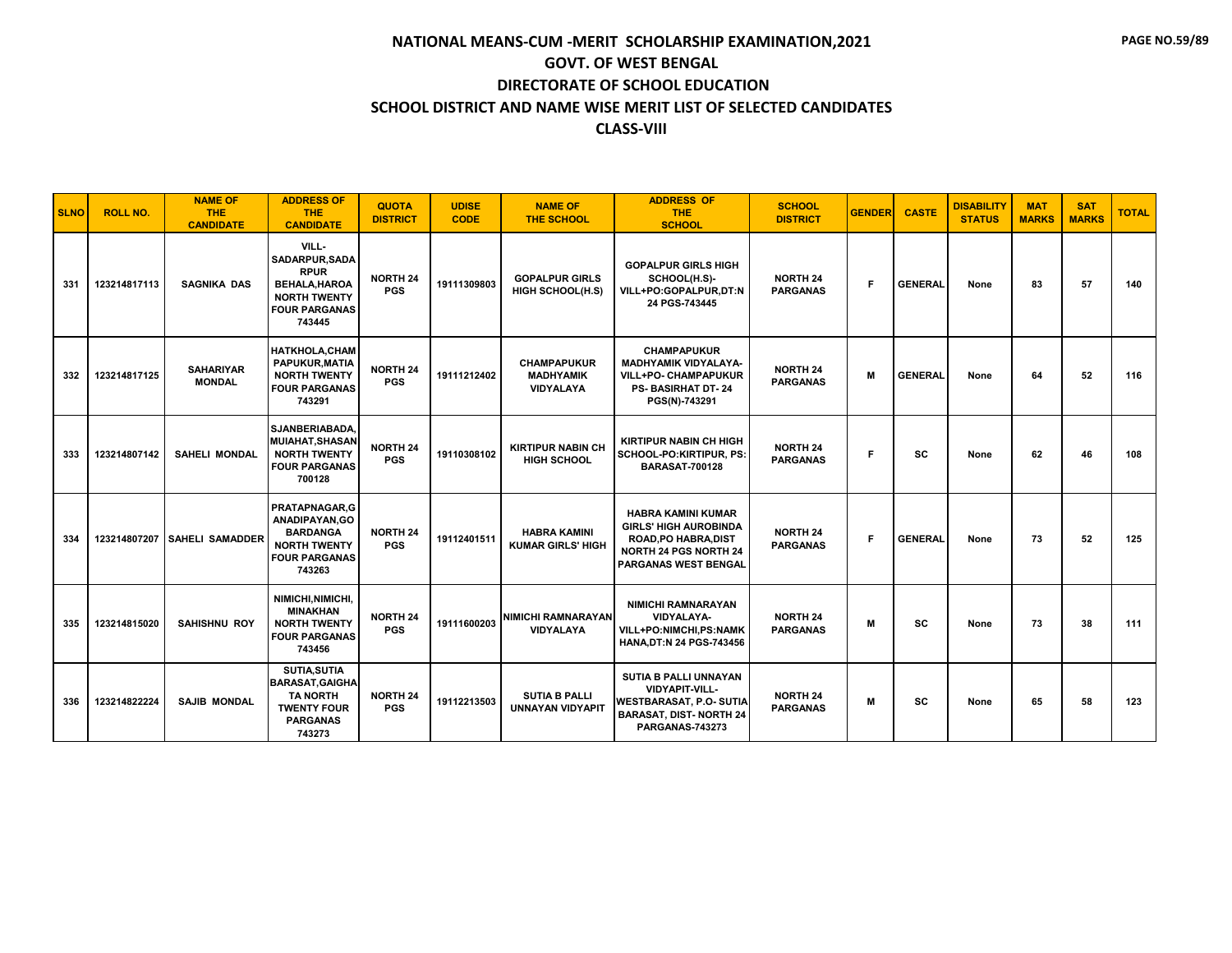| <b>SLNO</b> | <b>ROLL NO.</b> | <b>NAME OF</b><br><b>THE</b><br><b>CANDIDATE</b> | <b>ADDRESS OF</b><br><b>THE</b><br><b>CANDIDATE</b>                                                                           | <b>QUOTA</b><br><b>DISTRICT</b> | <b>UDISE</b><br><b>CODE</b> | <b>NAME OF</b><br><b>THE SCHOOL</b>                        | <b>ADDRESS OF</b><br><b>THE</b><br><b>SCHOOL</b>                                                                                                 | <b>SCHOOL</b><br><b>DISTRICT</b>   | <b>GENDER</b> | <b>CASTE</b>   | <b>DISABILITY</b><br><b>STATUS</b> | <b>MAT</b><br><b>MARKS</b> | <b>SAT</b><br><b>MARKS</b> | <b>TOTAL</b> |
|-------------|-----------------|--------------------------------------------------|-------------------------------------------------------------------------------------------------------------------------------|---------------------------------|-----------------------------|------------------------------------------------------------|--------------------------------------------------------------------------------------------------------------------------------------------------|------------------------------------|---------------|----------------|------------------------------------|----------------------------|----------------------------|--------------|
| 331         | 123214817113    | <b>SAGNIKA DAS</b>                               | VILL-<br><b>SADARPUR.SADA</b><br><b>RPUR</b><br><b>BEHALA, HAROA</b><br><b>NORTH TWENTY</b><br><b>FOUR PARGANAS</b><br>743445 | <b>NORTH 24</b><br><b>PGS</b>   | 19111309803                 | <b>GOPALPUR GIRLS</b><br><b>HIGH SCHOOL(H.S)</b>           | <b>GOPALPUR GIRLS HIGH</b><br>SCHOOL(H.S)-<br>VILL+PO:GOPALPUR,DT:N<br>24 PGS-743445                                                             | <b>NORTH 24</b><br><b>PARGANAS</b> | F.            | <b>GENERAL</b> | None                               | 83                         | 57                         | 140          |
| 332         | 123214817125    | <b>SAHARIYAR</b><br><b>MONDAL</b>                | <b>HATKHOLA, CHAM</b><br><b>PAPUKUR.MATIA</b><br><b>NORTH TWENTY</b><br><b>FOUR PARGANAS</b><br>743291                        | <b>NORTH 24</b><br><b>PGS</b>   | 19111212402                 | <b>CHAMPAPUKUR</b><br><b>MADHYAMIK</b><br><b>VIDYALAYA</b> | <b>CHAMPAPUKUR</b><br><b>MADHYAMIK VIDYALAYA-</b><br>VILL+PO- CHAMPAPUKUR<br><b>PS- BASIRHAT DT-24</b><br>PGS(N)-743291                          | <b>NORTH 24</b><br><b>PARGANAS</b> | M             | <b>GENERAL</b> | None                               | 64                         | 52                         | 116          |
| 333         | 123214807142    | <b>SAHELI MONDAL</b>                             | SJANBERIABADA,<br><b>MUIAHAT.SHASAN</b><br><b>NORTH TWENTY</b><br><b>FOUR PARGANAS</b><br>700128                              | <b>NORTH 24</b><br><b>PGS</b>   | 19110308102                 | <b>KIRTIPUR NABIN CH</b><br><b>HIGH SCHOOL</b>             | <b>KIRTIPUR NABIN CH HIGH</b><br>SCHOOL-PO:KIRTIPUR, PS:<br><b>BARASAT-700128</b>                                                                | <b>NORTH 24</b><br><b>PARGANAS</b> | F.            | SC             | None                               | 62                         | 46                         | 108          |
| 334         |                 | 123214807207 SAHELI SAMADDER                     | PRATAPNAGAR.G<br>ANADIPAYAN.GO<br><b>BARDANGA</b><br><b>NORTH TWENTY</b><br><b>FOUR PARGANAS</b><br>743263                    | <b>NORTH 24</b><br><b>PGS</b>   | 19112401511                 | <b>HABRA KAMINI</b><br><b>KUMAR GIRLS' HIGH</b>            | <b>HABRA KAMINI KUMAR</b><br><b>GIRLS' HIGH AUROBINDA</b><br>ROAD, PO HABRA, DIST<br><b>NORTH 24 PGS NORTH 24</b><br><b>PARGANAS WEST BENGAL</b> | <b>NORTH 24</b><br><b>PARGANAS</b> | F.            | <b>GENERAL</b> | None                               | 73                         | 52                         | 125          |
| 335         | 123214815020    | <b>SAHISHNU ROY</b>                              | NIMICHI.NIMICHI.<br><b>MINAKHAN</b><br><b>NORTH TWENTY</b><br><b>FOUR PARGANAS</b><br>743456                                  | NORTH 24<br><b>PGS</b>          | 19111600203                 | NIMICHI RAMNARAYAN <b>I</b><br>VIDYALAYA                   | <b>NIMICHI RAMNARAYAN</b><br><b>VIDYALAYA-</b><br>VILL+PO:NIMCHI,PS:NAMK<br><b>HANA, DT:N 24 PGS-743456</b>                                      | <b>NORTH 24</b><br><b>PARGANAS</b> | M             | <b>SC</b>      | None                               | 73                         | 38                         | 111          |
| 336         | 123214822224    | <b>SAJIB MONDAL</b>                              | <b>SUTIA, SUTIA</b><br><b>BARASAT, GAIGHA</b><br><b>TA NORTH</b><br><b>TWENTY FOUR</b><br><b>PARGANAS</b><br>743273           | <b>NORTH 24</b><br><b>PGS</b>   | 19112213503                 | <b>SUTIA B PALLI</b><br><b>UNNAYAN VIDYAPIT</b>            | SUTIA B PALLI UNNAYAN<br><b>VIDYAPIT-VILL-</b><br><b>WESTBARASAT, P.O. SUTIA</b><br><b>BARASAT, DIST-NORTH 24</b><br>PARGANAS-743273             | <b>NORTH 24</b><br><b>PARGANAS</b> | м             | sc             | None                               | 65                         | 58                         | 123          |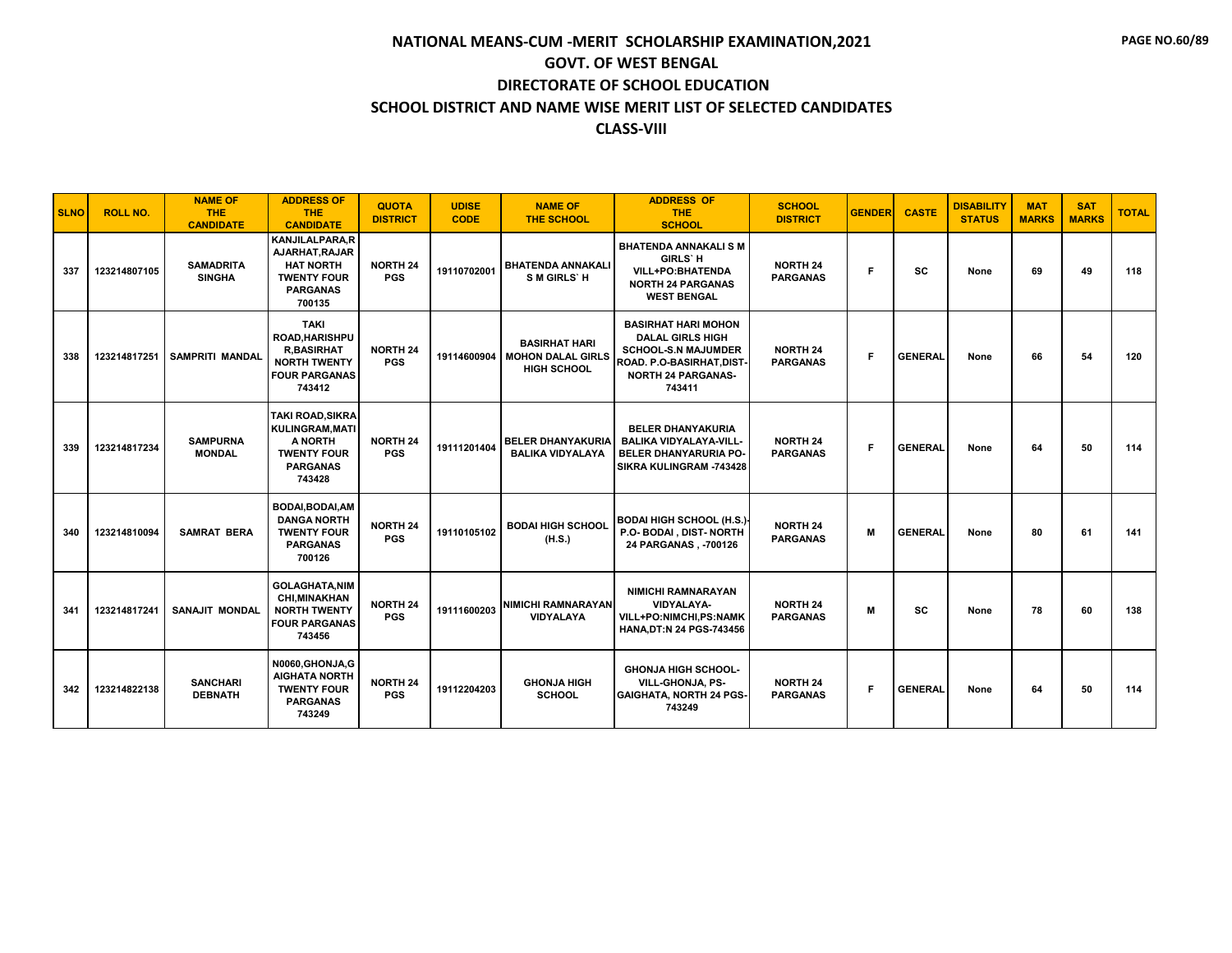| <b>SLNO</b> | <b>ROLL NO.</b> | <b>NAME OF</b><br><b>THE</b><br><b>CANDIDATE</b> | <b>ADDRESS OF</b><br><b>THE</b><br><b>CANDIDATE</b>                                                               | <b>QUOTA</b><br><b>DISTRICT</b> | <b>UDISE</b><br><b>CODE</b> | <b>NAME OF</b><br><b>THE SCHOOL</b>                                           | <b>ADDRESS OF</b><br><b>THE</b><br><b>SCHOOL</b>                                                                                                        | <b>SCHOOL</b><br><b>DISTRICT</b>   | <b>GENDER</b> | <b>CASTE</b>   | <b>DISABILITY</b><br><b>STATUS</b> | <b>MAT</b><br><b>MARKS</b> | <b>SAT</b><br><b>MARKS</b> | <b>TOTAL</b> |
|-------------|-----------------|--------------------------------------------------|-------------------------------------------------------------------------------------------------------------------|---------------------------------|-----------------------------|-------------------------------------------------------------------------------|---------------------------------------------------------------------------------------------------------------------------------------------------------|------------------------------------|---------------|----------------|------------------------------------|----------------------------|----------------------------|--------------|
| 337         | 123214807105    | <b>SAMADRITA</b><br><b>SINGHA</b>                | <b>KANJILALPARA.R</b><br>AJARHAT, RAJAR<br><b>HAT NORTH</b><br><b>TWENTY FOUR</b><br><b>PARGANAS</b><br>700135    | <b>NORTH 24</b><br><b>PGS</b>   | 19110702001                 | <b>BHATENDA ANNAKALI</b><br>S M GIRLS' H                                      | <b>BHATENDA ANNAKALI S M</b><br><b>GIRLS' H</b><br><b>VILL+PO:BHATENDA</b><br><b>NORTH 24 PARGANAS</b><br><b>WEST BENGAL</b>                            | <b>NORTH 24</b><br><b>PARGANAS</b> | F             | <b>SC</b>      | None                               | 69                         | 49                         | 118          |
| 338         | 123214817251    | <b>SAMPRITI MANDAL</b>                           | <b>TAKI</b><br><b>ROAD.HARISHPU</b><br><b>R,BASIRHAT</b><br><b>NORTH TWENTY</b><br><b>FOUR PARGANAS</b><br>743412 | <b>NORTH 24</b><br><b>PGS</b>   |                             | <b>BASIRHAT HARI</b><br>19114600904   MOHON DALAL GIRLS<br><b>HIGH SCHOOL</b> | <b>BASIRHAT HARI MOHON</b><br><b>DALAL GIRLS HIGH</b><br><b>SCHOOL-S.N MAJUMDER</b><br>ROAD. P.O-BASIRHAT, DIST-<br><b>NORTH 24 PARGANAS-</b><br>743411 | <b>NORTH 24</b><br><b>PARGANAS</b> | E             | <b>GENERAL</b> | None                               | 66                         | 54                         | 120          |
| 339         | 123214817234    | <b>SAMPURNA</b><br><b>MONDAL</b>                 | <b>TAKI ROAD.SIKRA</b><br>KULINGRAM, MATI<br>A NORTH<br><b>TWENTY FOUR</b><br><b>PARGANAS</b><br>743428           | <b>NORTH 24</b><br><b>PGS</b>   | 19111201404                 | <b>BELER DHANYAKURIA</b><br><b>BALIKA VIDYALAYA</b>                           | <b>BELER DHANYAKURIA</b><br><b>BALIKA VIDYALAYA-VILL-</b><br><b>BELER DHANYARURIA PO-</b><br>SIKRA KULINGRAM -743428                                    | <b>NORTH 24</b><br><b>PARGANAS</b> | F             | <b>GENERAL</b> | None                               | 64                         | 50                         | 114          |
| 340         | 123214810094    | <b>SAMRAT BERA</b>                               | <b>BODAI.BODAI.AM</b><br><b>DANGA NORTH</b><br><b>TWENTY FOUR</b><br><b>PARGANAS</b><br>700126                    | <b>NORTH 24</b><br><b>PGS</b>   | 19110105102                 | <b>BODAI HIGH SCHOOL</b><br>(H.S.)                                            | <b>BODAI HIGH SCHOOL (H.S.)</b><br>P.O- BODAI, DIST- NORTH<br>24 PARGANAS, -700126                                                                      | <b>NORTH 24</b><br><b>PARGANAS</b> | M             | <b>GENERAL</b> | None                               | 80                         | 61                         | 141          |
| 341         | 123214817241    | <b>SANAJIT MONDAL</b>                            | <b>GOLAGHATA.NIM</b><br><b>CHI, MINAKHAN</b><br><b>NORTH TWENTY</b><br><b>FOUR PARGANAS</b><br>743456             | <b>NORTH 24</b><br><b>PGS</b>   | 19111600203                 | <b>NIMICHI RAMNARAYAN</b><br><b>VIDYALAYA</b>                                 | <b>NIMICHI RAMNARAYAN</b><br><b>VIDYALAYA-</b><br>VILL+PO:NIMCHI,PS:NAMK<br><b>HANA, DT:N 24 PGS-743456</b>                                             | <b>NORTH 24</b><br><b>PARGANAS</b> | M             | <b>SC</b>      | None                               | 78                         | 60                         | 138          |
| 342         | 123214822138    | <b>SANCHARI</b><br><b>DEBNATH</b>                | N0060, GHONJA, G<br><b>AIGHATA NORTH</b><br><b>TWENTY FOUR</b><br><b>PARGANAS</b><br>743249                       | <b>NORTH 24</b><br><b>PGS</b>   | 19112204203                 | <b>GHONJA HIGH</b><br><b>SCHOOL</b>                                           | <b>GHONJA HIGH SCHOOL-</b><br><b>VILL-GHONJA, PS-</b><br><b>GAIGHATA, NORTH 24 PGS-</b><br>743249                                                       | <b>NORTH 24</b><br><b>PARGANAS</b> | F.            | <b>GENERAL</b> | None                               | 64                         | 50                         | 114          |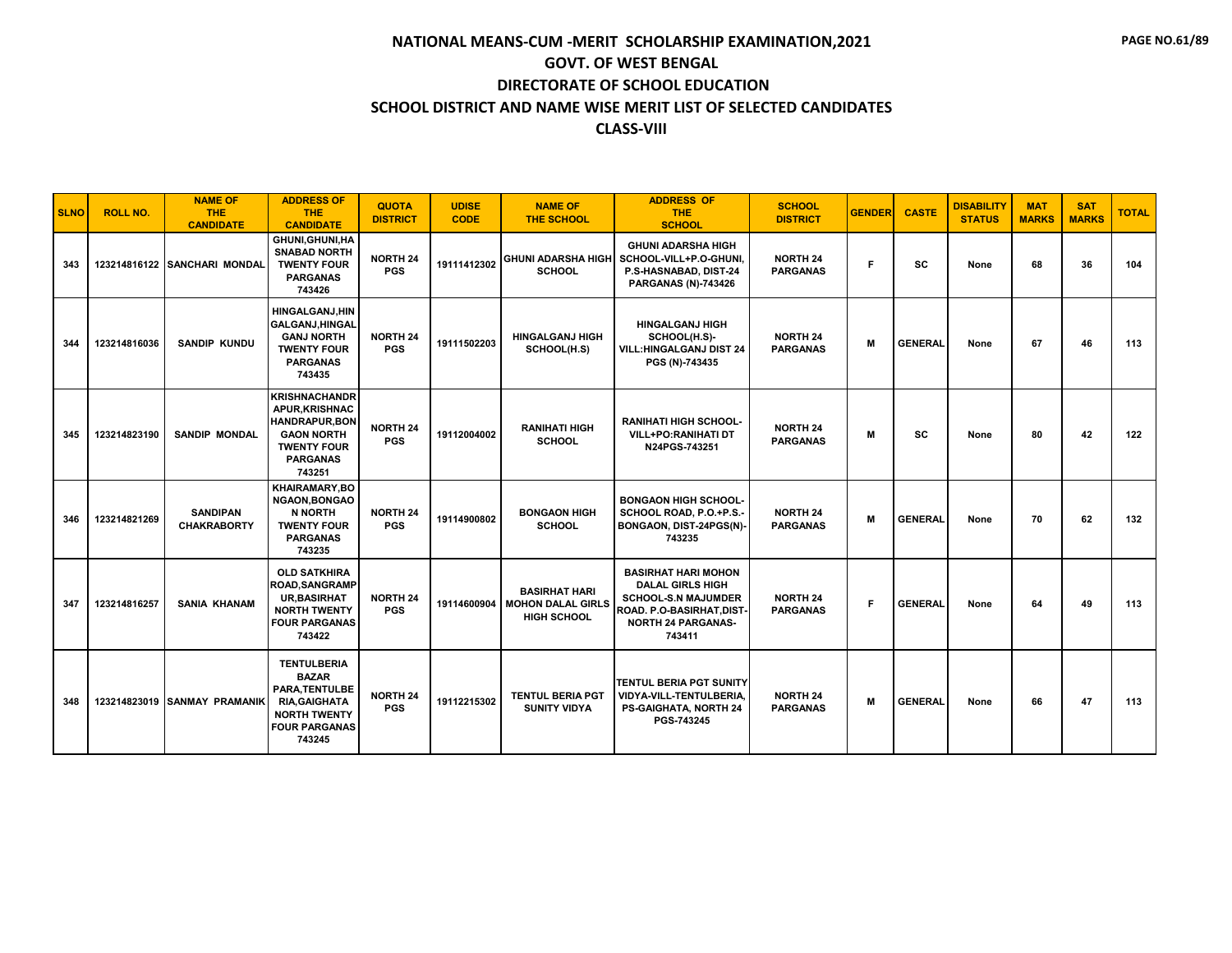#### **SCHOOL DISTRICT AND NAME WISE MERIT LIST OF SELECTED CANDIDATES**

#### **CLASS-VIII**

| <b>SLNO</b> | <b>ROLL NO.</b> | <b>NAME OF</b><br><b>THE</b><br><b>CANDIDATE</b> | <b>ADDRESS OF</b><br><b>THE</b><br><b>CANDIDATE</b>                                                                                           | <b>QUOTA</b><br><b>DISTRICT</b> | <b>UDISE</b><br><b>CODE</b> | <b>NAME OF</b><br><b>THE SCHOOL</b>                                    | <b>ADDRESS OF</b><br><b>THE</b><br><b>SCHOOL</b>                                                                                                        | <b>SCHOOL</b><br><b>DISTRICT</b>   | <b>GENDER</b> | <b>CASTE</b>   | <b>DISABILITY</b><br><b>STATUS</b> | <b>MAT</b><br><b>MARKS</b> | <b>SAT</b><br><b>MARKS</b> | <b>TOTAL</b> |
|-------------|-----------------|--------------------------------------------------|-----------------------------------------------------------------------------------------------------------------------------------------------|---------------------------------|-----------------------------|------------------------------------------------------------------------|---------------------------------------------------------------------------------------------------------------------------------------------------------|------------------------------------|---------------|----------------|------------------------------------|----------------------------|----------------------------|--------------|
| 343         |                 | 123214816122 SANCHARI MONDAL                     | <b>GHUNI, GHUNI, HA</b><br><b>SNABAD NORTH</b><br><b>TWENTY FOUR</b><br><b>PARGANAS</b><br>743426                                             | <b>NORTH 24</b><br><b>PGS</b>   | 19111412302                 | <b>SCHOOL</b>                                                          | <b>GHUNI ADARSHA HIGH</b><br>GHUNI ADARSHA HIGH SCHOOL-VILL+P.O-GHUNI,<br>P.S-HASNABAD, DIST-24<br><b>PARGANAS (N)-743426</b>                           | <b>NORTH 24</b><br><b>PARGANAS</b> | F             | <b>SC</b>      | None                               | 68                         | 36                         | 104          |
| 344         | 123214816036    | <b>SANDIP KUNDU</b>                              | <b>HINGALGANJ.HIN</b><br><b>GALGANJ, HINGAL</b><br><b>GANJ NORTH</b><br><b>TWENTY FOUR</b><br><b>PARGANAS</b><br>743435                       | <b>NORTH 24</b><br><b>PGS</b>   | 19111502203                 | <b>HINGALGANJ HIGH</b><br>SCHOOL(H.S)                                  | <b>HINGALGANJ HIGH</b><br>SCHOOL(H.S)-<br><b>VILL: HINGALGANJ DIST 24</b><br>PGS (N)-743435                                                             | <b>NORTH 24</b><br><b>PARGANAS</b> | М             | <b>GENERAL</b> | None                               | 67                         | 46                         | 113          |
| 345         | 123214823190    | <b>SANDIP MONDAL</b>                             | <b>KRISHNACHANDR</b><br><b>APUR.KRISHNAC</b><br><b>HANDRAPUR, BON</b><br><b>GAON NORTH</b><br><b>TWENTY FOUR</b><br><b>PARGANAS</b><br>743251 | <b>NORTH 24</b><br><b>PGS</b>   | 19112004002                 | <b>RANIHATI HIGH</b><br><b>SCHOOL</b>                                  | <b>RANIHATI HIGH SCHOOL-</b><br><b>VILL+PO:RANIHATI DT</b><br>N24PGS-743251                                                                             | <b>NORTH 24</b><br><b>PARGANAS</b> | M             | SC             | None                               | 80                         | 42                         | 122          |
| 346         | 123214821269    | <b>SANDIPAN</b><br><b>CHAKRABORTY</b>            | <b>KHAIRAMARY,BO</b><br><b>NGAON.BONGAO</b><br><b>N NORTH</b><br><b>TWENTY FOUR</b><br><b>PARGANAS</b><br>743235                              | <b>NORTH 24</b><br><b>PGS</b>   | 19114900802                 | <b>BONGAON HIGH</b><br><b>SCHOOL</b>                                   | <b>BONGAON HIGH SCHOOL-</b><br>SCHOOL ROAD, P.O.+P.S.-<br>BONGAON, DIST-24PGS(N)-<br>743235                                                             | <b>NORTH 24</b><br><b>PARGANAS</b> | M             | <b>GENERAL</b> | None                               | 70                         | 62                         | 132          |
| 347         | 123214816257    | <b>SANIA KHANAM</b>                              | <b>OLD SATKHIRA</b><br><b>ROAD, SANGRAMP</b><br><b>UR.BASIRHAT</b><br><b>NORTH TWENTY</b><br><b>FOUR PARGANAS</b><br>743422                   | <b>NORTH 24</b><br><b>PGS</b>   | 19114600904                 | <b>BASIRHAT HARI</b><br><b>MOHON DALAL GIRLS</b><br><b>HIGH SCHOOL</b> | <b>BASIRHAT HARI MOHON</b><br><b>DALAL GIRLS HIGH</b><br><b>SCHOOL-S.N MAJUMDER</b><br>ROAD. P.O-BASIRHAT, DIST-<br><b>NORTH 24 PARGANAS-</b><br>743411 | <b>NORTH 24</b><br><b>PARGANAS</b> | F             | <b>GENERAL</b> | None                               | 64                         | 49                         | 113          |
| 348         |                 | 123214823019 SANMAY PRAMANIK                     | <b>TENTULBERIA</b><br><b>BAZAR</b><br>PARA.TENTULBE<br><b>RIA, GAIGHATA</b><br><b>NORTH TWENTY</b><br><b>FOUR PARGANAS</b><br>743245          | <b>NORTH 24</b><br><b>PGS</b>   | 19112215302                 | <b>TENTUL BERIA PGT</b><br><b>SUNITY VIDYA</b>                         | <b>TENTUL BERIA PGT SUNITY</b><br>VIDYA-VILL-TENTULBERIA,<br><b>PS-GAIGHATA, NORTH 24</b><br>PGS-743245                                                 | <b>NORTH 24</b><br><b>PARGANAS</b> | М             | <b>GENERAL</b> | None                               | 66                         | 47                         | 113          |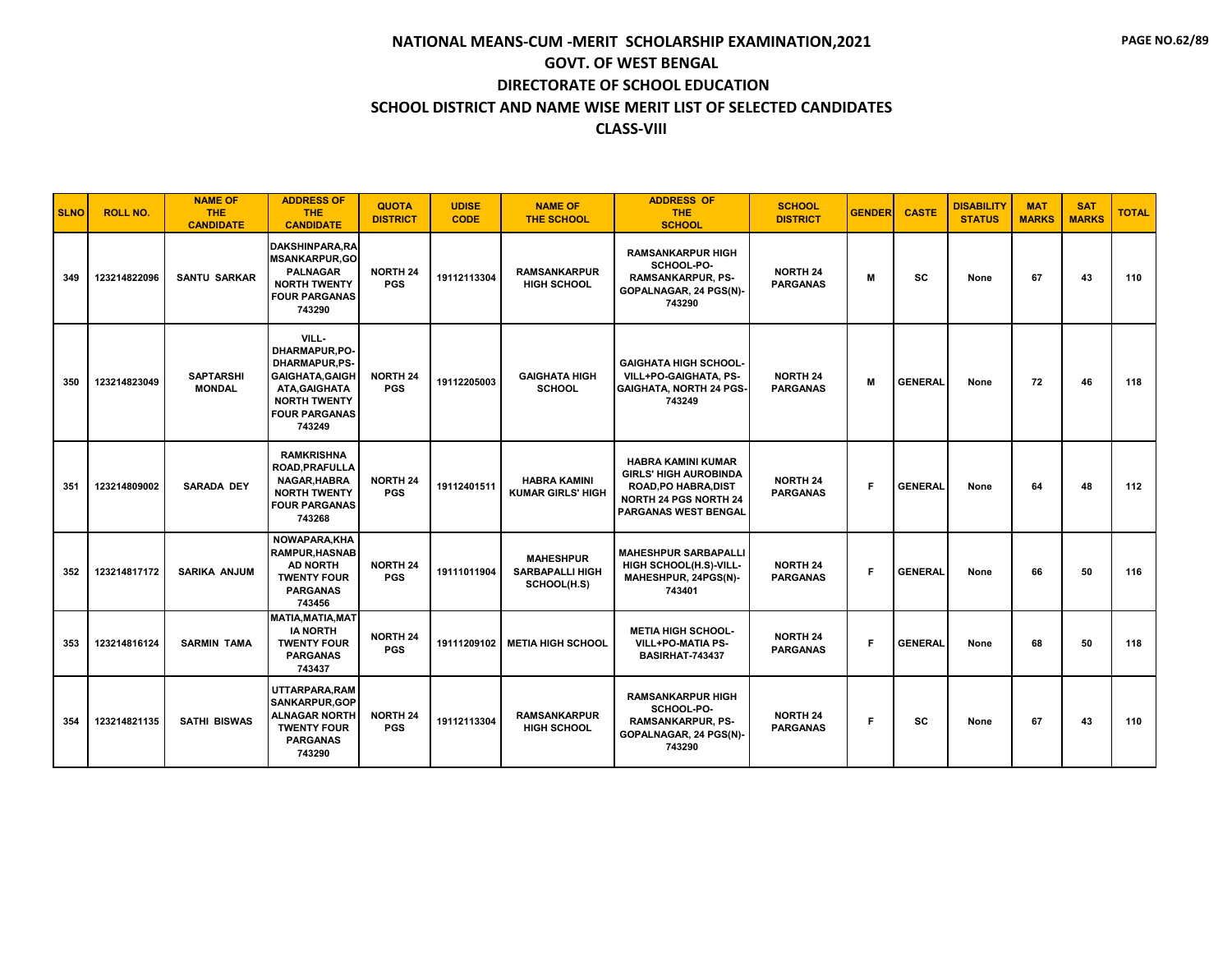| <b>SLNO</b> | <b>ROLL NO.</b> | <b>NAME OF</b><br><b>THE</b><br><b>CANDIDATE</b> | <b>ADDRESS OF</b><br><b>THE</b><br><b>CANDIDATE</b>                                                                                                 | <b>QUOTA</b><br><b>DISTRICT</b> | <b>UDISE</b><br><b>CODE</b> | <b>NAME OF</b><br><b>THE SCHOOL</b>                       | <b>ADDRESS OF</b><br><b>THE</b><br><b>SCHOOL</b>                                                                                                 | <b>SCHOOL</b><br><b>DISTRICT</b>   | <b>GENDER</b> | <b>CASTE</b>   | <b>DISABILITY</b><br><b>STATUS</b> | <b>MAT</b><br><b>MARKS</b> | <b>SAT</b><br><b>MARKS</b> | <b>TOTAL</b> |
|-------------|-----------------|--------------------------------------------------|-----------------------------------------------------------------------------------------------------------------------------------------------------|---------------------------------|-----------------------------|-----------------------------------------------------------|--------------------------------------------------------------------------------------------------------------------------------------------------|------------------------------------|---------------|----------------|------------------------------------|----------------------------|----------------------------|--------------|
| 349         | 123214822096    | <b>SANTU SARKAR</b>                              | DAKSHINPARA.RA<br><b>MSANKARPUR,GO</b><br><b>PALNAGAR</b><br><b>NORTH TWENTY</b><br><b>FOUR PARGANAS</b><br>743290                                  | <b>NORTH 24</b><br><b>PGS</b>   | 19112113304                 | <b>RAMSANKARPUR</b><br>HIGH SCHOOL                        | <b>RAMSANKARPUR HIGH</b><br>SCHOOL-PO-<br><b>RAMSANKARPUR, PS-</b><br>GOPALNAGAR, 24 PGS(N)-<br>743290                                           | <b>NORTH 24</b><br><b>PARGANAS</b> | М             | <b>SC</b>      | None                               | 67                         | 43                         | 110          |
| 350         | 123214823049    | <b>SAPTARSHI</b><br><b>MONDAL</b>                | VILL-<br>DHARMAPUR, PO-<br><b>DHARMAPUR,PS-</b><br><b>GAIGHATA, GAIGH</b><br>ATA, GAIGHATA<br><b>NORTH TWENTY</b><br><b>FOUR PARGANAS</b><br>743249 | <b>NORTH 24</b><br><b>PGS</b>   | 19112205003                 | <b>GAIGHATA HIGH</b><br><b>SCHOOL</b>                     | <b>GAIGHATA HIGH SCHOOL-</b><br>VILL+PO-GAIGHATA, PS-<br><b>GAIGHATA, NORTH 24 PGS-</b><br>743249                                                | <b>NORTH 24</b><br><b>PARGANAS</b> | M             | <b>GENERAL</b> | None                               | 72                         | 46                         | 118          |
| 351         | 123214809002    | <b>SARADA DEY</b>                                | <b>RAMKRISHNA</b><br>ROAD, PRAFULLA<br>NAGAR, HABRA<br><b>NORTH TWENTY</b><br><b>FOUR PARGANAS</b><br>743268                                        | <b>NORTH 24</b><br><b>PGS</b>   | 19112401511                 | <b>HABRA KAMINI</b><br><b>KUMAR GIRLS' HIGH</b>           | <b>HABRA KAMINI KUMAR</b><br><b>GIRLS' HIGH AUROBINDA</b><br>ROAD, PO HABRA, DIST<br><b>NORTH 24 PGS NORTH 24</b><br><b>PARGANAS WEST BENGAL</b> | <b>NORTH 24</b><br><b>PARGANAS</b> | F.            | <b>GENERAL</b> | None                               | 64                         | 48                         | 112          |
| 352         | 123214817172    | <b>SARIKA ANJUM</b>                              | NOWAPARA, KHA<br><b>RAMPUR, HASNAB</b><br><b>AD NORTH</b><br><b>TWENTY FOUR</b><br><b>PARGANAS</b><br>743456                                        | <b>NORTH 24</b><br><b>PGS</b>   | 19111011904                 | <b>MAHESHPUR</b><br><b>SARBAPALLI HIGH</b><br>SCHOOL(H.S) | <b>MAHESHPUR SARBAPALLI</b><br>HIGH SCHOOL(H.S)-VILL-<br>MAHESHPUR, 24PGS(N)-<br>743401                                                          | <b>NORTH 24</b><br><b>PARGANAS</b> | F.            | <b>GENERAL</b> | None                               | 66                         | 50                         | 116          |
| 353         | 123214816124    | <b>SARMIN TAMA</b>                               | <b>MATIA, MATIA, MAT</b><br><b>IA NORTH</b><br><b>TWENTY FOUR</b><br><b>PARGANAS</b><br>743437                                                      | <b>NORTH 24</b><br><b>PGS</b>   | 19111209102                 | <b>METIA HIGH SCHOOL</b>                                  | <b>METIA HIGH SCHOOL-</b><br><b>VILL+PO-MATIA PS-</b><br>BASIRHAT-743437                                                                         | <b>NORTH 24</b><br><b>PARGANAS</b> | F.            | <b>GENERAL</b> | None                               | 68                         | 50                         | 118          |
| 354         | 123214821135    | SATHI BISWAS                                     | UTTARPARA.RAM<br><b>SANKARPUR, GOP</b><br><b>ALNAGAR NORTH</b><br><b>TWENTY FOUR</b><br><b>PARGANAS</b><br>743290                                   | <b>NORTH 24</b><br><b>PGS</b>   | 19112113304                 | <b>RAMSANKARPUR</b><br><b>HIGH SCHOOL</b>                 | <b>RAMSANKARPUR HIGH</b><br>SCHOOL-PO-<br><b>RAMSANKARPUR, PS-</b><br>GOPALNAGAR, 24 PGS(N)-<br>743290                                           | <b>NORTH 24</b><br><b>PARGANAS</b> | F.            | <b>SC</b>      | None                               | 67                         | 43                         | 110          |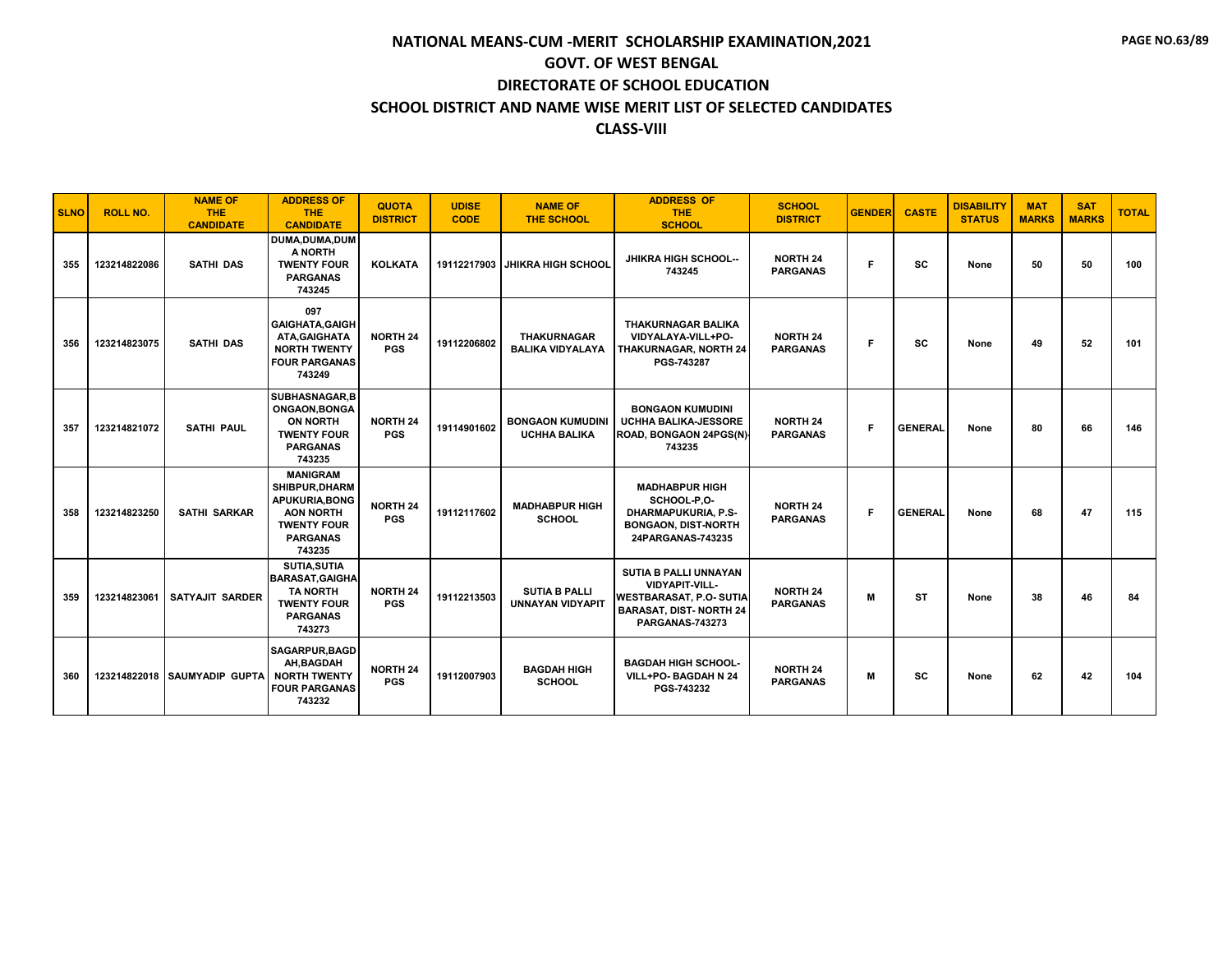| <b>SLNO</b> | <b>ROLL NO.</b> | <b>NAME OF</b><br><b>THE</b><br><b>CANDIDATE</b> | <b>ADDRESS OF</b><br><b>THE</b><br><b>CANDIDATE</b>                                                                        | <b>QUOTA</b><br><b>DISTRICT</b> | <b>UDISE</b><br><b>CODE</b> | <b>NAME OF</b><br><b>THE SCHOOL</b>             | <b>ADDRESS OF</b><br><b>THE</b><br><b>SCHOOL</b>                                                                                            | <b>SCHOOL</b><br><b>DISTRICT</b>   | <b>GENDER</b> | <b>CASTE</b>   | <b>DISABILITY</b><br><b>STATUS</b> | <b>MAT</b><br><b>MARKS</b> | <b>SAT</b><br><b>MARKS</b> | <b>TOTAL</b> |
|-------------|-----------------|--------------------------------------------------|----------------------------------------------------------------------------------------------------------------------------|---------------------------------|-----------------------------|-------------------------------------------------|---------------------------------------------------------------------------------------------------------------------------------------------|------------------------------------|---------------|----------------|------------------------------------|----------------------------|----------------------------|--------------|
| 355         | 123214822086    | <b>SATHI DAS</b>                                 | DUMA.DUMA.DUM<br>A NORTH<br><b>TWENTY FOUR</b><br><b>PARGANAS</b><br>743245                                                | <b>KOLKATA</b>                  | 19112217903                 | <b>JHIKRA HIGH SCHOOL</b>                       | <b>JHIKRA HIGH SCHOOL--</b><br>743245                                                                                                       | <b>NORTH 24</b><br><b>PARGANAS</b> | F.            | <b>SC</b>      | None                               | 50                         | 50                         | 100          |
| 356         | 123214823075    | <b>SATHI DAS</b>                                 | 097<br><b>GAIGHATA, GAIGH</b><br>ATA, GAIGHATA<br><b>NORTH TWENTY</b><br><b>FOUR PARGANAS</b><br>743249                    | <b>NORTH 24</b><br><b>PGS</b>   | 19112206802                 | <b>THAKURNAGAR</b><br><b>BALIKA VIDYALAYA</b>   | THAKURNAGAR BALIKA<br>VIDYALAYA-VILL+PO-<br><b>THAKURNAGAR, NORTH 24</b><br>PGS-743287                                                      | <b>NORTH 24</b><br><b>PARGANAS</b> | F             | <b>SC</b>      | None                               | 49                         | 52                         | 101          |
| 357         | 123214821072    | <b>SATHI PAUL</b>                                | SUBHASNAGAR.B<br>ONGAON, BONGA<br><b>ON NORTH</b><br><b>TWENTY FOUR</b><br><b>PARGANAS</b><br>743235                       | <b>NORTH 24</b><br><b>PGS</b>   | 19114901602                 | <b>BONGAON KUMUDINI</b><br><b>UCHHA BALIKA</b>  | <b>BONGAON KUMUDINI</b><br>UCHHA BALIKA-JESSORE<br>ROAD, BONGAON 24PGS(N)<br>743235                                                         | <b>NORTH 24</b><br><b>PARGANAS</b> | F             | <b>GENERAL</b> | None                               | 80                         | 66                         | 146          |
| 358         | 123214823250    | <b>SATHI SARKAR</b>                              | <b>MANIGRAM</b><br>SHIBPUR, DHARM<br>APUKURIA, BONG<br><b>AON NORTH</b><br><b>TWENTY FOUR</b><br><b>PARGANAS</b><br>743235 | <b>NORTH 24</b><br><b>PGS</b>   | 19112117602                 | <b>MADHABPUR HIGH</b><br><b>SCHOOL</b>          | <b>MADHABPUR HIGH</b><br>SCHOOL-P,O-<br><b>DHARMAPUKURIA, P.S-</b><br><b>BONGAON, DIST-NORTH</b><br>24PARGANAS-743235                       | <b>NORTH 24</b><br><b>PARGANAS</b> | F.            | <b>GENERAL</b> | None                               | 68                         | 47                         | 115          |
| 359         | 123214823061    | <b>SATYAJIT SARDER</b>                           | <b>SUTIA, SUTIA</b><br><b>BARASAT.GAIGHA</b><br><b>TA NORTH</b><br><b>TWENTY FOUR</b><br><b>PARGANAS</b><br>743273         | <b>NORTH 24</b><br><b>PGS</b>   | 19112213503                 | <b>SUTIA B PALLI</b><br><b>UNNAYAN VIDYAPIT</b> | SUTIA B PALLI UNNAYAN<br><b>VIDYAPIT-VILL-</b><br><b>WESTBARASAT, P.O. SUTIA</b><br><b>BARASAT, DIST-NORTH 24</b><br><b>PARGANAS-743273</b> | <b>NORTH 24</b><br><b>PARGANAS</b> | M             | <b>ST</b>      | None                               | 38                         | 46                         | 84           |
| 360         |                 | 123214822018 SAUMYADIP GUPTA                     | <b>SAGARPUR, BAGD</b><br>AH.BAGDAH<br><b>NORTH TWENTY</b><br><b>FOUR PARGANAS</b><br>743232                                | <b>NORTH 24</b><br><b>PGS</b>   | 19112007903                 | <b>BAGDAH HIGH</b><br><b>SCHOOL</b>             | <b>BAGDAH HIGH SCHOOL-</b><br>VILL+PO- BAGDAH N 24<br>PGS-743232                                                                            | <b>NORTH 24</b><br><b>PARGANAS</b> | M             | <b>SC</b>      | None                               | 62                         | 42                         | 104          |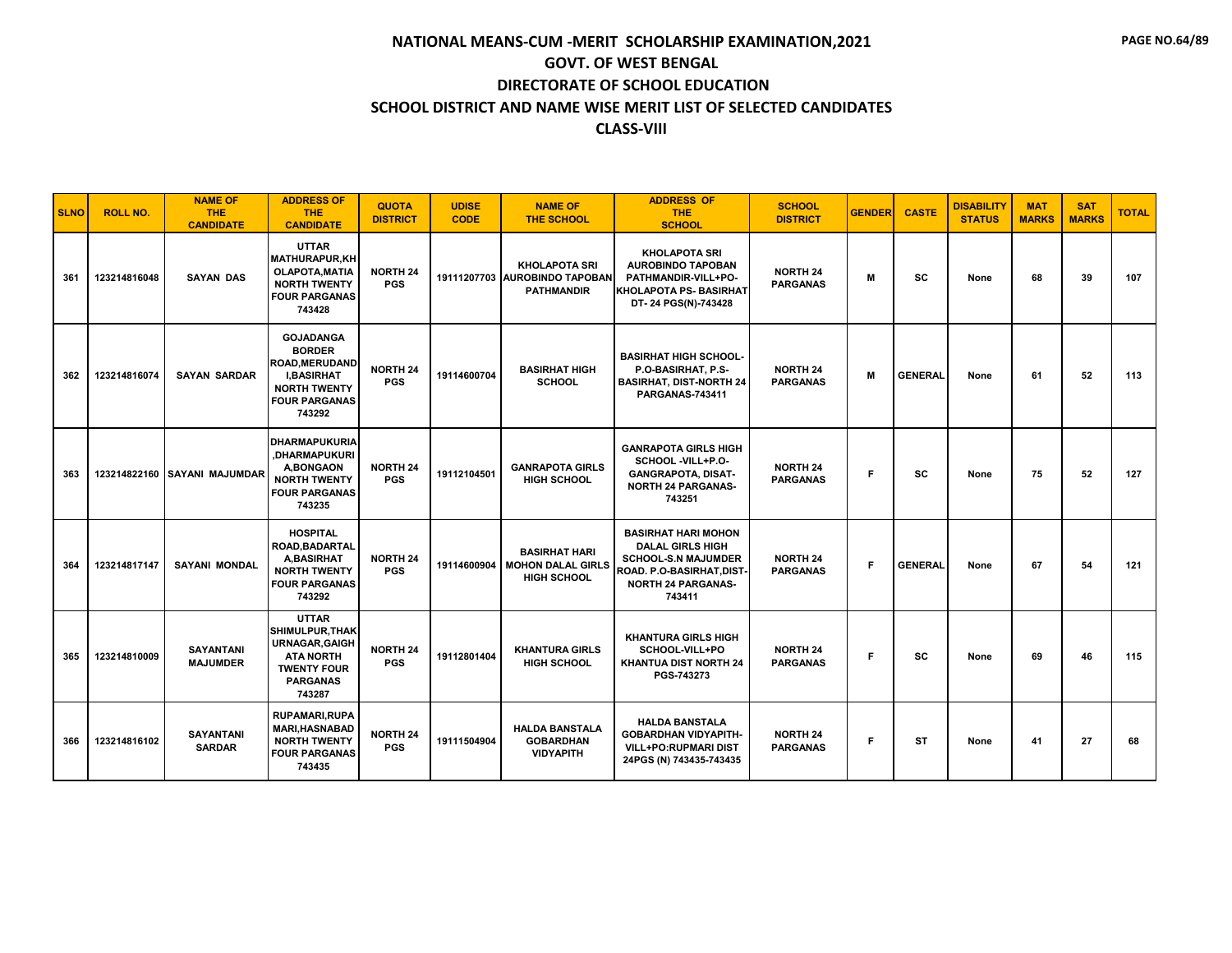| <b>SLNO</b> | <b>ROLL NO.</b> | <b>NAME OF</b><br>THE.<br><b>CANDIDATE</b> | <b>ADDRESS OF</b><br><b>THE</b><br><b>CANDIDATE</b>                                                                                     | <b>QUOTA</b><br><b>DISTRICT</b> | <b>UDISE</b><br><b>CODE</b> | <b>NAME OF</b><br><b>THE SCHOOL</b>                                           | <b>ADDRESS OF</b><br><b>THE</b><br><b>SCHOOL</b>                                                                                                        | <b>SCHOOL</b><br><b>DISTRICT</b>   | <b>GENDER</b> | <b>CASTE</b>   | <b>DISABILITY</b><br><b>STATUS</b> | <b>MAT</b><br><b>MARKS</b> | <b>SAT</b><br><b>MARKS</b> | <b>TOTAL</b> |
|-------------|-----------------|--------------------------------------------|-----------------------------------------------------------------------------------------------------------------------------------------|---------------------------------|-----------------------------|-------------------------------------------------------------------------------|---------------------------------------------------------------------------------------------------------------------------------------------------------|------------------------------------|---------------|----------------|------------------------------------|----------------------------|----------------------------|--------------|
| 361         | 123214816048    | <b>SAYAN DAS</b>                           | <b>UTTAR</b><br><b>MATHURAPUR,KH</b><br><b>OLAPOTA, MATIA</b><br><b>NORTH TWENTY</b><br><b>FOUR PARGANAS</b><br>743428                  | <b>NORTH 24</b><br><b>PGS</b>   |                             | <b>KHOLAPOTA SRI</b><br>19111207703 AUROBINDO TAPOBAN<br><b>PATHMANDIR</b>    | <b>KHOLAPOTA SRI</b><br><b>AUROBINDO TAPOBAN</b><br>PATHMANDIR-VILL+PO-<br><b>KHOLAPOTA PS- BASIRHAT</b><br>DT-24 PGS(N)-743428                         | <b>NORTH 24</b><br><b>PARGANAS</b> | м             | <b>SC</b>      | None                               | 68                         | 39                         | 107          |
| 362         | 123214816074    | <b>SAYAN SARDAR</b>                        | <b>GOJADANGA</b><br><b>BORDER</b><br><b>ROAD.MERUDAND</b><br><b>I.BASIRHAT</b><br><b>NORTH TWENTY</b><br><b>FOUR PARGANAS</b><br>743292 | <b>NORTH 24</b><br><b>PGS</b>   | 19114600704                 | <b>BASIRHAT HIGH</b><br><b>SCHOOL</b>                                         | <b>BASIRHAT HIGH SCHOOL-</b><br>P.O-BASIRHAT. P.S-<br><b>BASIRHAT, DIST-NORTH 24</b><br><b>PARGANAS-743411</b>                                          | <b>NORTH 24</b><br><b>PARGANAS</b> | M             | <b>GENERAL</b> | None                               | 61                         | 52                         | 113          |
| 363         |                 | 123214822160 SAYANI MAJUMDAR               | <b>DHARMAPUKURIA</b><br>.DHARMAPUKURI<br><b>A,BONGAON</b><br><b>NORTH TWENTY</b><br><b>FOUR PARGANAS</b><br>743235                      | <b>NORTH 24</b><br><b>PGS</b>   | 19112104501                 | <b>GANRAPOTA GIRLS</b><br><b>HIGH SCHOOL</b>                                  | <b>GANRAPOTA GIRLS HIGH</b><br>SCHOOL -VILL+P.O-<br><b>GANGRAPOTA, DISAT-</b><br><b>NORTH 24 PARGANAS-</b><br>743251                                    | <b>NORTH 24</b><br><b>PARGANAS</b> | F.            | <b>SC</b>      | None                               | 75                         | 52                         | 127          |
| 364         | 123214817147    | <b>SAYANI MONDAL</b>                       | <b>HOSPITAL</b><br>ROAD, BADARTAL<br><b>A.BASIRHAT</b><br><b>NORTH TWENTY</b><br><b>FOUR PARGANAS</b><br>743292                         | <b>NORTH 24</b><br><b>PGS</b>   |                             | <b>BASIRHAT HARI</b><br>19114600904   MOHON DALAL GIRLS<br><b>HIGH SCHOOL</b> | <b>BASIRHAT HARI MOHON</b><br><b>DALAL GIRLS HIGH</b><br><b>SCHOOL-S.N MAJUMDER</b><br>ROAD. P.O-BASIRHAT, DIST-<br><b>NORTH 24 PARGANAS-</b><br>743411 | <b>NORTH 24</b><br><b>PARGANAS</b> | F.            | <b>GENERAL</b> | None                               | 67                         | 54                         | 121          |
| 365         | 123214810009    | <b>SAYANTANI</b><br><b>MAJUMDER</b>        | <b>UTTAR</b><br><b>SHIMULPUR.THAK</b><br><b>URNAGAR, GAIGH</b><br><b>ATA NORTH</b><br><b>TWENTY FOUR</b><br><b>PARGANAS</b><br>743287   | <b>NORTH 24</b><br><b>PGS</b>   | 19112801404                 | <b>KHANTURA GIRLS</b><br><b>HIGH SCHOOL</b>                                   | <b>KHANTURA GIRLS HIGH</b><br>SCHOOL-VILL+PO<br>KHANTUA DIST NORTH 24<br>PGS-743273                                                                     | <b>NORTH 24</b><br><b>PARGANAS</b> | F             | SC             | None                               | 69                         | 46                         | 115          |
| 366         | 123214816102    | <b>SAYANTANI</b><br><b>SARDAR</b>          | <b>RUPAMARI, RUPA</b><br><b>MARI.HASNABAD</b><br><b>NORTH TWENTY</b><br><b>FOUR PARGANAS</b><br>743435                                  | <b>NORTH 24</b><br><b>PGS</b>   | 19111504904                 | <b>HALDA BANSTALA</b><br><b>GOBARDHAN</b><br><b>VIDYAPITH</b>                 | <b>HALDA BANSTALA</b><br><b>GOBARDHAN VIDYAPITH-</b><br><b>VILL+PO:RUPMARI DIST</b><br>24PGS (N) 743435-743435                                          | <b>NORTH 24</b><br><b>PARGANAS</b> | F.            | <b>ST</b>      | None                               | 41                         | 27                         | 68           |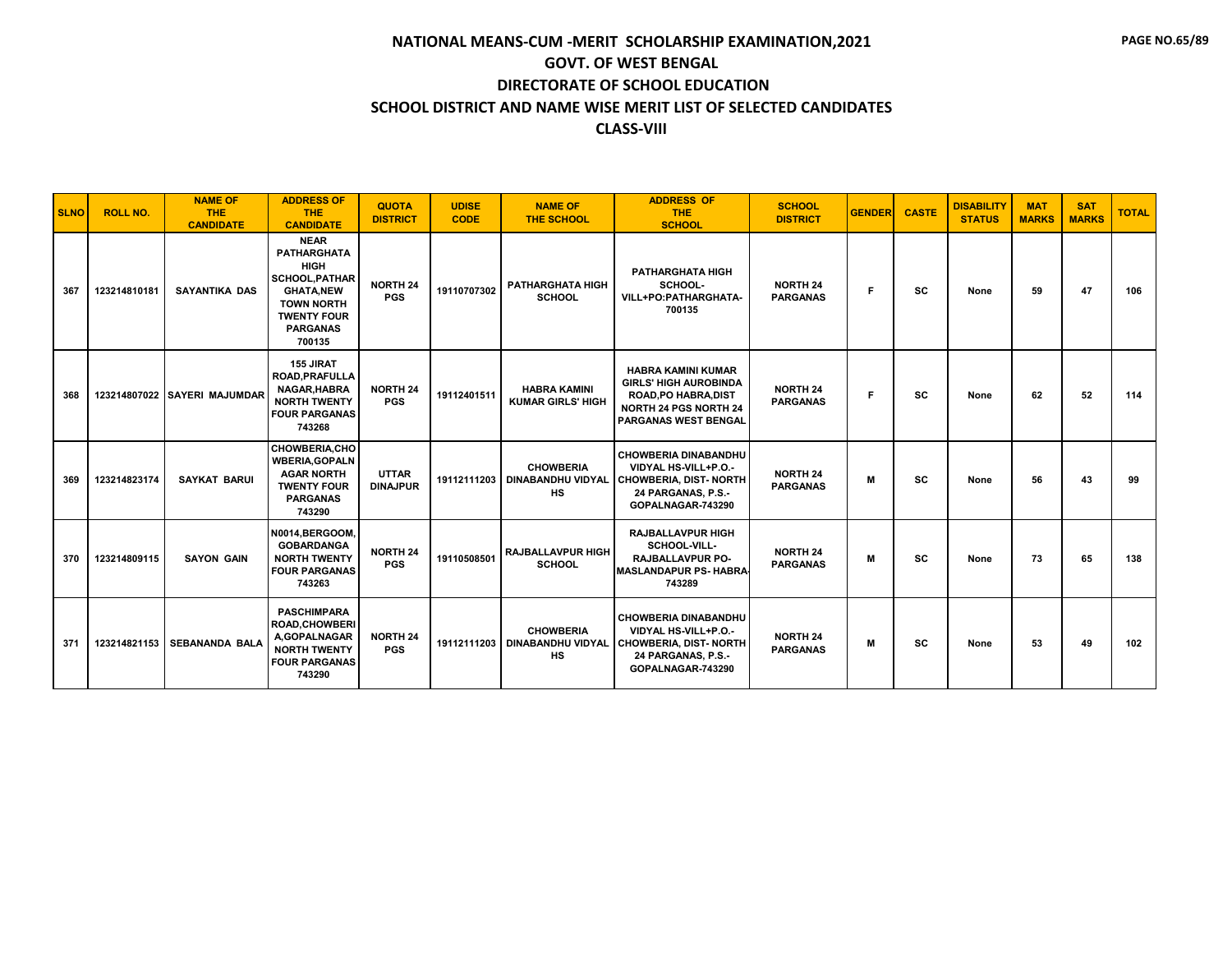| <b>SLNO</b> | <b>ROLL NO.</b> | <b>NAME OF</b><br><b>THE</b><br><b>CANDIDATE</b> | <b>ADDRESS OF</b><br><b>THE</b><br><b>CANDIDATE</b>                                                                                                                   | <b>QUOTA</b><br><b>DISTRICT</b> | <b>UDISE</b><br><b>CODE</b> | <b>NAME OF</b><br><b>THE SCHOOL</b>                              | <b>ADDRESS OF</b><br><b>THE</b><br><b>SCHOOL</b>                                                                                                        | <b>SCHOOL</b><br><b>DISTRICT</b>   | <b>GENDER</b> | <b>CASTE</b> | <b>DISABILITY</b><br><b>STATUS</b> | <b>MAT</b><br><b>MARKS</b> | <b>SAT</b><br><b>MARKS</b> | <b>TOTAL</b> |
|-------------|-----------------|--------------------------------------------------|-----------------------------------------------------------------------------------------------------------------------------------------------------------------------|---------------------------------|-----------------------------|------------------------------------------------------------------|---------------------------------------------------------------------------------------------------------------------------------------------------------|------------------------------------|---------------|--------------|------------------------------------|----------------------------|----------------------------|--------------|
| 367         | 123214810181    | <b>SAYANTIKA DAS</b>                             | <b>NEAR</b><br><b>PATHARGHATA</b><br><b>HIGH</b><br><b>SCHOOL, PATHAR</b><br><b>GHATA,NEW</b><br><b>TOWN NORTH</b><br><b>TWENTY FOUR</b><br><b>PARGANAS</b><br>700135 | <b>NORTH 24</b><br><b>PGS</b>   | 19110707302                 | <b>PATHARGHATA HIGH</b><br><b>SCHOOL</b>                         | <b>PATHARGHATA HIGH</b><br>SCHOOL-<br>VILL+PO:PATHARGHATA-<br>700135                                                                                    | <b>NORTH 24</b><br><b>PARGANAS</b> | F.            | <b>SC</b>    | None                               | 59                         | 47                         | 106          |
| 368         |                 | 123214807022 SAYERI MAJUMDAR                     | 155 JIRAT<br><b>ROAD, PRAFULLA</b><br>NAGAR, HABRA<br><b>NORTH TWENTY</b><br><b>FOUR PARGANAS</b><br>743268                                                           | <b>NORTH 24</b><br><b>PGS</b>   | 19112401511                 | <b>HABRA KAMINI</b><br><b>KUMAR GIRLS' HIGH</b>                  | <b>HABRA KAMINI KUMAR</b><br><b>GIRLS' HIGH AUROBINDA</b><br><b>ROAD, PO HABRA, DIST</b><br><b>NORTH 24 PGS NORTH 24</b><br><b>PARGANAS WEST BENGAL</b> | <b>NORTH 24</b><br><b>PARGANAS</b> | F             | <b>SC</b>    | None                               | 62                         | 52                         | 114          |
| 369         | 123214823174    | <b>SAYKAT BARUI</b>                              | <b>CHOWBERIA,CHO</b><br><b>WBERIA, GOPALN</b><br><b>AGAR NORTH</b><br><b>TWENTY FOUR</b><br><b>PARGANAS</b><br>743290                                                 | <b>UTTAR</b><br><b>DINAJPUR</b> |                             | <b>CHOWBERIA</b><br>19112111203   DINABANDHU VIDYAL<br><b>HS</b> | <b>CHOWBERIA DINABANDHU</b><br>VIDYAL HS-VILL+P.O.-<br><b>CHOWBERIA, DIST- NORTH</b><br>24 PARGANAS, P.S.-<br>GOPALNAGAR-743290                         | <b>NORTH 24</b><br><b>PARGANAS</b> | м             | <b>SC</b>    | None                               | 56                         | 43                         | 99           |
| 370         | 123214809115    | <b>SAYON GAIN</b>                                | N0014.BERGOOM.<br><b>GOBARDANGA</b><br><b>NORTH TWENTY</b><br><b>FOUR PARGANAS</b><br>743263                                                                          | <b>NORTH 24</b><br><b>PGS</b>   | 19110508501                 | <b>RAJBALLAVPUR HIGH</b><br><b>SCHOOL</b>                        | <b>RAJBALLAVPUR HIGH</b><br>SCHOOL-VILL-<br><b>RAJBALLAVPUR PO-</b><br><b>MASLANDAPUR PS- HABRA</b><br>743289                                           | <b>NORTH 24</b><br><b>PARGANAS</b> | м             | <b>SC</b>    | None                               | 73                         | 65                         | 138          |
| 371         | 123214821153    | <b>SEBANANDA BALA</b>                            | <b>PASCHIMPARA</b><br><b>ROAD, CHOWBERI</b><br>A,GOPALNAGAR<br><b>NORTH TWENTY</b><br><b>FOUR PARGANAS</b><br>743290                                                  | <b>NORTH 24</b><br><b>PGS</b>   | 19112111203                 | <b>CHOWBERIA</b><br><b>DINABANDHU VIDYAL</b><br><b>HS</b>        | <b>CHOWBERIA DINABANDHU</b><br>VIDYAL HS-VILL+P.O.-<br><b>CHOWBERIA, DIST-NORTH</b><br>24 PARGANAS, P.S.-<br>GOPALNAGAR-743290                          | <b>NORTH 24</b><br><b>PARGANAS</b> | M             | <b>SC</b>    | None                               | 53                         | 49                         | 102          |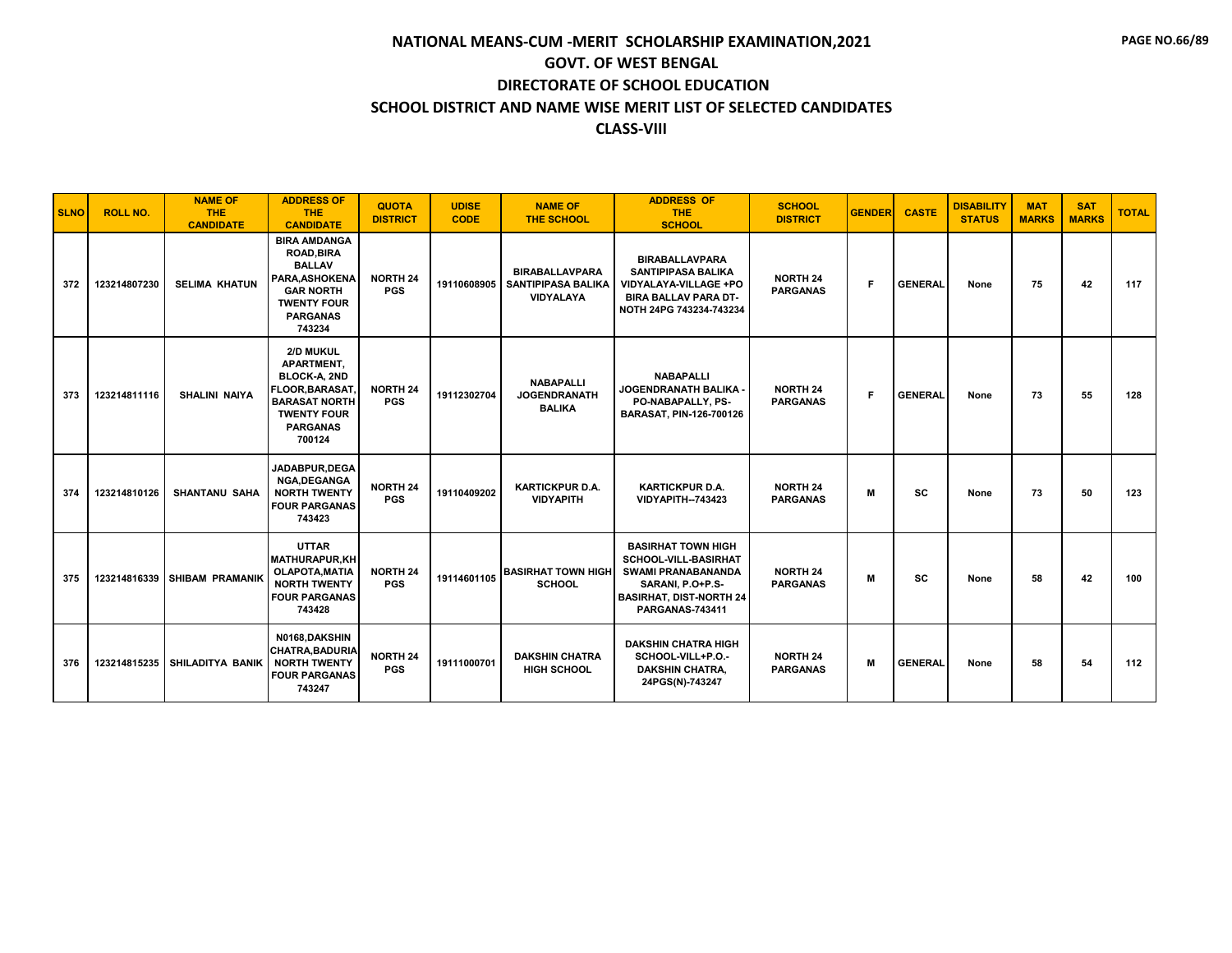| <b>SLNO</b> | <b>ROLL NO.</b> | <b>NAME OF</b><br><b>THE</b><br><b>CANDIDATE</b> | <b>ADDRESS OF</b><br><b>THE</b><br><b>CANDIDATE</b>                                                                                                | <b>QUOTA</b><br><b>DISTRICT</b> | <b>UDISE</b><br><b>CODE</b> | <b>NAME OF</b><br><b>THE SCHOOL</b>                      | <b>ADDRESS OF</b><br><b>THE</b><br><b>SCHOOL</b>                                                                                                               | <b>SCHOOL</b><br><b>DISTRICT</b>   | <b>GENDER</b> | <b>CASTE</b>   | <b>DISABILITY</b><br><b>STATUS</b> | <b>MAT</b><br><b>MARKS</b> | <b>SAT</b><br><b>MARKS</b> | <b>TOTAL</b> |
|-------------|-----------------|--------------------------------------------------|----------------------------------------------------------------------------------------------------------------------------------------------------|---------------------------------|-----------------------------|----------------------------------------------------------|----------------------------------------------------------------------------------------------------------------------------------------------------------------|------------------------------------|---------------|----------------|------------------------------------|----------------------------|----------------------------|--------------|
| 372         | 123214807230    | <b>SELIMA KHATUN</b>                             | <b>BIRA AMDANGA</b><br><b>ROAD, BIRA</b><br><b>BALLAV</b><br>PARA, ASHOKENA<br><b>GAR NORTH</b><br><b>TWENTY FOUR</b><br><b>PARGANAS</b><br>743234 | <b>NORTH 24</b><br><b>PGS</b>   | 19110608905                 | <b>BIRABALLAVPARA</b><br>SANTIPIPASA BALIKA<br>VIDYALAYA | <b>BIRABALLAVPARA</b><br><b>SANTIPIPASA BALIKA</b><br>VIDYALAYA-VILLAGE +PO<br><b>BIRA BALLAV PARA DT-</b><br>NOTH 24PG 743234-743234                          | <b>NORTH 24</b><br><b>PARGANAS</b> | F             | <b>GENERAL</b> | None                               | 75                         | 42                         | 117          |
| 373         | 123214811116    | <b>SHALINI NAIYA</b>                             | 2/D MUKUL<br>APARTMENT,<br><b>BLOCK-A, 2ND</b><br>FLOOR, BARASAT,<br><b>BARASAT NORTH</b><br><b>TWENTY FOUR</b><br><b>PARGANAS</b><br>700124       | <b>NORTH 24</b><br><b>PGS</b>   | 19112302704                 | <b>NABAPALLI</b><br><b>JOGENDRANATH</b><br><b>BALIKA</b> | <b>NABAPALLI</b><br>JOGENDRANATH BALIKA<br>PO-NABAPALLY, PS-<br>BARASAT, PIN-126-700126                                                                        | <b>NORTH 24</b><br><b>PARGANAS</b> | Е             | <b>GENERAL</b> | None                               | 73                         | 55                         | 128          |
| 374         | 123214810126    | <b>SHANTANU SAHA</b>                             | JADABPUR.DEGA<br>NGA, DEGANGA<br><b>NORTH TWENTY</b><br><b>FOUR PARGANAS</b><br>743423                                                             | NORTH 24<br><b>PGS</b>          | 19110409202                 | <b>KARTICKPUR D.A.</b><br><b>VIDYAPITH</b>               | <b>KARTICKPUR D.A.</b><br>VIDYAPITH--743423                                                                                                                    | <b>NORTH 24</b><br><b>PARGANAS</b> | M             | <b>SC</b>      | None                               | 73                         | 50                         | 123          |
| 375         |                 | 123214816339 SHIBAM PRAMANIK                     | <b>UTTAR</b><br><b>MATHURAPUR,KH</b><br>OLAPOTA.MATIA<br><b>NORTH TWENTY</b><br><b>FOUR PARGANAS</b><br>743428                                     | <b>NORTH 24</b><br><b>PGS</b>   | 19114601105                 | <b>BASIRHAT TOWN HIGH</b><br><b>SCHOOL</b>               | <b>BASIRHAT TOWN HIGH</b><br>SCHOOL-VILL-BASIRHAT<br><b>SWAMI PRANABANANDA</b><br>SARANI, P.O+P.S-<br><b>BASIRHAT, DIST-NORTH 24</b><br><b>PARGANAS-743411</b> | <b>NORTH 24</b><br><b>PARGANAS</b> | M             | <b>SC</b>      | None                               | 58                         | 42                         | 100          |
| 376         | 123214815235    | <b>SHILADITYA BANIK</b>                          | N0168.DAKSHIN<br><b>CHATRA, BADURIA</b><br><b>NORTH TWENTY</b><br><b>FOUR PARGANAS</b><br>743247                                                   | NORTH 24<br><b>PGS</b>          | 19111000701                 | <b>DAKSHIN CHATRA</b><br><b>HIGH SCHOOL</b>              | <b>DAKSHIN CHATRA HIGH</b><br>SCHOOL-VILL+P.O.-<br><b>DAKSHIN CHATRA,</b><br>24PGS(N)-743247                                                                   | <b>NORTH 24</b><br><b>PARGANAS</b> | M             | <b>GENERAL</b> | None                               | 58                         | 54                         | 112          |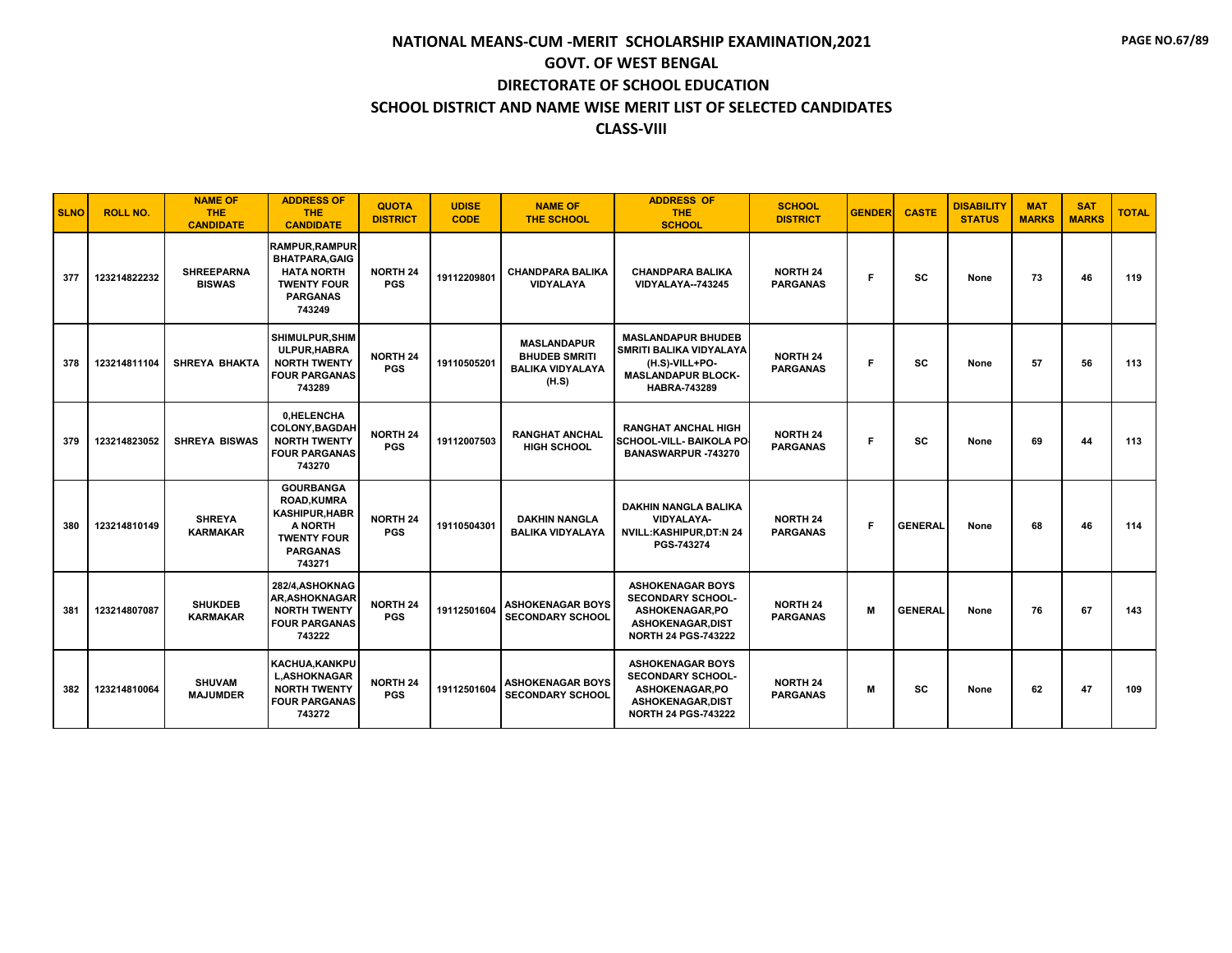| <b>SLNO</b> | <b>ROLL NO.</b> | <b>NAME OF</b><br><b>THE</b><br><b>CANDIDATE</b> | <b>ADDRESS OF</b><br><b>THE</b><br><b>CANDIDATE</b>                                                                         | <b>QUOTA</b><br><b>DISTRICT</b> | <b>UDISE</b><br><b>CODE</b> | <b>NAME OF</b><br><b>THE SCHOOL</b>                                            | <b>ADDRESS OF</b><br><b>THE</b><br><b>SCHOOL</b>                                                                                      | <b>SCHOOL</b><br><b>DISTRICT</b>   | <b>GENDER</b> | <b>CASTE</b>   | <b>DISABILITY</b><br><b>STATUS</b> | <b>MAT</b><br><b>MARKS</b> | <b>SAT</b><br><b>MARKS</b> | <b>TOTAL</b> |
|-------------|-----------------|--------------------------------------------------|-----------------------------------------------------------------------------------------------------------------------------|---------------------------------|-----------------------------|--------------------------------------------------------------------------------|---------------------------------------------------------------------------------------------------------------------------------------|------------------------------------|---------------|----------------|------------------------------------|----------------------------|----------------------------|--------------|
| 377         | 123214822232    | <b>SHREEPARNA</b><br><b>BISWAS</b>               | <b>RAMPUR, RAMPUR</b><br><b>BHATPARA.GAIG</b><br><b>HATA NORTH</b><br><b>TWENTY FOUR</b><br><b>PARGANAS</b><br>743249       | <b>NORTH 24</b><br><b>PGS</b>   | 19112209801                 | <b>CHANDPARA BALIKA</b><br><b>VIDYALAYA</b>                                    | <b>CHANDPARA BALIKA</b><br>VIDYALAYA--743245                                                                                          | <b>NORTH 24</b><br><b>PARGANAS</b> | F.            | sc             | None                               | 73                         | 46                         | 119          |
| 378         | 123214811104    | <b>SHREYA BHAKTA</b>                             | SHIMULPUR.SHIM<br>ULPUR.HABRA<br><b>NORTH TWENTY</b><br><b>FOUR PARGANAS</b><br>743289                                      | <b>NORTH 24</b><br><b>PGS</b>   | 19110505201                 | <b>MASLANDAPUR</b><br><b>BHUDEB SMRITI</b><br><b>BALIKA VIDYALAYA</b><br>(H.S) | <b>MASLANDAPUR BHUDEB</b><br><b>SMRITI BALIKA VIDYALAYA</b><br>(H.S)-VILL+PO-<br><b>MASLANDAPUR BLOCK-</b><br><b>HABRA-743289</b>     | <b>NORTH 24</b><br><b>PARGANAS</b> | F             | SC             | None                               | 57                         | 56                         | 113          |
| 379         | 123214823052    | <b>SHREYA BISWAS</b>                             | 0.HELENCHA<br><b>COLONY, BAGDAH</b><br><b>NORTH TWENTY</b><br><b>FOUR PARGANAS</b><br>743270                                | <b>NORTH 24</b><br><b>PGS</b>   | 19112007503                 | <b>RANGHAT ANCHAL</b><br><b>HIGH SCHOOL</b>                                    | <b>RANGHAT ANCHAL HIGH</b><br>SCHOOL-VILL- BAIKOLA PO<br>BANASWARPUR -743270                                                          | <b>NORTH 24</b><br><b>PARGANAS</b> | F             | SC             | None                               | 69                         | 44                         | 113          |
| 380         | 123214810149    | <b>SHREYA</b><br><b>KARMAKAR</b>                 | <b>GOURBANGA</b><br><b>ROAD.KUMRA</b><br><b>KASHIPUR.HABR</b><br>A NORTH<br><b>TWENTY FOUR</b><br><b>PARGANAS</b><br>743271 | <b>NORTH 24</b><br><b>PGS</b>   | 19110504301                 | <b>DAKHIN NANGLA</b><br><b>BALIKA VIDYALAYA</b>                                | <b>DAKHIN NANGLA BALIKA</b><br>VIDYALAYA-<br>NVILL:KASHIPUR,DT:N 24<br>PGS-743274                                                     | <b>NORTH 24</b><br><b>PARGANAS</b> | F             | <b>GENERAL</b> | None                               | 68                         | 46                         | 114          |
| 381         | 123214807087    | <b>SHUKDEB</b><br><b>KARMAKAR</b>                | 282/4.ASHOKNAG<br><b>AR, ASHOKNAGAR</b><br><b>NORTH TWENTY</b><br><b>FOUR PARGANAS</b><br>743222                            | <b>NORTH 24</b><br><b>PGS</b>   | 19112501604                 | <b>ASHOKENAGAR BOYS</b><br><b>SECONDARY SCHOOL</b>                             | <b>ASHOKENAGAR BOYS</b><br><b>SECONDARY SCHOOL-</b><br>ASHOKENAGAR.PO<br>ASHOKENAGAR, DIST<br><b>NORTH 24 PGS-743222</b>              | <b>NORTH 24</b><br><b>PARGANAS</b> | M             | <b>GENERAL</b> | None                               | 76                         | 67                         | 143          |
| 382         | 123214810064    | <b>SHUVAM</b><br><b>MAJUMDER</b>                 | <b>KACHUA.KANKPU</b><br><b>L,ASHOKNAGAR</b><br><b>NORTH TWENTY</b><br><b>FOUR PARGANAS</b><br>743272                        | <b>NORTH 24</b><br><b>PGS</b>   | 19112501604                 | <b>ASHOKENAGAR BOYS</b><br><b>SECONDARY SCHOOL</b>                             | <b>ASHOKENAGAR BOYS</b><br><b>SECONDARY SCHOOL-</b><br><b>ASHOKENAGAR,PO</b><br><b>ASHOKENAGAR.DIST</b><br><b>NORTH 24 PGS-743222</b> | <b>NORTH 24</b><br><b>PARGANAS</b> | M             | <b>SC</b>      | None                               | 62                         | 47                         | 109          |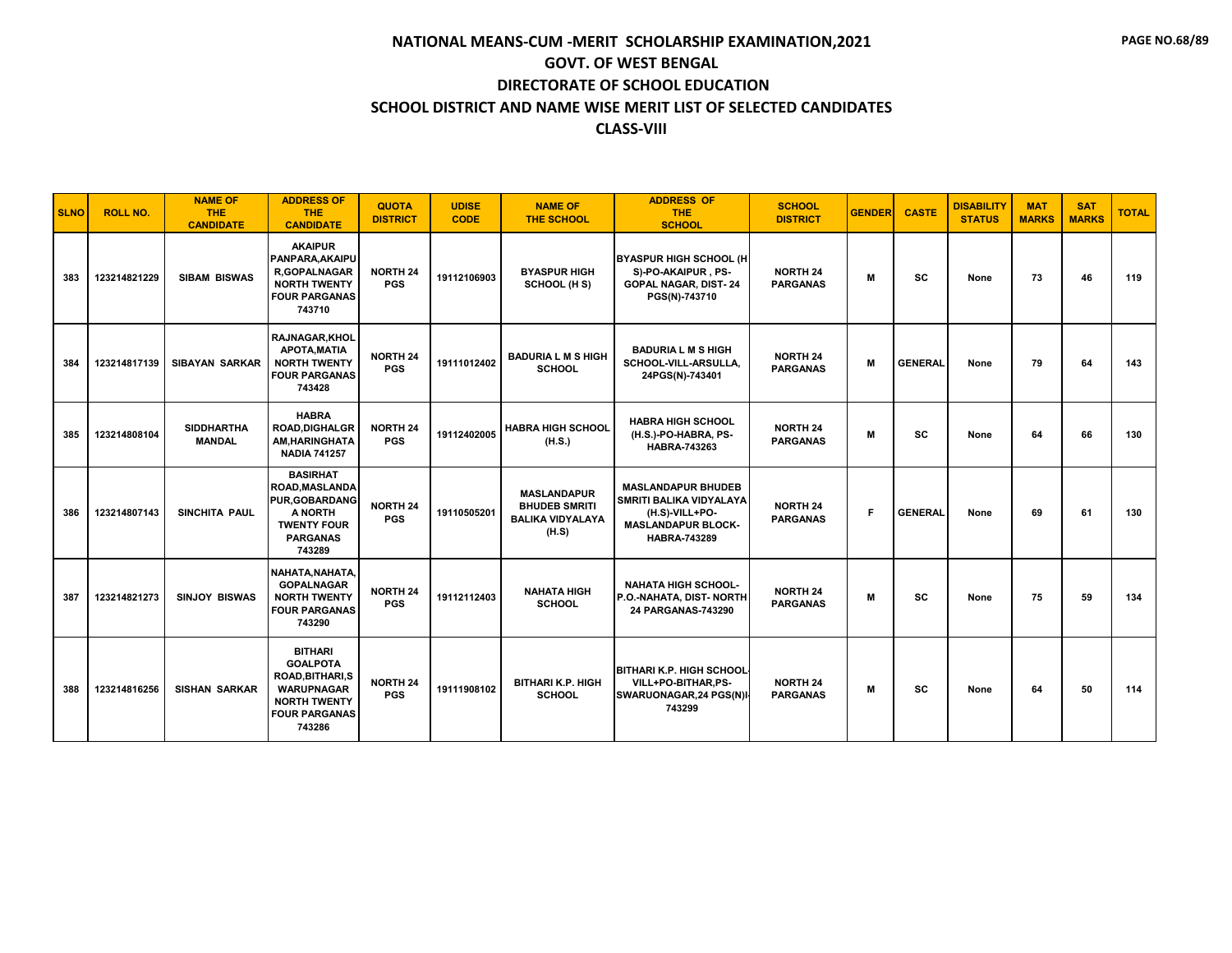| <b>SLNO</b> | <b>ROLL NO.</b> | <b>NAME OF</b><br><b>THE</b><br><b>CANDIDATE</b> | <b>ADDRESS OF</b><br><b>THE</b><br><b>CANDIDATE</b>                                                                                        | <b>QUOTA</b><br><b>DISTRICT</b>   | <b>UDISE</b><br><b>CODE</b> | <b>NAME OF</b><br>THE SCHOOL                                                   | <b>ADDRESS OF</b><br><b>THE</b><br><b>SCHOOL</b>                                                                           | <b>SCHOOL</b><br><b>DISTRICT</b>   | <b>GENDER</b> | <b>CASTE</b>   | <b>DISABILITY</b><br><b>STATUS</b> | <b>MAT</b><br><b>MARKS</b> | <b>SAT</b><br><b>MARKS</b> | <b>TOTAL</b> |
|-------------|-----------------|--------------------------------------------------|--------------------------------------------------------------------------------------------------------------------------------------------|-----------------------------------|-----------------------------|--------------------------------------------------------------------------------|----------------------------------------------------------------------------------------------------------------------------|------------------------------------|---------------|----------------|------------------------------------|----------------------------|----------------------------|--------------|
| 383         | 123214821229    | <b>SIBAM BISWAS</b>                              | <b>AKAIPUR</b><br>PANPARA, AKAIPU<br><b>R,GOPALNAGAR</b><br><b>NORTH TWENTY</b><br><b>FOUR PARGANAS</b><br>743710                          | <b>NORTH 24</b><br><b>PGS</b>     | 19112106903                 | <b>BYASPUR HIGH</b><br>SCHOOL (H S)                                            | <b>BYASPUR HIGH SCHOOL (H</b><br>S)-PO-AKAIPUR, PS-<br><b>GOPAL NAGAR, DIST-24</b><br>PGS(N)-743710                        | <b>NORTH 24</b><br><b>PARGANAS</b> | M             | <b>SC</b>      | None                               | 73                         | 46                         | 119          |
| 384         | 123214817139    | <b>SIBAYAN SARKAR</b>                            | <b>RAJNAGAR.KHOL</b><br><b>APOTA, MATIA</b><br><b>NORTH TWENTY</b><br><b>FOUR PARGANAS</b><br>743428                                       | <b>NORTH 24</b><br><b>PGS</b>     | 19111012402                 | <b>BADURIA L M S HIGH</b><br><b>SCHOOL</b>                                     | <b>BADURIA L M S HIGH</b><br>SCHOOL-VILL-ARSULLA,<br>24PGS(N)-743401                                                       | <b>NORTH 24</b><br><b>PARGANAS</b> | M             | <b>GENERAL</b> | None                               | 79                         | 64                         | 143          |
| 385         | 123214808104    | <b>SIDDHARTHA</b><br><b>MANDAL</b>               | <b>HABRA</b><br><b>ROAD, DIGHALGR</b><br>AM, HARINGHATA<br><b>NADIA 741257</b>                                                             | <b>NORTH 24</b><br><b>PGS</b>     | 19112402005                 | <b>HABRA HIGH SCHOOL</b><br>(H.S.)                                             | <b>HABRA HIGH SCHOOL</b><br>(H.S.)-PO-HABRA, PS-<br><b>HABRA-743263</b>                                                    | <b>NORTH 24</b><br><b>PARGANAS</b> | M             | SC             | None                               | 64                         | 66                         | 130          |
| 386         | 123214807143    | SINCHITA PAUL                                    | <b>BASIRHAT</b><br><b>ROAD, MASLANDA</b><br><b>PUR, GOBARDANG</b><br>A NORTH<br><b>TWENTY FOUR</b><br><b>PARGANAS</b><br>743289            | NORTH <sub>24</sub><br><b>PGS</b> | 19110505201                 | <b>MASLANDAPUR</b><br><b>BHUDEB SMRITI</b><br><b>BALIKA VIDYALAYA</b><br>(H.S) | <b>MASLANDAPUR BHUDEB</b><br>SMRITI BALIKA VIDYALAYA<br>(H.S)-VILL+PO-<br><b>MASLANDAPUR BLOCK-</b><br><b>HABRA-743289</b> | <b>NORTH 24</b><br><b>PARGANAS</b> | F.            | <b>GENERAL</b> | None                               | 69                         | 61                         | 130          |
| 387         | 123214821273    | <b>SINJOY BISWAS</b>                             | NAHATA, NAHATA,<br><b>GOPALNAGAR</b><br><b>NORTH TWENTY</b><br><b>FOUR PARGANAS</b><br>743290                                              | <b>NORTH 24</b><br><b>PGS</b>     | 19112112403                 | <b>NAHATA HIGH</b><br><b>SCHOOL</b>                                            | <b>NAHATA HIGH SCHOOL-</b><br>P.O.-NAHATA, DIST-NORTH<br>24 PARGANAS-743290                                                | <b>NORTH 24</b><br><b>PARGANAS</b> | M             | <b>SC</b>      | None                               | 75                         | 59                         | 134          |
| 388         | 123214816256    | <b>SISHAN SARKAR</b>                             | <b>BITHARI</b><br><b>GOALPOTA</b><br><b>ROAD, BITHARI, S</b><br><b>WARUPNAGAR</b><br><b>NORTH TWENTY</b><br><b>FOUR PARGANAS</b><br>743286 | <b>NORTH 24</b><br><b>PGS</b>     | 19111908102                 | <b>BITHARI K.P. HIGH</b><br><b>SCHOOL</b>                                      | <b>BITHARI K.P. HIGH SCHOOL</b><br>VILL+PO-BITHAR,PS-<br>SWARUONAGAR, 24 PGS(N)<br>743299                                  | <b>NORTH 24</b><br><b>PARGANAS</b> | м             | <b>SC</b>      | None                               | 64                         | 50                         | 114          |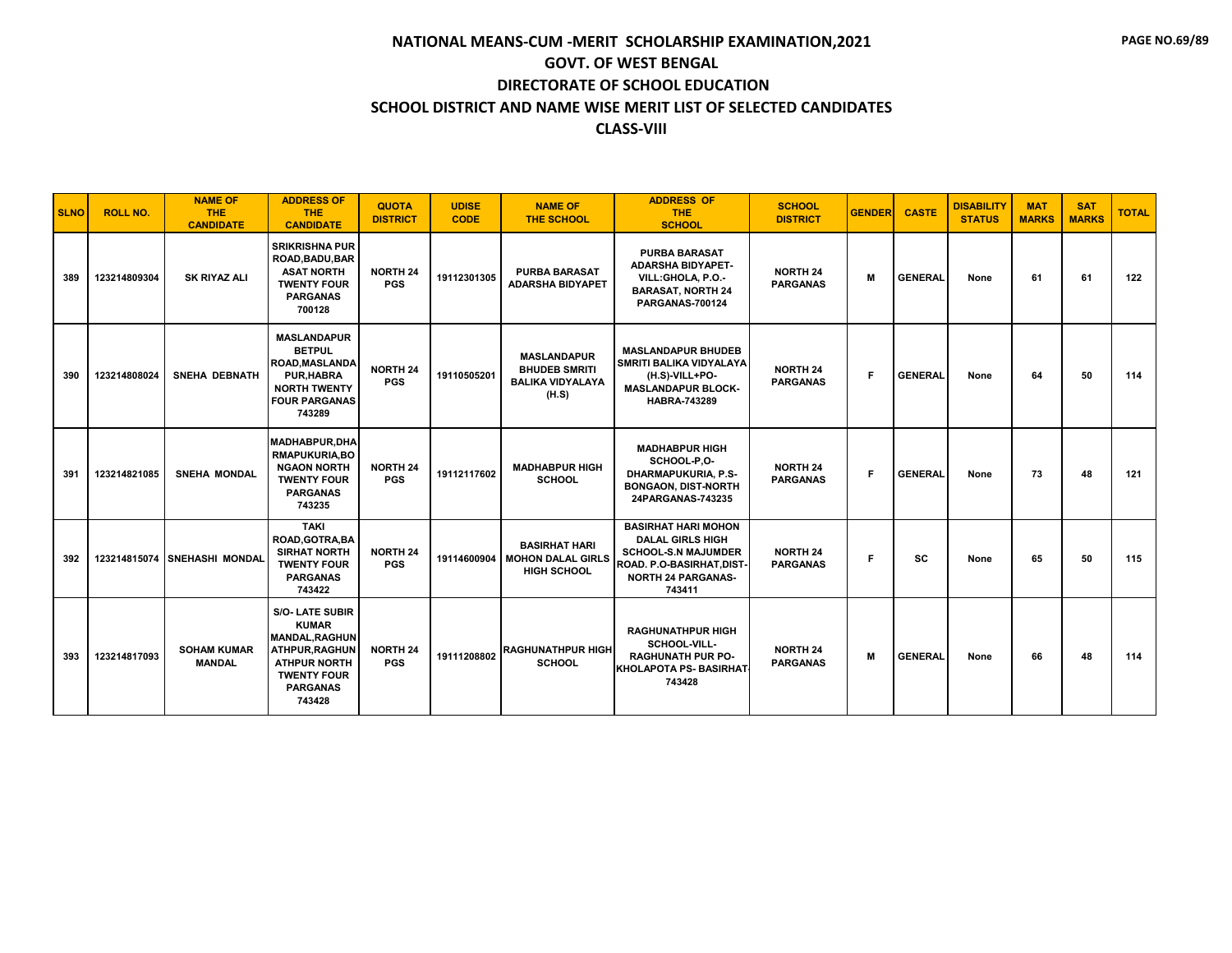| <b>SLNO</b> | <b>ROLL NO.</b> | <b>NAME OF</b><br><b>THE</b><br><b>CANDIDATE</b> | <b>ADDRESS OF</b><br><b>THE</b><br><b>CANDIDATE</b>                                                                                                        | <b>QUOTA</b><br><b>DISTRICT</b> | <b>UDISE</b><br><b>CODE</b> | <b>NAME OF</b><br><b>THE SCHOOL</b>                                            | <b>ADDRESS OF</b><br><b>THE</b><br><b>SCHOOL</b>                                                                                                        | <b>SCHOOL</b><br><b>DISTRICT</b>   | <b>GENDER</b> | <b>CASTE</b>   | <b>DISABILITY</b><br><b>STATUS</b> | <b>MAT</b><br><b>MARKS</b> | <b>SAT</b><br><b>MARKS</b> | <b>TOTAL</b> |
|-------------|-----------------|--------------------------------------------------|------------------------------------------------------------------------------------------------------------------------------------------------------------|---------------------------------|-----------------------------|--------------------------------------------------------------------------------|---------------------------------------------------------------------------------------------------------------------------------------------------------|------------------------------------|---------------|----------------|------------------------------------|----------------------------|----------------------------|--------------|
| 389         | 123214809304    | <b>SK RIYAZ ALI</b>                              | <b>SRIKRISHNA PUR</b><br>ROAD, BADU, BAR<br><b>ASAT NORTH</b><br><b>TWENTY FOUR</b><br><b>PARGANAS</b><br>700128                                           | <b>NORTH 24</b><br><b>PGS</b>   | 19112301305                 | <b>PURBA BARASAT</b><br><b>ADARSHA BIDYAPET</b>                                | <b>PURBA BARASAT</b><br><b>ADARSHA BIDYAPET-</b><br>VILL:GHOLA, P.O.-<br><b>BARASAT, NORTH 24</b><br>PARGANAS-700124                                    | <b>NORTH 24</b><br><b>PARGANAS</b> | M             | <b>GENERAL</b> | None                               | 61                         | 61                         | 122          |
| 390         | 123214808024    | <b>SNEHA DEBNATH</b>                             | <b>MASLANDAPUR</b><br><b>BETPUL</b><br><b>ROAD.MASLANDA</b><br><b>PUR, HABRA</b><br><b>NORTH TWENTY</b><br><b>FOUR PARGANAS</b><br>743289                  | <b>NORTH 24</b><br><b>PGS</b>   | 19110505201                 | <b>MASLANDAPUR</b><br><b>BHUDEB SMRITI</b><br><b>BALIKA VIDYALAYA</b><br>(H.S) | <b>MASLANDAPUR BHUDEB</b><br><b>SMRITI BALIKA VIDYALAYA</b><br>(H.S)-VILL+PO-<br><b>MASLANDAPUR BLOCK-</b><br><b>HABRA-743289</b>                       | <b>NORTH 24</b><br><b>PARGANAS</b> | F.            | <b>GENERAL</b> | None                               | 64                         | 50                         | 114          |
| 391         | 123214821085    | <b>SNEHA MONDAL</b>                              | <b>MADHABPUR, DHA</b><br><b>RMAPUKURIA.BO</b><br><b>NGAON NORTH</b><br><b>TWENTY FOUR</b><br><b>PARGANAS</b><br>743235                                     | <b>NORTH 24</b><br><b>PGS</b>   | 19112117602                 | <b>MADHABPUR HIGH</b><br><b>SCHOOL</b>                                         | <b>MADHABPUR HIGH</b><br>SCHOOL-P,O-<br><b>DHARMAPUKURIA, P.S-</b><br><b>BONGAON, DIST-NORTH</b><br>24PARGANAS-743235                                   | <b>NORTH 24</b><br><b>PARGANAS</b> | F.            | <b>GENERAL</b> | None                               | 73                         | 48                         | 121          |
| 392         |                 | 123214815074 SNEHASHI MONDAL                     | <b>TAKI</b><br>ROAD, GOTRA, BA<br><b>SIRHAT NORTH</b><br><b>TWENTY FOUR</b><br><b>PARGANAS</b><br>743422                                                   | <b>NORTH 24</b><br><b>PGS</b>   | 19114600904                 | <b>BASIRHAT HARI</b><br><b>MOHON DALAL GIRLS</b><br><b>HIGH SCHOOL</b>         | <b>BASIRHAT HARI MOHON</b><br><b>DALAL GIRLS HIGH</b><br><b>SCHOOL-S.N MAJUMDER</b><br>ROAD. P.O-BASIRHAT, DIST-<br><b>NORTH 24 PARGANAS-</b><br>743411 | <b>NORTH 24</b><br><b>PARGANAS</b> | F.            | SC             | None                               | 65                         | 50                         | 115          |
| 393         | 123214817093    | <b>SOHAM KUMAR</b><br><b>MANDAL</b>              | <b>S/O- LATE SUBIR</b><br><b>KUMAR</b><br><b>MANDAL.RAGHUN</b><br>ATHPUR, RAGHUN<br><b>ATHPUR NORTH</b><br><b>TWENTY FOUR</b><br><b>PARGANAS</b><br>743428 | <b>NORTH 24</b><br><b>PGS</b>   | 19111208802                 | <b>RAGHUNATHPUR HIGH</b><br><b>SCHOOL</b>                                      | <b>RAGHUNATHPUR HIGH</b><br>SCHOOL-VILL-<br><b>RAGHUNATH PUR PO-</b><br><b>KHOLAPOTA PS- BASIRHAT</b><br>743428                                         | <b>NORTH 24</b><br><b>PARGANAS</b> | M             | <b>GENERAL</b> | None                               | 66                         | 48                         | 114          |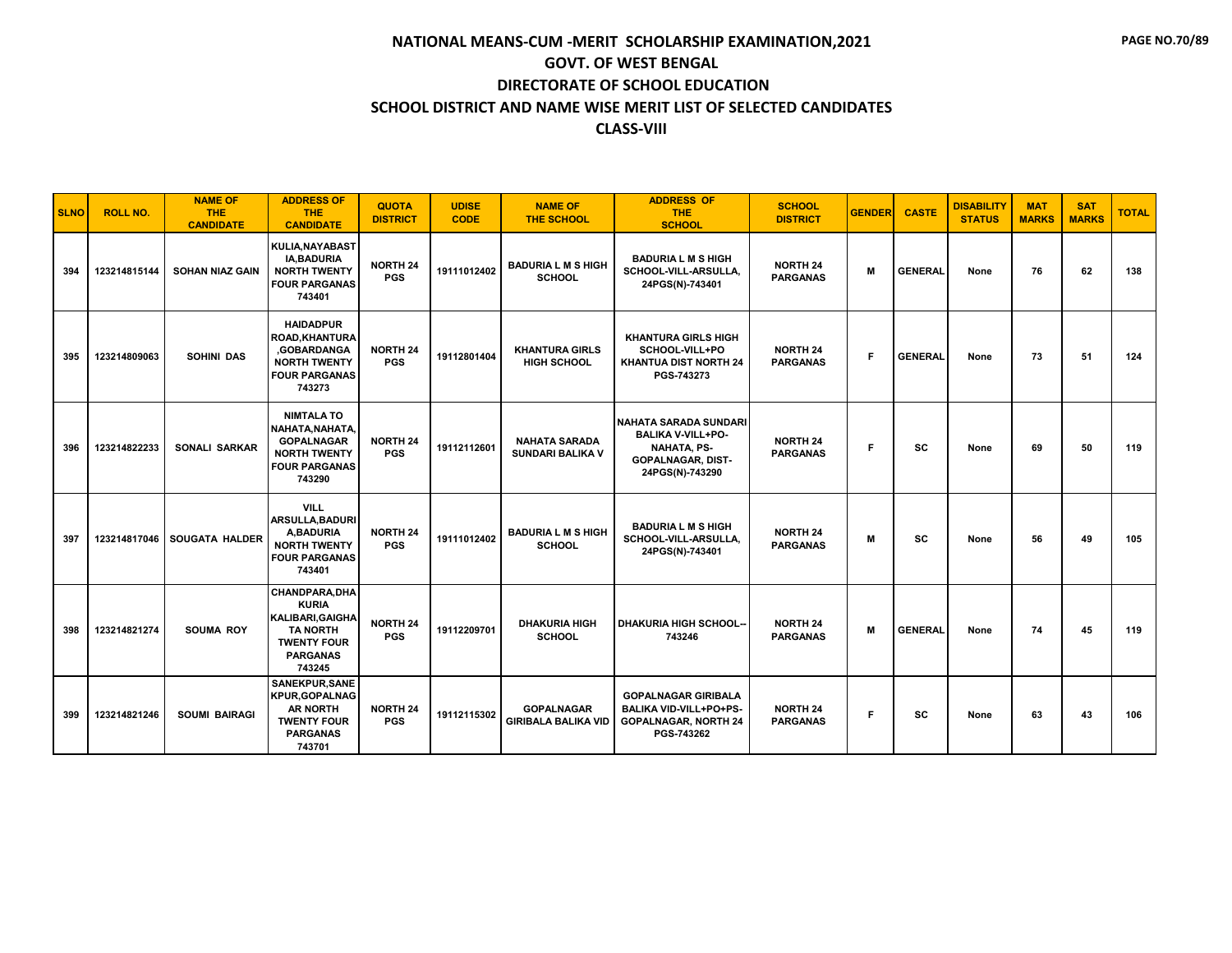| <b>SLNO</b> | <b>ROLL NO.</b> | <b>NAME OF</b><br><b>THE</b><br><b>CANDIDATE</b> | <b>ADDRESS OF</b><br><b>THE</b><br><b>CANDIDATE</b>                                                                                   | <b>QUOTA</b><br><b>DISTRICT</b> | <b>UDISE</b><br><b>CODE</b> | <b>NAME OF</b><br><b>THE SCHOOL</b>             | <b>ADDRESS OF</b><br><b>THE</b><br><b>SCHOOL</b>                                                                         | <b>SCHOOL</b><br><b>DISTRICT</b>   | <b>GENDER</b> | <b>CASTE</b>   | <b>DISABILITY</b><br><b>STATUS</b> | <b>MAT</b><br><b>MARKS</b> | <b>SAT</b><br><b>MARKS</b> | <b>TOTAL</b> |
|-------------|-----------------|--------------------------------------------------|---------------------------------------------------------------------------------------------------------------------------------------|---------------------------------|-----------------------------|-------------------------------------------------|--------------------------------------------------------------------------------------------------------------------------|------------------------------------|---------------|----------------|------------------------------------|----------------------------|----------------------------|--------------|
| 394         | 123214815144    | <b>SOHAN NIAZ GAIN</b>                           | KULIA, NAYABAST<br><b>IA.BADURIA</b><br><b>NORTH TWENTY</b><br><b>FOUR PARGANAS</b><br>743401                                         | <b>NORTH 24</b><br><b>PGS</b>   | 19111012402                 | <b>BADURIA L M S HIGH</b><br><b>SCHOOL</b>      | <b>BADURIA L M S HIGH</b><br>SCHOOL-VILL-ARSULLA.<br>24PGS(N)-743401                                                     | <b>NORTH 24</b><br><b>PARGANAS</b> | M             | <b>GENERAL</b> | None                               | 76                         | 62                         | 138          |
| 395         | 123214809063    | <b>SOHINI DAS</b>                                | <b>HAIDADPUR</b><br><b>ROAD, KHANTURA</b><br>,GOBARDANGA<br><b>NORTH TWENTY</b><br><b>FOUR PARGANAS</b><br>743273                     | <b>NORTH 24</b><br><b>PGS</b>   | 19112801404                 | <b>KHANTURA GIRLS</b><br><b>HIGH SCHOOL</b>     | <b>KHANTURA GIRLS HIGH</b><br>SCHOOL-VILL+PO<br><b>KHANTUA DIST NORTH 24</b><br>PGS-743273                               | <b>NORTH 24</b><br><b>PARGANAS</b> | F.            | <b>GENERAL</b> | None                               | 73                         | 51                         | 124          |
| 396         | 123214822233    | <b>SONALI SARKAR</b>                             | <b>NIMTALA TO</b><br>NAHATA.NAHATA.<br><b>GOPALNAGAR</b><br><b>NORTH TWENTY</b><br><b>FOUR PARGANAS</b><br>743290                     | <b>NORTH 24</b><br><b>PGS</b>   | 19112112601                 | <b>NAHATA SARADA</b><br><b>SUNDARI BALIKA V</b> | I NAHATA SARADA SUNDARI<br><b>BALIKA V-VILL+PO-</b><br><b>NAHATA, PS-</b><br><b>GOPALNAGAR, DIST-</b><br>24PGS(N)-743290 | <b>NORTH 24</b><br><b>PARGANAS</b> | F.            | SC             | None                               | 69                         | 50                         | 119          |
| 397         | 123214817046    | <b>SOUGATA HALDER</b>                            | <b>VILL</b><br><b>ARSULLA, BADURI</b><br>A.BADURIA<br><b>NORTH TWENTY</b><br><b>FOUR PARGANAS</b><br>743401                           | <b>NORTH 24</b><br><b>PGS</b>   | 19111012402                 | <b>BADURIA L M S HIGH</b><br><b>SCHOOL</b>      | <b>BADURIA L M S HIGH</b><br>SCHOOL-VILL-ARSULLA,<br>24PGS(N)-743401                                                     | <b>NORTH 24</b><br><b>PARGANAS</b> | M             | SC             | None                               | 56                         | 49                         | 105          |
| 398         | 123214821274    | <b>SOUMA ROY</b>                                 | <b>CHANDPARA, DHA</b><br><b>KURIA</b><br><b>KALIBARI.GAIGHA</b><br><b>TA NORTH</b><br><b>TWENTY FOUR</b><br><b>PARGANAS</b><br>743245 | <b>NORTH 24</b><br><b>PGS</b>   | 19112209701                 | <b>DHAKURIA HIGH</b><br><b>SCHOOL</b>           | <b>DHAKURIA HIGH SCHOOL--</b><br>743246                                                                                  | <b>NORTH 24</b><br><b>PARGANAS</b> | M             | <b>GENERAL</b> | None                               | 74                         | 45                         | 119          |
| 399         | 123214821246    | <b>SOUMI BAIRAGI</b>                             | SANEKPUR, SANE<br><b>KPUR, GOPALNAG</b><br><b>AR NORTH</b><br><b>TWENTY FOUR</b><br><b>PARGANAS</b><br>743701                         | <b>NORTH 24</b><br><b>PGS</b>   | 19112115302                 | <b>GOPALNAGAR</b><br><b>GIRIBALA BALIKA VID</b> | <b>GOPALNAGAR GIRIBALA</b><br><b>BALIKA VID-VILL+PO+PS-</b><br><b>GOPALNAGAR, NORTH 24</b><br>PGS-743262                 | <b>NORTH 24</b><br><b>PARGANAS</b> | F.            | SC             | None                               | 63                         | 43                         | 106          |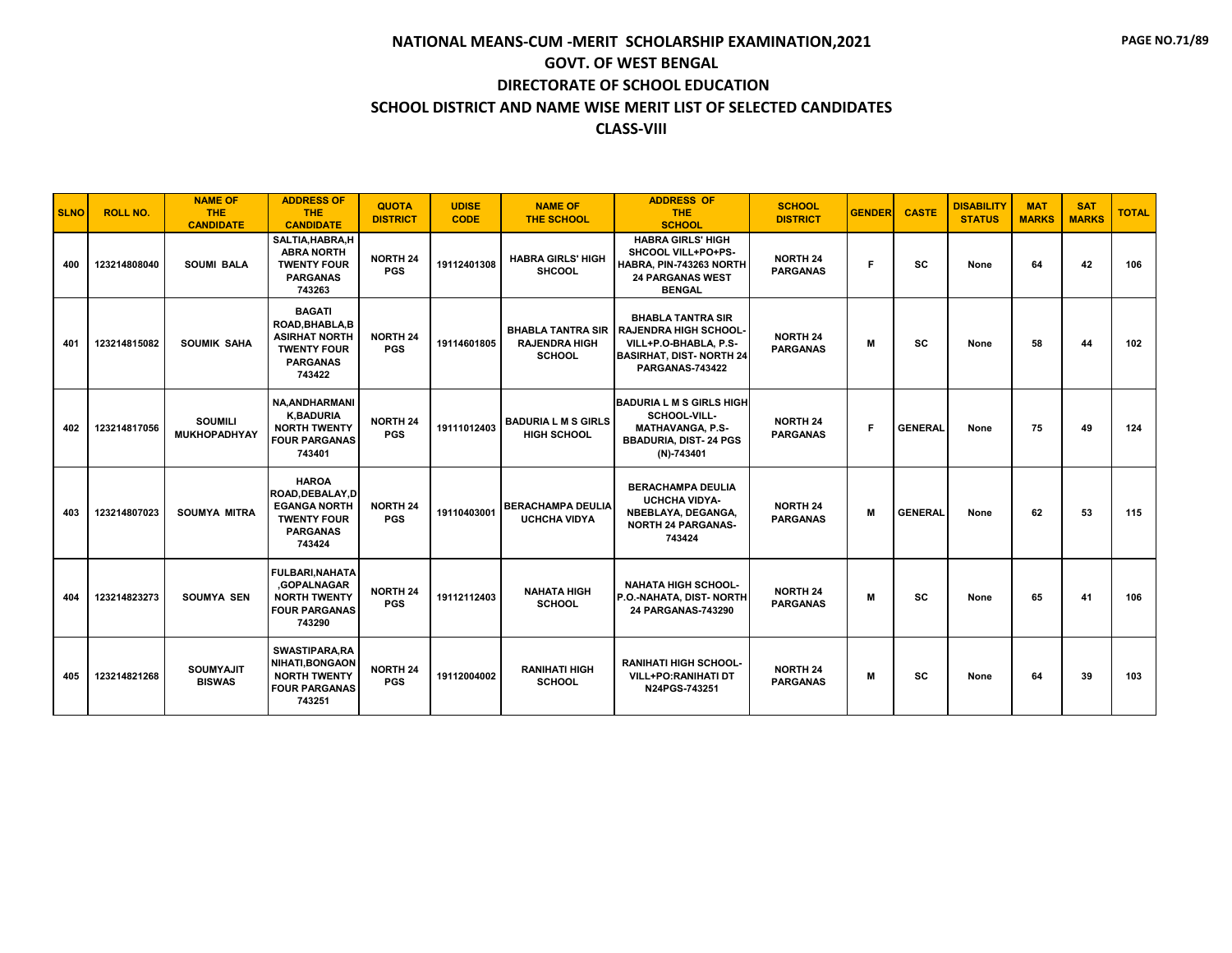| <b>SLNO</b> | <b>ROLL NO.</b> | <b>NAME OF</b><br><b>THE</b><br><b>CANDIDATE</b> | <b>ADDRESS OF</b><br><b>THE</b><br><b>CANDIDATE</b>                                                         | <b>QUOTA</b><br><b>DISTRICT</b> | <b>UDISE</b><br><b>CODE</b> | <b>NAME OF</b><br><b>THE SCHOOL</b>                               | <b>ADDRESS OF</b><br><b>THE</b><br><b>SCHOOL</b>                                                                                       | <b>SCHOOL</b><br><b>DISTRICT</b>   | <b>GENDER</b> | <b>CASTE</b>   | <b>DISABILITY</b><br><b>STATUS</b> | <b>MAT</b><br><b>MARKS</b> | <b>SAT</b><br><b>MARKS</b> | <b>TOTAL</b> |
|-------------|-----------------|--------------------------------------------------|-------------------------------------------------------------------------------------------------------------|---------------------------------|-----------------------------|-------------------------------------------------------------------|----------------------------------------------------------------------------------------------------------------------------------------|------------------------------------|---------------|----------------|------------------------------------|----------------------------|----------------------------|--------------|
| 400         | 123214808040    | <b>SOUMI BALA</b>                                | SALTIA, HABRA, H<br><b>ABRA NORTH</b><br><b>TWENTY FOUR</b><br><b>PARGANAS</b><br>743263                    | <b>NORTH 24</b><br><b>PGS</b>   | 19112401308                 | <b>HABRA GIRLS' HIGH</b><br><b>SHCOOL</b>                         | <b>HABRA GIRLS' HIGH</b><br>SHCOOL VILL+PO+PS-<br>HABRA, PIN-743263 NORTH<br><b>24 PARGANAS WEST</b><br><b>BENGAL</b>                  | <b>NORTH 24</b><br><b>PARGANAS</b> | Е             | <b>SC</b>      | None                               | 64                         | 42                         | 106          |
| 401         | 123214815082    | <b>SOUMIK SAHA</b>                               | <b>BAGATI</b><br>ROAD, BHABLA, B<br><b>ASIRHAT NORTH</b><br><b>TWENTY FOUR</b><br><b>PARGANAS</b><br>743422 | <b>NORTH 24</b><br><b>PGS</b>   | 19114601805                 | <b>BHABLA TANTRA SIR</b><br><b>RAJENDRA HIGH</b><br><b>SCHOOL</b> | <b>BHABLA TANTRA SIR</b><br><b>RAJENDRA HIGH SCHOOL-</b><br>VILL+P.O-BHABLA, P.S-<br><b>BASIRHAT, DIST-NORTH 24</b><br>PARGANAS-743422 | <b>NORTH 24</b><br><b>PARGANAS</b> | м             | <b>SC</b>      | None                               | 58                         | 44                         | 102          |
| 402         | 123214817056    | <b>SOUMILI</b><br><b>MUKHOPADHYAY</b>            | <b>NA, ANDHARMANI</b><br><b>K,BADURIA</b><br><b>NORTH TWENTY</b><br><b>FOUR PARGANAS</b><br>743401          | <b>NORTH 24</b><br><b>PGS</b>   | 19111012403                 | <b>BADURIA L M S GIRLS</b><br><b>HIGH SCHOOL</b>                  | <b>BADURIA L M S GIRLS HIGH</b><br>SCHOOL-VILL-<br><b>MATHAVANGA, P.S-</b><br><b>BBADURIA, DIST-24 PGS</b><br>$(N)-743401$             | <b>NORTH 24</b><br><b>PARGANAS</b> | F.            | <b>GENERAL</b> | None                               | 75                         | 49                         | 124          |
| 403         | 123214807023    | <b>SOUMYA MITRA</b>                              | <b>HAROA</b><br>ROAD, DEBALAY, D<br><b>EGANGA NORTH</b><br><b>TWENTY FOUR</b><br><b>PARGANAS</b><br>743424  | <b>NORTH 24</b><br><b>PGS</b>   | 19110403001                 | <b>BERACHAMPA DEULIA</b><br><b>UCHCHA VIDYA</b>                   | <b>BERACHAMPA DEULIA</b><br><b>UCHCHA VIDYA-</b><br>NBEBLAYA, DEGANGA,<br><b>NORTH 24 PARGANAS-</b><br>743424                          | <b>NORTH 24</b><br><b>PARGANAS</b> | M             | <b>GENERAL</b> | None                               | 62                         | 53                         | 115          |
| 404         | 123214823273    | <b>SOUMYA SEN</b>                                | <b>FULBARI, NAHATA</b><br>.GOPALNAGAR<br><b>NORTH TWENTY</b><br><b>FOUR PARGANAS</b><br>743290              | <b>NORTH 24</b><br><b>PGS</b>   | 19112112403                 | <b>NAHATA HIGH</b><br><b>SCHOOL</b>                               | <b>NAHATA HIGH SCHOOL-</b><br>P.O.-NAHATA, DIST- NORTH<br>24 PARGANAS-743290                                                           | <b>NORTH 24</b><br><b>PARGANAS</b> | м             | <b>SC</b>      | None                               | 65                         | 41                         | 106          |
| 405         | 123214821268    | <b>SOUMYAJIT</b><br><b>BISWAS</b>                | <b>SWASTIPARA,RA</b><br><b>NIHATI, BONGAON</b><br><b>NORTH TWENTY</b><br><b>FOUR PARGANAS</b><br>743251     | <b>NORTH 24</b><br><b>PGS</b>   | 19112004002                 | <b>RANIHATI HIGH</b><br><b>SCHOOL</b>                             | <b>RANIHATI HIGH SCHOOL-</b><br><b>VILL+PO:RANIHATI DT</b><br>N24PGS-743251                                                            | <b>NORTH 24</b><br><b>PARGANAS</b> | м             | <b>SC</b>      | None                               | 64                         | 39                         | 103          |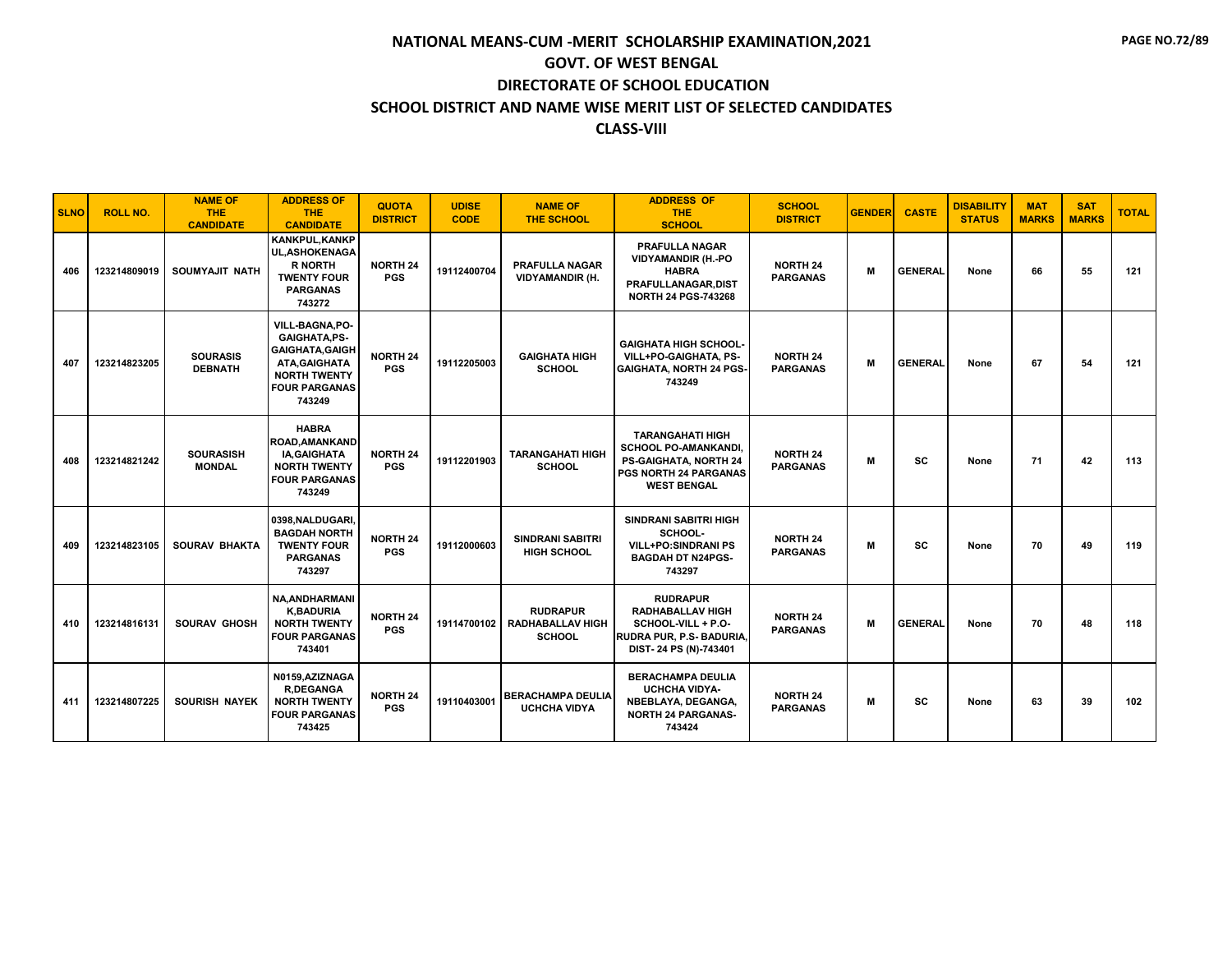| <b>SLNO</b> | <b>ROLL NO.</b> | <b>NAME OF</b><br><b>THE</b><br><b>CANDIDATE</b> | <b>ADDRESS OF</b><br><b>THE</b><br><b>CANDIDATE</b>                                                                                        | <b>QUOTA</b><br><b>DISTRICT</b> | <b>UDISE</b><br><b>CODE</b> | <b>NAME OF</b><br><b>THE SCHOOL</b>                         | <b>ADDRESS OF</b><br><b>THE</b><br><b>SCHOOL</b>                                                                        | <b>SCHOOL</b><br><b>DISTRICT</b>   | <b>GENDER</b> | <b>CASTE</b>   | <b>DISABILITY</b><br><b>STATUS</b> | <b>MAT</b><br><b>MARKS</b> | <b>SAT</b><br><b>MARKS</b> | <b>TOTAL</b> |
|-------------|-----------------|--------------------------------------------------|--------------------------------------------------------------------------------------------------------------------------------------------|---------------------------------|-----------------------------|-------------------------------------------------------------|-------------------------------------------------------------------------------------------------------------------------|------------------------------------|---------------|----------------|------------------------------------|----------------------------|----------------------------|--------------|
| 406         | 123214809019    | SOUMYAJIT NATH                                   | <b>KANKPUL, KANKP</b><br><b>UL, ASHOKENAGA</b><br><b>R NORTH</b><br><b>TWENTY FOUR</b><br><b>PARGANAS</b><br>743272                        | <b>NORTH 24</b><br><b>PGS</b>   | 19112400704                 | <b>PRAFULLA NAGAR</b><br><b>VIDYAMANDIR (H.</b>             | <b>PRAFULLA NAGAR</b><br><b>VIDYAMANDIR (H.-PO</b><br><b>HABRA</b><br>PRAFULLANAGAR, DIST<br><b>NORTH 24 PGS-743268</b> | <b>NORTH 24</b><br><b>PARGANAS</b> | M             | <b>GENERAL</b> | None                               | 66                         | 55                         | 121          |
| 407         | 123214823205    | <b>SOURASIS</b><br><b>DEBNATH</b>                | VILL-BAGNA, PO-<br><b>GAIGHATA.PS-</b><br><b>GAIGHATA, GAIGH</b><br>ATA, GAIGHATA<br><b>NORTH TWENTY</b><br><b>FOUR PARGANAS</b><br>743249 | <b>NORTH 24</b><br><b>PGS</b>   | 19112205003                 | <b>GAIGHATA HIGH</b><br><b>SCHOOL</b>                       | <b>GAIGHATA HIGH SCHOOL-</b><br>VILL+PO-GAIGHATA, PS-<br><b>GAIGHATA, NORTH 24 PGS-</b><br>743249                       | <b>NORTH 24</b><br><b>PARGANAS</b> | M             | <b>GENERAL</b> | None                               | 67                         | 54                         | 121          |
| 408         | 123214821242    | <b>SOURASISH</b><br><b>MONDAL</b>                | <b>HABRA</b><br><b>ROAD, AMANKAND</b><br><b>IA, GAIGHATA</b><br><b>NORTH TWENTY</b><br><b>FOUR PARGANAS</b><br>743249                      | <b>NORTH 24</b><br><b>PGS</b>   | 19112201903                 | <b>TARANGAHATI HIGH</b><br><b>SCHOOL</b>                    | TARANGAHATI HIGH<br>SCHOOL PO-AMANKANDI,<br>PS-GAIGHATA, NORTH 24<br><b>PGS NORTH 24 PARGANAS</b><br><b>WEST BENGAL</b> | <b>NORTH 24</b><br><b>PARGANAS</b> | M             | <b>SC</b>      | None                               | 71                         | 42                         | 113          |
| 409         | 123214823105    | <b>SOURAV BHAKTA</b>                             | 0398.NALDUGARI.<br><b>BAGDAH NORTH</b><br><b>TWENTY FOUR</b><br><b>PARGANAS</b><br>743297                                                  | <b>NORTH 24</b><br><b>PGS</b>   | 19112000603                 | <b>SINDRANI SABITRI</b><br><b>HIGH SCHOOL</b>               | <b>SINDRANI SABITRI HIGH</b><br>SCHOOL-<br><b>VILL+PO:SINDRANI PS</b><br><b>BAGDAH DT N24PGS-</b><br>743297             | <b>NORTH 24</b><br><b>PARGANAS</b> | М             | SC             | None                               | 70                         | 49                         | 119          |
| 410         | 123214816131    | <b>SOURAV GHOSH</b>                              | <b>NA, ANDHARMANI</b><br><b>K,BADURIA</b><br><b>NORTH TWENTY</b><br><b>FOUR PARGANAS</b><br>743401                                         | <b>NORTH 24</b><br><b>PGS</b>   | 19114700102                 | <b>RUDRAPUR</b><br><b>RADHABALLAV HIGH</b><br><b>SCHOOL</b> | <b>RUDRAPUR</b><br><b>RADHABALLAV HIGH</b><br>SCHOOL-VILL + P.O-<br>RUDRA PUR, P.S- BADURIA,<br>DIST-24 PS (N)-743401   | <b>NORTH 24</b><br><b>PARGANAS</b> | M             | <b>GENERAL</b> | None                               | 70                         | 48                         | 118          |
| 411         | 123214807225    | <b>SOURISH NAYEK</b>                             | N0159, AZIZNAGA<br><b>R,DEGANGA</b><br><b>NORTH TWENTY</b><br><b>FOUR PARGANAS</b><br>743425                                               | <b>NORTH 24</b><br><b>PGS</b>   | 19110403001                 | <b>BERACHAMPA DEULIA</b><br><b>UCHCHA VIDYA</b>             | <b>BERACHAMPA DEULIA</b><br><b>UCHCHA VIDYA-</b><br>NBEBLAYA, DEGANGA,<br><b>NORTH 24 PARGANAS-</b><br>743424           | <b>NORTH 24</b><br><b>PARGANAS</b> | м             | sc             | None                               | 63                         | 39                         | 102          |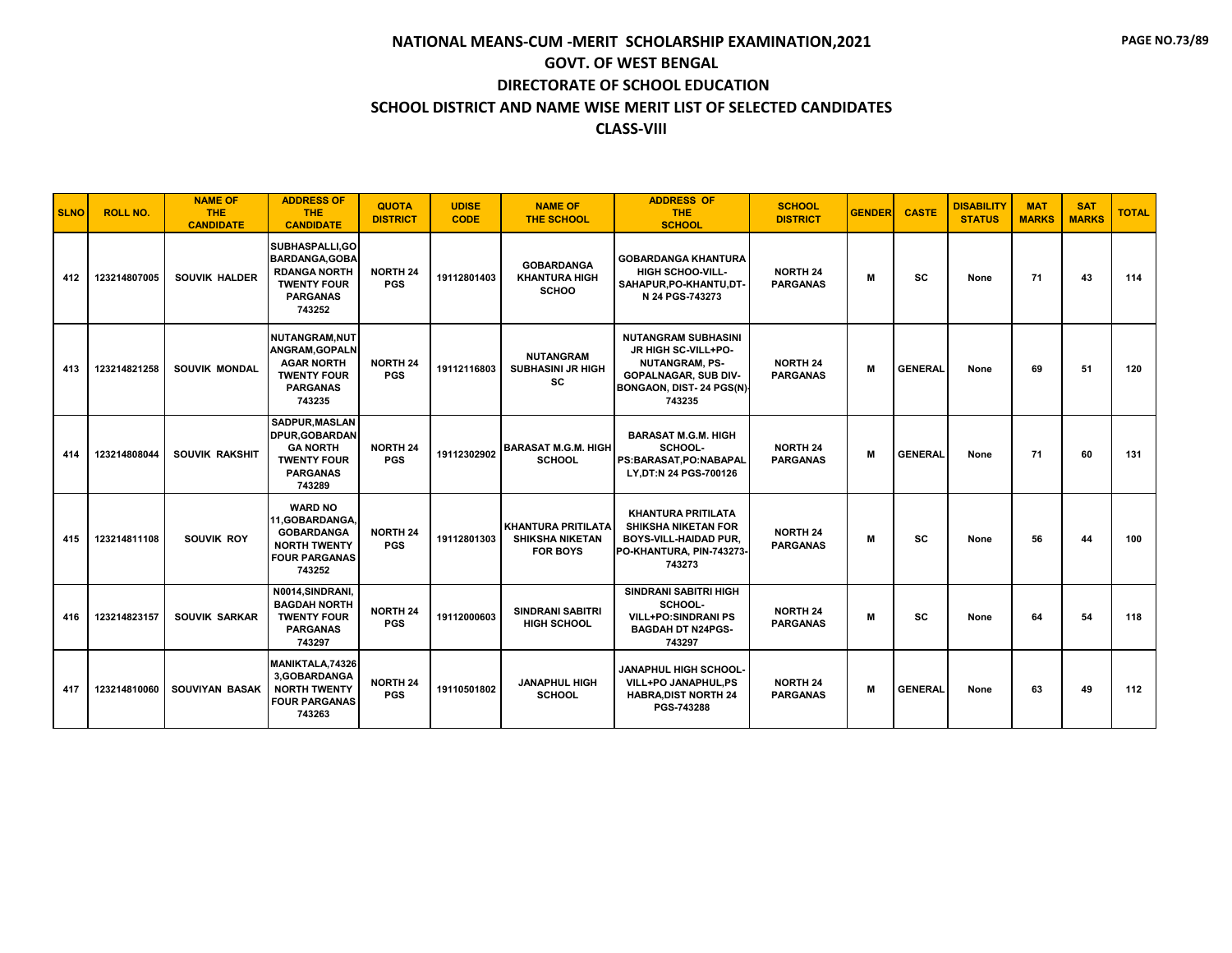| <b>SLNO</b> | <b>ROLL NO.</b> | <b>NAME OF</b><br><b>THE</b><br><b>CANDIDATE</b> | <b>ADDRESS OF</b><br><b>THE</b><br><b>CANDIDATE</b>                                                                   | <b>QUOTA</b><br><b>DISTRICT</b> | <b>UDISE</b><br><b>CODE</b> | <b>NAME OF</b><br><b>THE SCHOOL</b>                                    | <b>ADDRESS OF</b><br><b>THE</b><br><b>SCHOOL</b>                                                                                                | <b>SCHOOL</b><br><b>DISTRICT</b>   | <b>GENDER</b> | <b>CASTE</b>   | <b>DISABILITY</b><br><b>STATUS</b> | <b>MAT</b><br><b>MARKS</b> | <b>SAT</b><br><b>MARKS</b> | <b>TOTAL</b> |
|-------------|-----------------|--------------------------------------------------|-----------------------------------------------------------------------------------------------------------------------|---------------------------------|-----------------------------|------------------------------------------------------------------------|-------------------------------------------------------------------------------------------------------------------------------------------------|------------------------------------|---------------|----------------|------------------------------------|----------------------------|----------------------------|--------------|
| 412         | 123214807005    | <b>SOUVIK HALDER</b>                             | SUBHASPALLI, GO<br><b>BARDANGA, GOBA</b><br><b>RDANGA NORTH</b><br><b>TWENTY FOUR</b><br><b>PARGANAS</b><br>743252    | <b>NORTH 24</b><br><b>PGS</b>   | 19112801403                 | <b>GOBARDANGA</b><br><b>KHANTURA HIGH</b><br><b>SCHOO</b>              | <b>GOBARDANGA KHANTURA</b><br><b>HIGH SCHOO-VILL-</b><br>SAHAPUR, PO-KHANTU, DT-<br>N 24 PGS-743273                                             | <b>NORTH 24</b><br><b>PARGANAS</b> | м             | <b>SC</b>      | None                               | 71                         | 43                         | 114          |
| 413         | 123214821258    | <b>SOUVIK MONDAL</b>                             | <b>NUTANGRAM.NUT</b><br><b>ANGRAM, GOPALN</b><br><b>AGAR NORTH</b><br><b>TWENTY FOUR</b><br><b>PARGANAS</b><br>743235 | <b>NORTH 24</b><br><b>PGS</b>   | 19112116803                 | <b>NUTANGRAM</b><br><b>SUBHASINI JR HIGH</b><br>SC                     | <b>NUTANGRAM SUBHASINI</b><br>JR HIGH SC-VILL+PO-<br><b>NUTANGRAM, PS-</b><br><b>GOPALNAGAR, SUB DIV-</b><br>BONGAON, DIST- 24 PGS(N)<br>743235 | <b>NORTH 24</b><br><b>PARGANAS</b> | M             | <b>GENERAL</b> | None                               | 69                         | 51                         | 120          |
| 414         | 123214808044    | <b>SOUVIK RAKSHIT</b>                            | SADPUR, MASLAN<br><b>DPUR, GOBARDAN</b><br><b>GA NORTH</b><br><b>TWENTY FOUR</b><br><b>PARGANAS</b><br>743289         | <b>NORTH 24</b><br><b>PGS</b>   | 19112302902                 | <b>BARASAT M.G.M. HIGH</b><br><b>SCHOOL</b>                            | <b>BARASAT M.G.M. HIGH</b><br>SCHOOL-<br>PS:BARASAT,PO:NABAPAL<br>LY.DT:N 24 PGS-700126                                                         | <b>NORTH 24</b><br><b>PARGANAS</b> | M             | <b>GENERAL</b> | None                               | 71                         | 60                         | 131          |
| 415         | 123214811108    | SOUVIK ROY                                       | <b>WARD NO</b><br>11.GOBARDANGA.<br><b>GOBARDANGA</b><br><b>NORTH TWENTY</b><br><b>FOUR PARGANAS</b><br>743252        | <b>NORTH 24</b><br><b>PGS</b>   | 19112801303                 | <b>KHANTURA PRITILATA</b><br><b>SHIKSHA NIKETAN</b><br><b>FOR BOYS</b> | <b>KHANTURA PRITILATA</b><br><b>SHIKSHA NIKETAN FOR</b><br><b>BOYS-VILL-HAIDAD PUR,</b><br>PO-KHANTURA, PIN-743273-<br>743273                   | <b>NORTH 24</b><br><b>PARGANAS</b> | M             | <b>SC</b>      | None                               | 56                         | 44                         | 100          |
| 416         | 123214823157    | SOUVIK SARKAR                                    | N0014.SINDRANI.<br><b>BAGDAH NORTH</b><br><b>TWENTY FOUR</b><br><b>PARGANAS</b><br>743297                             | <b>NORTH 24</b><br><b>PGS</b>   | 19112000603                 | <b>SINDRANI SABITRI</b><br><b>HIGH SCHOOL</b>                          | <b>SINDRANI SABITRI HIGH</b><br>SCHOOL-<br><b>VILL+PO:SINDRANI PS</b><br><b>BAGDAH DT N24PGS-</b><br>743297                                     | <b>NORTH 24</b><br><b>PARGANAS</b> | м             | sc             | None                               | 64                         | 54                         | 118          |
| 417         | 123214810060    | <b>SOUVIYAN BASAK</b>                            | MANIKTALA, 74326<br>3,GOBARDANGA<br><b>NORTH TWENTY</b><br><b>FOUR PARGANAS</b><br>743263                             | <b>NORTH 24</b><br><b>PGS</b>   | 19110501802                 | <b>JANAPHUL HIGH</b><br><b>SCHOOL</b>                                  | <b>JANAPHUL HIGH SCHOOL-</b><br>VILL+PO JANAPHUL,PS<br><b>HABRA, DIST NORTH 24</b><br>PGS-743288                                                | <b>NORTH 24</b><br><b>PARGANAS</b> | M             | <b>GENERAL</b> | None                               | 63                         | 49                         | 112          |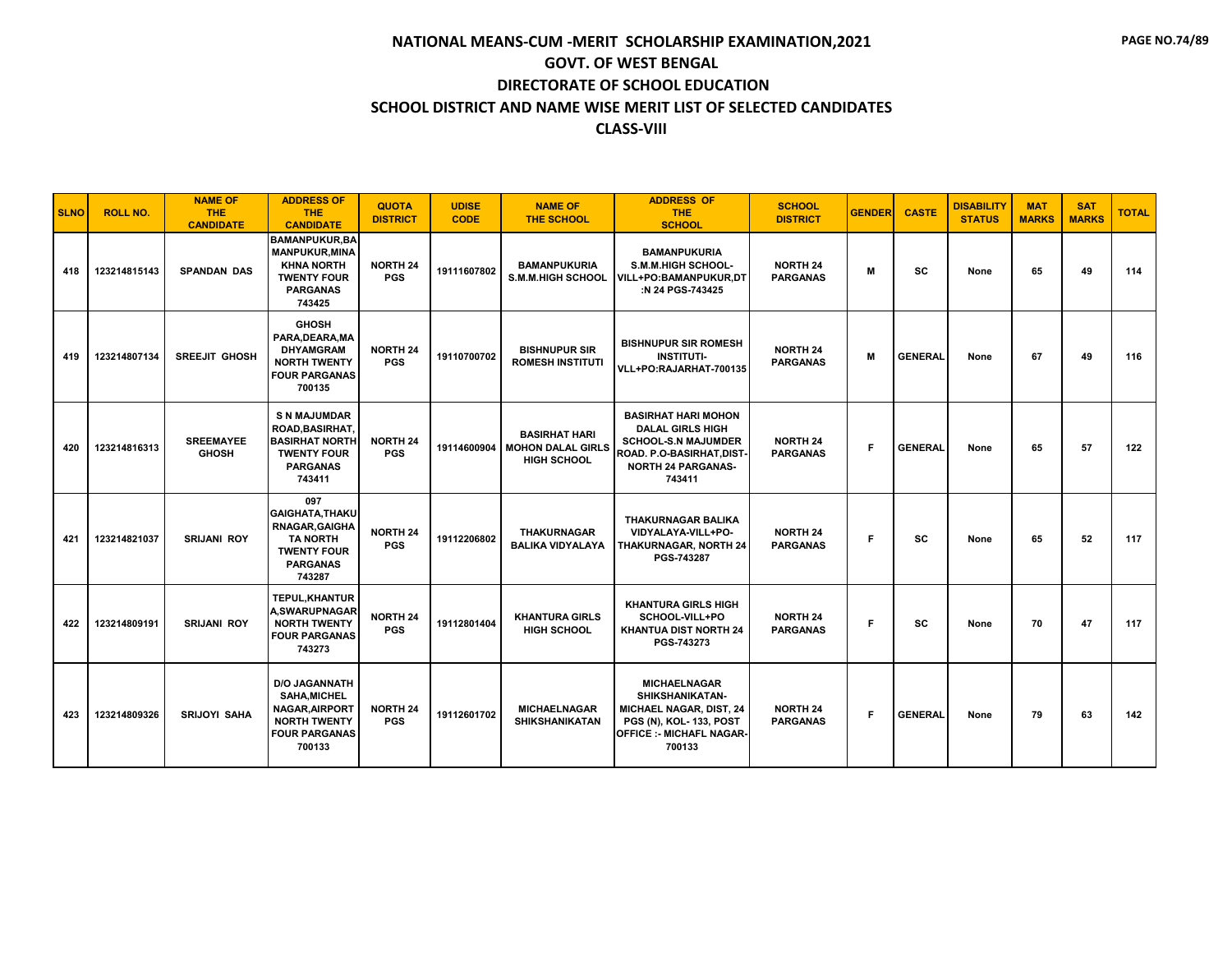| <b>SLNO</b> | <b>ROLL NO.</b> | <b>NAME OF</b><br><b>THE</b><br><b>CANDIDATE</b> | <b>ADDRESS OF</b><br>THE.<br><b>CANDIDATE</b>                                                                          | <b>QUOTA</b><br><b>DISTRICT</b> | <b>UDISE</b><br><b>CODE</b> | <b>NAME OF</b><br><b>THE SCHOOL</b>                                    | <b>ADDRESS OF</b><br><b>THE</b><br><b>SCHOOL</b>                                                                                                        | <b>SCHOOL</b><br><b>DISTRICT</b>   | <b>GENDER</b> | <b>CASTE</b>   | <b>DISABILITY</b><br><b>STATUS</b> | <b>MAT</b><br><b>MARKS</b> | <b>SAT</b><br><b>MARKS</b> | <b>TOTAL</b> |
|-------------|-----------------|--------------------------------------------------|------------------------------------------------------------------------------------------------------------------------|---------------------------------|-----------------------------|------------------------------------------------------------------------|---------------------------------------------------------------------------------------------------------------------------------------------------------|------------------------------------|---------------|----------------|------------------------------------|----------------------------|----------------------------|--------------|
| 418         | 123214815143    | <b>SPANDAN DAS</b>                               | <b>BAMANPUKUR, BA</b><br><b>MANPUKUR, MINA</b><br><b>KHNA NORTH</b><br><b>TWENTY FOUR</b><br><b>PARGANAS</b><br>743425 | <b>NORTH 24</b><br><b>PGS</b>   | 19111607802                 | <b>BAMANPUKURIA</b><br><b>S.M.M.HIGH SCHOOL</b>                        | <b>BAMANPUKURIA</b><br>S.M.M.HIGH SCHOOL-<br>VILL+PO:BAMANPUKUR,DT<br>:N 24 PGS-743425                                                                  | <b>NORTH 24</b><br><b>PARGANAS</b> | M             | <b>SC</b>      | None                               | 65                         | 49                         | 114          |
| 419         | 123214807134    | <b>SREEJIT GHOSH</b>                             | <b>GHOSH</b><br>PARA, DEARA, MA<br><b>DHYAMGRAM</b><br><b>NORTH TWENTY</b><br><b>FOUR PARGANAS</b><br>700135           | <b>NORTH 24</b><br><b>PGS</b>   | 19110700702                 | <b>BISHNUPUR SIR</b><br><b>ROMESH INSTITUTI</b>                        | <b>BISHNUPUR SIR ROMESH</b><br><b>INSTITUTI-</b><br>VLL+PO:RAJARHAT-700135                                                                              | <b>NORTH 24</b><br><b>PARGANAS</b> | M             | <b>GENERAL</b> | None                               | 67                         | 49                         | 116          |
| 420         | 123214816313    | <b>SREEMAYEE</b><br><b>GHOSH</b>                 | <b>S N MAJUMDAR</b><br>ROAD, BASIRHAT,<br><b>BASIRHAT NORTH</b><br><b>TWENTY FOUR</b><br><b>PARGANAS</b><br>743411     | <b>NORTH 24</b><br><b>PGS</b>   | 19114600904                 | <b>BASIRHAT HARI</b><br><b>MOHON DALAL GIRLS</b><br><b>HIGH SCHOOL</b> | <b>BASIRHAT HARI MOHON</b><br><b>DALAL GIRLS HIGH</b><br><b>SCHOOL-S.N MAJUMDER</b><br>ROAD. P.O-BASIRHAT, DIST-<br><b>NORTH 24 PARGANAS-</b><br>743411 | <b>NORTH 24</b><br><b>PARGANAS</b> | F.            | <b>GENERAL</b> | None                               | 65                         | 57                         | 122          |
| 421         | 123214821037    | <b>SRIJANI ROY</b>                               | 097<br><b>GAIGHATA, THAKU</b><br>RNAGAR, GAIGHA<br><b>TA NORTH</b><br><b>TWENTY FOUR</b><br><b>PARGANAS</b><br>743287  | <b>NORTH 24</b><br><b>PGS</b>   | 19112206802                 | <b>THAKURNAGAR</b><br><b>BALIKA VIDYALAYA</b>                          | THAKURNAGAR BALIKA<br>VIDYALAYA-VILL+PO-<br>THAKURNAGAR, NORTH 24<br>PGS-743287                                                                         | <b>NORTH 24</b><br><b>PARGANAS</b> | F.            | <b>SC</b>      | None                               | 65                         | 52                         | 117          |
| 422         | 123214809191    | <b>SRIJANI ROY</b>                               | <b>TEPUL.KHANTUR</b><br><b>A,SWARUPNAGAR</b><br><b>NORTH TWENTY</b><br><b>FOUR PARGANAS</b><br>743273                  | <b>NORTH 24</b><br><b>PGS</b>   | 19112801404                 | <b>KHANTURA GIRLS</b><br><b>HIGH SCHOOL</b>                            | <b>KHANTURA GIRLS HIGH</b><br>SCHOOL-VILL+PO<br>KHANTUA DIST NORTH 24<br>PGS-743273                                                                     | <b>NORTH 24</b><br><b>PARGANAS</b> | F             | <b>SC</b>      | None                               | 70                         | 47                         | 117          |
| 423         | 123214809326    | <b>SRIJOYI SAHA</b>                              | <b>D/O JAGANNATH</b><br><b>SAHA, MICHEL</b><br>NAGAR, AIRPORT<br><b>NORTH TWENTY</b><br><b>FOUR PARGANAS</b><br>700133 | <b>NORTH 24</b><br><b>PGS</b>   | 19112601702                 | <b>MICHAELNAGAR</b><br><b>SHIKSHANIKATAN</b>                           | <b>MICHAELNAGAR</b><br>SHIKSHANIKATAN-<br><b>MICHAEL NAGAR, DIST, 24</b><br><b>PGS (N), KOL-133, POST</b><br><b>OFFICE :- MICHAFL NAGAR-</b><br>700133  | <b>NORTH 24</b><br><b>PARGANAS</b> | F             | <b>GENERAL</b> | None                               | 79                         | 63                         | 142          |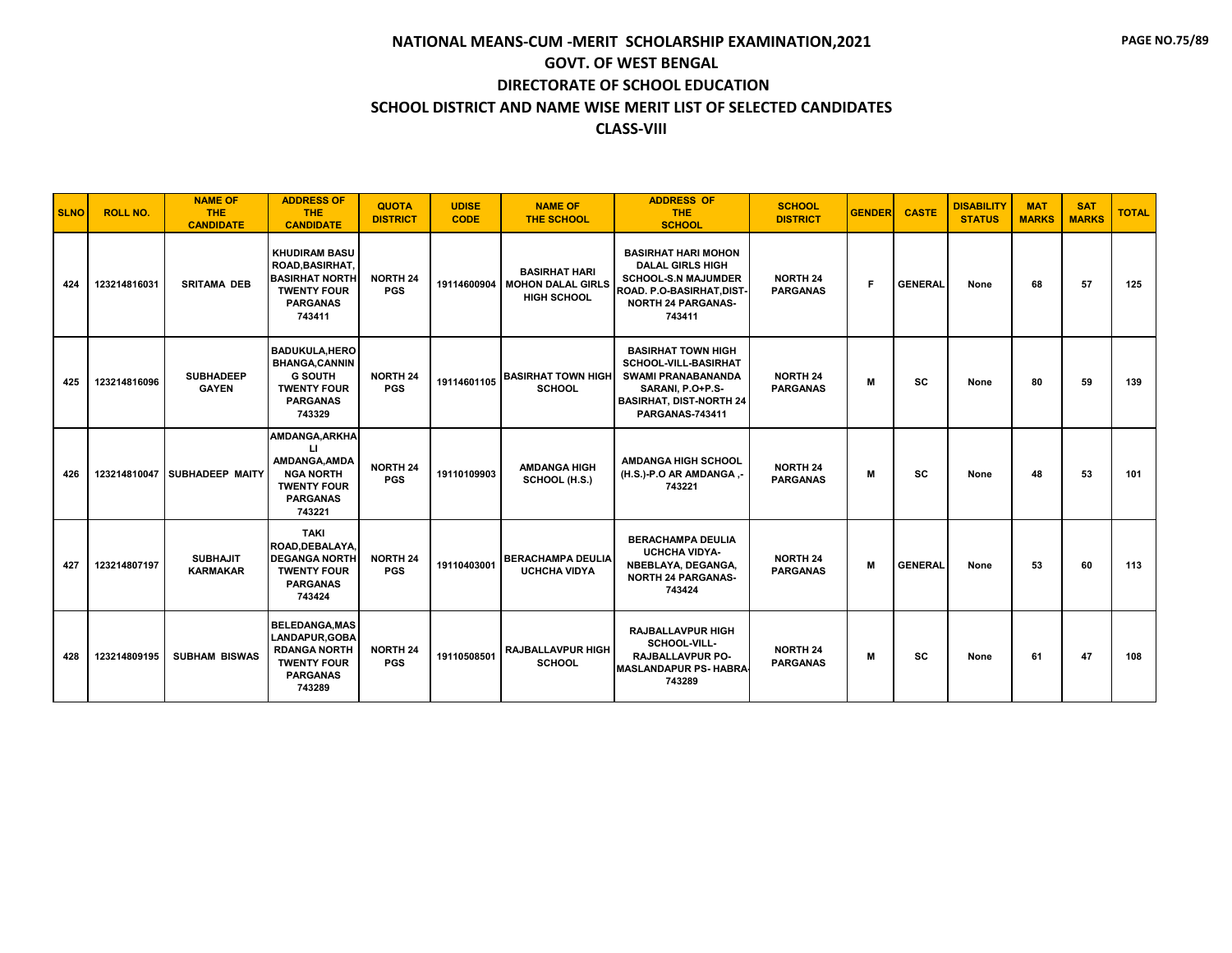| <b>SLNO</b> | <b>ROLL NO.</b> | <b>NAME OF</b><br><b>THE</b><br><b>CANDIDATE</b> | <b>ADDRESS OF</b><br><b>THE</b><br><b>CANDIDATE</b>                                                                        | <b>QUOTA</b><br><b>DISTRICT</b> | <b>UDISE</b><br><b>CODE</b> | <b>NAME OF</b><br><b>THE SCHOOL</b>                                         | <b>ADDRESS OF</b><br><b>THE</b><br><b>SCHOOL</b>                                                                                                        | <b>SCHOOL</b><br><b>DISTRICT</b>   | <b>GENDER</b> | <b>CASTE</b>   | <b>DISABILITY</b><br><b>STATUS</b> | <b>MAT</b><br><b>MARKS</b> | <b>SAT</b><br><b>MARKS</b> | <b>TOTAL</b> |
|-------------|-----------------|--------------------------------------------------|----------------------------------------------------------------------------------------------------------------------------|---------------------------------|-----------------------------|-----------------------------------------------------------------------------|---------------------------------------------------------------------------------------------------------------------------------------------------------|------------------------------------|---------------|----------------|------------------------------------|----------------------------|----------------------------|--------------|
| 424         | 123214816031    | <b>SRITAMA DEB</b>                               | <b>KHUDIRAM BASU</b><br><b>ROAD, BASIRHAT,</b><br><b>BASIRHAT NORTH</b><br><b>TWENTY FOUR</b><br><b>PARGANAS</b><br>743411 | <b>NORTH 24</b><br><b>PGS</b>   |                             | <b>BASIRHAT HARI</b><br>19114600904 MOHON DALAL GIRLS<br><b>HIGH SCHOOL</b> | <b>BASIRHAT HARI MOHON</b><br><b>DALAL GIRLS HIGH</b><br><b>SCHOOL-S.N MAJUMDER</b><br>ROAD. P.O-BASIRHAT, DIST-<br><b>NORTH 24 PARGANAS-</b><br>743411 | <b>NORTH 24</b><br><b>PARGANAS</b> | F.            | <b>GENERAL</b> | None                               | 68                         | 57                         | 125          |
| 425         | 123214816096    | <b>SUBHADEEP</b><br><b>GAYEN</b>                 | <b>BADUKULA, HERO</b><br><b>BHANGA,CANNIN</b><br><b>G SOUTH</b><br><b>TWENTY FOUR</b><br><b>PARGANAS</b><br>743329         | <b>NORTH 24</b><br><b>PGS</b>   | 19114601105                 | <b>BASIRHAT TOWN HIGH</b><br><b>SCHOOL</b>                                  | <b>BASIRHAT TOWN HIGH</b><br>SCHOOL-VILL-BASIRHAT<br><b>SWAMI PRANABANANDA</b><br>SARANI, P.O+P.S-<br><b>BASIRHAT, DIST-NORTH 24</b><br>PARGANAS-743411 | <b>NORTH 24</b><br><b>PARGANAS</b> | М             | <b>SC</b>      | None                               | 80                         | 59                         | 139          |
| 426         |                 | 123214810047 SUBHADEEP MAITY                     | AMDANGA, ARKHA<br>Ц<br>AMDANGA.AMDA<br><b>NGA NORTH</b><br><b>TWENTY FOUR</b><br><b>PARGANAS</b><br>743221                 | <b>NORTH 24</b><br><b>PGS</b>   | 19110109903                 | <b>AMDANGA HIGH</b><br>SCHOOL (H.S.)                                        | <b>AMDANGA HIGH SCHOOL</b><br>(H.S.)-P.O AR AMDANGA,-<br>743221                                                                                         | <b>NORTH 24</b><br><b>PARGANAS</b> | М             | <b>SC</b>      | None                               | 48                         | 53                         | 101          |
| 427         | 123214807197    | <b>SUBHAJIT</b><br><b>KARMAKAR</b>               | <b>TAKI</b><br>ROAD.DEBALAYA.<br><b>DEGANGA NORTH</b><br><b>TWENTY FOUR</b><br><b>PARGANAS</b><br>743424                   | <b>NORTH 24</b><br><b>PGS</b>   | 19110403001                 | <b>BERACHAMPA DEULIA</b><br><b>UCHCHA VIDYA</b>                             | <b>BERACHAMPA DEULIA</b><br><b>UCHCHA VIDYA-</b><br>NBEBLAYA, DEGANGA,<br><b>NORTH 24 PARGANAS-</b><br>743424                                           | <b>NORTH 24</b><br><b>PARGANAS</b> | M             | <b>GENERAL</b> | None                               | 53                         | 60                         | 113          |
| 428         | 123214809195    | <b>SUBHAM BISWAS</b>                             | <b>BELEDANGA, MAS</b><br><b>LANDAPUR.GOBA</b><br><b>RDANGA NORTH</b><br><b>TWENTY FOUR</b><br><b>PARGANAS</b><br>743289    | <b>NORTH 24</b><br><b>PGS</b>   | 19110508501                 | <b>RAJBALLAVPUR HIGH</b><br><b>SCHOOL</b>                                   | <b>RAJBALLAVPUR HIGH</b><br>SCHOOL-VILL-<br><b>RAJBALLAVPUR PO-</b><br><b>MASLANDAPUR PS- HABRA</b><br>743289                                           | <b>NORTH 24</b><br><b>PARGANAS</b> | м             | <b>SC</b>      | None                               | 61                         | 47                         | 108          |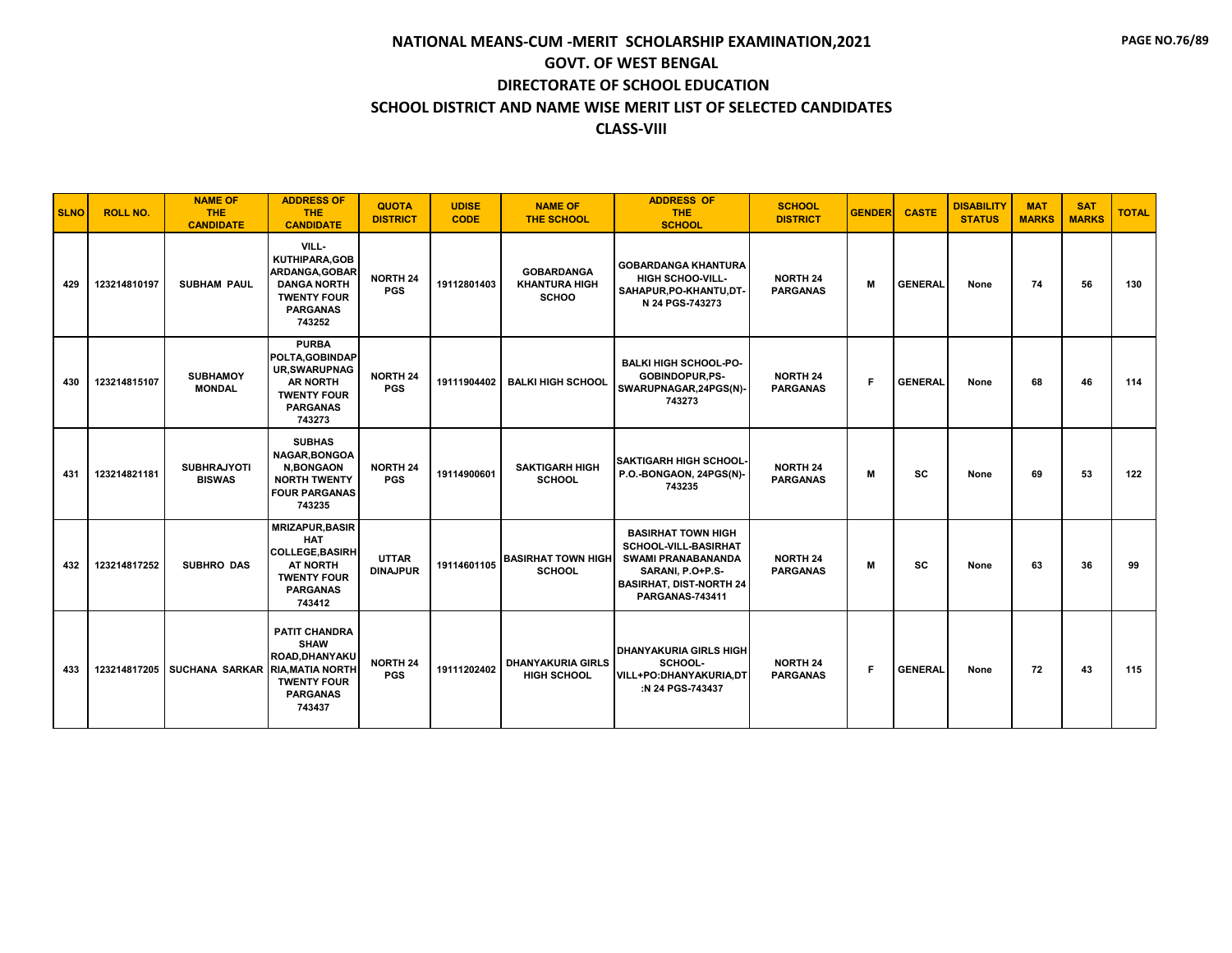| <b>SLNO</b> | <b>ROLL NO.</b> | <b>NAME OF</b><br><b>THE</b><br><b>CANDIDATE</b> | <b>ADDRESS OF</b><br>THE.<br><b>CANDIDATE</b>                                                                                        | <b>QUOTA</b><br><b>DISTRICT</b> | <b>UDISE</b><br><b>CODE</b> | <b>NAME OF</b><br><b>THE SCHOOL</b>                       | <b>ADDRESS OF</b><br><b>THE</b><br><b>SCHOOL</b>                                                                                                               | <b>SCHOOL</b><br><b>DISTRICT</b>   | <b>GENDER</b> | <b>CASTE</b>   | <b>DISABILITY</b><br><b>STATUS</b> | <b>MAT</b><br><b>MARKS</b> | <b>SAT</b><br><b>MARKS</b> | <b>TOTAL</b> |
|-------------|-----------------|--------------------------------------------------|--------------------------------------------------------------------------------------------------------------------------------------|---------------------------------|-----------------------------|-----------------------------------------------------------|----------------------------------------------------------------------------------------------------------------------------------------------------------------|------------------------------------|---------------|----------------|------------------------------------|----------------------------|----------------------------|--------------|
| 429         | 123214810197    | <b>SUBHAM PAUL</b>                               | VILL-<br>KUTHIPARA, GOB<br>ARDANGA, GOBAR<br><b>DANGA NORTH</b><br><b>TWENTY FOUR</b><br><b>PARGANAS</b><br>743252                   | <b>NORTH 24</b><br><b>PGS</b>   | 19112801403                 | <b>GOBARDANGA</b><br><b>KHANTURA HIGH</b><br><b>SCHOO</b> | <b>GOBARDANGA KHANTURA</b><br><b>HIGH SCHOO-VILL-</b><br>SAHAPUR, PO-KHANTU, DT-<br>N 24 PGS-743273                                                            | <b>NORTH 24</b><br><b>PARGANAS</b> | M             | <b>GENERAL</b> | None                               | 74                         | 56                         | 130          |
| 430         | 123214815107    | <b>SUBHAMOY</b><br><b>MONDAL</b>                 | <b>PURBA</b><br>POLTA, GOBINDAP<br><b>UR, SWARUPNAG</b><br><b>AR NORTH</b><br><b>TWENTY FOUR</b><br><b>PARGANAS</b><br>743273        | <b>NORTH 24</b><br><b>PGS</b>   | 19111904402                 | <b>BALKI HIGH SCHOOL</b>                                  | <b>BALKI HIGH SCHOOL-PO-</b><br>GOBINDOPUR,PS-<br>SWARUPNAGAR, 24PGS(N)-<br>743273                                                                             | <b>NORTH 24</b><br><b>PARGANAS</b> | F.            | <b>GENERAL</b> | None                               | 68                         | 46                         | 114          |
| 431         | 123214821181    | <b>SUBHRAJYOTI</b><br><b>BISWAS</b>              | <b>SUBHAS</b><br>NAGAR, BONGOA<br><b>N,BONGAON</b><br><b>NORTH TWENTY</b><br><b>FOUR PARGANAS</b><br>743235                          | <b>NORTH 24</b><br><b>PGS</b>   | 19114900601                 | <b>SAKTIGARH HIGH</b><br><b>SCHOOL</b>                    | <b>SAKTIGARH HIGH SCHOOL-</b><br>P.O.-BONGAON, 24PGS(N)-<br>743235                                                                                             | <b>NORTH 24</b><br><b>PARGANAS</b> | м             | <b>SC</b>      | None                               | 69                         | 53                         | 122          |
| 432         | 123214817252    | <b>SUBHRO DAS</b>                                | <b>MRIZAPUR, BASIR</b><br><b>HAT</b><br><b>COLLEGE, BASIRH</b><br><b>AT NORTH</b><br><b>TWENTY FOUR</b><br><b>PARGANAS</b><br>743412 | <b>UTTAR</b><br><b>DINAJPUR</b> | 19114601105                 | <b>BASIRHAT TOWN HIGH</b><br><b>SCHOOL</b>                | <b>BASIRHAT TOWN HIGH</b><br><b>SCHOOL-VILL-BASIRHAT</b><br><b>SWAMI PRANABANANDA</b><br>SARANI, P.O+P.S-<br><b>BASIRHAT, DIST-NORTH 24</b><br>PARGANAS-743411 | <b>NORTH 24</b><br><b>PARGANAS</b> | M             | SC             | None                               | 63                         | 36                         | 99           |
| 433         |                 | 123214817205   SUCHANA SARKAR RIA, MATIA NORTH   | <b>PATIT CHANDRA</b><br><b>SHAW</b><br>ROAD.DHANYAKU<br><b>TWENTY FOUR</b><br><b>PARGANAS</b><br>743437                              | <b>NORTH 24</b><br><b>PGS</b>   | 19111202402                 | <b>DHANYAKURIA GIRLS</b><br><b>HIGH SCHOOL</b>            | <b>DHANYAKURIA GIRLS HIGH</b><br>SCHOOL-<br>VILL+PO:DHANYAKURIA,DT<br>:N 24 PGS-743437                                                                         | <b>NORTH 24</b><br><b>PARGANAS</b> | F.            | <b>GENERAL</b> | None                               | 72                         | 43                         | 115          |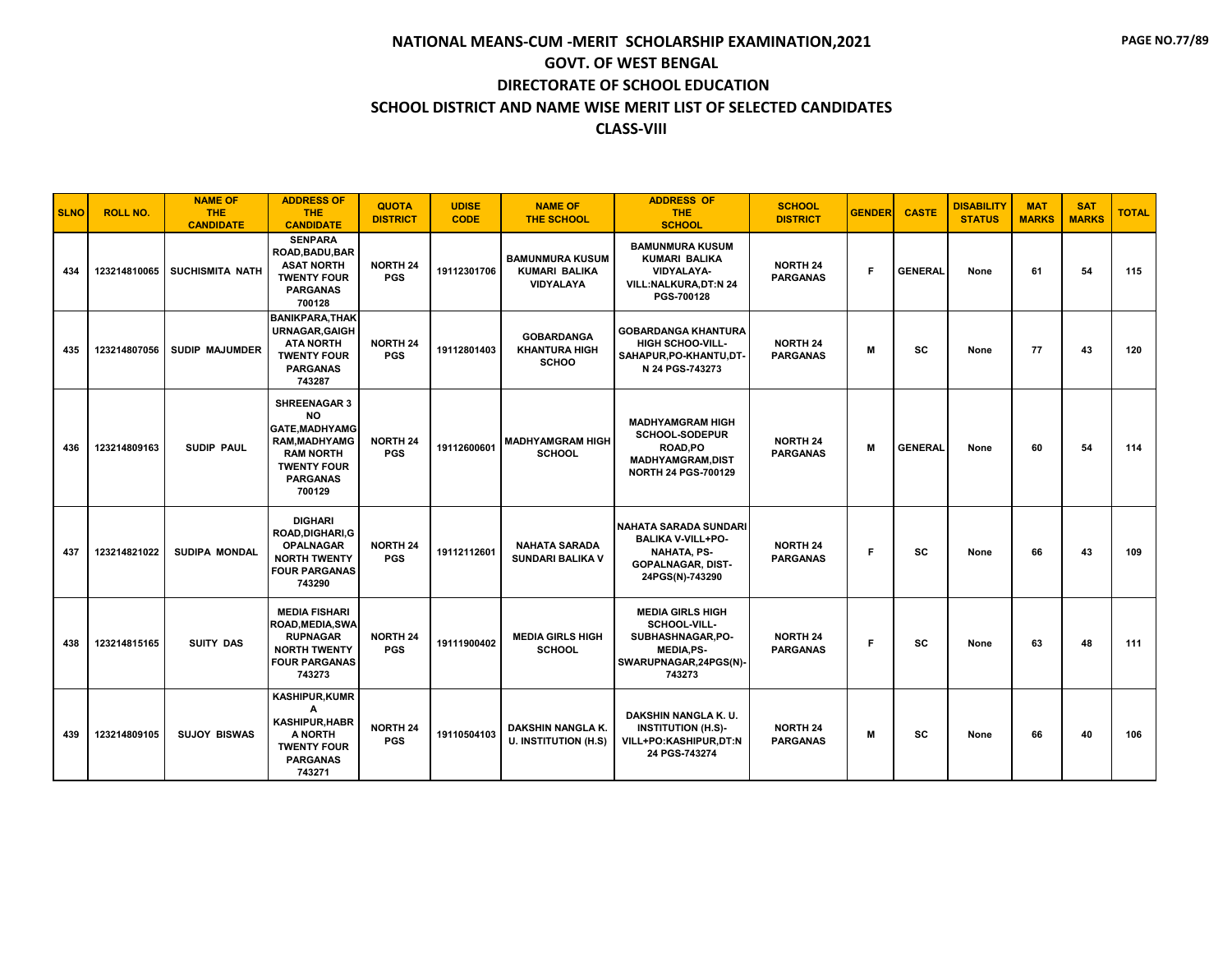| <b>SLNO</b> | <b>ROLL NO.</b> | <b>NAME OF</b><br><b>THE</b><br><b>CANDIDATE</b> | <b>ADDRESS OF</b><br><b>THE</b><br><b>CANDIDATE</b>                                                                                              | <b>QUOTA</b><br><b>DISTRICT</b> | <b>UDISE</b><br><b>CODE</b> | <b>NAME OF</b><br><b>THE SCHOOL</b>                                | <b>ADDRESS OF</b><br><b>THE</b><br><b>SCHOOL</b>                                                                              | <b>SCHOOL</b><br><b>DISTRICT</b>   | <b>GENDER</b> | <b>CASTE</b>   | <b>DISABILITY</b><br><b>STATUS</b> | <b>MAT</b><br><b>MARKS</b> | <b>SAT</b><br><b>MARKS</b> | <b>TOTAL</b> |
|-------------|-----------------|--------------------------------------------------|--------------------------------------------------------------------------------------------------------------------------------------------------|---------------------------------|-----------------------------|--------------------------------------------------------------------|-------------------------------------------------------------------------------------------------------------------------------|------------------------------------|---------------|----------------|------------------------------------|----------------------------|----------------------------|--------------|
| 434         |                 | 123214810065   SUCHISMITA NATH                   | <b>SENPARA</b><br>ROAD, BADU, BAR<br><b>ASAT NORTH</b><br><b>TWENTY FOUR</b><br><b>PARGANAS</b><br>700128                                        | <b>NORTH 24</b><br><b>PGS</b>   | 19112301706                 | <b>BAMUNMURA KUSUM</b><br><b>KUMARI BALIKA</b><br><b>VIDYALAYA</b> | <b>BAMUNMURA KUSUM</b><br><b>KUMARI BALIKA</b><br><b>VIDYALAYA-</b><br><b>VILL:NALKURA.DT:N 24</b><br>PGS-700128              | <b>NORTH 24</b><br><b>PARGANAS</b> | F.            | <b>GENERAL</b> | None                               | 61                         | 54                         | 115          |
| 435         | 123214807056    | <b>SUDIP MAJUMDER</b>                            | <b>BANIKPARA, THAK</b><br><b>URNAGAR, GAIGH</b><br><b>ATA NORTH</b><br><b>TWENTY FOUR</b><br><b>PARGANAS</b><br>743287                           | NORTH 24<br><b>PGS</b>          | 19112801403                 | <b>GOBARDANGA</b><br><b>KHANTURA HIGH</b><br><b>SCHOO</b>          | <b>GOBARDANGA KHANTURA</b><br><b>HIGH SCHOO-VILL-</b><br>SAHAPUR, PO-KHANTU, DT-<br>N 24 PGS-743273                           | <b>NORTH 24</b><br><b>PARGANAS</b> | M             | <b>SC</b>      | None                               | 77                         | 43                         | 120          |
| 436         | 123214809163    | <b>SUDIP PAUL</b>                                | <b>SHREENAGAR 3</b><br><b>NO</b><br>GATE, MADHYAMG<br><b>RAM.MADHYAMG</b><br><b>RAM NORTH</b><br><b>TWENTY FOUR</b><br><b>PARGANAS</b><br>700129 | <b>NORTH 24</b><br><b>PGS</b>   | 19112600601                 | <b>MADHYAMGRAM HIGH</b><br><b>SCHOOL</b>                           | <b>MADHYAMGRAM HIGH</b><br>SCHOOL-SODEPUR<br>ROAD.PO<br><b>MADHYAMGRAM,DIST</b><br>NORTH 24 PGS-700129                        | <b>NORTH 24</b><br><b>PARGANAS</b> | M             | <b>GENERAL</b> | None                               | 60                         | 54                         | 114          |
| 437         | 123214821022    | <b>SUDIPA MONDAL</b>                             | <b>DIGHARI</b><br><b>ROAD.DIGHARI.G</b><br><b>OPALNAGAR</b><br><b>NORTH TWENTY</b><br><b>FOUR PARGANAS</b><br>743290                             | <b>NORTH 24</b><br><b>PGS</b>   | 19112112601                 | <b>NAHATA SARADA</b><br><b>SUNDARI BALIKA V</b>                    | <b>NAHATA SARADA SUNDARI</b><br><b>BALIKA V-VILL+PO-</b><br><b>NAHATA, PS-</b><br><b>GOPALNAGAR, DIST-</b><br>24PGS(N)-743290 | <b>NORTH 24</b><br><b>PARGANAS</b> | F             | SC             | None                               | 66                         | 43                         | 109          |
| 438         | 123214815165    | <b>SUITY DAS</b>                                 | <b>MEDIA FISHARI</b><br><b>ROAD, MEDIA, SWA</b><br><b>RUPNAGAR</b><br><b>NORTH TWENTY</b><br><b>FOUR PARGANAS</b><br>743273                      | <b>NORTH 24</b><br><b>PGS</b>   | 19111900402                 | <b>MEDIA GIRLS HIGH</b><br><b>SCHOOL</b>                           | <b>MEDIA GIRLS HIGH</b><br>SCHOOL-VILL-<br>SUBHASHNAGAR, PO-<br><b>MEDIA,PS-</b><br>SWARUPNAGAR, 24PGS(N)-<br>743273          | <b>NORTH 24</b><br><b>PARGANAS</b> | F.            | <b>SC</b>      | None                               | 63                         | 48                         | 111          |
| 439         | 123214809105    | <b>SUJOY BISWAS</b>                              | <b>KASHIPUR,KUMR</b><br>А<br><b>KASHIPUR, HABR</b><br>A NORTH<br><b>TWENTY FOUR</b><br><b>PARGANAS</b><br>743271                                 | <b>NORTH 24</b><br><b>PGS</b>   | 19110504103                 | DAKSHIN NANGLA K.<br><b>U. INSTITUTION (H.S)</b>                   | DAKSHIN NANGLA K.U.<br><b>INSTITUTION (H.S)-</b><br>VILL+PO:KASHIPUR,DT:N<br>24 PGS-743274                                    | <b>NORTH 24</b><br><b>PARGANAS</b> | м             | <b>SC</b>      | None                               | 66                         | 40                         | 106          |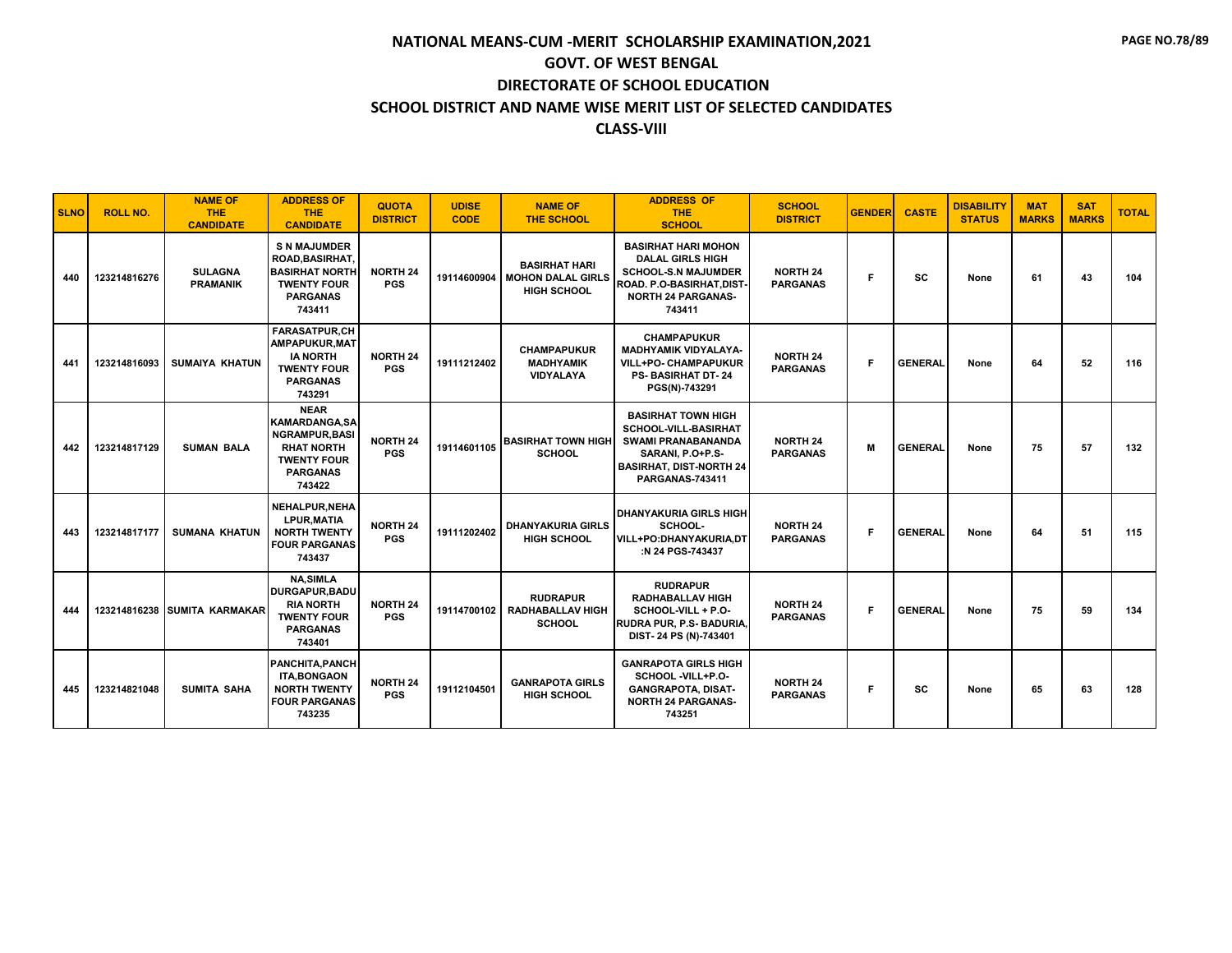| <b>SLNO</b> | <b>ROLL NO.</b> | <b>NAME OF</b><br><b>THE</b><br><b>CANDIDATE</b> | <b>ADDRESS OF</b><br><b>THE</b><br><b>CANDIDATE</b>                                                                                  | <b>QUOTA</b><br><b>DISTRICT</b> | <b>UDISE</b><br><b>CODE</b> | <b>NAME OF</b><br><b>THE SCHOOL</b>                                           | <b>ADDRESS OF</b><br><b>THE</b><br><b>SCHOOL</b>                                                                                                                      | <b>SCHOOL</b><br><b>DISTRICT</b>   | <b>GENDER</b> | <b>CASTE</b>   | <b>DISABILITY</b><br><b>STATUS</b> | <b>MAT</b><br><b>MARKS</b> | <b>SAT</b><br><b>MARKS</b> | <b>TOTAL</b> |
|-------------|-----------------|--------------------------------------------------|--------------------------------------------------------------------------------------------------------------------------------------|---------------------------------|-----------------------------|-------------------------------------------------------------------------------|-----------------------------------------------------------------------------------------------------------------------------------------------------------------------|------------------------------------|---------------|----------------|------------------------------------|----------------------------|----------------------------|--------------|
| 440         | 123214816276    | <b>SULAGNA</b><br><b>PRAMANIK</b>                | <b>S N MAJUMDER</b><br><b>ROAD.BASIRHAT.</b><br><b>BASIRHAT NORTH</b><br><b>TWENTY FOUR</b><br><b>PARGANAS</b><br>743411             | <b>NORTH 24</b><br><b>PGS</b>   |                             | <b>BASIRHAT HARI</b><br>19114600904   MOHON DALAL GIRLS<br><b>HIGH SCHOOL</b> | <b>BASIRHAT HARI MOHON</b><br><b>DALAL GIRLS HIGH</b><br><b>SCHOOL-S.N MAJUMDER</b><br><b>ROAD, P.O-BASIRHAT.DIST-</b><br><b>NORTH 24 PARGANAS-</b><br>743411         | <b>NORTH 24</b><br><b>PARGANAS</b> | F.            | sc             | None                               | 61                         | 43                         | 104          |
| 441         | 123214816093    | <b>SUMAIYA KHATUN</b>                            | <b>FARASATPUR.CH</b><br>AMPAPUKUR, MAT<br><b>IA NORTH</b><br><b>TWENTY FOUR</b><br><b>PARGANAS</b><br>743291                         | <b>NORTH 24</b><br><b>PGS</b>   | 19111212402                 | <b>CHAMPAPUKUR</b><br><b>MADHYAMIK</b><br><b>VIDYALAYA</b>                    | <b>CHAMPAPUKUR</b><br><b>MADHYAMIK VIDYALAYA-</b><br><b>VILL+PO- CHAMPAPUKUR</b><br><b>PS-BASIRHAT DT-24</b><br>PGS(N)-743291                                         | <b>NORTH 24</b><br><b>PARGANAS</b> | F.            | <b>GENERAL</b> | None                               | 64                         | 52                         | 116          |
| 442         | 123214817129    | <b>SUMAN BALA</b>                                | <b>NEAR</b><br><b>KAMARDANGA.SA</b><br><b>NGRAMPUR, BASI</b><br><b>RHAT NORTH</b><br><b>TWENTY FOUR</b><br><b>PARGANAS</b><br>743422 | <b>NORTH 24</b><br><b>PGS</b>   | 19114601105                 | <b>BASIRHAT TOWN HIGH</b><br><b>SCHOOL</b>                                    | <b>BASIRHAT TOWN HIGH</b><br><b>SCHOOL-VILL-BASIRHAT</b><br><b>SWAMI PRANABANANDA</b><br>SARANI, P.O+P.S-<br><b>BASIRHAT, DIST-NORTH 24</b><br><b>PARGANAS-743411</b> | <b>NORTH 24</b><br><b>PARGANAS</b> | M             | <b>GENERAL</b> | None                               | 75                         | 57                         | 132          |
| 443         | 123214817177    | <b>SUMANA KHATUN</b>                             | NEHALPUR, NEHA<br><b>LPUR.MATIA</b><br><b>NORTH TWENTY</b><br><b>FOUR PARGANAS</b><br>743437                                         | <b>NORTH 24</b><br><b>PGS</b>   | 19111202402                 | <b>DHANYAKURIA GIRLS</b><br><b>HIGH SCHOOL</b>                                | <b>DHANYAKURIA GIRLS HIGH</b><br>SCHOOL-<br>VILL+PO:DHANYAKURIA.DT<br>:N 24 PGS-743437                                                                                | <b>NORTH 24</b><br><b>PARGANAS</b> | F             | <b>GENERAL</b> | None                               | 64                         | 51                         | 115          |
| 444         |                 | 123214816238 SUMITA KARMAKAR                     | <b>NA,SIMLA</b><br><b>DURGAPUR.BADU</b><br><b>RIA NORTH</b><br><b>TWENTY FOUR</b><br><b>PARGANAS</b><br>743401                       | <b>NORTH 24</b><br><b>PGS</b>   | 19114700102                 | <b>RUDRAPUR</b><br><b>RADHABALLAV HIGH</b><br>SCHOOL                          | <b>RUDRAPUR</b><br><b>RADHABALLAV HIGH</b><br>SCHOOL-VILL + P.O-<br>RUDRA PUR, P.S- BADURIA,<br>DIST-24 PS (N)-743401                                                 | <b>NORTH 24</b><br><b>PARGANAS</b> | F.            | <b>GENERAL</b> | None                               | 75                         | 59                         | 134          |
| 445         | 123214821048    | <b>SUMITA SAHA</b>                               | PANCHITA.PANCH<br><b>ITA,BONGAON</b><br><b>NORTH TWENTY</b><br><b>FOUR PARGANAS</b><br>743235                                        | <b>NORTH 24</b><br><b>PGS</b>   | 19112104501                 | <b>GANRAPOTA GIRLS</b><br><b>HIGH SCHOOL</b>                                  | <b>GANRAPOTA GIRLS HIGH</b><br>SCHOOL -VILL+P.O-<br><b>GANGRAPOTA, DISAT-</b><br><b>NORTH 24 PARGANAS-</b><br>743251                                                  | <b>NORTH 24</b><br><b>PARGANAS</b> | F.            | <b>SC</b>      | None                               | 65                         | 63                         | 128          |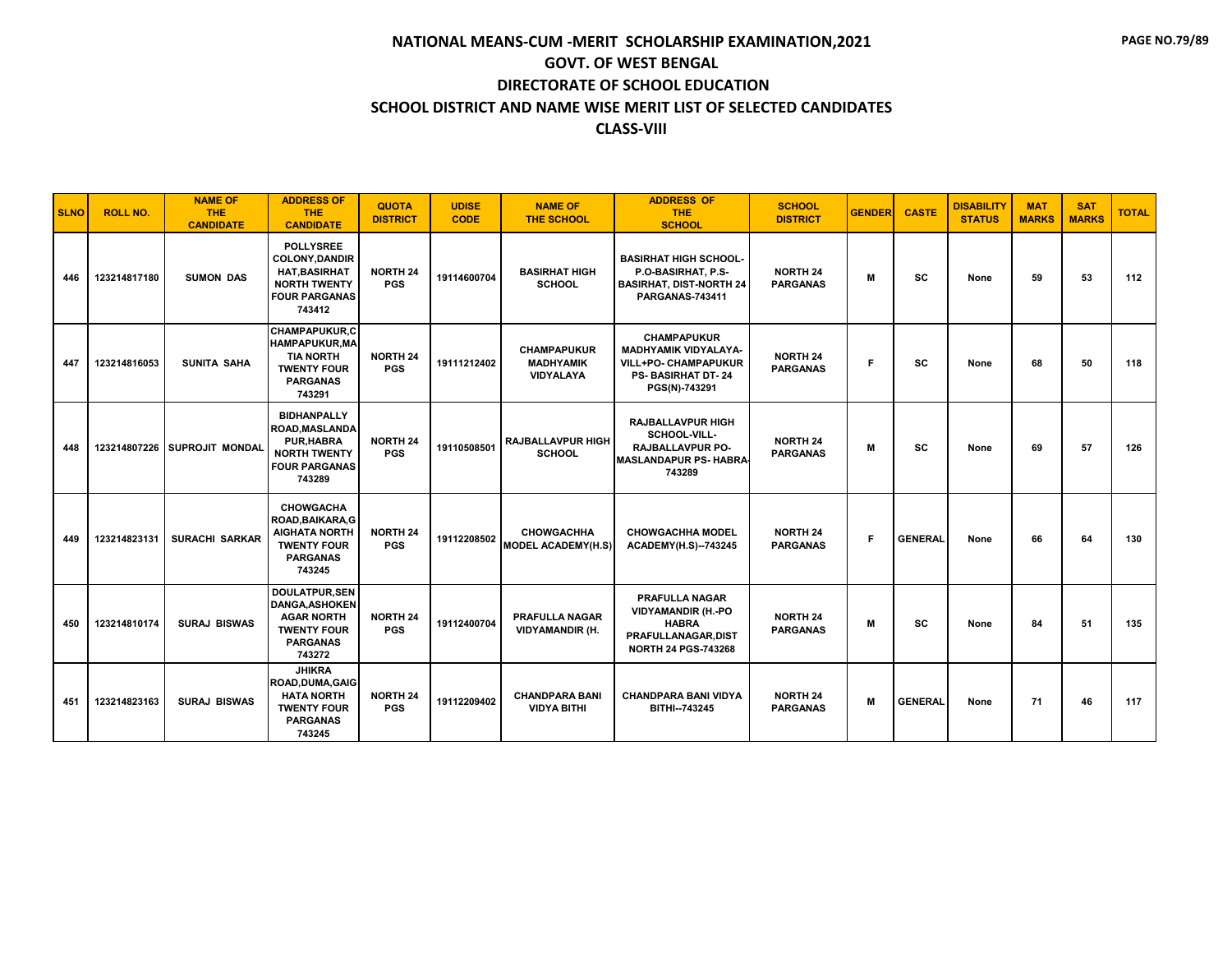| <b>SLNO</b> | <b>ROLL NO.</b> | <b>NAME OF</b><br><b>THE</b><br><b>CANDIDATE</b> | <b>ADDRESS OF</b><br>THE.<br><b>CANDIDATE</b>                                                                              | <b>QUOTA</b><br><b>DISTRICT</b> | <b>UDISE</b><br><b>CODE</b> | <b>NAME OF</b><br><b>THE SCHOOL</b>                 | <b>ADDRESS OF</b><br><b>THE</b><br><b>SCHOOL</b>                                                                              | <b>SCHOOL</b><br><b>DISTRICT</b>   | <b>GENDER</b> | <b>CASTE</b>   | <b>DISABILITY</b><br><b>STATUS</b> | <b>MAT</b><br><b>MARKS</b> | <b>SAT</b><br><b>MARKS</b> | <b>TOTAL</b> |
|-------------|-----------------|--------------------------------------------------|----------------------------------------------------------------------------------------------------------------------------|---------------------------------|-----------------------------|-----------------------------------------------------|-------------------------------------------------------------------------------------------------------------------------------|------------------------------------|---------------|----------------|------------------------------------|----------------------------|----------------------------|--------------|
| 446         | 123214817180    | <b>SUMON DAS</b>                                 | <b>POLLYSREE</b><br><b>COLONY, DANDIR</b><br><b>HAT, BASIRHAT</b><br><b>NORTH TWENTY</b><br><b>FOUR PARGANAS</b><br>743412 | <b>NORTH 24</b><br><b>PGS</b>   | 19114600704                 | <b>BASIRHAT HIGH</b><br><b>SCHOOL</b>               | <b>BASIRHAT HIGH SCHOOL-</b><br>P.O-BASIRHAT, P.S-<br><b>BASIRHAT, DIST-NORTH 24</b><br><b>PARGANAS-743411</b>                | <b>NORTH 24</b><br><b>PARGANAS</b> | M             | SC             | None                               | 59                         | 53                         | 112          |
| 447         | 123214816053    | SUNITA SAHA                                      | <b>CHAMPAPUKUR.C</b><br><b>HAMPAPUKUR, MA</b><br><b>TIA NORTH</b><br><b>TWENTY FOUR</b><br><b>PARGANAS</b><br>743291       | <b>NORTH 24</b><br><b>PGS</b>   | 19111212402                 | <b>CHAMPAPUKUR</b><br><b>MADHYAMIK</b><br>VIDYALAYA | <b>CHAMPAPUKUR</b><br><b>MADHYAMIK VIDYALAYA-</b><br><b>VILL+PO- CHAMPAPUKUR</b><br><b>PS-BASIRHAT DT-24</b><br>PGS(N)-743291 | <b>NORTH 24</b><br><b>PARGANAS</b> | F.            | <b>SC</b>      | None                               | 68                         | 50                         | 118          |
| 448         |                 | 123214807226 SUPROJIT MONDAL                     | <b>BIDHANPALLY</b><br><b>ROAD, MASLANDA</b><br><b>PUR, HABRA</b><br><b>NORTH TWENTY</b><br><b>FOUR PARGANAS</b><br>743289  | <b>NORTH 24</b><br><b>PGS</b>   | 19110508501                 | <b>RAJBALLAVPUR HIGH</b><br><b>SCHOOL</b>           | <b>RAJBALLAVPUR HIGH</b><br>SCHOOL-VILL-<br><b>RAJBALLAVPUR PO-</b><br><b>MASLANDAPUR PS- HABRA</b><br>743289                 | <b>NORTH 24</b><br><b>PARGANAS</b> | M             | <b>SC</b>      | None                               | 69                         | 57                         | 126          |
| 449         | 123214823131    | <b>SURACHI SARKAR</b>                            | <b>CHOWGACHA</b><br>ROAD, BAIKARA, G<br><b>AIGHATA NORTH</b><br><b>TWENTY FOUR</b><br><b>PARGANAS</b><br>743245            | <b>NORTH 24</b><br><b>PGS</b>   | 19112208502                 | <b>CHOWGACHHA</b><br><b>MODEL ACADEMY(H.S)</b>      | <b>CHOWGACHHA MODEL</b><br><b>ACADEMY(H.S)--743245</b>                                                                        | <b>NORTH 24</b><br><b>PARGANAS</b> | F.            | <b>GENERAL</b> | None                               | 66                         | 64                         | 130          |
| 450         | 123214810174    | <b>SURAJ BISWAS</b>                              | <b>DOULATPUR.SEN</b><br><b>DANGA.ASHOKEN</b><br><b>AGAR NORTH</b><br><b>TWENTY FOUR</b><br><b>PARGANAS</b><br>743272       | <b>NORTH 24</b><br><b>PGS</b>   | 19112400704                 | <b>PRAFULLA NAGAR</b><br><b>VIDYAMANDIR (H.</b>     | <b>PRAFULLA NAGAR</b><br><b>VIDYAMANDIR (H.-PO</b><br><b>HABRA</b><br>PRAFULLANAGAR, DIST<br><b>NORTH 24 PGS-743268</b>       | <b>NORTH 24</b><br><b>PARGANAS</b> | M             | <b>SC</b>      | None                               | 84                         | 51                         | 135          |
| 451         | 123214823163    | <b>SURAJ BISWAS</b>                              | <b>JHIKRA</b><br>ROAD.DUMA.GAIG<br><b>HATA NORTH</b><br><b>TWENTY FOUR</b><br><b>PARGANAS</b><br>743245                    | <b>NORTH 24</b><br><b>PGS</b>   | 19112209402                 | <b>CHANDPARA BANI</b><br><b>VIDYA BITHI</b>         | <b>CHANDPARA BANI VIDYA</b><br>BITHI-743245                                                                                   | <b>NORTH 24</b><br><b>PARGANAS</b> | M             | <b>GENERAL</b> | None                               | 71                         | 46                         | 117          |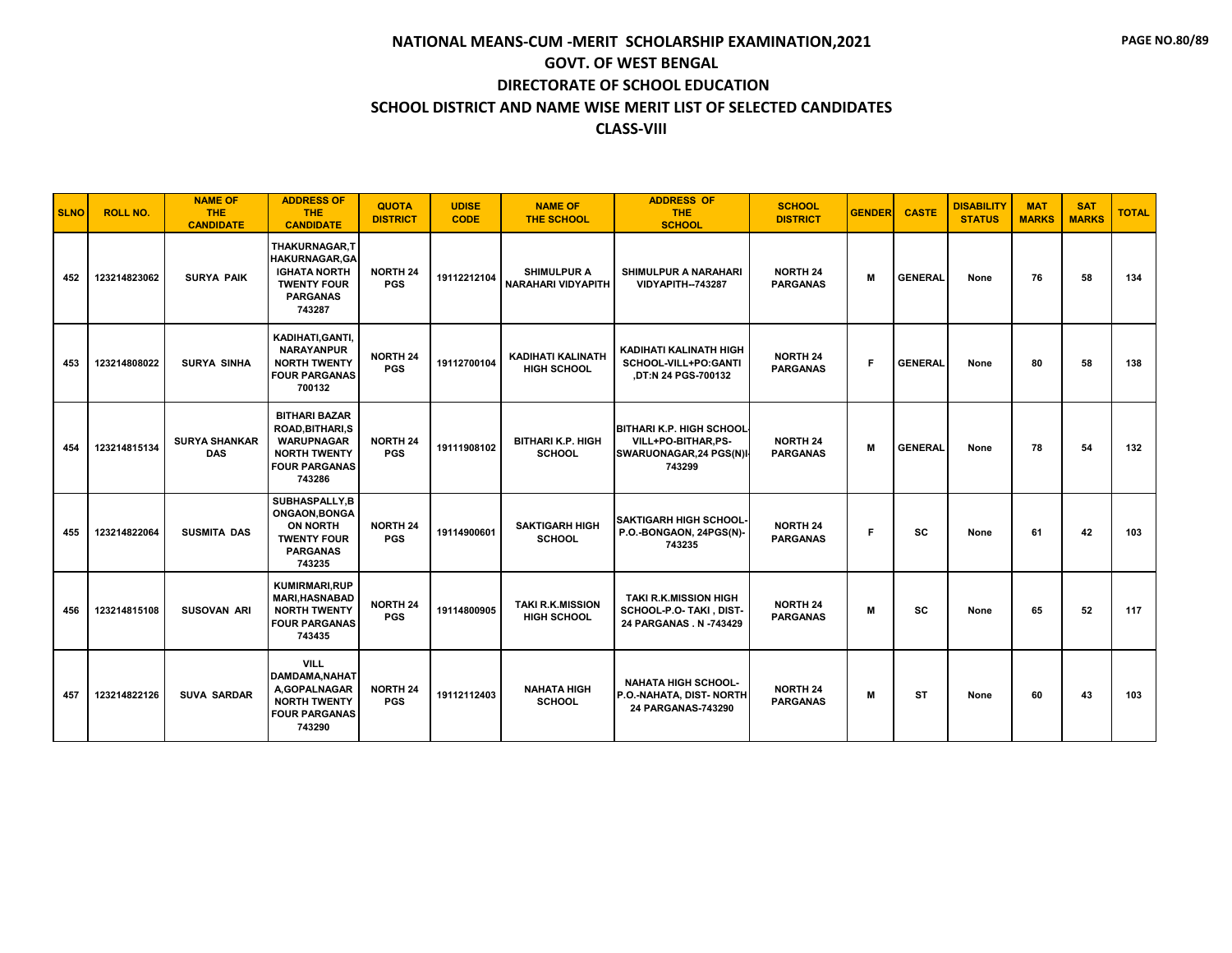| <b>SLNO</b> | <b>ROLL NO.</b> | <b>NAME OF</b><br><b>THE</b><br><b>CANDIDATE</b> | <b>ADDRESS OF</b><br><b>THE</b><br><b>CANDIDATE</b>                                                                    | <b>QUOTA</b><br><b>DISTRICT</b> | <b>UDISE</b><br><b>CODE</b> | <b>NAME OF</b><br><b>THE SCHOOL</b>             | <b>ADDRESS OF</b><br><b>THE</b><br><b>SCHOOL</b>                                           | <b>SCHOOL</b><br><b>DISTRICT</b>   | <b>GENDER</b> | <b>CASTE</b>   | <b>DISABILITY</b><br><b>STATUS</b> | <b>MAT</b><br><b>MARKS</b> | <b>SAT</b><br><b>MARKS</b> | <b>TOTAL</b> |
|-------------|-----------------|--------------------------------------------------|------------------------------------------------------------------------------------------------------------------------|---------------------------------|-----------------------------|-------------------------------------------------|--------------------------------------------------------------------------------------------|------------------------------------|---------------|----------------|------------------------------------|----------------------------|----------------------------|--------------|
| 452         | 123214823062    | <b>SURYA PAIK</b>                                | THAKURNAGAR,T<br><b>HAKURNAGAR, GA</b><br><b>IGHATA NORTH</b><br><b>TWENTY FOUR</b><br><b>PARGANAS</b><br>743287       | <b>NORTH 24</b><br><b>PGS</b>   | 19112212104                 | <b>SHIMULPUR A</b><br><b>NARAHARI VIDYAPITH</b> | <b>SHIMULPUR A NARAHARI</b><br><b>VIDYAPITH--743287</b>                                    | <b>NORTH 24</b><br><b>PARGANAS</b> | M             | <b>GENERAL</b> | None                               | 76                         | 58                         | 134          |
| 453         | 123214808022    | <b>SURYA SINHA</b>                               | KADIHATI, GANTI,<br><b>NARAYANPUR</b><br><b>NORTH TWENTY</b><br><b>FOUR PARGANAS</b><br>700132                         | <b>NORTH 24</b><br><b>PGS</b>   | 19112700104                 | <b>KADIHATI KALINATH</b><br><b>HIGH SCHOOL</b>  | KADIHATI KALINATH HIGH<br>SCHOOL-VILL+PO:GANTI<br>,DT:N 24 PGS-700132                      | <b>NORTH 24</b><br><b>PARGANAS</b> | F             | <b>GENERAL</b> | None                               | 80                         | 58                         | 138          |
| 454         | 123214815134    | <b>SURYA SHANKAR</b><br><b>DAS</b>               | <b>BITHARI BAZAR</b><br>ROAD, BITHARI, S<br><b>WARUPNAGAR</b><br><b>NORTH TWENTY</b><br><b>FOUR PARGANAS</b><br>743286 | <b>NORTH 24</b><br><b>PGS</b>   | 19111908102                 | <b>BITHARI K.P. HIGH</b><br><b>SCHOOL</b>       | <b>BITHARI K.P. HIGH SCHOOL</b><br>VILL+PO-BITHAR.PS-<br>SWARUONAGAR, 24 PGS(N)I<br>743299 | <b>NORTH 24</b><br><b>PARGANAS</b> | M             | <b>GENERAL</b> | None                               | 78                         | 54                         | 132          |
| 455         | 123214822064    | <b>SUSMITA DAS</b>                               | SUBHASPALLY.B<br>ONGAON.BONGA<br><b>ON NORTH</b><br><b>TWENTY FOUR</b><br><b>PARGANAS</b><br>743235                    | <b>NORTH 24</b><br><b>PGS</b>   | 19114900601                 | <b>SAKTIGARH HIGH</b><br><b>SCHOOL</b>          | <b>SAKTIGARH HIGH SCHOOL-</b><br>P.O.-BONGAON, 24PGS(N)-<br>743235                         | <b>NORTH 24</b><br><b>PARGANAS</b> | F             | <b>SC</b>      | None                               | 61                         | 42                         | 103          |
| 456         | 123214815108    | <b>SUSOVAN ARI</b>                               | <b>KUMIRMARI.RUP</b><br><b>MARI, HASNABAD</b><br><b>NORTH TWENTY</b><br><b>FOUR PARGANAS</b><br>743435                 | <b>NORTH 24</b><br><b>PGS</b>   | 19114800905                 | <b>TAKI R.K.MISSION</b><br><b>HIGH SCHOOL</b>   | <b>TAKI R.K.MISSION HIGH</b><br>SCHOOL-P.O- TAKI, DIST-<br>24 PARGANAS. N -743429          | <b>NORTH 24</b><br><b>PARGANAS</b> | M             | SC             | None                               | 65                         | 52                         | 117          |
| 457         | 123214822126    | <b>SUVA SARDAR</b>                               | <b>VILL</b><br><b>DAMDAMA, NAHAT</b><br>A,GOPALNAGAR<br><b>NORTH TWENTY</b><br><b>FOUR PARGANAS</b><br>743290          | <b>NORTH 24</b><br><b>PGS</b>   | 19112112403                 | <b>NAHATA HIGH</b><br><b>SCHOOL</b>             | <b>NAHATA HIGH SCHOOL-</b><br>P.O.-NAHATA, DIST- NORTH<br>24 PARGANAS-743290               | <b>NORTH 24</b><br><b>PARGANAS</b> | м             | <b>ST</b>      | None                               | 60                         | 43                         | 103          |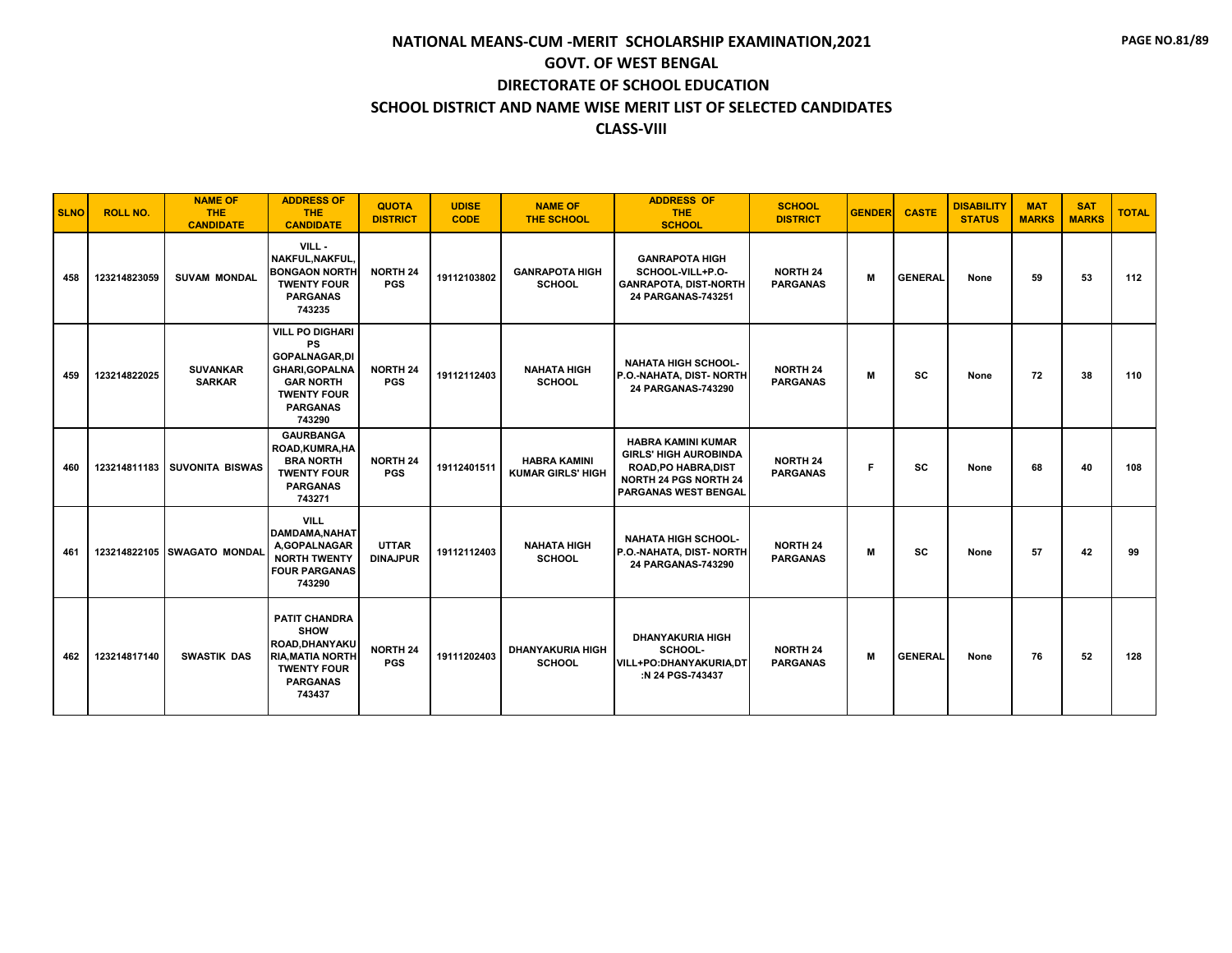| <b>SLNO</b> | <b>ROLL NO.</b> | <b>NAME OF</b><br>THE.<br><b>CANDIDATE</b> | <b>ADDRESS OF</b><br><b>THE</b><br><b>CANDIDATE</b>                                                                                                         | <b>QUOTA</b><br><b>DISTRICT</b> | <b>UDISE</b><br><b>CODE</b> | <b>NAME OF</b><br>THE SCHOOL                    | <b>ADDRESS OF</b><br><b>THE</b><br><b>SCHOOL</b>                                                                                                        | <b>SCHOOL</b><br><b>DISTRICT</b>   | <b>GENDER</b> | <b>CASTE</b>   | <b>DISABILITY</b><br><b>STATUS</b> | <b>MAT</b><br><b>MARKS</b> | <b>SAT</b><br><b>MARKS</b> | <b>TOTAL</b> |
|-------------|-----------------|--------------------------------------------|-------------------------------------------------------------------------------------------------------------------------------------------------------------|---------------------------------|-----------------------------|-------------------------------------------------|---------------------------------------------------------------------------------------------------------------------------------------------------------|------------------------------------|---------------|----------------|------------------------------------|----------------------------|----------------------------|--------------|
| 458         | 123214823059    | <b>SUVAM MONDAL</b>                        | VILL-<br>NAKFUL.NAKFUL.<br><b>BONGAON NORTH</b><br><b>TWENTY FOUR</b><br><b>PARGANAS</b><br>743235                                                          | <b>NORTH 24</b><br><b>PGS</b>   | 19112103802                 | <b>GANRAPOTA HIGH</b><br><b>SCHOOL</b>          | <b>GANRAPOTA HIGH</b><br>SCHOOL-VILL+P.O-<br><b>GANRAPOTA, DIST-NORTH</b><br>24 PARGANAS-743251                                                         | <b>NORTH 24</b><br><b>PARGANAS</b> | M             | <b>GENERAL</b> | None                               | 59                         | 53                         | 112          |
| 459         | 123214822025    | <b>SUVANKAR</b><br><b>SARKAR</b>           | <b>VILL PO DIGHARI</b><br><b>PS</b><br><b>GOPALNAGAR,DI</b><br><b>GHARI, GOPALNA</b><br><b>GAR NORTH</b><br><b>TWENTY FOUR</b><br><b>PARGANAS</b><br>743290 | <b>NORTH 24</b><br><b>PGS</b>   | 19112112403                 | <b>NAHATA HIGH</b><br><b>SCHOOL</b>             | <b>NAHATA HIGH SCHOOL-</b><br>P.O.-NAHATA, DIST-NORTH<br>24 PARGANAS-743290                                                                             | <b>NORTH 24</b><br><b>PARGANAS</b> | M             | SC             | None                               | 72                         | 38                         | 110          |
| 460         |                 | 123214811183 SUVONITA BISWAS               | <b>GAURBANGA</b><br>ROAD, KUMRA, HA<br><b>BRA NORTH</b><br><b>TWENTY FOUR</b><br><b>PARGANAS</b><br>743271                                                  | <b>NORTH 24</b><br><b>PGS</b>   | 19112401511                 | <b>HABRA KAMINI</b><br><b>KUMAR GIRLS' HIGH</b> | <b>HABRA KAMINI KUMAR</b><br><b>GIRLS' HIGH AUROBINDA</b><br><b>ROAD, PO HABRA, DIST</b><br><b>NORTH 24 PGS NORTH 24</b><br><b>PARGANAS WEST BENGAL</b> | <b>NORTH 24</b><br><b>PARGANAS</b> | F.            | <b>SC</b>      | None                               | 68                         | 40                         | 108          |
| 461         |                 | 123214822105 SWAGATO MONDAL                | <b>VILL</b><br><b>DAMDAMA.NAHAT</b><br>A,GOPALNAGAR<br><b>NORTH TWENTY</b><br><b>FOUR PARGANAS</b><br>743290                                                | <b>UTTAR</b><br><b>DINAJPUR</b> | 19112112403                 | <b>NAHATA HIGH</b><br><b>SCHOOL</b>             | <b>NAHATA HIGH SCHOOL-</b><br>P.O.-NAHATA, DIST- NORTH<br>24 PARGANAS-743290                                                                            | <b>NORTH 24</b><br><b>PARGANAS</b> | М             | <b>SC</b>      | None                               | 57                         | 42                         | 99           |
| 462         | 123214817140    | <b>SWASTIK DAS</b>                         | <b>PATIT CHANDRA</b><br><b>SHOW</b><br>ROAD.DHANYAKU<br><b>RIA, MATIA NORTH</b><br><b>TWENTY FOUR</b><br><b>PARGANAS</b><br>743437                          | <b>NORTH 24</b><br><b>PGS</b>   | 19111202403                 | <b>DHANYAKURIA HIGH</b><br><b>SCHOOL</b>        | <b>DHANYAKURIA HIGH</b><br>SCHOOL-<br><b>VILL+PO:DHANYAKURIA,DT</b><br>:N 24 PGS-743437                                                                 | <b>NORTH 24</b><br><b>PARGANAS</b> | M             | <b>GENERAL</b> | None                               | 76                         | 52                         | 128          |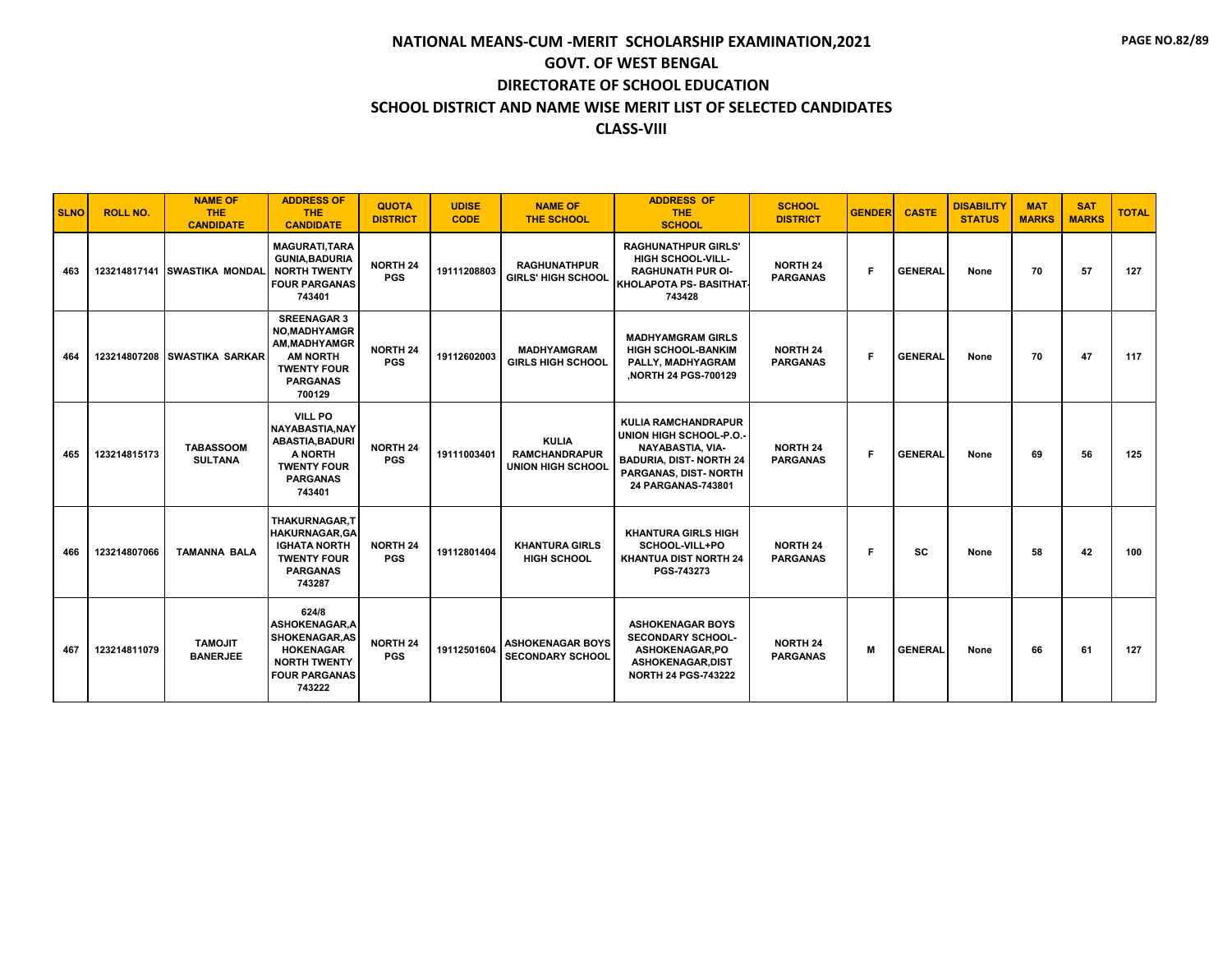| <b>SLNO</b> | <b>ROLL NO.</b> | <b>NAME OF</b><br><b>THE</b><br><b>CANDIDATE</b> | <b>ADDRESS OF</b><br><b>THE</b><br><b>CANDIDATE</b>                                                                                 | <b>QUOTA</b><br><b>DISTRICT</b> | <b>UDISE</b><br><b>CODE</b> | <b>NAME OF</b><br><b>THE SCHOOL</b>                              | <b>ADDRESS OF</b><br><b>THE</b><br><b>SCHOOL</b>                                                                                                                 | <b>SCHOOL</b><br><b>DISTRICT</b>   | <b>GENDER</b> | <b>CASTE</b>   | <b>DISABILITY</b><br><b>STATUS</b> | <b>MAT</b><br><b>MARKS</b> | <b>SAT</b><br><b>MARKS</b> | <b>TOTAL</b> |
|-------------|-----------------|--------------------------------------------------|-------------------------------------------------------------------------------------------------------------------------------------|---------------------------------|-----------------------------|------------------------------------------------------------------|------------------------------------------------------------------------------------------------------------------------------------------------------------------|------------------------------------|---------------|----------------|------------------------------------|----------------------------|----------------------------|--------------|
| 463         |                 | 123214817141 SWASTIKA MONDAL                     | <b>MAGURATI.TARA</b><br><b>GUNIA.BADURIA</b><br><b>NORTH TWENTY</b><br><b>FOUR PARGANAS</b><br>743401                               | <b>NORTH 24</b><br><b>PGS</b>   | 19111208803                 | <b>RAGHUNATHPUR</b><br><b>GIRLS' HIGH SCHOOL</b>                 | <b>RAGHUNATHPUR GIRLS'</b><br><b>HIGH SCHOOL-VILL-</b><br><b>RAGHUNATH PUR OI-</b><br><b>İKHOLAPOTA PS- BASITHAT</b><br>743428                                   | <b>NORTH 24</b><br><b>PARGANAS</b> | F.            | <b>GENERAL</b> | None                               | 70                         | 57                         | 127          |
| 464         | 123214807208    | <b>SWASTIKA SARKAR</b>                           | <b>SREENAGAR 3</b><br><b>NO.MADHYAMGR</b><br>AM, MADHYAMGR<br><b>AM NORTH</b><br><b>TWENTY FOUR</b><br><b>PARGANAS</b><br>700129    | <b>NORTH 24</b><br><b>PGS</b>   | 19112602003                 | <b>MADHYAMGRAM</b><br><b>GIRLS HIGH SCHOOL</b>                   | <b>MADHYAMGRAM GIRLS</b><br><b>HIGH SCHOOL-BANKIM</b><br>PALLY, MADHYAGRAM<br>,NORTH 24 PGS-700129                                                               | <b>NORTH 24</b><br><b>PARGANAS</b> | F             | <b>GENERAL</b> | None                               | 70                         | 47                         | 117          |
| 465         | 123214815173    | <b>TABASSOOM</b><br><b>SULTANA</b>               | <b>VILL PO</b><br><b>NAYABASTIA, NAY</b><br><b>ABASTIA, BADURI</b><br>A NORTH<br><b>TWENTY FOUR</b><br><b>PARGANAS</b><br>743401    | <b>NORTH 24</b><br><b>PGS</b>   | 19111003401                 | <b>KULIA</b><br><b>RAMCHANDRAPUR</b><br><b>UNION HIGH SCHOOL</b> | <b>KULIA RAMCHANDRAPUR</b><br>UNION HIGH SCHOOL-P.O.-<br><b>NAYABASTIA, VIA-</b><br><b>BADURIA, DIST-NORTH 24</b><br>PARGANAS, DIST- NORTH<br>24 PARGANAS-743801 | <b>NORTH 24</b><br><b>PARGANAS</b> | F.            | <b>GENERAL</b> | None                               | 69                         | 56                         | 125          |
| 466         | 123214807066    | <b>TAMANNA BALA</b>                              | <b>THAKURNAGAR.T</b><br><b>HAKURNAGAR.GA</b><br><b>IGHATA NORTH</b><br><b>TWENTY FOUR</b><br><b>PARGANAS</b><br>743287              | <b>NORTH 24</b><br><b>PGS</b>   | 19112801404                 | <b>KHANTURA GIRLS</b><br><b>HIGH SCHOOL</b>                      | <b>KHANTURA GIRLS HIGH</b><br>SCHOOL-VILL+PO<br><b>KHANTUA DIST NORTH 24</b><br>PGS-743273                                                                       | <b>NORTH 24</b><br><b>PARGANAS</b> | F.            | <b>SC</b>      | None                               | 58                         | 42                         | 100          |
| 467         | 123214811079    | <b>TAMOJIT</b><br><b>BANERJEE</b>                | 624/8<br><b>ASHOKENAGAR.A</b><br><b>SHOKENAGAR, AS</b><br><b>HOKENAGAR</b><br><b>NORTH TWENTY</b><br><b>FOUR PARGANAS</b><br>743222 | <b>NORTH 24</b><br><b>PGS</b>   | 19112501604                 | <b>ASHOKENAGAR BOYS</b><br><b>SECONDARY SCHOOL</b>               | <b>ASHOKENAGAR BOYS</b><br><b>SECONDARY SCHOOL-</b><br>ASHOKENAGAR.PO<br><b>ASHOKENAGAR,DIST</b><br><b>NORTH 24 PGS-743222</b>                                   | <b>NORTH 24</b><br><b>PARGANAS</b> | M             | <b>GENERAL</b> | None                               | 66                         | 61                         | 127          |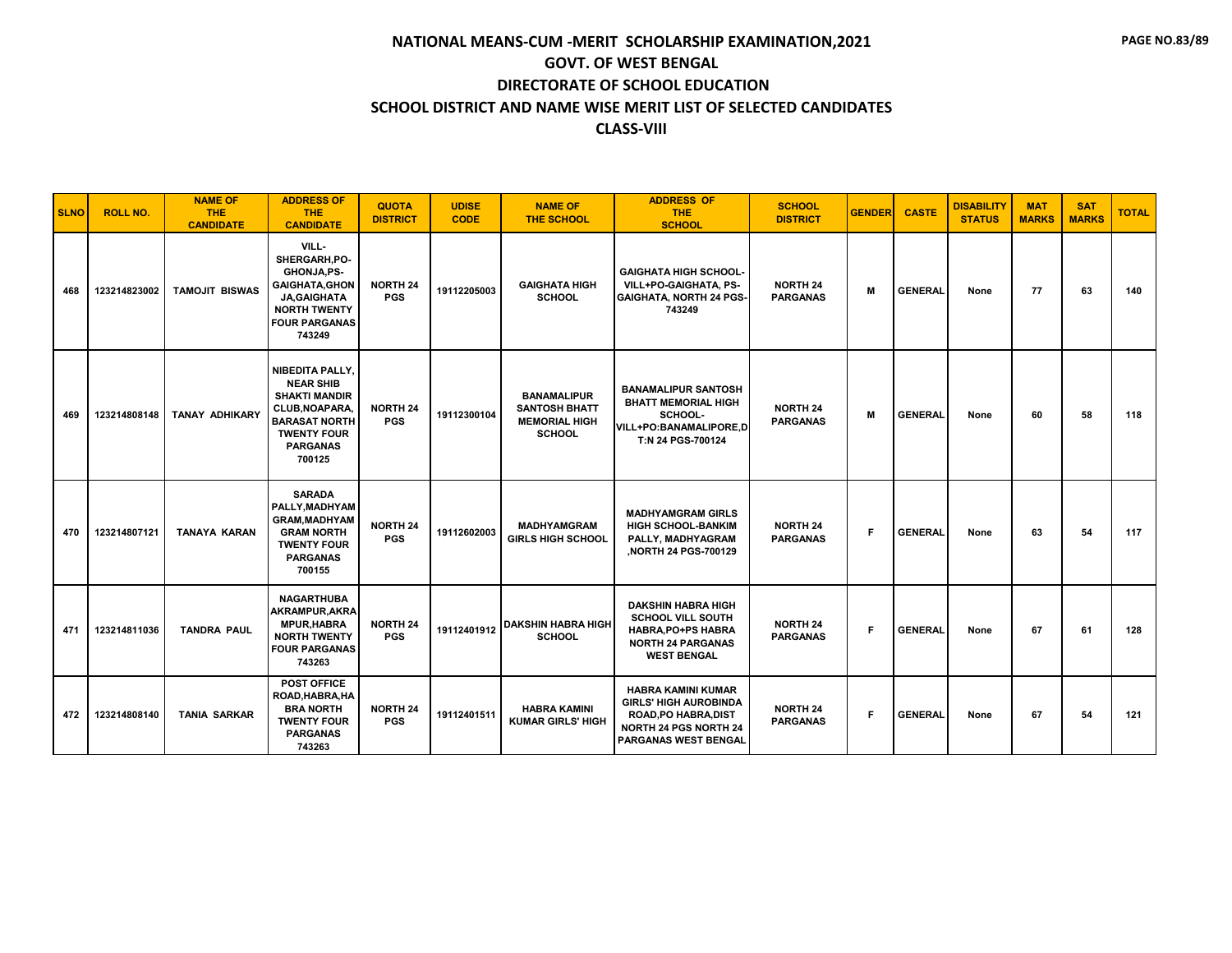| <b>SLNO</b> | <b>ROLL NO.</b> | <b>NAME OF</b><br><b>THE</b><br><b>CANDIDATE</b> | <b>ADDRESS OF</b><br><b>THE</b><br><b>CANDIDATE</b>                                                                                                      | <b>QUOTA</b><br><b>DISTRICT</b> | <b>UDISE</b><br><b>CODE</b> | <b>NAME OF</b><br><b>THE SCHOOL</b>                                                 | <b>ADDRESS OF</b><br><b>THE</b><br><b>SCHOOL</b>                                                                                                 | <b>SCHOOL</b><br><b>DISTRICT</b>   | <b>GENDER</b> | <b>CASTE</b>   | <b>DISABILITY</b><br><b>STATUS</b> | <b>MAT</b><br><b>MARKS</b> | <b>SAT</b><br><b>MARKS</b> | <b>TOTAL</b> |
|-------------|-----------------|--------------------------------------------------|----------------------------------------------------------------------------------------------------------------------------------------------------------|---------------------------------|-----------------------------|-------------------------------------------------------------------------------------|--------------------------------------------------------------------------------------------------------------------------------------------------|------------------------------------|---------------|----------------|------------------------------------|----------------------------|----------------------------|--------------|
| 468         | 123214823002    | <b>TAMOJIT BISWAS</b>                            | VILL-<br>SHERGARH.PO-<br>GHONJA,PS-<br><b>GAIGHATA, GHON</b><br><b>JA, GAIGHATA</b><br><b>NORTH TWENTY</b><br><b>FOUR PARGANAS</b><br>743249             | <b>NORTH 24</b><br><b>PGS</b>   | 19112205003                 | <b>GAIGHATA HIGH</b><br><b>SCHOOL</b>                                               | <b>GAIGHATA HIGH SCHOOL-</b><br>VILL+PO-GAIGHATA. PS-<br><b>GAIGHATA, NORTH 24 PGS-</b><br>743249                                                | <b>NORTH 24</b><br><b>PARGANAS</b> | M             | <b>GENERAL</b> | None                               | 77                         | 63                         | 140          |
| 469         | 123214808148    | <b>TANAY ADHIKARY</b>                            | NIBEDITA PALLY,<br><b>NEAR SHIB</b><br><b>SHAKTI MANDIR</b><br>CLUB, NOAPARA,<br><b>BARASAT NORTH</b><br><b>TWENTY FOUR</b><br><b>PARGANAS</b><br>700125 | <b>NORTH 24</b><br><b>PGS</b>   | 19112300104                 | <b>BANAMALIPUR</b><br><b>SANTOSH BHATT</b><br><b>MEMORIAL HIGH</b><br><b>SCHOOL</b> | <b>BANAMALIPUR SANTOSH</b><br><b>BHATT MEMORIAL HIGH</b><br>SCHOOL-<br>VILL+PO:BANAMALIPORE,D<br>T:N 24 PGS-700124                               | <b>NORTH 24</b><br><b>PARGANAS</b> | M             | <b>GENERAL</b> | None                               | 60                         | 58                         | 118          |
| 470         | 123214807121    | <b>TANAYA KARAN</b>                              | <b>SARADA</b><br>PALLY.MADHYAM<br><b>GRAM, MADHYAM</b><br><b>GRAM NORTH</b><br><b>TWENTY FOUR</b><br><b>PARGANAS</b><br>700155                           | <b>NORTH 24</b><br><b>PGS</b>   | 19112602003                 | <b>MADHYAMGRAM</b><br><b>GIRLS HIGH SCHOOL</b>                                      | <b>MADHYAMGRAM GIRLS</b><br><b>HIGH SCHOOL-BANKIM</b><br>PALLY, MADHYAGRAM<br>NORTH 24 PGS-700129                                                | <b>NORTH 24</b><br><b>PARGANAS</b> | F             | <b>GENERAL</b> | None                               | 63                         | 54                         | 117          |
| 471         | 123214811036    | <b>TANDRA PAUL</b>                               | <b>NAGARTHUBA</b><br><b>AKRAMPUR, AKRA</b><br><b>MPUR, HABRA</b><br><b>NORTH TWENTY</b><br><b>FOUR PARGANAS</b><br>743263                                | <b>NORTH 24</b><br><b>PGS</b>   | 19112401912                 | <b>DAKSHIN HABRA HIGH</b><br><b>SCHOOL</b>                                          | <b>DAKSHIN HABRA HIGH</b><br><b>SCHOOL VILL SOUTH</b><br><b>HABRA, PO+PS HABRA</b><br><b>NORTH 24 PARGANAS</b><br><b>WEST BENGAL</b>             | <b>NORTH 24</b><br><b>PARGANAS</b> | F.            | <b>GENERAL</b> | None                               | 67                         | 61                         | 128          |
| 472         | 123214808140    | <b>TANIA SARKAR</b>                              | <b>POST OFFICE</b><br>ROAD, HABRA, HA<br><b>BRA NORTH</b><br><b>TWENTY FOUR</b><br><b>PARGANAS</b><br>743263                                             | <b>NORTH 24</b><br><b>PGS</b>   | 19112401511                 | <b>HABRA KAMINI</b><br><b>KUMAR GIRLS' HIGH</b>                                     | <b>HABRA KAMINI KUMAR</b><br><b>GIRLS' HIGH AUROBINDA</b><br><b>ROAD, PO HABRA, DIST</b><br><b>NORTH 24 PGS NORTH 24</b><br>PARGANAS WEST BENGAL | <b>NORTH 24</b><br><b>PARGANAS</b> | F.            | <b>GENERAL</b> | None                               | 67                         | 54                         | 121          |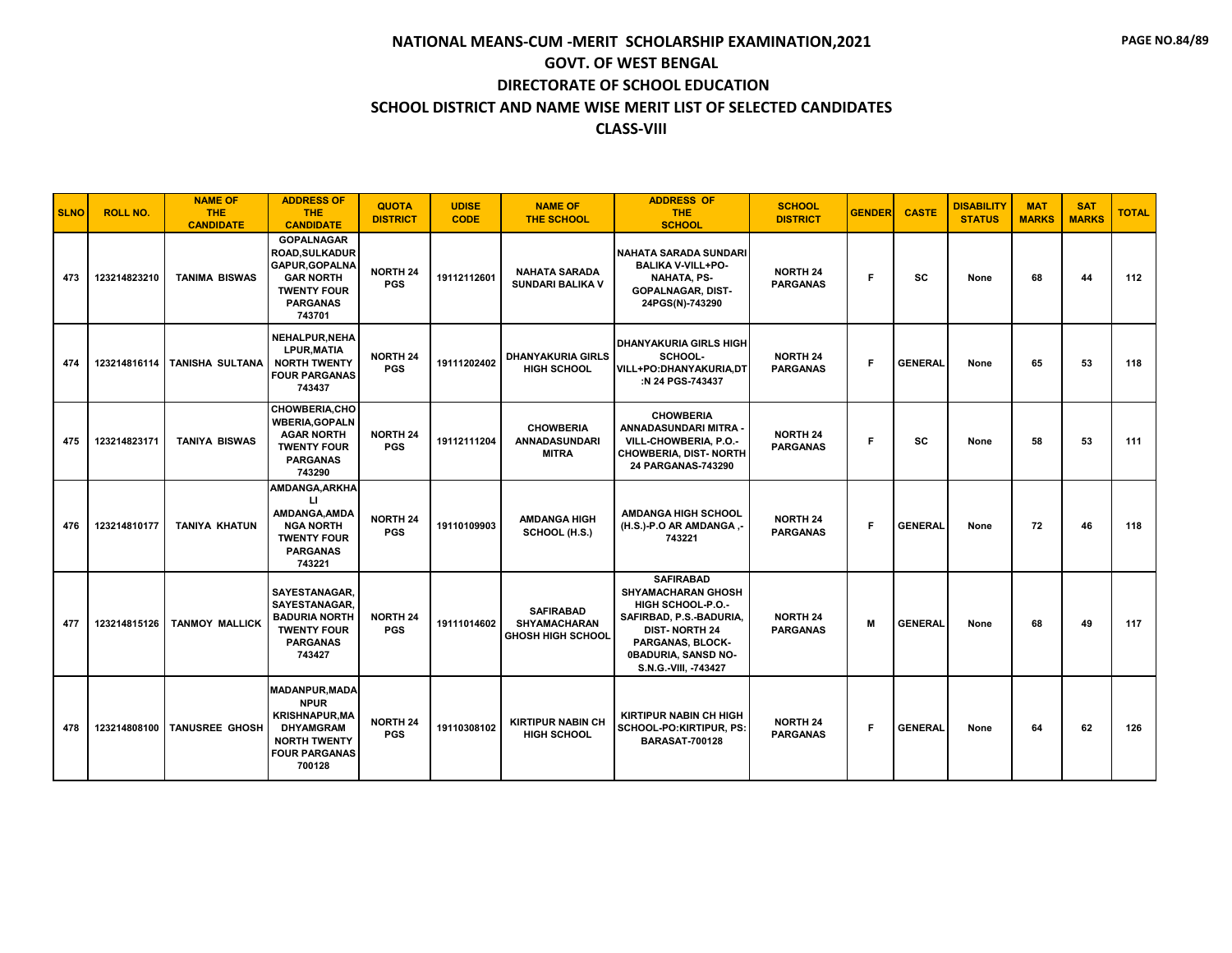| <b>SLNO</b> | <b>ROLL NO.</b> | <b>NAME OF</b><br><b>THE</b><br><b>CANDIDATE</b> | <b>ADDRESS OF</b><br><b>THE</b><br><b>CANDIDATE</b>                                                                                        | <b>QUOTA</b><br><b>DISTRICT</b> | <b>UDISE</b><br><b>CODE</b> | <b>NAME OF</b><br><b>THE SCHOOL</b>                                 | <b>ADDRESS OF</b><br><b>THE</b><br><b>SCHOOL</b>                                                                                                                                                | <b>SCHOOL</b><br><b>DISTRICT</b>   | <b>GENDER</b> | <b>CASTE</b>   | <b>DISABILITY</b><br><b>STATUS</b> | <b>MAT</b><br><b>MARKS</b> | <b>SAT</b><br><b>MARKS</b> | <b>TOTAL</b> |
|-------------|-----------------|--------------------------------------------------|--------------------------------------------------------------------------------------------------------------------------------------------|---------------------------------|-----------------------------|---------------------------------------------------------------------|-------------------------------------------------------------------------------------------------------------------------------------------------------------------------------------------------|------------------------------------|---------------|----------------|------------------------------------|----------------------------|----------------------------|--------------|
| 473         | 123214823210    | <b>TANIMA BISWAS</b>                             | <b>GOPALNAGAR</b><br><b>ROAD, SULKADUR</b><br><b>GAPUR, GOPALNA</b><br><b>GAR NORTH</b><br><b>TWENTY FOUR</b><br><b>PARGANAS</b><br>743701 | <b>NORTH 24</b><br><b>PGS</b>   | 19112112601                 | <b>NAHATA SARADA</b><br><b>SUNDARI BALIKA V</b>                     | INAHATA SARADA SUNDARI<br><b>BALIKA V-VILL+PO-</b><br><b>NAHATA, PS-</b><br><b>GOPALNAGAR, DIST-</b><br>24PGS(N)-743290                                                                         | <b>NORTH 24</b><br><b>PARGANAS</b> | F             | <b>SC</b>      | None                               | 68                         | 44                         | 112          |
| 474         |                 | 123214816114   TANISHA SULTANA                   | NEHALPUR, NEHA<br><b>LPUR, MATIA</b><br><b>NORTH TWENTY</b><br><b>FOUR PARGANAS</b><br>743437                                              | <b>NORTH 24</b><br><b>PGS</b>   | 19111202402                 | <b>DHANYAKURIA GIRLS</b><br><b>HIGH SCHOOL</b>                      | <b>DHANYAKURIA GIRLS HIGH</b><br>SCHOOL-<br><b>VILL+PO:DHANYAKURIA,DT</b><br>:N 24 PGS-743437                                                                                                   | <b>NORTH 24</b><br><b>PARGANAS</b> | F             | <b>GENERAL</b> | None                               | 65                         | 53                         | 118          |
| 475         | 123214823171    | <b>TANIYA BISWAS</b>                             | <b>CHOWBERIA,CHO</b><br><b>WBERIA, GOPALN</b><br><b>AGAR NORTH</b><br><b>TWENTY FOUR</b><br><b>PARGANAS</b><br>743290                      | <b>NORTH 24</b><br><b>PGS</b>   | 19112111204                 | <b>CHOWBERIA</b><br><b>ANNADASUNDARI</b><br><b>MITRA</b>            | <b>CHOWBERIA</b><br>ANNADASUNDARI MITRA -<br>VILL-CHOWBERIA, P.O.-<br><b>CHOWBERIA, DIST- NORTH</b><br>24 PARGANAS-743290                                                                       | <b>NORTH 24</b><br><b>PARGANAS</b> | F.            | <b>SC</b>      | None                               | 58                         | 53                         | 111          |
| 476         | 123214810177    | TANIYA KHATUN                                    | <b>AMDANGA, ARKHA</b><br>П<br>AMDANGA.AMDA<br><b>NGA NORTH</b><br><b>TWENTY FOUR</b><br><b>PARGANAS</b><br>743221                          | <b>NORTH 24</b><br><b>PGS</b>   | 19110109903                 | <b>AMDANGA HIGH</b><br>SCHOOL (H.S.)                                | <b>AMDANGA HIGH SCHOOL</b><br>(H.S.)-P.O AR AMDANGA,-<br>743221                                                                                                                                 | <b>NORTH 24</b><br><b>PARGANAS</b> | F             | <b>GENERAL</b> | None                               | 72                         | 46                         | 118          |
| 477         | 123214815126    | <b>TANMOY MALLICK</b>                            | SAYESTANAGAR.<br>SAYESTANAGAR.<br><b>BADURIA NORTH</b><br><b>TWENTY FOUR</b><br><b>PARGANAS</b><br>743427                                  | <b>NORTH 24</b><br><b>PGS</b>   | 19111014602                 | <b>SAFIRABAD</b><br><b>SHYAMACHARAN</b><br><b>GHOSH HIGH SCHOOL</b> | <b>SAFIRABAD</b><br><b>SHYAMACHARAN GHOSH</b><br><b>HIGH SCHOOL-P.O.-</b><br>SAFIRBAD, P.S.-BADURIA,<br><b>DIST-NORTH 24</b><br>PARGANAS, BLOCK-<br>0BADURIA, SANSD NO-<br>S.N.G.-VIII, -743427 | <b>NORTH 24</b><br><b>PARGANAS</b> | M             | <b>GENERAL</b> | None                               | 68                         | 49                         | 117          |
| 478         | 123214808100    | <b>TANUSREE GHOSH</b>                            | <b>MADANPUR, MADA</b><br><b>NPUR</b><br><b>KRISHNAPUR, MA</b><br><b>DHYAMGRAM</b><br><b>NORTH TWENTY</b><br><b>FOUR PARGANAS</b><br>700128 | <b>NORTH 24</b><br><b>PGS</b>   | 19110308102                 | <b>KIRTIPUR NABIN CH</b><br><b>HIGH SCHOOL</b>                      | <b>KIRTIPUR NABIN CH HIGH</b><br>SCHOOL-PO:KIRTIPUR, PS:<br><b>BARASAT-700128</b>                                                                                                               | <b>NORTH 24</b><br><b>PARGANAS</b> | F             | <b>GENERAL</b> | None                               | 64                         | 62                         | 126          |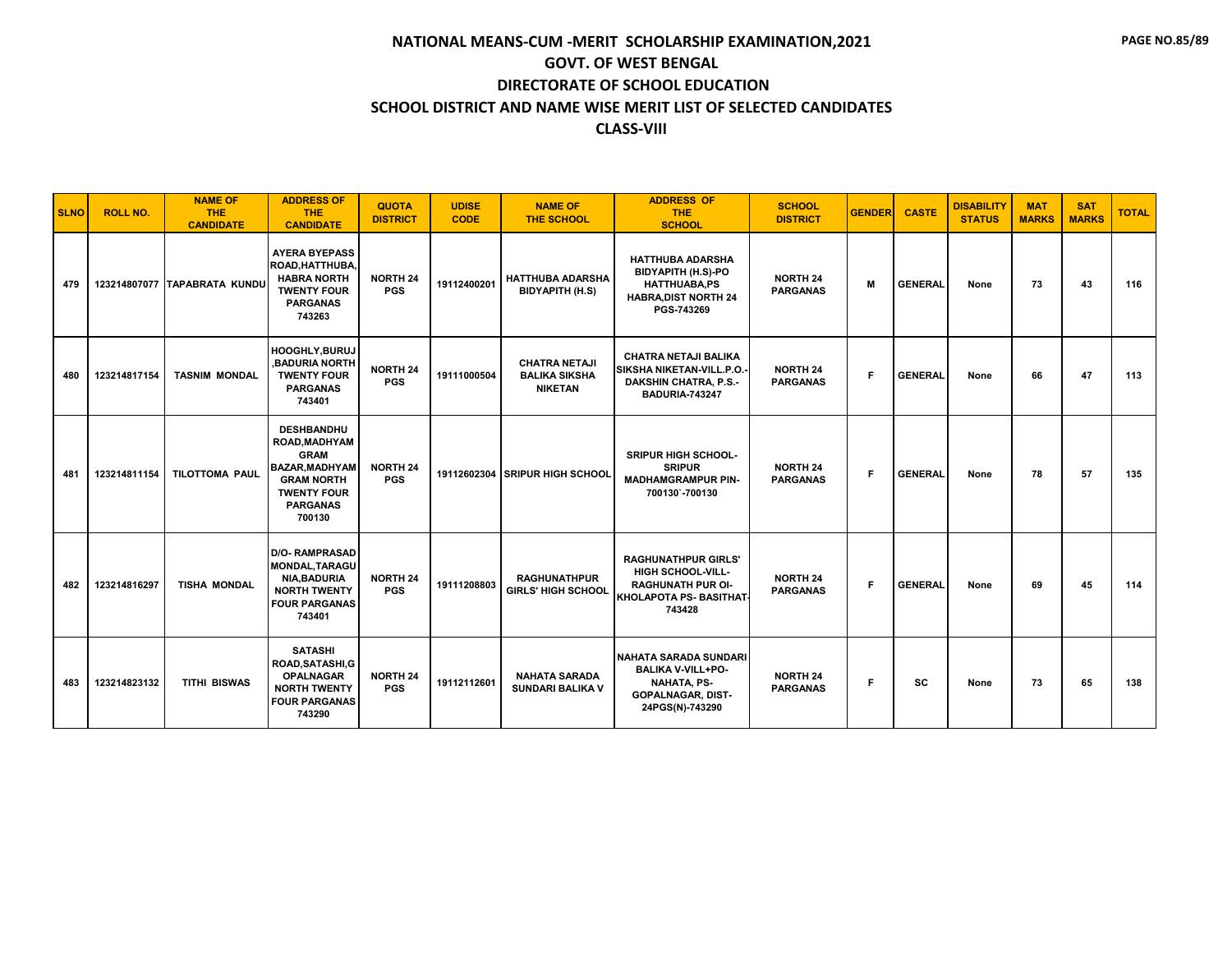| <b>SLNO</b> | <b>ROLL NO.</b> | <b>NAME OF</b><br><b>THE</b><br><b>CANDIDATE</b> | <b>ADDRESS OF</b><br><b>THE</b><br><b>CANDIDATE</b>                                                                                                | <b>QUOTA</b><br><b>DISTRICT</b> | <b>UDISE</b><br><b>CODE</b> | <b>NAME OF</b><br>THE SCHOOL                                   | <b>ADDRESS OF</b><br><b>THE</b><br><b>SCHOOL</b>                                                                               | <b>SCHOOL</b><br><b>DISTRICT</b>   | <b>GENDER</b> | <b>CASTE</b>   | <b>DISABILITY</b><br><b>STATUS</b> | <b>MAT</b><br><b>MARKS</b> | <b>SAT</b><br><b>MARKS</b> | <b>TOTAL</b> |
|-------------|-----------------|--------------------------------------------------|----------------------------------------------------------------------------------------------------------------------------------------------------|---------------------------------|-----------------------------|----------------------------------------------------------------|--------------------------------------------------------------------------------------------------------------------------------|------------------------------------|---------------|----------------|------------------------------------|----------------------------|----------------------------|--------------|
| 479         |                 | 123214807077 TAPABRATA KUNDU                     | <b>AYERA BYEPASS</b><br>ROAD, HATTHUBA,<br><b>HABRA NORTH</b><br><b>TWENTY FOUR</b><br><b>PARGANAS</b><br>743263                                   | <b>NORTH 24</b><br><b>PGS</b>   | 19112400201                 | <b>HATTHUBA ADARSHA</b><br><b>BIDYAPITH (H.S)</b>              | <b>HATTHUBA ADARSHA</b><br><b>BIDYAPITH (H.S)-PO</b><br><b>HATTHUABA,PS</b><br><b>HABRA, DIST NORTH 24</b><br>PGS-743269       | <b>NORTH 24</b><br><b>PARGANAS</b> | M             | <b>GENERAL</b> | None                               | 73                         | 43                         | 116          |
| 480         | 123214817154    | <b>TASNIM MONDAL</b>                             | HOOGHLY, BURUJ<br><b>.BADURIA NORTH</b><br><b>TWENTY FOUR</b><br><b>PARGANAS</b><br>743401                                                         | <b>NORTH 24</b><br><b>PGS</b>   | 19111000504                 | <b>CHATRA NETAJI</b><br><b>BALIKA SIKSHA</b><br><b>NIKETAN</b> | CHATRA NETAJI BALIKA<br>SIKSHA NIKETAN-VILL.P.O.<br><b>DAKSHIN CHATRA, P.S.-</b><br><b>BADURIA-743247</b>                      | <b>NORTH 24</b><br><b>PARGANAS</b> | F.            | <b>GENERAL</b> | None                               | 66                         | 47                         | 113          |
| 481         | 123214811154    | <b>TILOTTOMA PAUL</b>                            | <b>DESHBANDHU</b><br>ROAD, MADHYAM<br><b>GRAM</b><br><b>BAZAR, MADHYAM</b><br><b>GRAM NORTH</b><br><b>TWENTY FOUR</b><br><b>PARGANAS</b><br>700130 | NORTH 24<br><b>PGS</b>          | 19112602304                 | <b>ISRIPUR HIGH SCHOOL</b>                                     | <b>SRIPUR HIGH SCHOOL-</b><br><b>SRIPUR</b><br><b>MADHAMGRAMPUR PIN-</b><br>700130`-700130                                     | <b>NORTH 24</b><br><b>PARGANAS</b> | F.            | <b>GENERAL</b> | None                               | 78                         | 57                         | 135          |
| 482         | 123214816297    | <b>TISHA MONDAL</b>                              | <b>D/O- RAMPRASAD</b><br><b>MONDAL, TARAGU</b><br>NIA, BADURIA<br><b>NORTH TWENTY</b><br><b>FOUR PARGANAS</b><br>743401                            | <b>NORTH 24</b><br><b>PGS</b>   | 19111208803                 | <b>RAGHUNATHPUR</b><br><b>GIRLS' HIGH SCHOOL</b>               | <b>RAGHUNATHPUR GIRLS'</b><br><b>HIGH SCHOOL-VILL-</b><br><b>RAGHUNATH PUR OI-</b><br><b>İKHOLAPOTA PS- BASITHAT</b><br>743428 | <b>NORTH 24</b><br><b>PARGANAS</b> | F.            | <b>GENERAL</b> | None                               | 69                         | 45                         | 114          |
| 483         | 123214823132    | <b>TITHI BISWAS</b>                              | <b>SATASHI</b><br>ROAD, SATASHI, G<br><b>OPALNAGAR</b><br><b>NORTH TWENTY</b><br><b>FOUR PARGANAS</b><br>743290                                    | <b>NORTH 24</b><br><b>PGS</b>   | 19112112601                 | <b>NAHATA SARADA</b><br><b>SUNDARI BALIKA V</b>                | NAHATA SARADA SUNDARI<br><b>BALIKA V-VILL+PO-</b><br><b>NAHATA, PS-</b><br><b>GOPALNAGAR, DIST-</b><br>24PGS(N)-743290         | <b>NORTH 24</b><br><b>PARGANAS</b> | F.            | sc             | None                               | 73                         | 65                         | 138          |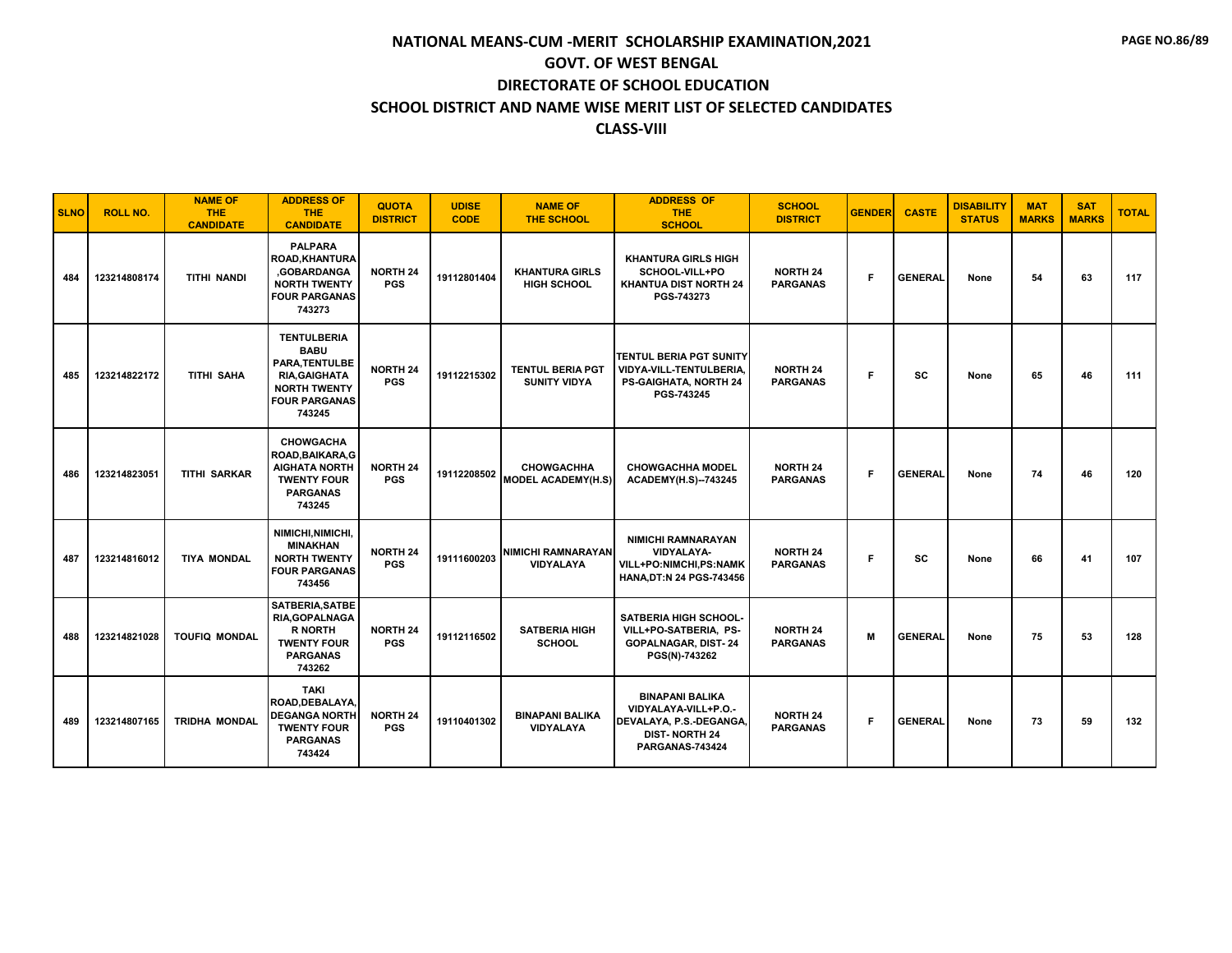| <b>SLNO</b> | <b>ROLL NO.</b> | <b>NAME OF</b><br><b>THE</b><br><b>CANDIDATE</b> | <b>ADDRESS OF</b><br><b>THE</b><br><b>CANDIDATE</b>                                                                                 | <b>QUOTA</b><br><b>DISTRICT</b> | <b>UDISE</b><br><b>CODE</b> | <b>NAME OF</b><br><b>THE SCHOOL</b>            | <b>ADDRESS OF</b><br><b>THE</b><br><b>SCHOOL</b>                                                                     | <b>SCHOOL</b><br><b>DISTRICT</b>   | <b>GENDER</b> | <b>CASTE</b>   | <b>DISABILITY</b><br><b>STATUS</b> | <b>MAT</b><br><b>MARKS</b> | <b>SAT</b><br><b>MARKS</b> | <b>TOTAL</b> |
|-------------|-----------------|--------------------------------------------------|-------------------------------------------------------------------------------------------------------------------------------------|---------------------------------|-----------------------------|------------------------------------------------|----------------------------------------------------------------------------------------------------------------------|------------------------------------|---------------|----------------|------------------------------------|----------------------------|----------------------------|--------------|
| 484         | 123214808174    | <b>TITHI NANDI</b>                               | <b>PALPARA</b><br><b>ROAD, KHANTURA</b><br><b>GOBARDANGA</b><br><b>NORTH TWENTY</b><br><b>FOUR PARGANAS</b><br>743273               | <b>NORTH 24</b><br><b>PGS</b>   | 19112801404                 | <b>KHANTURA GIRLS</b><br><b>HIGH SCHOOL</b>    | <b>KHANTURA GIRLS HIGH</b><br>SCHOOL-VILL+PO<br>KHANTUA DIST NORTH 24<br>PGS-743273                                  | <b>NORTH 24</b><br><b>PARGANAS</b> | F.            | <b>GENERAL</b> | None                               | 54                         | 63                         | 117          |
| 485         | 123214822172    | <b>TITHI SAHA</b>                                | <b>TENTULBERIA</b><br><b>BABU</b><br>PARA.TENTULBE<br><b>RIA, GAIGHATA</b><br><b>NORTH TWENTY</b><br><b>FOUR PARGANAS</b><br>743245 | <b>NORTH 24</b><br><b>PGS</b>   | 19112215302                 | <b>TENTUL BERIA PGT</b><br><b>SUNITY VIDYA</b> | TENTUL BERIA PGT SUNITY<br>VIDYA-VILL-TENTULBERIA,<br><b>PS-GAIGHATA, NORTH 24</b><br>PGS-743245                     | <b>NORTH 24</b><br><b>PARGANAS</b> | F.            | SC             | None                               | 65                         | 46                         | 111          |
| 486         | 123214823051    | <b>TITHI SARKAR</b>                              | <b>CHOWGACHA</b><br>ROAD, BAIKARA, G<br><b>AIGHATA NORTH</b><br><b>TWENTY FOUR</b><br><b>PARGANAS</b><br>743245                     | <b>NORTH 24</b><br><b>PGS</b>   | 19112208502                 | <b>CHOWGACHHA</b><br><b>MODEL ACADEMY(H.S)</b> | <b>CHOWGACHHA MODEL</b><br><b>ACADEMY(H.S)--743245</b>                                                               | <b>NORTH 24</b><br><b>PARGANAS</b> | F             | <b>GENERAL</b> | None                               | 74                         | 46                         | 120          |
| 487         | 123214816012    | <b>TIYA MONDAL</b>                               | NIMICHI, NIMICHI,<br><b>MINAKHAN</b><br><b>NORTH TWENTY</b><br><b>FOUR PARGANAS</b><br>743456                                       | <b>NORTH 24</b><br><b>PGS</b>   | 19111600203                 | <b>NIMICHI RAMNARAYAN</b><br><b>VIDYALAYA</b>  | <b>NIMICHI RAMNARAYAN</b><br><b>VIDYALAYA-</b><br>VILL+PO:NIMCHI,PS:NAMK<br><b>HANA, DT:N 24 PGS-743456</b>          | <b>NORTH 24</b><br><b>PARGANAS</b> | F             | SC             | None                               | 66                         | 41                         | 107          |
| 488         | 123214821028    | <b>TOUFIQ MONDAL</b>                             | SATBERIA, SATBE<br>RIA, GOPALNAGA<br><b>R NORTH</b><br><b>TWENTY FOUR</b><br><b>PARGANAS</b><br>743262                              | <b>NORTH 24</b><br><b>PGS</b>   | 19112116502                 | <b>SATBERIA HIGH</b><br><b>SCHOOL</b>          | <b>SATBERIA HIGH SCHOOL-</b><br>VILL+PO-SATBERIA, PS-<br><b>GOPALNAGAR, DIST-24</b><br>PGS(N)-743262                 | <b>NORTH 24</b><br><b>PARGANAS</b> | м             | <b>GENERAL</b> | None                               | 75                         | 53                         | 128          |
| 489         | 123214807165    | <b>TRIDHA MONDAL</b>                             | <b>TAKI</b><br>ROAD, DEBALAYA,<br><b>DEGANGA NORTH</b><br><b>TWENTY FOUR</b><br><b>PARGANAS</b><br>743424                           | <b>NORTH 24</b><br><b>PGS</b>   | 19110401302                 | <b>BINAPANI BALIKA</b><br><b>VIDYALAYA</b>     | <b>BINAPANI BALIKA</b><br>VIDYALAYA-VILL+P.O.-<br>DEVALAYA, P.S.-DEGANGA,<br><b>DIST-NORTH 24</b><br>PARGANAS-743424 | <b>NORTH 24</b><br><b>PARGANAS</b> | F.            | <b>GENERAL</b> | None                               | 73                         | 59                         | 132          |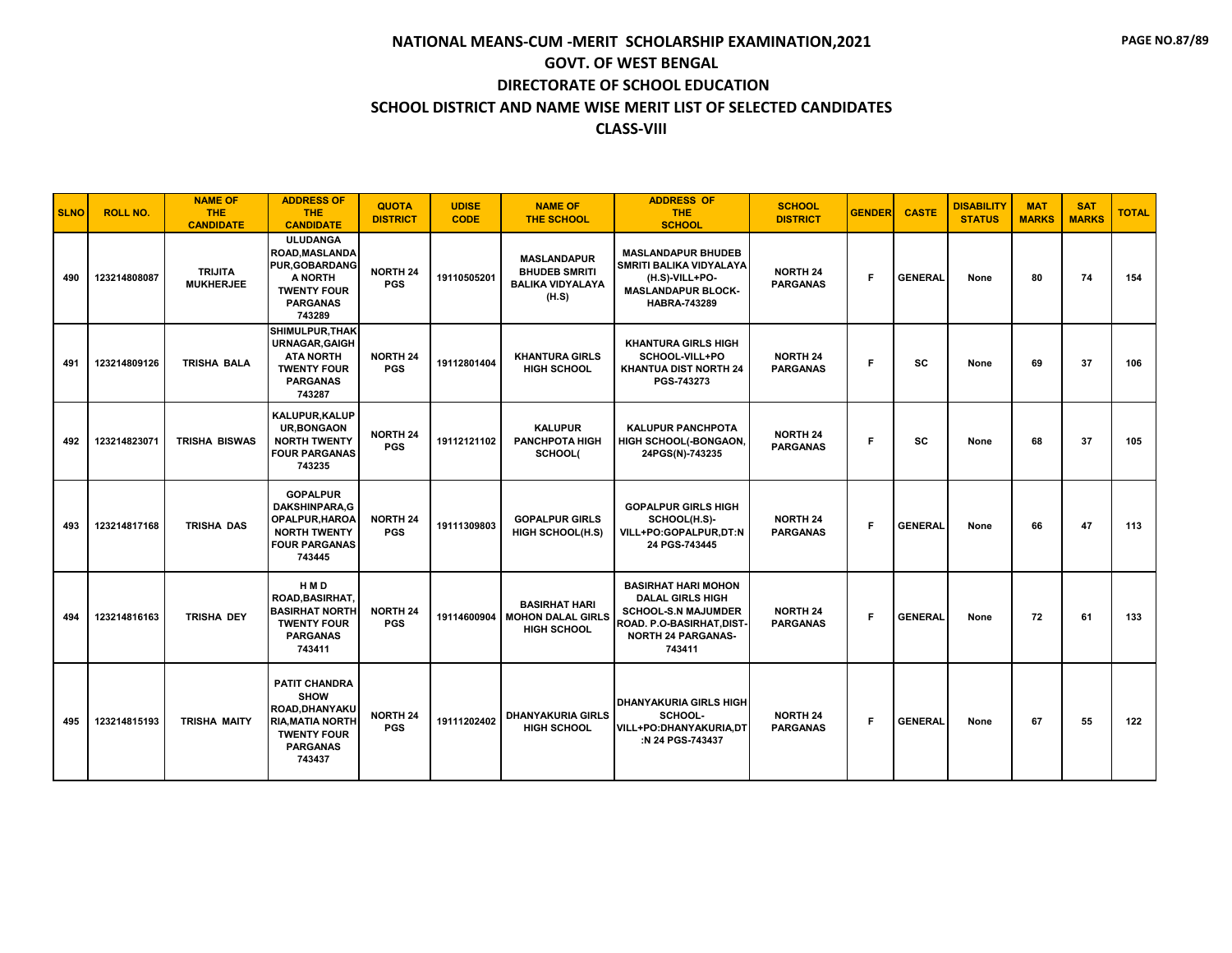| <b>SLNO</b> | <b>ROLL NO.</b> | <b>NAME OF</b><br><b>THE</b><br><b>CANDIDATE</b> | <b>ADDRESS OF</b><br><b>THE</b><br><b>CANDIDATE</b>                                                                                 | <b>QUOTA</b><br><b>DISTRICT</b> | <b>UDISE</b><br><b>CODE</b> | <b>NAME OF</b><br><b>THE SCHOOL</b>                                            | <b>ADDRESS OF</b><br><b>THE</b><br><b>SCHOOL</b>                                                                                                                   | <b>SCHOOL</b><br><b>DISTRICT</b>   | <b>GENDER</b> | <b>CASTE</b>   | <b>DISABILITY</b><br><b>STATUS</b> | <b>MAT</b><br><b>MARKS</b> | <b>SAT</b><br><b>MARKS</b> | <b>TOTAL</b> |
|-------------|-----------------|--------------------------------------------------|-------------------------------------------------------------------------------------------------------------------------------------|---------------------------------|-----------------------------|--------------------------------------------------------------------------------|--------------------------------------------------------------------------------------------------------------------------------------------------------------------|------------------------------------|---------------|----------------|------------------------------------|----------------------------|----------------------------|--------------|
| 490         | 123214808087    | <b>TRIJITA</b><br><b>MUKHERJEE</b>               | <b>ULUDANGA</b><br>ROAD, MASLANDA<br><b>PUR, GOBARDANG</b><br>A NORTH<br><b>TWENTY FOUR</b><br><b>PARGANAS</b><br>743289            | <b>NORTH 24</b><br><b>PGS</b>   | 19110505201                 | <b>MASLANDAPUR</b><br><b>BHUDEB SMRITI</b><br><b>BALIKA VIDYALAYA</b><br>(H.S) | <b>MASLANDAPUR BHUDEB</b><br><b>SMRITI BALIKA VIDYALAYA</b><br>(H.S)-VILL+PO-<br><b>MASLANDAPUR BLOCK-</b><br><b>HABRA-743289</b>                                  | <b>NORTH 24</b><br><b>PARGANAS</b> | F             | <b>GENERAL</b> | None                               | 80                         | 74                         | 154          |
| 491         | 123214809126    | TRISHA BALA                                      | SHIMULPUR, THAK<br><b>URNAGAR, GAIGH</b><br><b>ATA NORTH</b><br><b>TWENTY FOUR</b><br><b>PARGANAS</b><br>743287                     | <b>NORTH 24</b><br><b>PGS</b>   | 19112801404                 | <b>KHANTURA GIRLS</b><br><b>HIGH SCHOOL</b>                                    | <b>KHANTURA GIRLS HIGH</b><br>SCHOOL-VILL+PO<br><b>KHANTUA DIST NORTH 24</b><br>PGS-743273                                                                         | <b>NORTH 24</b><br><b>PARGANAS</b> | F             | <b>SC</b>      | None                               | 69                         | 37                         | 106          |
| 492         | 123214823071    | <b>TRISHA BISWAS</b>                             | KALUPUR, KALUP<br><b>UR, BONGAON</b><br><b>NORTH TWENTY</b><br><b>FOUR PARGANAS</b><br>743235                                       | <b>NORTH 24</b><br><b>PGS</b>   | 19112121102                 | <b>KALUPUR</b><br><b>PANCHPOTA HIGH</b><br>SCHOOL(                             | <b>KALUPUR PANCHPOTA</b><br>HIGH SCHOOL(-BONGAON,<br>24PGS(N)-743235                                                                                               | <b>NORTH 24</b><br><b>PARGANAS</b> | F.            | <b>SC</b>      | None                               | 68                         | 37                         | 105          |
| 493         | 123214817168    | TRISHA DAS                                       | <b>GOPALPUR</b><br><b>DAKSHINPARA,G</b><br>OPALPUR, HAROA<br><b>NORTH TWENTY</b><br><b>FOUR PARGANAS</b><br>743445                  | <b>NORTH 24</b><br><b>PGS</b>   | 19111309803                 | <b>GOPALPUR GIRLS</b><br><b>HIGH SCHOOL(H.S)</b>                               | <b>GOPALPUR GIRLS HIGH</b><br>SCHOOL(H.S)-<br>VILL+PO:GOPALPUR,DT:N<br>24 PGS-743445                                                                               | <b>NORTH 24</b><br><b>PARGANAS</b> | F.            | <b>GENERAL</b> | None                               | 66                         | 47                         | 113          |
| 494         | 123214816163    | <b>TRISHA DEY</b>                                | HMD<br><b>ROAD.BASIRHAT.</b><br><b>BASIRHAT NORTH</b><br><b>TWENTY FOUR</b><br><b>PARGANAS</b><br>743411                            | <b>NORTH 24</b><br><b>PGS</b>   | 19114600904                 | <b>BASIRHAT HARI</b><br><b>MOHON DALAL GIRLS</b><br><b>HIGH SCHOOL</b>         | <b>BASIRHAT HARI MOHON</b><br><b>DALAL GIRLS HIGH</b><br><b>SCHOOL-S.N MAJUMDER</b><br>ROAD. P.O-BASIRHAT,DIST <sup>.</sup><br><b>NORTH 24 PARGANAS-</b><br>743411 | <b>NORTH 24</b><br><b>PARGANAS</b> | F             | <b>GENERAL</b> | None                               | 72                         | 61                         | 133          |
| 495         | 123214815193    | <b>TRISHA MAITY</b>                              | <b>PATIT CHANDRA</b><br><b>SHOW</b><br>ROAD, DHANYAKU<br><b>RIA, MATIA NORTH</b><br><b>TWENTY FOUR</b><br><b>PARGANAS</b><br>743437 | <b>NORTH 24</b><br><b>PGS</b>   | 19111202402                 | <b>DHANYAKURIA GIRLS</b><br><b>HIGH SCHOOL</b>                                 | <b>DHANYAKURIA GIRLS HIGH</b><br>SCHOOL-<br>VILL+PO:DHANYAKURIA.DT<br>:N 24 PGS-743437                                                                             | <b>NORTH 24</b><br><b>PARGANAS</b> | F.            | <b>GENERAL</b> | None                               | 67                         | 55                         | 122          |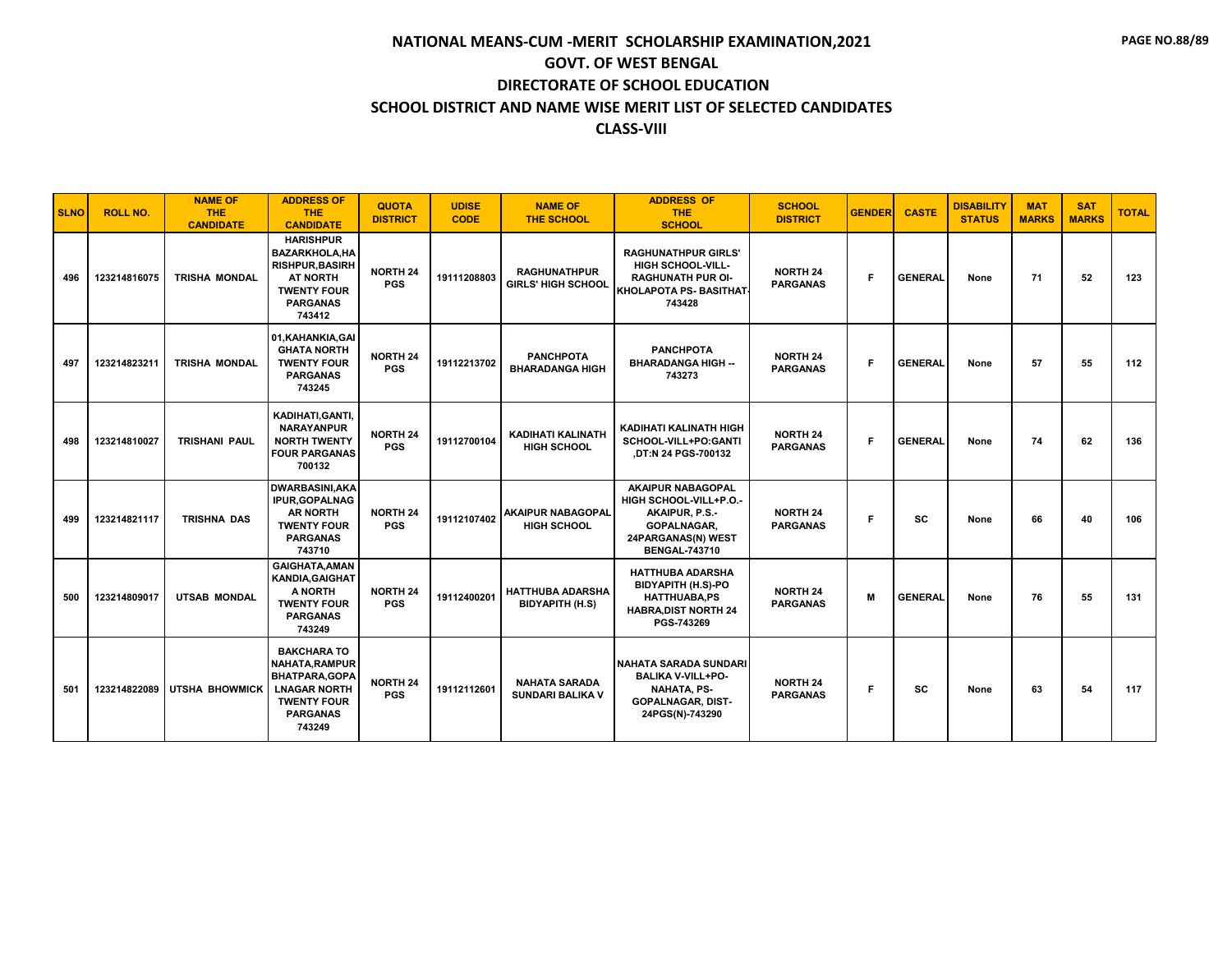| <b>SLNO</b> | <b>ROLL NO.</b> | <b>NAME OF</b><br><b>THE</b><br><b>CANDIDATE</b> | <b>ADDRESS OF</b><br><b>THE</b><br><b>CANDIDATE</b>                                                                                      | <b>QUOTA</b><br><b>DISTRICT</b> | <b>UDISE</b><br><b>CODE</b> | <b>NAME OF</b><br><b>THE SCHOOL</b>               | <b>ADDRESS OF</b><br><b>THE</b><br><b>SCHOOL</b>                                                                                         | <b>SCHOOL</b><br><b>DISTRICT</b>   | <b>GENDER</b> | <b>CASTE</b>   | <b>DISABILITY</b><br><b>STATUS</b> | <b>MAT</b><br><b>MARKS</b> | <b>SAT</b><br><b>MARKS</b> | <b>TOTAL</b> |
|-------------|-----------------|--------------------------------------------------|------------------------------------------------------------------------------------------------------------------------------------------|---------------------------------|-----------------------------|---------------------------------------------------|------------------------------------------------------------------------------------------------------------------------------------------|------------------------------------|---------------|----------------|------------------------------------|----------------------------|----------------------------|--------------|
| 496         | 123214816075    | <b>TRISHA MONDAL</b>                             | <b>HARISHPUR</b><br><b>BAZARKHOLA.HA</b><br><b>RISHPUR, BASIRH</b><br><b>AT NORTH</b><br><b>TWENTY FOUR</b><br><b>PARGANAS</b><br>743412 | <b>NORTH 24</b><br><b>PGS</b>   | 19111208803                 | <b>RAGHUNATHPUR</b><br><b>GIRLS' HIGH SCHOOL</b>  | <b>RAGHUNATHPUR GIRLS'</b><br><b>HIGH SCHOOL-VILL-</b><br><b>RAGHUNATH PUR OI-</b><br><b>KHOLAPOTA PS- BASITHAT</b><br>743428            | <b>NORTH 24</b><br><b>PARGANAS</b> | F             | <b>GENERAL</b> | None                               | 71                         | 52                         | 123          |
| 497         | 123214823211    | <b>TRISHA MONDAL</b>                             | 01, KAHANKIA, GAI<br><b>GHATA NORTH</b><br><b>TWENTY FOUR</b><br><b>PARGANAS</b><br>743245                                               | <b>NORTH 24</b><br><b>PGS</b>   | 19112213702                 | <b>PANCHPOTA</b><br><b>BHARADANGA HIGH</b>        | <b>PANCHPOTA</b><br><b>BHARADANGA HIGH --</b><br>743273                                                                                  | <b>NORTH 24</b><br><b>PARGANAS</b> | F.            | <b>GENERAL</b> | None                               | 57                         | 55                         | 112          |
| 498         | 123214810027    | <b>TRISHANI PAUL</b>                             | KADIHATI, GANTI,<br><b>NARAYANPUR</b><br><b>NORTH TWENTY</b><br><b>FOUR PARGANAS</b><br>700132                                           | <b>NORTH 24</b><br><b>PGS</b>   | 19112700104                 | <b>KADIHATI KALINATH</b><br><b>HIGH SCHOOL</b>    | KADIHATI KALINATH HIGH<br>SCHOOL-VILL+PO:GANTI<br>.DT:N 24 PGS-700132                                                                    | <b>NORTH 24</b><br><b>PARGANAS</b> | F.            | <b>GENERAL</b> | None                               | 74                         | 62                         | 136          |
| 499         | 123214821117    | <b>TRISHNA DAS</b>                               | <b>DWARBASINI, AKA</b><br><b>IPUR, GOPALNAG</b><br><b>AR NORTH</b><br><b>TWENTY FOUR</b><br><b>PARGANAS</b><br>743710                    | <b>NORTH 24</b><br><b>PGS</b>   | 19112107402                 | <b>AKAIPUR NABAGOPAL</b><br><b>HIGH SCHOOL</b>    | <b>AKAIPUR NABAGOPAL</b><br>HIGH SCHOOL-VILL+P.O.-<br>AKAIPUR, P.S.-<br><b>GOPALNAGAR.</b><br>24PARGANAS(N) WEST<br><b>BENGAL-743710</b> | <b>NORTH 24</b><br><b>PARGANAS</b> | F             | <b>SC</b>      | None                               | 66                         | 40                         | 106          |
| 500         | 123214809017    | <b>UTSAB MONDAL</b>                              | <b>GAIGHATA, AMAN</b><br><b>KANDIA, GAIGHAT</b><br>A NORTH<br><b>TWENTY FOUR</b><br><b>PARGANAS</b><br>743249                            | <b>NORTH 24</b><br><b>PGS</b>   | 19112400201                 | <b>HATTHUBA ADARSHA</b><br><b>BIDYAPITH (H.S)</b> | <b>HATTHUBA ADARSHA</b><br><b>BIDYAPITH (H.S)-PO</b><br><b>HATTHUABA.PS</b><br><b>HABRA, DIST NORTH 24</b><br>PGS-743269                 | <b>NORTH 24</b><br><b>PARGANAS</b> | M             | <b>GENERAL</b> | None                               | 76                         | 55                         | 131          |
| 501         | 123214822089    | <b>UTSHA BHOWMICK</b>                            | <b>BAKCHARA TO</b><br>NAHATA.RAMPUR<br><b>BHATPARA, GOPA</b><br><b>LNAGAR NORTH</b><br><b>TWENTY FOUR</b><br><b>PARGANAS</b><br>743249   | <b>NORTH 24</b><br><b>PGS</b>   | 19112112601                 | <b>NAHATA SARADA</b><br><b>SUNDARI BALIKA V</b>   | <b>NAHATA SARADA SUNDARI</b><br><b>BALIKA V-VILL+PO-</b><br><b>NAHATA, PS-</b><br><b>GOPALNAGAR, DIST-</b><br>24PGS(N)-743290            | <b>NORTH 24</b><br><b>PARGANAS</b> | F             | <b>SC</b>      | None                               | 63                         | 54                         | 117          |